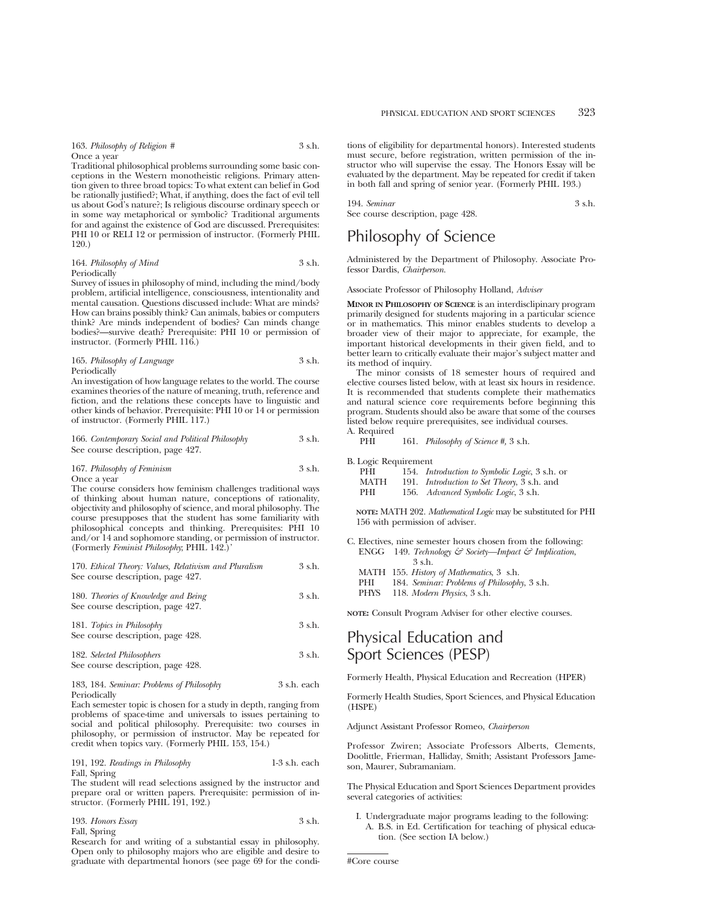| 163. Philosophy of Religion # | 3 s.h. |
|-------------------------------|--------|
| Once a vear                   |        |

Traditional philosophical problems surrounding some basic conceptions in the Western monotheistic religions. Primary attention given to three broad topics: To what extent can belief in God be rationally justified?; What, if anything, does the fact of evil tell us about God's nature?; Is religious discourse ordinary speech or in some way metaphorical or symbolic? Traditional arguments for and against the existence of God are discussed. Prerequisites: PHI 10 or RELI 12 or permission of instructor. (Formerly PHIL 120.)

164. *Philosophy of Mind* 3 s.h. Periodically

Survey of issues in philosophy of mind, including the mind/body problem, artificial intelligence, consciousness, intentionality and mental causation. Questions discussed include: What are minds? How can brains possibly think? Can animals, babies or computers think? Are minds independent of bodies? Can minds change bodies?—survive death? Prerequisite: PHI 10 or permission of instructor. (Formerly PHIL 116.)

#### 165. *Philosophy of Language* 3 s.h. Periodically

An investigation of how language relates to the world. The course examines theories of the nature of meaning, truth, reference and fiction, and the relations these concepts have to linguistic and other kinds of behavior. Prerequisite: PHI 10 or 14 or permission of instructor. (Formerly PHIL 117.)

| 166. Contemporary Social and Political Philosophy | 3 s.h. |
|---------------------------------------------------|--------|
| See course description, page 427.                 |        |

#### 167. *Philosophy of Feminism* 3 s.h. Once a year

The course considers how feminism challenges traditional ways of thinking about human nature, conceptions of rationality, objectivity and philosophy of science, and moral philosophy. The course presupposes that the student has some familiarity with philosophical concepts and thinking. Prerequisites: PHI 10 and/or 14 and sophomore standing, or permission of instructor. (Formerly *Feminist Philosophy*; PHIL 142.)'

170. *Ethical Theory: Values, Relativism and Pluralism* 3 s.h. See course description, page 427.

| 180. Theories of Knowledge and Being | 3 s.h. |
|--------------------------------------|--------|
| See course description, page 427.    |        |

181. *Topics in Philosophy* 3 s.h. See course description, page 428.

182. *Selected Philosophers* 3 s.h. See course description, page 428.

#### 183, 184. *Seminar: Problems of Philosophy* 3 s.h. each Periodically

Each semester topic is chosen for a study in depth, ranging from problems of space-time and universals to issues pertaining to social and political philosophy. Prerequisite: two courses in philosophy, or permission of instructor. May be repeated for credit when topics vary. (Formerly PHIL 153, 154.)

### 191, 192. *Readings in Philosophy* 1-3 s.h. each Fall, Spring

The student will read selections assigned by the instructor and prepare oral or written papers. Prerequisite: permission of instructor. (Formerly PHIL 191, 192.)

193. *Honors Essay* 3 s.h. Fall, Spring

Research for and writing of a substantial essay in philosophy. Open only to philosophy majors who are eligible and desire to graduate with departmental honors (see page 69 for the conditions of eligibility for departmental honors). Interested students must secure, before registration, written permission of the instructor who will supervise the essay. The Honors Essay will be evaluated by the department. May be repeated for credit if taken in both fall and spring of senior year. (Formerly PHIL 193.)

| 194. Seminar                      | 3 s.h. |
|-----------------------------------|--------|
| See course description, page 428. |        |

# Philosophy of Science

Administered by the Department of Philosophy. Associate Professor Dardis, *Chairperson.*

Associate Professor of Philosophy Holland, *Adviser*

**MINOR IN PHILOSOPHY OF SCIENCE** is an interdisclipinary program primarily designed for students majoring in a particular science or in mathematics. This minor enables students to develop a broader view of their major to appreciate, for example, the important historical developments in their given field, and to better learn to critically evaluate their major's subject matter and its method of inquiry.

The minor consists of 18 semester hours of required and elective courses listed below, with at least six hours in residence. It is recommended that students complete their mathematics and natural science core requirements before beginning this program. Students should also be aware that some of the courses listed below require prerequisites, see individual courses. A. Required

#### PHI 161. *Philosophy of Science #,* 3 s.h.

B. Logic Requirement<br>PHI 154 In

| PHI  | 154. <i>Introduction to Symbolic Logic</i> , 3 s.h. or |
|------|--------------------------------------------------------|
| MATH | 191. <i>Introduction to Set Theory</i> , 3 s.h. and    |
| PHI  | 156. Advanced Symbolic Logic, 3 s.h.                   |

**NOTE:** MATH 202. *Mathematical Logic* may be substituted for PHI 156 with permission of adviser.

- C. Electives, nine semester hours chosen from the following: ENGG 149. *Technology & Society—Impact & Implication*, 3 s.h. MATH 155. *History of Mathematics*, 3 s.h. PHI 184. *Seminar: Problems of Philosophy*, 3 s.h.
	-

PHYS 118. *Modern Physics*, 3 s.h.

**NOTE:** Consult Program Adviser for other elective courses.

# Physical Education and Sport Sciences (PESP)

Formerly Health, Physical Education and Recreation (HPER)

Formerly Health Studies, Sport Sciences, and Physical Education (HSPE)

Adjunct Assistant Professor Romeo, *Chairperson*

Professor Zwiren; Associate Professors Alberts, Clements, Doolittle, Frierman, Halliday, Smith; Assistant Professors Jameson, Maurer, Subramaniam.

The Physical Education and Sport Sciences Department provides several categories of activities:

I. Undergraduate major programs leading to the following: A. B.S. in Ed. Certification for teaching of physical education. (See section IA below.)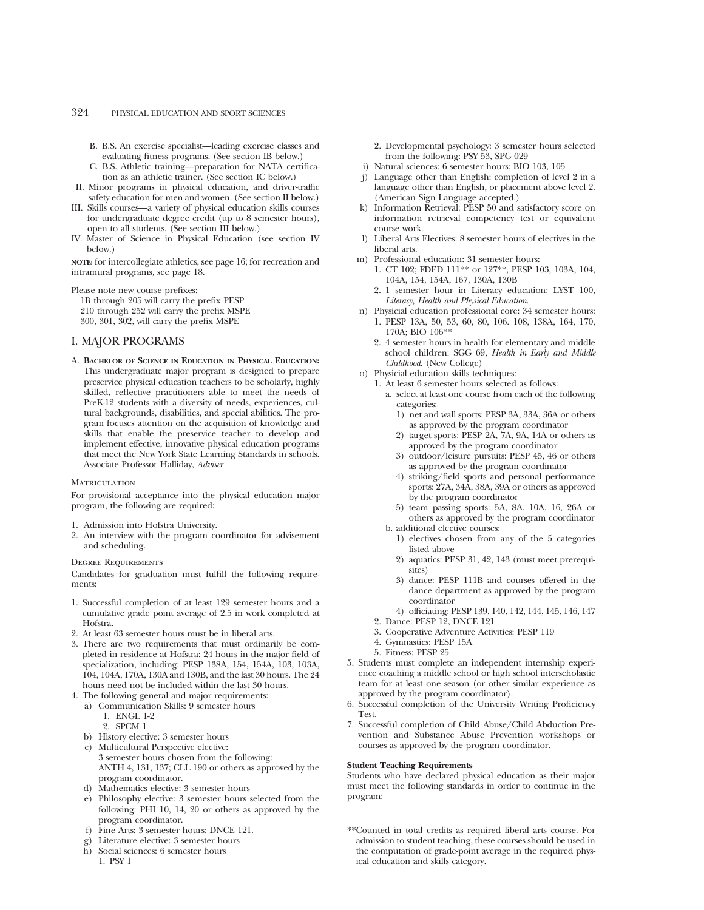- B. B.S. An exercise specialist—leading exercise classes and evaluating fitness programs. (See section IB below.)
- C. B.S. Athletic training—preparation for NATA certification as an athletic trainer. (See section IC below.)
- II. Minor programs in physical education, and driver-traffic safety education for men and women. (See section II below.)
- III. Skills courses—a variety of physical education skills courses for undergraduate degree credit (up to 8 semester hours), open to all students. (See section III below.)
- IV. Master of Science in Physical Education (see section IV below.)

**NOTE:** for intercollegiate athletics, see page 16; for recreation and intramural programs, see page 18.

Please note new course prefixes:

1B through 205 will carry the prefix PESP 210 through 252 will carry the prefix MSPE 300, 301, 302, will carry the prefix MSPE

# I. MAJOR PROGRAMS

A. **BACHELOR OF SCIENCE IN EDUCATION IN PHYSICAL EDUCATION:** This undergraduate major program is designed to prepare preservice physical education teachers to be scholarly, highly skilled, reflective practitioners able to meet the needs of PreK-12 students with a diversity of needs, experiences, cultural backgrounds, disabilities, and special abilities. The program focuses attention on the acquisition of knowledge and skills that enable the preservice teacher to develop and implement effective, innovative physical education programs that meet the New York State Learning Standards in schools. Associate Professor Halliday, *Adviser*

#### **MATRICULATION**

For provisional acceptance into the physical education major program, the following are required:

- 1. Admission into Hofstra University.
- 2. An interview with the program coordinator for advisement and scheduling.

#### Degree Requirements

Candidates for graduation must fulfill the following requirements:

- 1. Successful completion of at least 129 semester hours and a cumulative grade point average of 2.5 in work completed at Hofstra.
- 2. At least 63 semester hours must be in liberal arts.
- 3. There are two requirements that must ordinarily be completed in residence at Hofstra: 24 hours in the major field of specialization, including: PESP 138A, 154, 154A, 103, 103A, 104, 104A, 170A, 130A and 130B, and the last 30 hours. The 24 hours need not be included within the last 30 hours.
- 4. The following general and major requirements:
	- a) Communication Skills: 9 semester hours
		- 1. ENGL 1-2
		- 2. SPCM 1
	- b) History elective: 3 semester hours
	- c) Multicultural Perspective elective: 3 semester hours chosen from the following: ANTH 4, 131, 137; CLL 190 or others as approved by the program coordinator.
	- d) Mathematics elective: 3 semester hours
	- e) Philosophy elective: 3 semester hours selected from the following: PHI 10, 14, 20 or others as approved by the program coordinator.
	- f) Fine Arts: 3 semester hours: DNCE 121.
	- g) Literature elective: 3 semester hours
	- h) Social sciences: 6 semester hours 1. PSY 1
- 2. Developmental psychology: 3 semester hours selected from the following: PSY 53, SPG 029
- i) Natural sciences: 6 semester hours: BIO 103, 105
- j) Language other than English: completion of level 2 in a language other than English, or placement above level 2. (American Sign Language accepted.)
- k) Information Retrieval: PESP 50 and satisfactory score on information retrieval competency test or equivalent course work.
- l) Liberal Arts Electives: 8 semester hours of electives in the liberal arts.
- m) Professional education: 31 semester hours:
	- 1. CT 102; FDED 111\*\* or 127\*\*, PESP 103, 103A, 104, 104A, 154, 154A, 167, 130A, 130B
	- 2. 1 semester hour in Literacy education: LYST 100, *Literacy, Health and Physical Education*.
- n) Physicial education professional core: 34 semester hours: 1. PESP 13A, 50, 53, 60, 80, 106. 108, 138A, 164, 170, 170A; BIO 106\*\*
	- 2. 4 semester hours in health for elementary and middle school children: SGG 69, *Health in Early and Middle Childhood*. (New College)
- o) Physicial education skills techniques:
	- 1. At least 6 semester hours selected as follows:
		- a. select at least one course from each of the following categories:
			- 1) net and wall sports: PESP 3A, 33A, 36A or others as approved by the program coordinator
			- 2) target sports: PESP 2A, 7A, 9A, 14A or others as approved by the program coordinator
			- 3) outdoor/leisure pursuits: PESP 45, 46 or others as approved by the program coordinator
			- 4) striking/field sports and personal performance sports: 27A, 34A, 38A, 39A or others as approved by the program coordinator
			- 5) team passing sports: 5A, 8A, 10A, 16, 26A or others as approved by the program coordinator
		- b. additional elective courses:
			- 1) electives chosen from any of the 5 categories listed above
			- 2) aquatics: PESP 31, 42, 143 (must meet prerequisites)
			- 3) dance: PESP 111B and courses offered in the dance department as approved by the program coordinator
		- 4) officiating: PESP 139, 140, 142, 144, 145, 146, 147
	- 2. Dance: PESP 12, DNCE 121
	- 3. Cooperative Adventure Activities: PESP 119
	- 4. Gymnastics: PESP 15A
	- 5. Fitness: PESP 25
- 5. Students must complete an independent internship experience coaching a middle school or high school interscholastic team for at least one season (or other similar experience as approved by the program coordinator).
- 6. Successful completion of the University Writing Proficiency Test.
- 7. Successful completion of Child Abuse/Child Abduction Prevention and Substance Abuse Prevention workshops or courses as approved by the program coordinator.

#### **Student Teaching Requirements**

Students who have declared physical education as their major must meet the following standards in order to continue in the program:

<sup>\*\*</sup>Counted in total credits as required liberal arts course. For admission to student teaching, these courses should be used in the computation of grade-point average in the required physical education and skills category.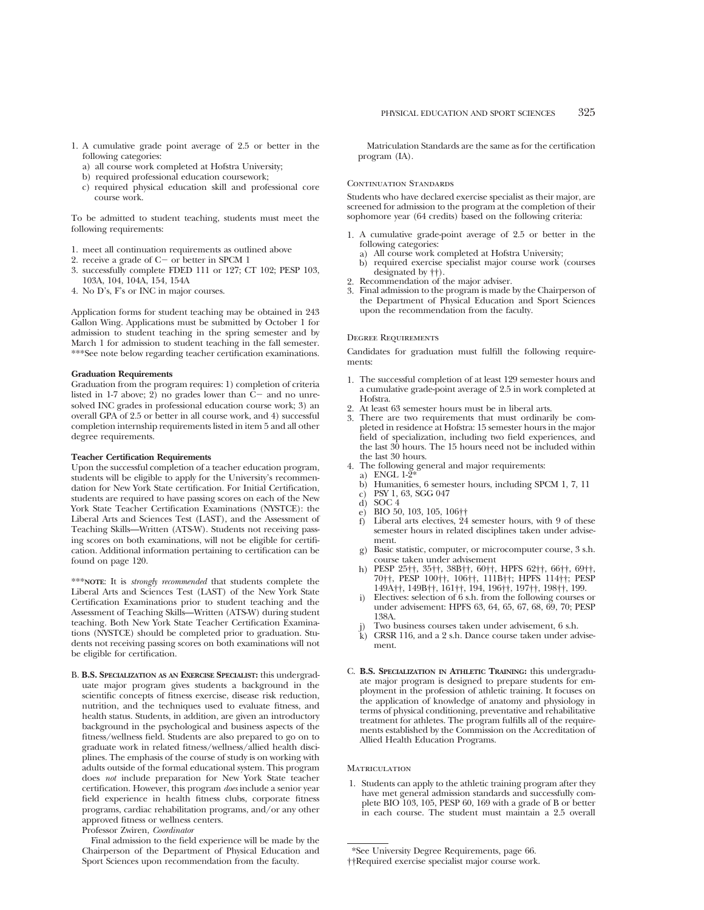- 1. A cumulative grade point average of 2.5 or better in the following categories:
	- a) all course work completed at Hofstra University;
	- b) required professional education coursework;
	- c) required physical education skill and professional core course work.

To be admitted to student teaching, students must meet the following requirements:

- 1. meet all continuation requirements as outlined above
- 2. receive a grade of  $C-$  or better in SPCM 1
- 3. successfully complete FDED 111 or 127; CT 102; PESP 103, 103A, 104, 104A, 154, 154A
- 4. No D's, F's or INC in major courses.

Application forms for student teaching may be obtained in 243 Gallon Wing. Applications must be submitted by October 1 for admission to student teaching in the spring semester and by March 1 for admission to student teaching in the fall semester. \*\*\*See note below regarding teacher certification examinations.

#### **Graduation Requirements**

Graduation from the program requires: 1) completion of criteria listed in 1-7 above; 2) no grades lower than  $C-$  and no unresolved INC grades in professional education course work; 3) an overall GPA of 2.5 or better in all course work, and 4) successful completion internship requirements listed in item 5 and all other degree requirements.

## **Teacher Certification Requirements**

Upon the successful completion of a teacher education program, students will be eligible to apply for the University's recommendation for New York State certification. For Initial Certification, students are required to have passing scores on each of the New York State Teacher Certification Examinations (NYSTCE): the Liberal Arts and Sciences Test (LAST), and the Assessment of Teaching Skills—Written (ATS-W). Students not receiving passing scores on both examinations, will not be eligible for certification. Additional information pertaining to certification can be found on page 120.

\*\*\***NOTE**: It is *strongly recommended* that students complete the Liberal Arts and Sciences Test (LAST) of the New York State Certification Examinations prior to student teaching and the Assessment of Teaching Skills—Written (ATS-W) during student teaching. Both New York State Teacher Certification Examinations (NYSTCE) should be completed prior to graduation. Students not receiving passing scores on both examinations will not be eligible for certification.

B. **B.S. SPECIALIZATION AS AN EXERCISE SPECIALIST:** this undergraduate major program gives students a background in the scientific concepts of fitness exercise, disease risk reduction, nutrition, and the techniques used to evaluate fitness, and health status. Students, in addition, are given an introductory background in the psychological and business aspects of the fitness/wellness field. Students are also prepared to go on to graduate work in related fitness/wellness/allied health disciplines. The emphasis of the course of study is on working with adults outside of the formal educational system. This program does *not* include preparation for New York State teacher certification. However, this program *does* include a senior year field experience in health fitness clubs, corporate fitness programs, cardiac rehabilitation programs, and/or any other approved fitness or wellness centers.

Professor Zwiren, *Coordinator*

Final admission to the field experience will be made by the Chairperson of the Department of Physical Education and Sport Sciences upon recommendation from the faculty.

Matriculation Standards are the same as for the certification program (IA).

#### CONTINUATION STANDARDS

Students who have declared exercise specialist as their major, are screened for admission to the program at the completion of their sophomore year (64 credits) based on the following criteria:

- 1. A cumulative grade-point average of 2.5 or better in the following categories:
	- a) All course work completed at Hofstra University;
	- b) required exercise specialist major course work (courses designated by ††).
- 2. Recommendation of the major adviser.<br>3. Final admission to the program is made
- 3. Final admission to the program is made by the Chairperson of the Department of Physical Education and Sport Sciences upon the recommendation from the faculty.

#### Degree Requirements

Candidates for graduation must fulfill the following requirements:

- 1. The successful completion of at least 129 semester hours and a cumulative grade-point average of 2.5 in work completed at Hofstra.
- 2. At least 63 semester hours must be in liberal arts.
- There are two requirements that must ordinarily be completed in residence at Hofstra: 15 semester hours in the major field of specialization, including two field experiences, and the last 30 hours. The 15 hours need not be included within the last 30 hours.
- 4. The following general and major requirements:
- a) ENGL 1-2\*
	- b) Humanities, 6 semester hours, including SPCM 1, 7, 11
- c) PSY 1, 63, SGG 047
- d) SOC 4<br>e) BIO 50
- e) BIO 50, 103, 105, 106††
- Liberal arts electives, 24 semester hours, with 9 of these semester hours in related disciplines taken under advisement.
- g) Basic statistic, computer, or microcomputer course, 3 s.h. course taken under advisement
- h) PESP 25††, 35††, 38B††, 60††, HPFS 62††, 66††, 69††, 70††, PESP 100††, 106††, 111B††; HPFS 114††; PESP 149A††, 149B††, 161††, 194, 196††, 197††, 198††, 199.
- Electives: selection of 6 s.h. from the following courses or under advisement: HPFS 63, 64, 65, 67, 68, 69, 70; PESP 138A.
- Two business courses taken under advisement, 6 s.h.
- CRSR 116, and a 2 s.h. Dance course taken under advisement.
- C. **B.S. SPECIALIZATION IN ATHLETIC TRAINING:** this undergraduate major program is designed to prepare students for employment in the profession of athletic training. It focuses on the application of knowledge of anatomy and physiology in terms of physical conditioning, preventative and rehabilitative treatment for athletes. The program fulfills all of the requirements established by the Commission on the Accreditation of Allied Health Education Programs.

#### **MATRICULATION**

1. Students can apply to the athletic training program after they have met general admission standards and successfully complete BIO 103, 105, PESP 60, 169 with a grade of B or better in each course. The student must maintain a 2.5 overall

<sup>\*</sup>See University Degree Requirements, page 66.

<sup>††</sup>Required exercise specialist major course work.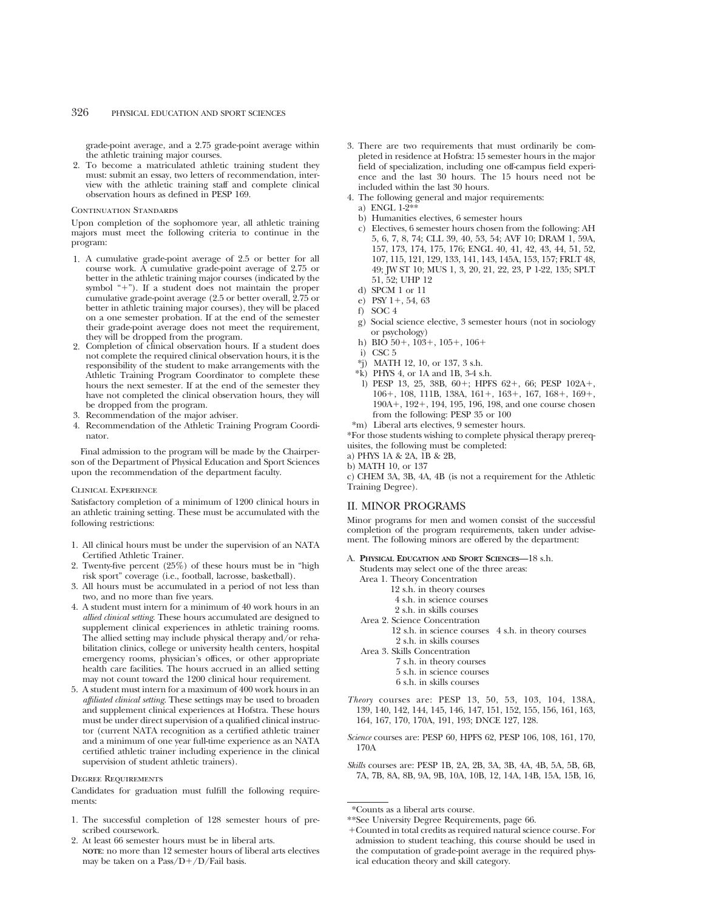grade-point average, and a 2.75 grade-point average within the athletic training major courses.

2. To become a matriculated athletic training student they must: submit an essay, two letters of recommendation, interview with the athletic training staff and complete clinical observation hours as defined in PESP 169.

#### Continuation Standards

Upon completion of the sophomore year, all athletic training majors must meet the following criteria to continue in the program:

- 1. A cumulative grade-point average of 2.5 or better for all course work. A cumulative grade-point average of 2.75 or better in the athletic training major courses (indicated by the symbol "+"). If a student does not maintain the proper cumulative grade-point average (2.5 or better overall, 2.75 or better in athletic training major courses), they will be placed on a one semester probation. If at the end of the semester their grade-point average does not meet the requirement, they will be dropped from the program.
- 2. Completion of clinical observation hours. If a student does not complete the required clinical observation hours, it is the responsibility of the student to make arrangements with the Athletic Training Program Coordinator to complete these hours the next semester. If at the end of the semester they have not completed the clinical observation hours, they will be dropped from the program.
- 3. Recommendation of the major adviser.
- 4. Recommendation of the Athletic Training Program Coordinator.

Final admission to the program will be made by the Chairperson of the Department of Physical Education and Sport Sciences upon the recommendation of the department faculty.

#### Clinical Experience

Satisfactory completion of a minimum of 1200 clinical hours in an athletic training setting. These must be accumulated with the following restrictions:

- 1. All clinical hours must be under the supervision of an NATA Certified Athletic Trainer.
- 2. Twenty-five percent (25%) of these hours must be in "high risk sport" coverage (i.e., football, lacrosse, basketball).
- 3. All hours must be accumulated in a period of not less than two, and no more than five years.
- 4. A student must intern for a minimum of 40 work hours in an *allied clinical setting*. These hours accumulated are designed to supplement clinical experiences in athletic training rooms. The allied setting may include physical therapy and/or rehabilitation clinics, college or university health centers, hospital emergency rooms, physician's offices, or other appropriate health care facilities. The hours accrued in an allied setting may not count toward the 1200 clinical hour requirement.
- 5. A student must intern for a maximum of 400 work hours in an *affiliated clinical setting*. These settings may be used to broaden and supplement clinical experiences at Hofstra. These hours must be under direct supervision of a qualified clinical instructor (current NATA recognition as a certified athletic trainer and a minimum of one year full-time experience as an NATA certified athletic trainer including experience in the clinical supervision of student athletic trainers).

#### Degree Requirements

Candidates for graduation must fulfill the following requirements:

- 1. The successful completion of 128 semester hours of prescribed coursework.
- 2. At least 66 semester hours must be in liberal arts. **NOTE**: no more than 12 semester hours of liberal arts electives may be taken on a Pass/ $D+/D$ /Fail basis.
- 3. There are two requirements that must ordinarily be completed in residence at Hofstra: 15 semester hours in the major field of specialization, including one off-campus field experience and the last 30 hours. The 15 hours need not be included within the last 30 hours.
- 4. The following general and major requirements:
- a) ENGL 1-2\*\*
- b) Humanities electives, 6 semester hours
- c) Electives, 6 semester hours chosen from the following: AH 5, 6, 7, 8, 74; CLL 39, 40, 53, 54; AVF 10; DRAM 1, 59A, 157, 173, 174, 175, 176; ENGL 40, 41, 42, 43, 44, 51, 52, 107, 115, 121, 129, 133, 141, 143, 145A, 153, 157; FRLT 48, 49; JW ST 10; MUS 1, 3, 20, 21, 22, 23, P 1-22, 135; SPLT 51, 52; UHP 12
- d) SPCM 1 or 11
- e) PSY  $1+$ , 54, 63
- f) SOC 4
- g) Social science elective, 3 semester hours (not in sociology or psychology)
- h) BIO  $50+$ ,  $103+$ ,  $105+$ ,  $106+$
- i) CSC 5
- \*j) MATH 12, 10, or 137, 3 s.h.
- $*$ k) PHYS 4, or 1A and 1B, 3-4 s.h.
- l) PESP 13, 25, 38B, 60+; HPFS 62+, 66; PESP 102A+, 106+, 108, 111B, 138A, 161+, 163+, 167, 168+, 169+, 190A+, 192+, 194, 195, 196, 198, and one course chosen from the following: PESP 35 or 100
- \*m) Liberal arts electives, 9 semester hours.

\*For those students wishing to complete physical therapy prerequisites, the following must be completed:

a) PHYS 1A & 2A, 1B & 2B,

c) CHEM 3A, 3B, 4A, 4B (is not a requirement for the Athletic Training Degree).

### II. MINOR PROGRAMS

Minor programs for men and women consist of the successful completion of the program requirements, taken under advisement. The following minors are offered by the department:

#### A. **PHYSICAL EDUCATION AND SPORT SCIENCES—**18 s.h.

- Students may select one of the three areas:
- Area 1. Theory Concentration
	- 12 s.h. in theory courses 4 s.h. in science courses
	-
- 2 s.h. in skills courses Area 2. Science Concentration

12 s.h. in science courses 4 s.h. in theory courses 2 s.h. in skills courses

- Area 3. Skills Concentration
	- 7 s.h. in theory courses
	- 5 s.h. in science courses
	- 6 s.h. in skills courses
- *Theory* courses are: PESP 13, 50, 53, 103, 104, 138A, 139, 140, 142, 144, 145, 146, 147, 151, 152, 155, 156, 161, 163, 164, 167, 170, 170A, 191, 193; DNCE 127, 128.
- *Science* courses are: PESP 60, HPFS 62, PESP 106, 108, 161, 170, 170A
- *Skills* courses are: PESP 1B, 2A, 2B, 3A, 3B, 4A, 4B, 5A, 5B, 6B, 7A, 7B, 8A, 8B, 9A, 9B, 10A, 10B, 12, 14A, 14B, 15A, 15B, 16,

b) MATH 10, or 137

<sup>\*</sup>Counts as a liberal arts course.

<sup>\*\*</sup>See University Degree Requirements, page 66.

<sup>1</sup>Counted in total credits as required natural science course. For admission to student teaching, this course should be used in the computation of grade-point average in the required physical education theory and skill category.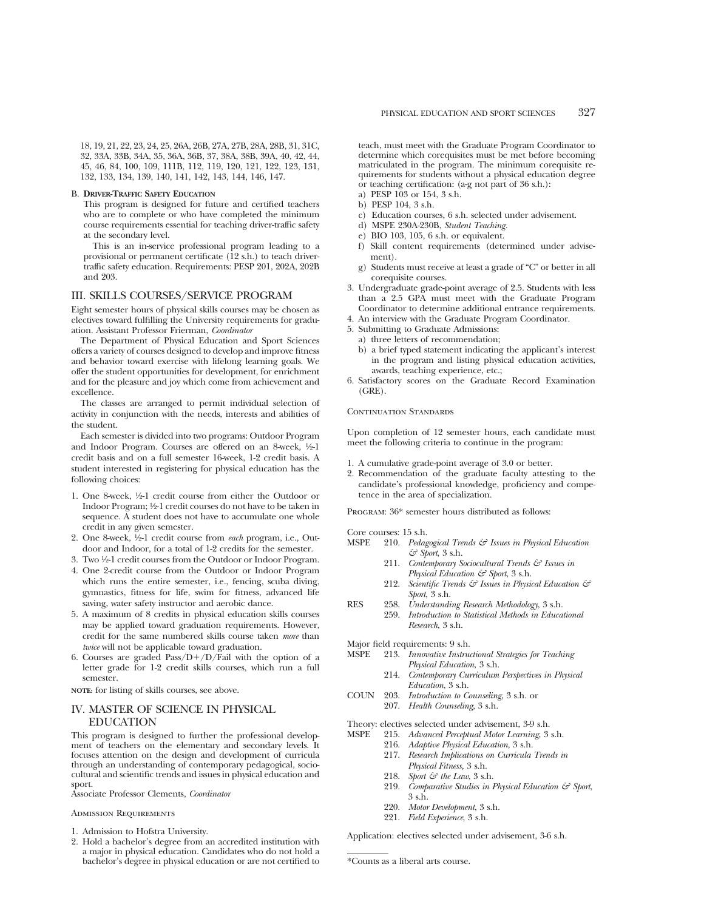18, 19, 21, 22, 23, 24, 25, 26A, 26B, 27A, 27B, 28A, 28B, 31, 31C, 32, 33A, 33B, 34A, 35, 36A, 36B, 37, 38A, 38B, 39A, 40, 42, 44, 45, 46, 84, 100, 109, 111B, 112, 119, 120, 121, 122, 123, 131, 132, 133, 134, 139, 140, 141, 142, 143, 144, 146, 147.

#### B. **DRIVER-TRAFFIC SAFETY EDUCATION**

This program is designed for future and certified teachers who are to complete or who have completed the minimum course requirements essential for teaching driver-traffic safety at the secondary level.

This is an in-service professional program leading to a provisional or permanent certificate  $(12 \text{ s.h.})$  to teach drivertraffic safety education. Requirements: PESP 201, 202A, 202B and 203.

## III. SKILLS COURSES/SERVICE PROGRAM

Eight semester hours of physical skills courses may be chosen as electives toward fulfilling the University requirements for graduation. Assistant Professor Frierman, *Coordinator*

The Department of Physical Education and Sport Sciences offers a variety of courses designed to develop and improve fitness and behavior toward exercise with lifelong learning goals. We offer the student opportunities for development, for enrichment and for the pleasure and joy which come from achievement and excellence.

The classes are arranged to permit individual selection of activity in conjunction with the needs, interests and abilities of the student.

Each semester is divided into two programs: Outdoor Program and Indoor Program. Courses are offered on an 8-week, 1/2-1 credit basis and on a full semester 16-week, 1-2 credit basis. A student interested in registering for physical education has the following choices:

- 1. One 8-week, 1⁄2-1 credit course from either the Outdoor or Indoor Program; 1⁄2-1 credit courses do not have to be taken in sequence. A student does not have to accumulate one whole credit in any given semester.
- 2. One 8-week, 1⁄2-1 credit course from *each* program, i.e., Outdoor and Indoor, for a total of 1-2 credits for the semester.
- 3. Two 1⁄2-1 credit courses from the Outdoor or Indoor Program.
- 4. One 2-credit course from the Outdoor or Indoor Program which runs the entire semester, i.e., fencing, scuba diving, gymnastics, fitness for life, swim for fitness, advanced life saving, water safety instructor and aerobic dance.
- 5. A maximum of 8 credits in physical education skills courses may be applied toward graduation requirements. However, credit for the same numbered skills course taken *more* than *twice* will not be applicable toward graduation.
- 6. Courses are graded  $Pass/D+/D/Fall$  with the option of a letter grade for 1-2 credit skills courses, which run a full semester.

**NOTE:** for listing of skills courses, see above.

# IV. MASTER OF SCIENCE IN PHYSICAL EDUCATION

This program is designed to further the professional development of teachers on the elementary and secondary levels. It focuses attention on the design and development of curricula through an understanding of contemporary pedagogical, sociocultural and scientific trends and issues in physical education and sport.

Associate Professor Clements, *Coordinator*

#### Admission Requirements

- 1. Admission to Hofstra University.<br>2. Hold a bachelor's degree from a
- 2. Hold a bachelor's degree from an accredited institution with a major in physical education. Candidates who do not hold a bachelor's degree in physical education or are not certified to

teach, must meet with the Graduate Program Coordinator to determine which corequisites must be met before becoming matriculated in the program. The minimum corequisite requirements for students without a physical education degree or teaching certification: (a-g not part of 36 s.h.):

- a) PESP 103 or 154, 3 s.h.
- b) PESP 104, 3 s.h.
- c) Education courses, 6 s.h. selected under advisement.
- d) MSPE 230A-230B, *Student Teaching.*
- e) BIO 103, 105, 6 s.h. or equivalent.
- f) Skill content requirements (determined under advisement).
- g) Students must receive at least a grade of "C" or better in all corequisite courses.
- 3. Undergraduate grade-point average of 2.5. Students with less than a 2.5 GPA must meet with the Graduate Program Coordinator to determine additional entrance requirements.
- 4. An interview with the Graduate Program Coordinator.
- 5. Submitting to Graduate Admissions:
	- a) three letters of recommendation;
	- b) a brief typed statement indicating the applicant's interest in the program and listing physical education activities, awards, teaching experience, etc.;
- 6. Satisfactory scores on the Graduate Record Examination (GRE).

### CONTINUATION STANDARDS

Upon completion of 12 semester hours, each candidate must meet the following criteria to continue in the program:

- 1. A cumulative grade-point average of 3.0 or better.
- 2. Recommendation of the graduate faculty attesting to the candidate's professional knowledge, proficiency and competence in the area of specialization.

Program: 36\* semester hours distributed as follows:

Core courses: 15 s.h.<br>MSPE 910 *Pedao* 

- 210. *Pedagogical Trends & Issues in Physical Education & Sport*, 3 s.h.
	- 211. *Contemporary Sociocultural Trends & Issues in Physical Education & Sport*, 3 s.h.
	- 212. *Scientific Trends & Issues in Physical Education & Sport*, 3 s.h.
- RES 258. *Understanding Research Methodology*, 3 s.h.
	- 259. *Introduction to Statistical Methods in Educational Research*, 3 s.h.
- Major field requirements: 9 s.h.<br>MSPE 213. Innovative Instruc
- 213. *Innovative Instructional Strategies for Teaching Physical Education*, 3 s.h.
	- 214. *Contemporary Curriculum Perspectives in Physical Education*, 3 s.h.
- COUN 203. *Introduction to Counseling*, 3 s.h. or 207. *Health Counseling*, 3 s.h.

- Theory: electives selected under advisement, 3-9 s.h.<br>MSPE 215. Advanced Perceptual Motor Learning, 3 215. *Advanced Perceptual Motor Learning*, 3 s.h.
	- 216. *Adaptive Physical Education*, 3 s.h.
		- 217. *Research Implications on Curricula Trends in Physical Fitness,* 3 s.h.
		-
		- 218. *Sport & the Law*, 3 s.h.
		- 219. *Comparative Studies in Physical Education & Sport*, 3 s.h.
		- 220. *Motor Development*, 3 s.h.
		- 221. *Field Experience*, 3 s.h.

Application: electives selected under advisement, 3-6 s.h.

<sup>\*</sup>Counts as a liberal arts course.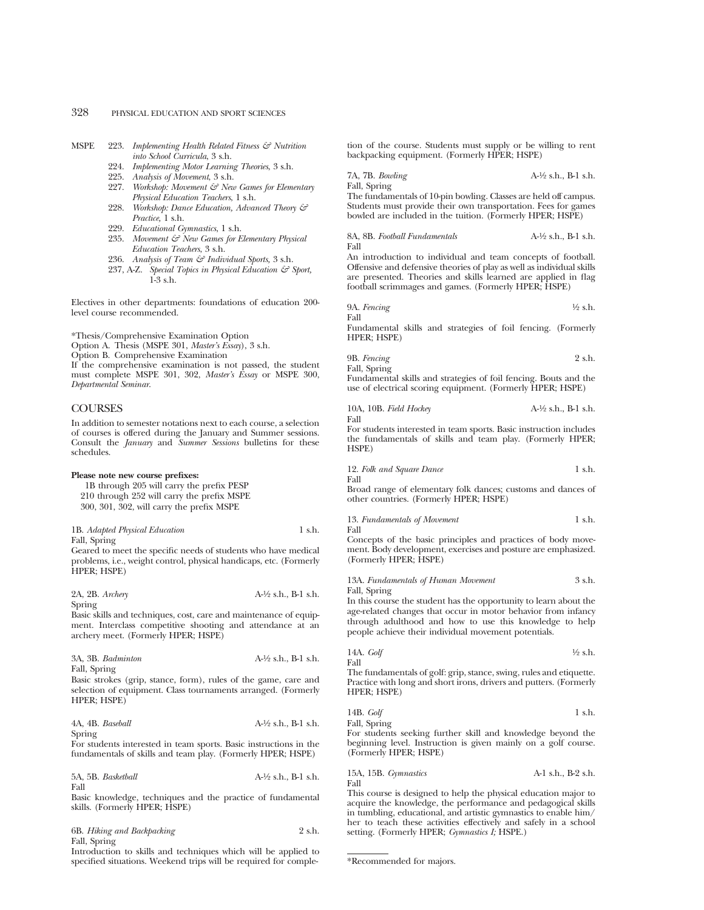- MSPE 223. *Implementing Health Related Fitness & Nutrition into School Curricula*, 3 s.h.
	- 224. *Implementing Motor Learning Theories*, 3 s.h.
	- 225. *Analysis of Movement*, 3 s.h.
	- 227. *Workshop: Movement & New Games for Elementary Physical Education Teachers*, 1 s.h.
	- 228. *Workshop: Dance Education, Advanced Theory & Practice,* 1 s.h.
	- 229. *Educational Gymnastics*, 1 s.h.
	- 235. *Movement & New Games for Elementary Physical Education Teachers*, 3 s.h.
	- 236. *Analysis of Team & Individual Sports,* 3 s.h.
	- 237, A-Z. *Special Topics in Physical Education & Sport,* 1-3 s.h.

Electives in other departments: foundations of education 200 level course recommended.

\*Thesis/Comprehensive Examination Option

Option A. Thesis (MSPE 301, *Master's Essay*), 3 s.h.

Option B. Comprehensive Examination

If the comprehensive examination is not passed, the student must complete MSPE 301, 302, *Master's Essay* or MSPE 300, *Departmental Seminar*.

## **COURSES**

In addition to semester notations next to each course, a selection of courses is offered during the January and Summer sessions. Consult the *January* and *Summer Sessions* bulletins for these schedules.

#### **Please note new course prefixes:**

1B through 205 will carry the prefix PESP 210 through 252 will carry the prefix MSPE 300, 301, 302, will carry the prefix MSPE

1B. *Adapted Physical Education* 1 s.h. Fall, Spring

Geared to meet the specific needs of students who have medical problems, i.e., weight control, physical handicaps, etc. (Formerly HPER; HSPE)

2A, 2B. *Archery* A-1⁄2 s.h., B-1 s.h. Spring

Basic skills and techniques, cost, care and maintenance of equipment. Interclass competitive shooting and attendance at an archery meet. (Formerly HPER; HSPE)

| 3A, 3B. Badminton | $A-\frac{1}{2}$ s.h., B-1 s.h. |
|-------------------|--------------------------------|
| Fall, Spring      |                                |

Basic strokes (grip, stance, form), rules of the game, care and selection of equipment. Class tournaments arranged. (Formerly HPER; HSPE)

| 4A, 4B. Baseball | $A-\frac{1}{2}$ s.h., B-1 s.h. |
|------------------|--------------------------------|
| Spring           |                                |

For students interested in team sports. Basic instructions in the fundamentals of skills and team play. (Formerly HPER; HSPE)

5A, 5B. *Basketball* A-1⁄2 s.h., B-1 s.h. Fall

Basic knowledge, techniques and the practice of fundamental skills. (Formerly HPER; HSPE)

6B. *Hiking and Backpacking* 2 s.h. Fall, Spring

Introduction to skills and techniques which will be applied to specified situations. Weekend trips will be required for completion of the course. Students must supply or be willing to rent backpacking equipment. (Formerly HPER; HSPE)

7A, 7B. *Bowling* A-1⁄2 s.h., B-1 s.h. Fall, Spring The fundamentals of 10-pin bowling. Classes are held off campus. Students must provide their own transportation. Fees for games bowled are included in the tuition. (Formerly HPER; HSPE)

8A, 8B. *Football Fundamentals* A-1⁄2 s.h., B-1 s.h. Fall

An introduction to individual and team concepts of football. Offensive and defensive theories of play as well as individual skills are presented. Theories and skills learned are applied in flag football scrimmages and games. (Formerly HPER; HSPE)

9A. *Fencing* 
$$
\frac{1}{2}
$$
 s.h.

Fundamental skills and strategies of foil fencing. (Formerly HPER; HSPE)

9B. *Fencing* 2 s.h. Fall, Spring

Fundamental skills and strategies of foil fencing. Bouts and the use of electrical scoring equipment. (Formerly HPER; HSPE)

10A, 10B. *Field Hockey* A-1⁄2 s.h., B-1 s.h. Fall

For students interested in team sports. Basic instruction includes the fundamentals of skills and team play. (Formerly HPER; HSPE)

12. *Folk and Square Dance* 1 s.h. Fall

Broad range of elementary folk dances; customs and dances of other countries. (Formerly HPER; HSPE)

13. *Fundamentals of Movement* 1 s.h.

Fall Concepts of the basic principles and practices of body movement. Body development, exercises and posture are emphasized. (Formerly HPER; HSPE)

13A. *Fundamentals of Human Movement* 3 s.h. Fall, Spring

In this course the student has the opportunity to learn about the age-related changes that occur in motor behavior from infancy through adulthood and how to use this knowledge to help people achieve their individual movement potentials.

14A. *Golf* 
$$
\frac{1}{2}
$$
 s.h.

Fall

Fall

The fundamentals of golf: grip, stance, swing, rules and etiquette. Practice with long and short irons, drivers and putters. (Formerly HPER; HSPE)

14B. *Golf* 1 s.h. Fall, Spring

For students seeking further skill and knowledge beyond the beginning level. Instruction is given mainly on a golf course. (Formerly HPER; HSPE)

15A, 15B. *Gymnastics* A-1 s.h., B-2 s.h. Fall

This course is designed to help the physical education major to acquire the knowledge, the performance and pedagogical skills in tumbling, educational, and artistic gymnastics to enable him/ her to teach these activities effectively and safely in a school setting. (Formerly HPER; *Gymnastics I;* HSPE.)

<sup>\*</sup>Recommended for majors.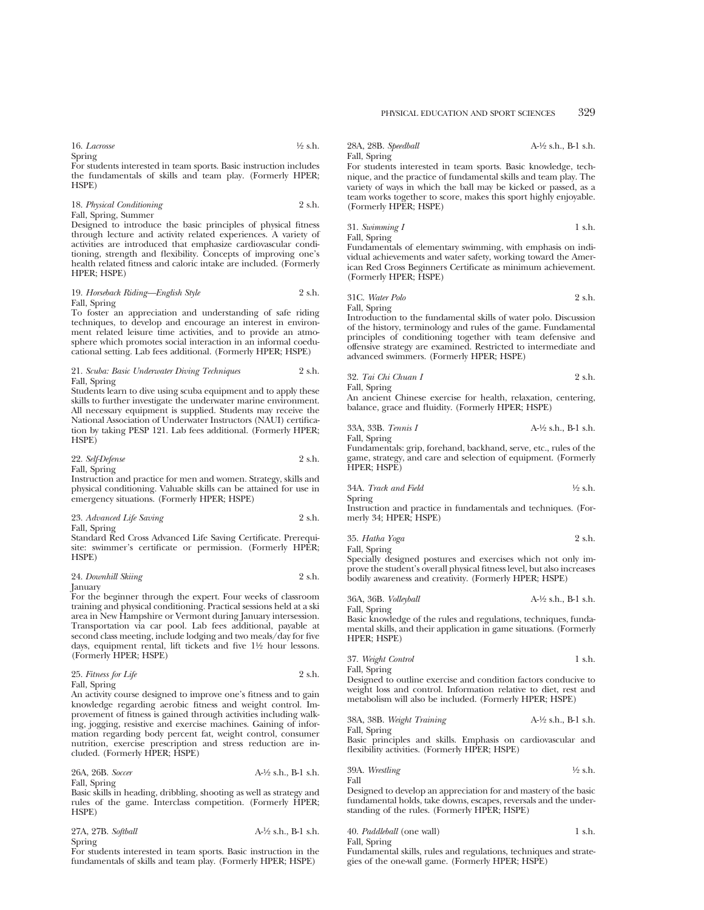16. *Lacrosse* <sup>1</sup>⁄2 s.h. Spring

For students interested in team sports. Basic instruction includes the fundamentals of skills and team play. (Formerly HPER; HSPE)

18. *Physical Conditioning* 2 s.h. Fall, Spring, Summer

Designed to introduce the basic principles of physical fitness through lecture and activity related experiences. A variety of activities are introduced that emphasize cardiovascular conditioning, strength and flexibility. Concepts of improving one's health related fitness and caloric intake are included. (Formerly HPER; HSPE)

#### 19. *Horseback Riding—English Style* 2 s.h. Fall, Spring

To foster an appreciation and understanding of safe riding techniques, to develop and encourage an interest in environment related leisure time activities, and to provide an atmosphere which promotes social interaction in an informal coeducational setting. Lab fees additional. (Formerly HPER; HSPE)

#### 21. *Scuba: Basic Underwater Diving Techniques* 2 s.h. Fall, Spring

Students learn to dive using scuba equipment and to apply these skills to further investigate the underwater marine environment. All necessary equipment is supplied. Students may receive the National Association of Underwater Instructors (NAUI) certification by taking PESP 121. Lab fees additional. (Formerly HPER; HSPE)

22. *Self-Defense* 2 s.h.

Fall, Spring

Instruction and practice for men and women. Strategy, skills and physical conditioning. Valuable skills can be attained for use in emergency situations. (Formerly HPER; HSPE)

23. *Advanced Life Saving* 2 s.h. Fall, Spring

Standard Red Cross Advanced Life Saving Certificate. Prerequisite: swimmer's certificate or permission. (Formerly HPER; HSPE)

#### 24. *Downhill Skiing* 2 s.h. January

For the beginner through the expert. Four weeks of classroom training and physical conditioning. Practical sessions held at a ski area in New Hampshire or Vermont during January intersession. Transportation via car pool. Lab fees additional, payable at second class meeting, include lodging and two meals/day for five days, equipment rental, lift tickets and five 1<sup>1/2</sup> hour lessons. (Formerly HPER; HSPE)

| 25. Fitness for Life | 2 s.h. |
|----------------------|--------|
| Fall, Spring         |        |

An activity course designed to improve one's fitness and to gain knowledge regarding aerobic fitness and weight control. Improvement of fitness is gained through activities including walking, jogging, resistive and exercise machines. Gaining of information regarding body percent fat, weight control, consumer nutrition, exercise prescription and stress reduction are included. (Formerly HPER; HSPE)

26A, 26B. *Soccer* A-1⁄2 s.h., B-1 s.h. Fall, Spring

Basic skills in heading, dribbling, shooting as well as strategy and rules of the game. Interclass competition. (Formerly HPER; HSPE)

| 27A, 27B. Softball | $A-\frac{1}{2}$ s.h., B-1 s.h. |
|--------------------|--------------------------------|
| Spring             |                                |

For students interested in team sports. Basic instruction in the fundamentals of skills and team play. (Formerly HPER; HSPE)

28A, 28B. *Speedball* A-1⁄2 s.h., B-1 s.h.

Fall, Spring

For students interested in team sports. Basic knowledge, technique, and the practice of fundamental skills and team play. The variety of ways in which the ball may be kicked or passed, as a team works together to score, makes this sport highly enjoyable. (Formerly HPER; HSPE)

## 31. *Swimming I* 1 s.h. Fall, Spring

Fundamentals of elementary swimming, with emphasis on individual achievements and water safety, working toward the American Red Cross Beginners Certificate as minimum achievement. (Formerly HPER; HSPE)

|  | 31C. Water Polo | 2 s.h. |
|--|-----------------|--------|
|--|-----------------|--------|

Fall, Spring

Introduction to the fundamental skills of water polo. Discussion of the history, terminology and rules of the game. Fundamental principles of conditioning together with team defensive and offensive strategy are examined. Restricted to intermediate and advanced swimmers. (Formerly HPER; HSPE)

32. *Tai Chi Chuan I* 2 s.h. Fall, Spring

An ancient Chinese exercise for health, relaxation, centering, balance, grace and fluidity. (Formerly HPER; HSPE)

33A, 33B. *Tennis I* A-1⁄2 s.h., B-1 s.h. Fall, Spring

Fundamentals: grip, forehand, backhand, serve, etc., rules of the game, strategy, and care and selection of equipment. (Formerly HPER; HSPE)

34A. *Track and Field* 
$$
\frac{1}{2}
$$
 s.h. Spring

Instruction and practice in fundamentals and techniques. (Formerly 34; HPER; HSPE)

| 35. Hatha Yoga | 2 s.h. |
|----------------|--------|
| Fall, Spring   |        |

Specially designed postures and exercises which not only improve the student's overall physical fitness level, but also increases bodily awareness and creativity. (Formerly HPER; HSPE)

| 36A, 36B. Volleyball   |  |  |  |  | $A-\frac{1}{2}$ s.h., B-1 s.h. |  |
|------------------------|--|--|--|--|--------------------------------|--|
| Fall, Spring<br>__ _ _ |  |  |  |  |                                |  |

Basic knowledge of the rules and regulations, techniques, fundamental skills, and their application in game situations. (Formerly HPER; HSPE)

37. *Weight Control* 1 s.h.

Fall, Spring Designed to outline exercise and condition factors conducive to weight loss and control. Information relative to diet, rest and metabolism will also be included. (Formerly HPER; HSPE)

| 38A, 38B. Weight Training | $A-\frac{1}{2}$ s.h., B-1 s.h. |
|---------------------------|--------------------------------|
|---------------------------|--------------------------------|

Fall, Spring

Basic principles and skills. Emphasis on cardiovascular and flexibility activities. (Formerly HPER; HSPE)

39A. Wrestling

\n
$$
\frac{1}{2}
$$
 s.h.

Designed to develop an appreciation for and mastery of the basic fundamental holds, take downs, escapes, reversals and the understanding of the rules. (Formerly HPER; HSPE)

| 40. Paddleball (one wall) | 1 s.h. |
|---------------------------|--------|
| $P_1$ 11 $Q_2$ $\cdots$   |        |

Fall, Spring

Fundamental skills, rules and regulations, techniques and strategies of the one-wall game. (Formerly HPER; HSPE)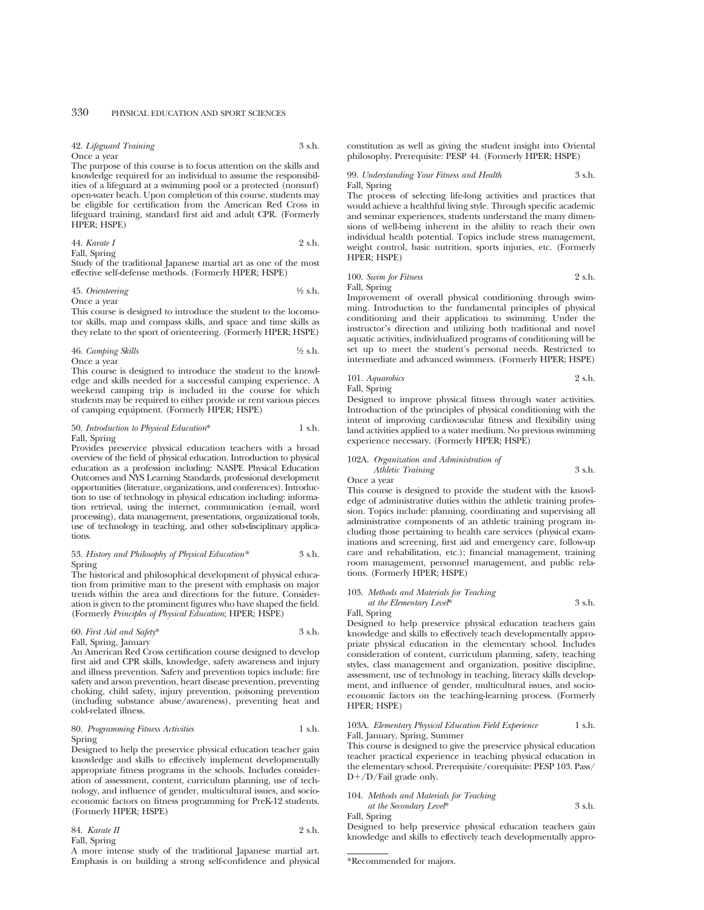42. *Lifeguard Training* 3 s.h. Once a year

The purpose of this course is to focus attention on the skills and knowledge required for an individual to assume the responsibilities of a lifeguard at a swimming pool or a protected (nonsurf) open-water beach. Upon completion of this course, students may be eligible for certification from the American Red Cross in lifeguard training, standard first aid and adult CPR. (Formerly HPER; HSPE)

44. *Karate I* 2 s.h. Fall, Spring

Study of the traditional Japanese martial art as one of the most effective self-defense methods. (Formerly HPER; HSPE)

#### 45. *Orienteering* 1⁄2 s.h. Once a year

This course is designed to introduce the student to the locomotor skills, map and compass skills, and space and time skills as they relate to the sport of orienteering. (Formerly HPER; HSPE)

46. *Camping Skills* 
$$
\frac{1}{2}
$$
 s.h. Once a year

This course is designed to introduce the student to the knowledge and skills needed for a successful camping experience. A weekend camping trip is included in the course for which students may be required to either provide or rent various pieces of camping equipment. (Formerly HPER; HSPE)

#### 50. *Introduction to Physical Education*\* 1 s.h. Fall, Spring

Provides preservice physical education teachers with a broad overview of the field of physical education. Introduction to physical education as a profession including: NASPE Physical Education Outcomes and NYS Learning Standards, professional development opportunities (literature, organizations, and conferences). Introduction to use of technology in physical education including: information retrieval, using the internet, communication (e-mail, word processing), data management, presentations, organizational tools, use of technology in teaching, and other sub-disciplinary applications.

#### 53. *History and Philosophy of Physical Education\** 3 s.h. Spring

The historical and philosophical development of physical education from primitive man to the present with emphasis on major trends within the area and directions for the future. Consideration is given to the prominent figures who have shaped the field. (Formerly *Principles of Physical Education*; HPER; HSPE)

#### 60. *First Aid and Safety*\* 3 s.h. Fall, Spring, January

An American Red Cross certification course designed to develop first aid and CPR skills, knowledge, safety awareness and injury and illness prevention. Safety and prevention topics include: fire safety and arson prevention, heart disease prevention, preventing choking, child safety, injury prevention, poisoning prevention (including substance abuse/awareness), preventing heat and cold-related illness.

#### 80. *Programming Fitness Activities* 1 s.h. Spring

Designed to help the preservice physical education teacher gain knowledge and skills to effectively implement developmentally appropriate fitness programs in the schools. Includes consideration of assessment, content, curriculum planning, use of technology, and influence of gender, multicultural issues, and socioeconomic factors on fitness programming for PreK-12 students. (Formerly HPER; HSPE)

| 84. Karate II | 2 s.h. |
|---------------|--------|
| Fall, Spring  |        |

A more intense study of the traditional Japanese martial art. Emphasis is on building a strong self-confidence and physical constitution as well as giving the student insight into Oriental philosophy. Prerequisite: PESP 44. (Formerly HPER; HSPE)

99. *Understanding Your Fitness and Health* 3 s.h. Fall, Spring

The process of selecting life-long activities and practices that would achieve a healthful living style. Through specific academic and seminar experiences, students understand the many dimensions of well-being inherent in the ability to reach their own individual health potential. Topics include stress management, weight control, basic nutrition, sports injuries, etc. (Formerly HPER; HSPE)

100. *Swim for Fitness* 2 s.h. Fall, Spring

Improvement of overall physical conditioning through swimming. Introduction to the fundamental principles of physical conditioning and their application to swimming. Under the instructor's direction and utilizing both traditional and novel aquatic activities, individualized programs of conditioning will be set up to meet the student's personal needs. Restricted to intermediate and advanced swimmers. (Formerly HPER; HSPE)

101. *Aquarobics* 2 s.h. Fall, Spring

Designed to improve physical fitness through water activities. Introduction of the principles of physical conditioning with the intent of improving cardiovascular fitness and flexibility using land activities applied to a water medium. No previous swimming experience necessary. (Formerly HPER; HSPE)

## 102A. *Organization and Administration of Athletic Training* 3 s.h.

Once a year

This course is designed to provide the student with the knowledge of administrative duties within the athletic training profession. Topics include: planning, coordinating and supervising all administrative components of an athletic training program including those pertaining to health care services (physical examinations and screening, first aid and emergency care, follow-up care and rehabilitation, etc.); financial management, training room management, personnel management, and public relations. (Formerly HPER; HSPE)

103. *Methods and Materials for Teaching at the Elementary Level*\* 3 s.h.

Fall, Spring

Designed to help preservice physical education teachers gain knowledge and skills to effectively teach developmentally appropriate physical education in the elementary school. Includes consideration of content, curriculum planning, safety, teaching styles, class management and organization, positive discipline, assessment, use of technology in teaching, literacy skills development, and influence of gender, multicultural issues, and socioeconomic factors on the teaching-learning process. (Formerly HPER; HSPE)

#### 103A. *Elementary Physical Education Field Experience* 1 s.h. Fall, January, Spring, Summer

This course is designed to give the preservice physical education teacher practical experience in teaching physical education in the elementary school. Prerequisite/corequisite: PESP 103. Pass/  $D+/D/Fail$  grade only.

#### 104. *Methods and Materials for Teaching*

*at the Secondary Level*\* 3 s.h. Fall, Spring

Designed to help preservice physical education teachers gain knowledge and skills to effectively teach developmentally appro-

<sup>\*</sup>Recommended for majors.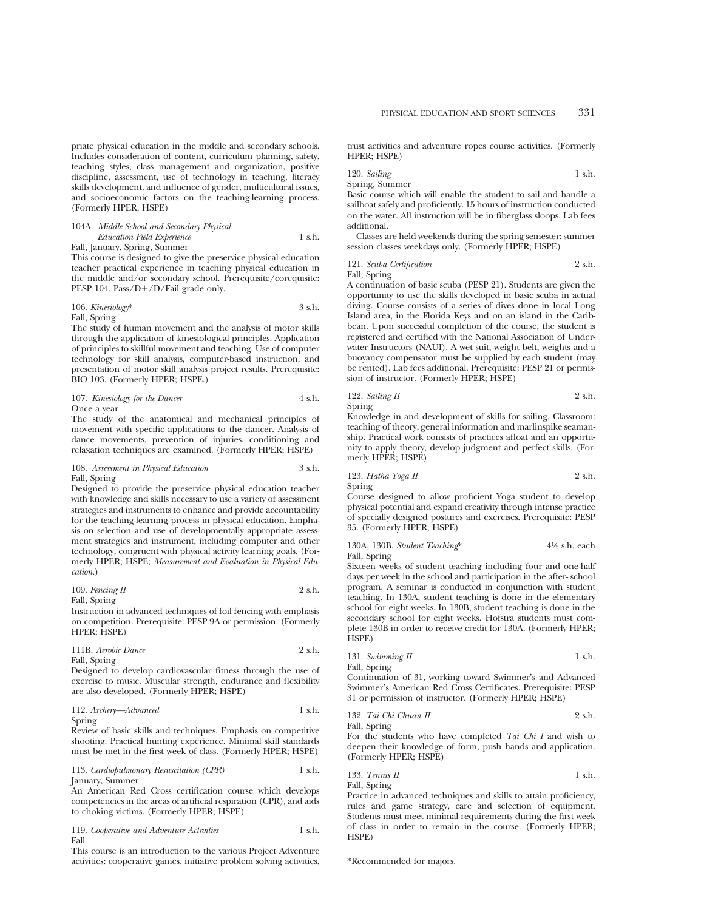priate physical education in the middle and secondary schools. Includes consideration of content, curriculum planning, safety, teaching styles, class management and organization, positive discipline, assessment, use of technology in teaching, literacy skills development, and influence of gender, multicultural issues, and socioeconomic factors on the teaching-learning process. (Formerly HPER; HSPE)

#### 104A. *Middle School and Secondary Physical Education Field Experience* 1 s.h. Fall, January, Spring, Summer

This course is designed to give the preservice physical education teacher practical experience in teaching physical education in the middle and/or secondary school. Prerequisite/corequisite: PESP 104. Pass/ $D+/D$ /Fail grade only.

106. *Kinesiology*\* 3 s.h. Fall, Spring

The study of human movement and the analysis of motor skills through the application of kinesiological principles. Application of principles to skillful movement and teaching. Use of computer technology for skill analysis, computer-based instruction, and presentation of motor skill analysis project results. Prerequisite: BIO 103. (Formerly HPER; HSPE.)

107. *Kinesiology for the Dancer* 4 s.h. Once a year

The study of the anatomical and mechanical principles of movement with specific applications to the dancer. Analysis of dance movements, prevention of injuries, conditioning and relaxation techniques are examined. (Formerly HPER; HSPE)

#### 108. *Assessment in Physical Education* 3 s.h. Fall, Spring

Designed to provide the preservice physical education teacher with knowledge and skills necessary to use a variety of assessment strategies and instruments to enhance and provide accountability for the teaching-learning process in physical education. Emphasis on selection and use of developmentally appropriate assessment strategies and instrument, including computer and other technology, congruent with physical activity learning goals. (Formerly HPER; HSPE; *Measurement and Evaluation in Physical Education.*)

109. *Fencing II* 2 s.h. Fall, Spring

Instruction in advanced techniques of foil fencing with emphasis on competition. Prerequisite: PESP 9A or permission. (Formerly HPER; HSPE)

111B. *Aerobic Dance* 2 s.h. Fall, Spring

Designed to develop cardiovascular fitness through the use of exercise to music. Muscular strength, endurance and flexibility are also developed. (Formerly HPER; HSPE)

112. *Archery—Advanced* 1 s.h. Spring

Review of basic skills and techniques. Emphasis on competitive shooting. Practical hunting experience. Minimal skill standards must be met in the first week of class. (Formerly HPER; HSPE)

113. *Cardiopulmonary Resuscitation (CPR)* 1 s.h. January, Summer

An American Red Cross certification course which develops competencies in the areas of artificial respiration (CPR), and aids to choking victims. (Formerly HPER; HSPE)

119. *Cooperative and Adventure Activities* 1 s.h. Fall

This course is an introduction to the various Project Adventure activities: cooperative games, initiative problem solving activities, trust activities and adventure ropes course activities. (Formerly HPER; HSPE)

120. *Sailing* 1 s.h.

Spring, Summer

Basic course which will enable the student to sail and handle a sailboat safely and proficiently. 15 hours of instruction conducted on the water. All instruction will be in fiberglass sloops. Lab fees additional.

Classes are held weekends during the spring semester; summer session classes weekdays only. (Formerly HPER; HSPE)

121. *Scuba Certification* 2 s.h. Fall, Spring

A continuation of basic scuba (PESP 21). Students are given the opportunity to use the skills developed in basic scuba in actual diving. Course consists of a series of dives done in local Long Island area, in the Florida Keys and on an island in the Caribbean. Upon successful completion of the course, the student is registered and certified with the National Association of Underwater Instructors (NAUI). A wet suit, weight belt, weights and a buoyancy compensator must be supplied by each student (may be rented). Lab fees additional. Prerequisite: PESP 21 or permission of instructor. (Formerly HPER; HSPE)

122. *Sailing II* 2 s.h. Spring

Knowledge in and development of skills for sailing. Classroom: teaching of theory, general information and marlinspike seamanship. Practical work consists of practices afloat and an opportunity to apply theory, develop judgment and perfect skills. (Formerly HPER; HSPE)

123. *Hatha Yoga II* 2 s.h. Spring

Course designed to allow proficient Yoga student to develop physical potential and expand creativity through intense practice of specially designed postures and exercises. Prerequisite: PESP 35. (Formerly HPER; HSPE)

| 130A, 130B. Student Teaching* | $4\frac{1}{2}$ s.h. each |
|-------------------------------|--------------------------|
| Fall, Spring                  |                          |

Sixteen weeks of student teaching including four and one-half days per week in the school and participation in the after- school program. A seminar is conducted in conjunction with student teaching. In 130A, student teaching is done in the elementary school for eight weeks. In 130B, student teaching is done in the secondary school for eight weeks. Hofstra students must complete 130B in order to receive credit for 130A. (Formerly HPER; HSPE)

| 131. Swimming II | 1 s.h. |
|------------------|--------|
| Fall, Spring     |        |

Continuation of 31, working toward Swimmer's and Advanced Swimmer's American Red Cross Certificates. Prerequisite: PESP 31 or permission of instructor. (Formerly HPER; HSPE)

132. *Tai Chi Chuan II* 2 s.h. Fall, Spring

For the students who have completed *Tai Chi I* and wish to deepen their knowledge of form, push hands and application. (Formerly HPER; HSPE)

133. *Tennis II* 
$$
1 \text{ s.h.}
$$
  $1 \text{ s.h.}$ 

Practice in advanced techniques and skills to attain proficiency, rules and game strategy, care and selection of equipment. Students must meet minimal requirements during the first week of class in order to remain in the course. (Formerly HPER; HSPE)

<sup>\*</sup>Recommended for majors.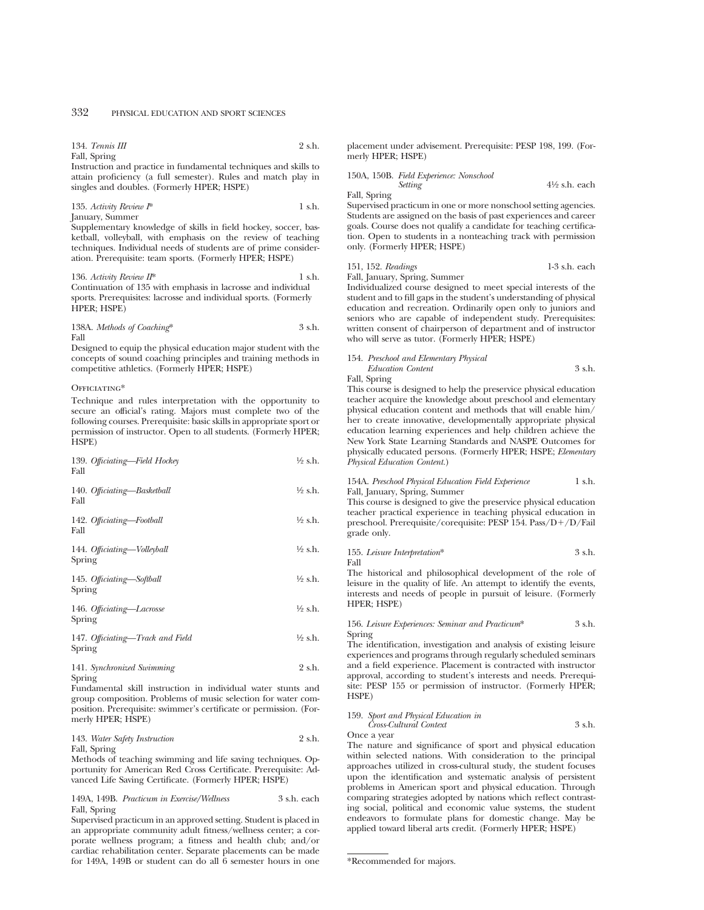$134$ . *Tennis III*  $9 \text{ sh}$ Fall, Spring

Instruction and practice in fundamental techniques and skills to attain proficiency (a full semester). Rules and match play in singles and doubles. (Formerly HPER; HSPE)

#### 135. Activity Review  $I^*$  1 s.h. January, Summer

Supplementary knowledge of skills in field hockey, soccer, basketball, volleyball, with emphasis on the review of teaching techniques. Individual needs of students are of prime consideration. Prerequisite: team sports. (Formerly HPER; HSPE)

136. *Activity Review II*\* 1 s.h. Continuation of 135 with emphasis in lacrosse and individual sports. Prerequisites: lacrosse and individual sports. (Formerly HPER; HSPE)

138A. *Methods of Coaching*\* 3 s.h. Fall

Designed to equip the physical education major student with the concepts of sound coaching principles and training methods in competitive athletics. (Formerly HPER; HSPE)

#### OFFICIATING\*

Technique and rules interpretation with the opportunity to secure an official's rating. Majors must complete two of the following courses. Prerequisite: basic skills in appropriate sport or permission of instructor. Open to all students. (Formerly HPER; HSPE)

| 139. Officiating-Field Hockey<br>Fall      | $\frac{1}{2}$ s.h. |
|--------------------------------------------|--------------------|
| 140. Officiating-Basketball<br>Fall        | ½ s.h.             |
| 142. Officiating-Football<br>Fall          | ½ s.h.             |
| 144. Officiating-Volleyball<br>Spring      | ½ s.h.             |
| 145. Officiating-Softball<br>Spring        | ½ s.h.             |
| 146. Officiating-Lacrosse<br>Spring        | ½ s.h.             |
| 147. Officiating—Track and Field<br>Spring | ½ s.h.             |
| 141. Synchronized Swimming                 | 2 s.h.             |

Spring

Fundamental skill instruction in individual water stunts and group composition. Problems of music selection for water composition. Prerequisite: swimmer's certificate or permission. (Formerly HPER; HSPE)

#### 143. *Water Safety Instruction* 2 s.h. Fall, Spring

Methods of teaching swimming and life saving techniques. Opportunity for American Red Cross Certificate. Prerequisite: Advanced Life Saving Certificate. (Formerly HPER; HSPE)

149A, 149B. *Practicum in Exercise/Wellness* 3 s.h. each Fall, Spring

Supervised practicum in an approved setting. Student is placed in an appropriate community adult fitness/wellness center; a corporate wellness program; a fitness and health club; and/or cardiac rehabilitation center. Separate placements can be made for 149A, 149B or student can do all 6 semester hours in one placement under advisement. Prerequisite: PESP 198, 199. (Formerly HPER: HSPE)

150A, 150B. *Field Experience: Nonschool Setting* 41⁄2 s.h. each Fall, Spring

Supervised practicum in one or more nonschool setting agencies. Students are assigned on the basis of past experiences and career goals. Course does not qualify a candidate for teaching certification. Open to students in a nonteaching track with permission only. (Formerly HPER; HSPE)

151, 152. *Readings* 1-3 s.h. each

Fall, January, Spring, Summer Individualized course designed to meet special interests of the student and to fill gaps in the student's understanding of physical education and recreation. Ordinarily open only to juniors and seniors who are capable of independent study. Prerequisites: written consent of chairperson of department and of instructor who will serve as tutor. (Formerly HPER; HSPE)

### 154. *Preschool and Elementary Physical Education Content* 3 s.h.

Fall, Spring

This course is designed to help the preservice physical education teacher acquire the knowledge about preschool and elementary physical education content and methods that will enable him/ her to create innovative, developmentally appropriate physical education learning experiences and help children achieve the New York State Learning Standards and NASPE Outcomes for physically educated persons. (Formerly HPER; HSPE; *Elementary Physical Education Content.*)

154A. *Preschool Physical Education Field Experience* 1 s.h. Fall, January, Spring, Summer

This course is designed to give the preservice physical education teacher practical experience in teaching physical education in preschool. Prerequisite/corequisite: PESP 154. Pass/D+/D/Fail grade only.

155. *Leisure Interpretation*\* 3 s.h. Fall

The historical and philosophical development of the role of leisure in the quality of life. An attempt to identify the events, interests and needs of people in pursuit of leisure. (Formerly HPER; HSPE)

156. *Leisure Experiences: Seminar and Practicum*\* 3 s.h. Spring

The identification, investigation and analysis of existing leisure experiences and programs through regularly scheduled seminars and a field experience. Placement is contracted with instructor approval, according to student's interests and needs. Prerequisite: PESP 155 or permission of instructor. (Formerly HPER; HSPE)

159. *Sport and Physical Education in Cross-Cultural Context* 3 s.h.

Once a year

The nature and significance of sport and physical education within selected nations. With consideration to the principal approaches utilized in cross-cultural study, the student focuses upon the identification and systematic analysis of persistent problems in American sport and physical education. Through comparing strategies adopted by nations which reflect contrasting social, political and economic value systems, the student endeavors to formulate plans for domestic change. May be applied toward liberal arts credit. (Formerly HPER; HSPE)

<sup>\*</sup>Recommended for majors.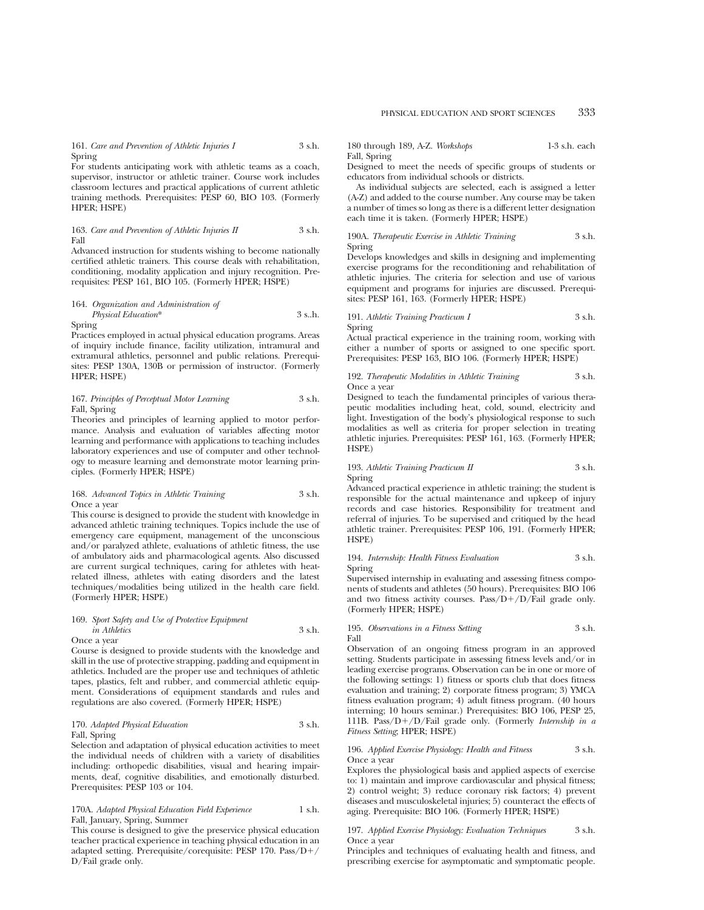161. *Care and Prevention of Athletic Injuries I* 3 s.h. Spring

For students anticipating work with athletic teams as a coach, supervisor, instructor or athletic trainer. Course work includes classroom lectures and practical applications of current athletic training methods. Prerequisites: PESP 60, BIO 103. (Formerly HPER; HSPE)

#### 163. *Care and Prevention of Athletic Injuries II* 3 s.h. Fall

Advanced instruction for students wishing to become nationally certified athletic trainers. This course deals with rehabilitation, conditioning, modality application and injury recognition. Prerequisites: PESP 161, BIO 105. (Formerly HPER; HSPE)

# 164. *Organization and Administration of Physical Education*\* 3 s..h.

Spring

Practices employed in actual physical education programs. Areas of inquiry include finance, facility utilization, intramural and extramural athletics, personnel and public relations. Prerequisites: PESP 130A, 130B or permission of instructor. (Formerly HPER; HSPE)

#### 167. *Principles of Perceptual Motor Learning* 3 s.h. Fall, Spring

Theories and principles of learning applied to motor performance. Analysis and evaluation of variables affecting motor learning and performance with applications to teaching includes laboratory experiences and use of computer and other technology to measure learning and demonstrate motor learning principles. (Formerly HPER; HSPE)

#### 168. *Advanced Topics in Athletic Training* 3 s.h. Once a year

This course is designed to provide the student with knowledge in advanced athletic training techniques. Topics include the use of emergency care equipment, management of the unconscious and/or paralyzed athlete, evaluations of athletic fitness, the use of ambulatory aids and pharmacological agents. Also discussed are current surgical techniques, caring for athletes with heatrelated illness, athletes with eating disorders and the latest techniques/modalities being utilized in the health care field. (Formerly HPER; HSPE)

#### 169. *Sport Safety and Use of Protective Equipment in Athletics* 3 s.h. Once a year

Course is designed to provide students with the knowledge and skill in the use of protective strapping, padding and equipment in athletics. Included are the proper use and techniques of athletic tapes, plastics, felt and rubber, and commercial athletic equipment. Considerations of equipment standards and rules and regulations are also covered. (Formerly HPER; HSPE)

#### 170. *Adapted Physical Education* 3 s.h. Fall, Spring

Selection and adaptation of physical education activities to meet the individual needs of children with a variety of disabilities including: orthopedic disabilities, visual and hearing impairments, deaf, cognitive disabilities, and emotionally disturbed. Prerequisites: PESP 103 or 104.

#### 170A. *Adapted Physical Education Field Experience* 1 s.h. Fall, January, Spring, Summer

This course is designed to give the preservice physical education teacher practical experience in teaching physical education in an adapted setting. Prerequisite/corequisite: PESP 170. Pass/D+/ D/Fail grade only.

180 through 189, A-Z. *Workshops* 1-3 s.h. each Fall, Spring

Designed to meet the needs of specific groups of students or educators from individual schools or districts.

As individual subjects are selected, each is assigned a letter (A-Z) and added to the course number. Any course may be taken a number of times so long as there is a different letter designation each time it is taken. (Formerly HPER; HSPE)

#### 190A. *Therapeutic Exercise in Athletic Training* 3 s.h. Spring

Develops knowledges and skills in designing and implementing exercise programs for the reconditioning and rehabilitation of athletic injuries. The criteria for selection and use of various equipment and programs for injuries are discussed. Prerequisites: PESP 161, 163. (Formerly HPER; HSPE)

#### 191. *Athletic Training Practicum I* 3 s.h. Spring

Actual practical experience in the training room, working with either a number of sports or assigned to one specific sport. Prerequisites: PESP 163, BIO 106. (Formerly HPER; HSPE)

192. *Therapeutic Modalities in Athletic Training* 3 s.h. Once a year

Designed to teach the fundamental principles of various therapeutic modalities including heat, cold, sound, electricity and light. Investigation of the body's physiological response to such modalities as well as criteria for proper selection in treating athletic injuries. Prerequisites: PESP 161, 163. (Formerly HPER; HSPE)

#### 193. *Athletic Training Practicum II* 3 s.h. Spring

Advanced practical experience in athletic training; the student is responsible for the actual maintenance and upkeep of injury records and case histories. Responsibility for treatment and referral of injuries. To be supervised and critiqued by the head athletic trainer. Prerequisites: PESP 106, 191. (Formerly HPER; HSPE)

194. *Internship: Health Fitness Evaluation* 3 s.h. Spring

Supervised internship in evaluating and assessing fitness components of students and athletes (50 hours). Prerequisites: BIO 106 and two fitness activity courses. Pass/ $D+/D/Fail$  grade only. (Formerly HPER; HSPE)

195. *Observations in a Fitness Setting* 3 s.h. Fall

Observation of an ongoing fitness program in an approved setting. Students participate in assessing fitness levels and/or in leading exercise programs. Observation can be in one or more of the following settings: 1) fitness or sports club that does fitness evaluation and training; 2) corporate fitness program; 3) YMCA fitness evaluation program; 4) adult fitness program. (40 hours interning; 10 hours seminar.) Prerequisites: BIO 106, PESP 25, 111B. Pass/D1/D/Fail grade only. (Formerly *Internship in a Fitness Setting*; HPER; HSPE)

196. *Applied Exercise Physiology: Health and Fitness* 3 s.h. Once a year

Explores the physiological basis and applied aspects of exercise to: 1) maintain and improve cardiovascular and physical fitness; 2) control weight; 3) reduce coronary risk factors; 4) prevent diseases and musculoskeletal injuries; 5) counteract the effects of aging. Prerequisite: BIO 106. (Formerly HPER; HSPE)

#### 197. *Applied Exercise Physiology: Evaluation Techniques* 3 s.h. Once a year

Principles and techniques of evaluating health and fitness, and prescribing exercise for asymptomatic and symptomatic people.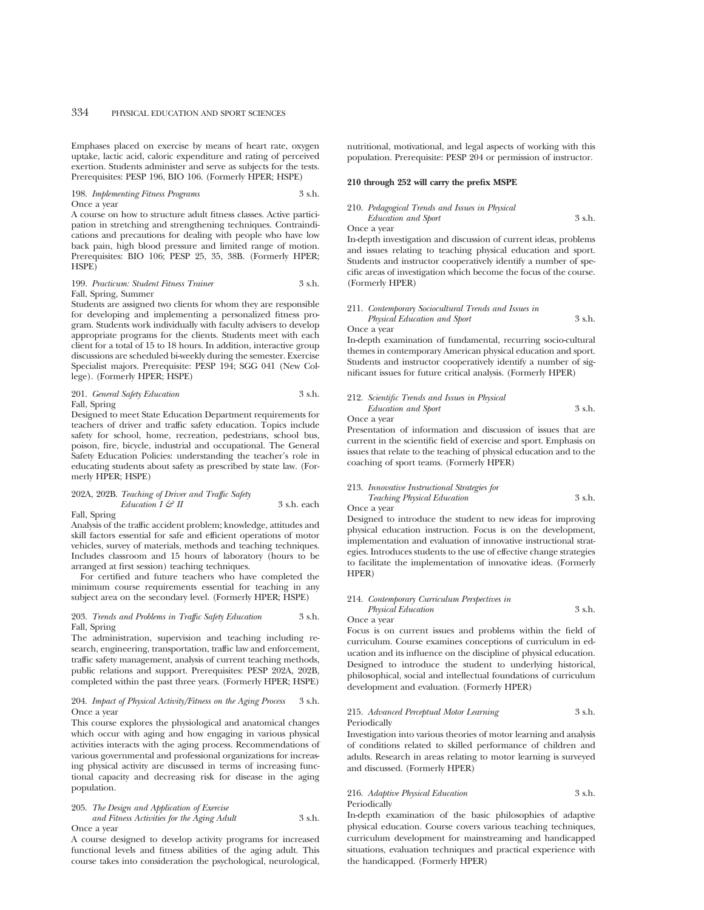Emphases placed on exercise by means of heart rate, oxygen uptake, lactic acid, caloric expenditure and rating of perceived exertion. Students administer and serve as subjects for the tests. Prerequisites: PESP 196, BIO 106. (Formerly HPER; HSPE)

#### 198. *Implementing Fitness Programs* 3 s.h. Once a year

A course on how to structure adult fitness classes. Active participation in stretching and strengthening techniques. Contraindications and precautions for dealing with people who have low back pain, high blood pressure and limited range of motion. Prerequisites: BIO 106; PESP 25, 35, 38B. (Formerly HPER; HSPE)

#### 199. *Practicum: Student Fitness Trainer* 3 s.h. Fall, Spring, Summer

Students are assigned two clients for whom they are responsible for developing and implementing a personalized fitness program. Students work individually with faculty advisers to develop appropriate programs for the clients. Students meet with each client for a total of 15 to 18 hours. In addition, interactive group discussions are scheduled bi-weekly during the semester. Exercise Specialist majors. Prerequisite: PESP 194; SGG 041 (New College). (Formerly HPER; HSPE)

#### 201. *General Safety Education* 3 s.h. Fall, Spring

Designed to meet State Education Department requirements for teachers of driver and traffic safety education. Topics include safety for school, home, recreation, pedestrians, school bus, poison, fire, bicycle, industrial and occupational. The General Safety Education Policies: understanding the teacher's role in educating students about safety as prescribed by state law. (Formerly HPER; HSPE)

## 202A, 202B. *Teaching of Driver and Traffic Safety Education I*  $\mathcal{G}$  *II* 3 s.h. each

Fall, Spring

Analysis of the traffic accident problem; knowledge, attitudes and skill factors essential for safe and efficient operations of motor vehicles, survey of materials, methods and teaching techniques. Includes classroom and 15 hours of laboratory (hours to be arranged at first session) teaching techniques.

For certified and future teachers who have completed the minimum course requirements essential for teaching in any subject area on the secondary level. (Formerly HPER; HSPE)

#### 203. *Trends and Problems in Traffic Safety Education* 3 s.h. Fall, Spring

The administration, supervision and teaching including research, engineering, transportation, traffic law and enforcement, traffic safety management, analysis of current teaching methods, public relations and support. Prerequisites: PESP 202A, 202B, completed within the past three years. (Formerly HPER; HSPE)

### 204. *Impact of Physical Activity/Fitness on the Aging Process* 3 s.h. Once a year

This course explores the physiological and anatomical changes which occur with aging and how engaging in various physical activities interacts with the aging process. Recommendations of various governmental and professional organizations for increasing physical activity are discussed in terms of increasing functional capacity and decreasing risk for disease in the aging population.

#### 205. *The Design and Application of Exercise*

*and Fitness Activities for the Aging Adult* 3 s.h. Once a year

A course designed to develop activity programs for increased functional levels and fitness abilities of the aging adult. This course takes into consideration the psychological, neurological, nutritional, motivational, and legal aspects of working with this population. Prerequisite: PESP 204 or permission of instructor.

#### **210 through 252 will carry the prefix MSPE**

#### 210. *Pedagogical Trends and Issues in Physical Education and Sport* 3 s.h.

Once a year

In-depth investigation and discussion of current ideas, problems and issues relating to teaching physical education and sport. Students and instructor cooperatively identify a number of specific areas of investigation which become the focus of the course. (Formerly HPER)

#### 211. *Contemporary Sociocultural Trends and Issues in Physical Education and Sport* 3 s.h. Once a year

In-depth examination of fundamental, recurring socio-cultural themes in contemporary American physical education and sport. Students and instructor cooperatively identify a number of significant issues for future critical analysis. (Formerly HPER)

#### 212. *Scientific Trends and Issues in Physical Education and Sport* 3 s.h. Once a year

Presentation of information and discussion of issues that are current in the scientific field of exercise and sport. Emphasis on issues that relate to the teaching of physical education and to the coaching of sport teams. (Formerly HPER)

#### 213. *Innovative Instructional Strategies for Teaching Physical Education* 3 s.h. Once a year

Designed to introduce the student to new ideas for improving physical education instruction. Focus is on the development, implementation and evaluation of innovative instructional strategies. Introduces students to the use of effective change strategies to facilitate the implementation of innovative ideas. (Formerly HPER)

#### 214. *Contemporary Curriculum Perspectives in Physical Education* 3 s.h.

Once a year

Focus is on current issues and problems within the field of curriculum. Course examines conceptions of curriculum in education and its influence on the discipline of physical education. Designed to introduce the student to underlying historical, philosophical, social and intellectual foundations of curriculum development and evaluation. (Formerly HPER)

#### 215. *Advanced Perceptual Motor Learning* 3 s.h. Periodically

Investigation into various theories of motor learning and analysis of conditions related to skilled performance of children and adults. Research in areas relating to motor learning is surveyed and discussed. (Formerly HPER)

#### 216. *Adaptive Physical Education* 3 s.h. Periodically

In-depth examination of the basic philosophies of adaptive physical education. Course covers various teaching techniques, curriculum development for mainstreaming and handicapped situations, evaluation techniques and practical experience with the handicapped. (Formerly HPER)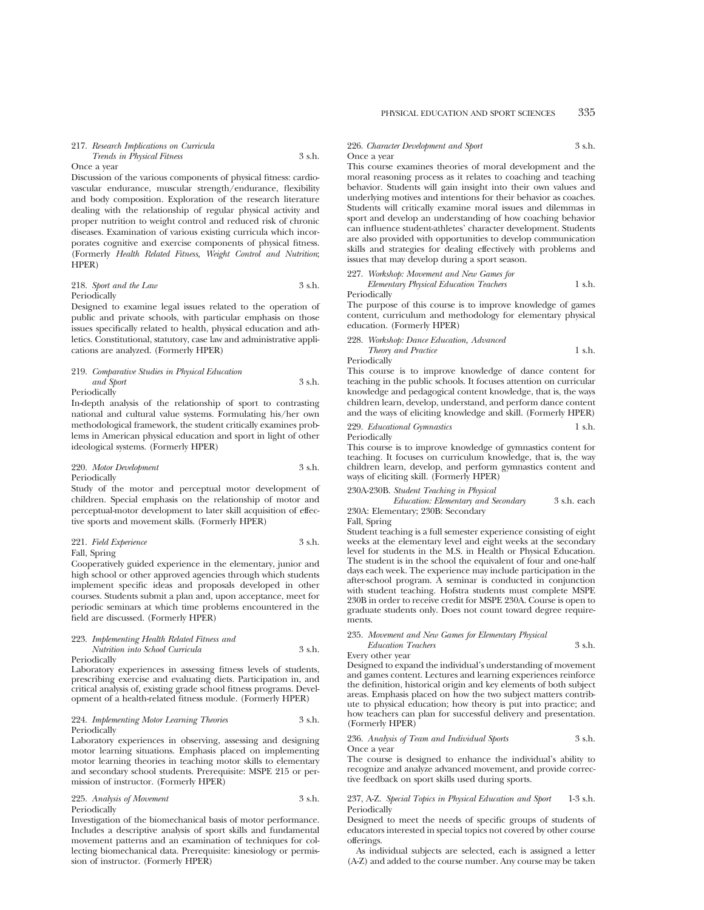#### Once a year

Discussion of the various components of physical fitness: cardiovascular endurance, muscular strength/endurance, flexibility and body composition. Exploration of the research literature dealing with the relationship of regular physical activity and proper nutrition to weight control and reduced risk of chronic diseases. Examination of various existing curricula which incorporates cognitive and exercise components of physical fitness. (Formerly *Health Related Fitness, Weight Control and Nutrition*; HPER)

218. *Sport and the Law* 3 s.h. Periodically

Designed to examine legal issues related to the operation of public and private schools, with particular emphasis on those issues specifically related to health, physical education and athletics. Constitutional, statutory, case law and administrative applications are analyzed. (Formerly HPER)

#### 219. *Comparative Studies in Physical Education and Sport* 3 s.h. Periodically

In-depth analysis of the relationship of sport to contrasting national and cultural value systems. Formulating his/her own methodological framework, the student critically examines problems in American physical education and sport in light of other ideological systems. (Formerly HPER)

220. *Motor Development* 3 s.h. Periodically

Study of the motor and perceptual motor development of children. Special emphasis on the relationship of motor and perceptual-motor development to later skill acquisition of effective sports and movement skills. (Formerly HPER)

221. *Field Experience* 3 s.h. Fall, Spring

Cooperatively guided experience in the elementary, junior and high school or other approved agencies through which students implement specific ideas and proposals developed in other courses. Students submit a plan and, upon acceptance, meet for periodic seminars at which time problems encountered in the field are discussed. (Formerly HPER)

#### 223. *Implementing Health Related Fitness and Nutrition into School Curricula* 3 s.h. Periodically

Laboratory experiences in assessing fitness levels of students, prescribing exercise and evaluating diets. Participation in, and critical analysis of, existing grade school fitness programs. Development of a health-related fitness module. (Formerly HPER)

#### 224. *Implementing Motor Learning Theories* 3 s.h. Periodically

Laboratory experiences in observing, assessing and designing motor learning situations. Emphasis placed on implementing motor learning theories in teaching motor skills to elementary and secondary school students. Prerequisite: MSPE 215 or permission of instructor. (Formerly HPER)

#### 225. *Analysis of Movement* 3 s.h. Periodically

Investigation of the biomechanical basis of motor performance. Includes a descriptive analysis of sport skills and fundamental movement patterns and an examination of techniques for collecting biomechanical data. Prerequisite: kinesiology or permission of instructor. (Formerly HPER)

#### 226. *Character Development and Sport* 3 s.h. Once a year

This course examines theories of moral development and the moral reasoning process as it relates to coaching and teaching behavior. Students will gain insight into their own values and underlying motives and intentions for their behavior as coaches. Students will critically examine moral issues and dilemmas in sport and develop an understanding of how coaching behavior can influence student-athletes' character development. Students are also provided with opportunities to develop communication skills and strategies for dealing effectively with problems and issues that may develop during a sport season.

227. *Workshop: Movement and New Games for Elementary Physical Education Teachers* 1 s.h.

Periodically The purpose of this course is to improve knowledge of games content, curriculum and methodology for elementary physical education. (Formerly HPER)

228. *Workshop: Dance Education, Advanced Theory and Practice* 1 s.h.

Periodically

This course is to improve knowledge of dance content for teaching in the public schools. It focuses attention on curricular knowledge and pedagogical content knowledge, that is, the ways children learn, develop, understand, and perform dance content and the ways of eliciting knowledge and skill. (Formerly HPER)

229. *Educational Gymnastics* 1 s.h. Periodically

This course is to improve knowledge of gymnastics content for teaching. It focuses on curriculum knowledge, that is, the way children learn, develop, and perform gymnastics content and ways of eliciting skill. (Formerly HPER)

230A-230B. *Student Teaching in Physical*

*Education: Elementary and Secondary* 3 s.h. each 230A: Elementary; 230B: Secondary

### Fall, Spring

Student teaching is a full semester experience consisting of eight weeks at the elementary level and eight weeks at the secondary level for students in the M.S. in Health or Physical Education. The student is in the school the equivalent of four and one-half days each week. The experience may include participation in the after-school program. A seminar is conducted in conjunction with student teaching. Hofstra students must complete MSPE 230B in order to receive credit for MSPE 230A. Course is open to graduate students only. Does not count toward degree requirements.

#### 235. *Movement and New Games for Elementary Physical Education Teachers* 3 s.h.

#### Every other year

Designed to expand the individual's understanding of movement and games content. Lectures and learning experiences reinforce the definition, historical origin and key elements of both subject areas. Emphasis placed on how the two subject matters contribute to physical education; how theory is put into practice; and how teachers can plan for successful delivery and presentation. (Formerly HPER)

236. *Analysis of Team and Individual Sports* 3 s.h. Once a year

The course is designed to enhance the individual's ability to recognize and analyze advanced movement, and provide corrective feedback on sport skills used during sports.

#### 237, A-Z. *Special Topics in Physical Education and Sport* 1-3 s.h. Periodically

Designed to meet the needs of specific groups of students of educators interested in special topics not covered by other course offerings.

As individual subjects are selected, each is assigned a letter (A-Z) and added to the course number. Any course may be taken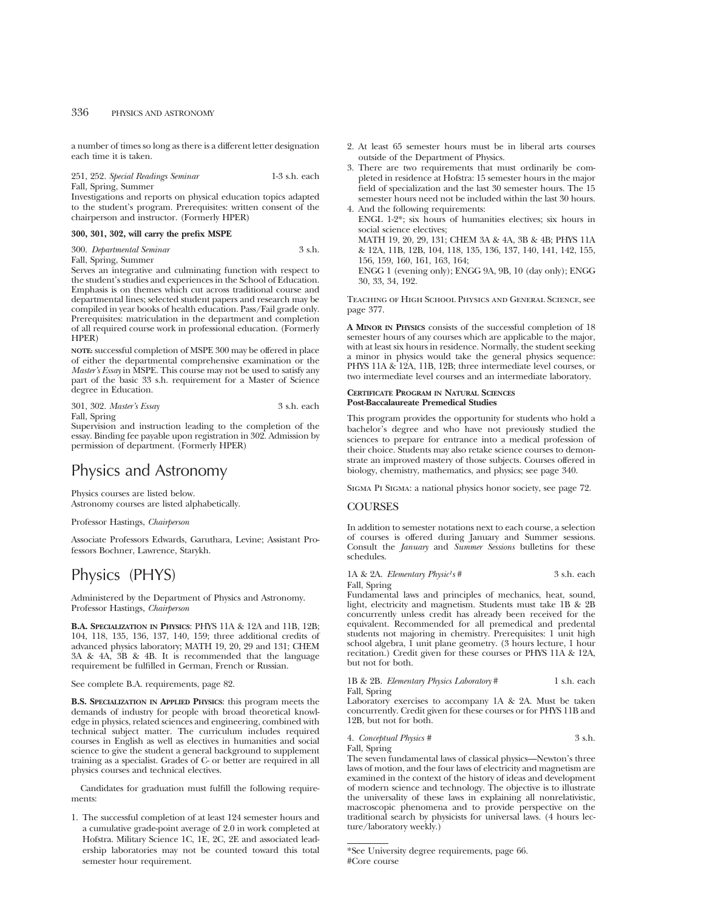a number of times so long as there is a different letter designation each time it is taken.

251, 252. *Special Readings Seminar* 1-3 s.h. each Fall, Spring, Summer

Investigations and reports on physical education topics adapted to the student's program. Prerequisites: written consent of the chairperson and instructor. (Formerly HPER)

## **300, 301, 302, will carry the prefix MSPE**

300. *Departmental Seminar* 3 s.h. Fall, Spring, Summer

Serves an integrative and culminating function with respect to the student's studies and experiences in the School of Education. Emphasis is on themes which cut across traditional course and departmental lines; selected student papers and research may be compiled in year books of health education. Pass/Fail grade only. Prerequisites: matriculation in the department and completion of all required course work in professional education. (Formerly HPER)

**NOTE:** successful completion of MSPE 300 may be offered in place of either the departmental comprehensive examination or the *Master's Essay* in MSPE. This course may not be used to satisfy any part of the basic 33 s.h. requirement for a Master of Science degree in Education.

301, 302. *Master's Essay* 3 s.h. each Fall, Spring

Supervision and instruction leading to the completion of the essay. Binding fee payable upon registration in 302. Admission by permission of department. (Formerly HPER)

# Physics and Astronomy

Physics courses are listed below. Astronomy courses are listed alphabetically.

Professor Hastings, *Chairperson*

Associate Professors Edwards, Garuthara, Levine; Assistant Professors Bochner, Lawrence, Starykh.

# Physics (PHYS)

Administered by the Department of Physics and Astronomy. Professor Hastings, *Chairperson*

**B.A. SPECIALIZATION IN PHYSICS**: PHYS 11A & 12A and 11B, 12B; 104, 118, 135, 136, 137, 140, 159; three additional credits of advanced physics laboratory; MATH 19, 20, 29 and 131; CHEM 3A & 4A, 3B & 4B. It is recommended that the language requirement be fulfilled in German, French or Russian.

See complete B.A. requirements, page 82.

**B.S. SPECIALIZATION IN APPLIED PHYSICS**: this program meets the demands of industry for people with broad theoretical knowledge in physics, related sciences and engineering, combined with technical subject matter. The curriculum includes required courses in English as well as electives in humanities and social science to give the student a general background to supplement training as a specialist. Grades of C- or better are required in all physics courses and technical electives.

Candidates for graduation must fulfill the following requirements:

1. The successful completion of at least 124 semester hours and a cumulative grade-point average of 2.0 in work completed at Hofstra. Military Science 1C, 1E, 2C, 2E and associated leadership laboratories may not be counted toward this total semester hour requirement.

- 2. At least 65 semester hours must be in liberal arts courses outside of the Department of Physics.
- 3. There are two requirements that must ordinarily be completed in residence at Hofstra: 15 semester hours in the major field of specialization and the last 30 semester hours. The 15 semester hours need not be included within the last 30 hours.
- 4. And the following requirements: ENGL 1-2\*; six hours of humanities electives; six hours in social science electives; MATH 19, 20, 29, 131; CHEM 3A & 4A, 3B & 4B; PHYS 11A & 12A, 11B, 12B, 104, 118, 135, 136, 137, 140, 141, 142, 155, 156, 159, 160, 161, 163, 164; ENGG 1 (evening only); ENGG 9A, 9B, 10 (day only); ENGG 30, 33, 34, 192.

Teaching of High School Physics and General Science, see page 377.

**A MINOR IN PHYSICS** consists of the successful completion of 18 semester hours of any courses which are applicable to the major, with at least six hours in residence. Normally, the student seeking a minor in physics would take the general physics sequence: PHYS 11A & 12A, 11B, 12B; three intermediate level courses, or two intermediate level courses and an intermediate laboratory.

#### **CERTIFICATE PROGRAM IN NATURAL SCIENCES Post-Baccalaureate Premedical Studies**

This program provides the opportunity for students who hold a bachelor's degree and who have not previously studied the sciences to prepare for entrance into a medical profession of their choice. Students may also retake science courses to demonstrate an improved mastery of those subjects. Courses offered in biology, chemistry, mathematics, and physics; see page 340.

Sigma Pi Sigma: a national physics honor society, see page 72.

## **COURSES**

In addition to semester notations next to each course, a selection of courses is offered during January and Summer sessions. Consult the *January* and *Summer Sessions* bulletins for these schedules.

1A & 2A. *Elementary Physic<sup>1</sup>s*# 3 s.h. each Fall, Spring

Fundamental laws and principles of mechanics, heat, sound, light, electricity and magnetism. Students must take 1B & 2B concurrently unless credit has already been received for the equivalent. Recommended for all premedical and predental students not majoring in chemistry. Prerequisites: 1 unit high school algebra, 1 unit plane geometry. (3 hours lecture, 1 hour recitation.) Credit given for these courses or PHYS 11A & 12A, but not for both.

1B & 2B. *Elementary Physics Laboratory* # 1 s.h. each Fall, Spring

Laboratory exercises to accompany 1A & 2A. Must be taken concurrently. Credit given for these courses or for PHYS 11B and 12B, but not for both.

4. *Conceptual Physics #* 3 s.h. Fall, Spring

The seven fundamental laws of classical physics—Newton's three laws of motion, and the four laws of electricity and magnetism are examined in the context of the history of ideas and development of modern science and technology. The objective is to illustrate the universality of these laws in explaining all nonrelativistic, macroscopic phenomena and to provide perspective on the traditional search by physicists for universal laws. (4 hours lecture/laboratory weekly.)

<sup>\*</sup>See University degree requirements, page 66. #Core course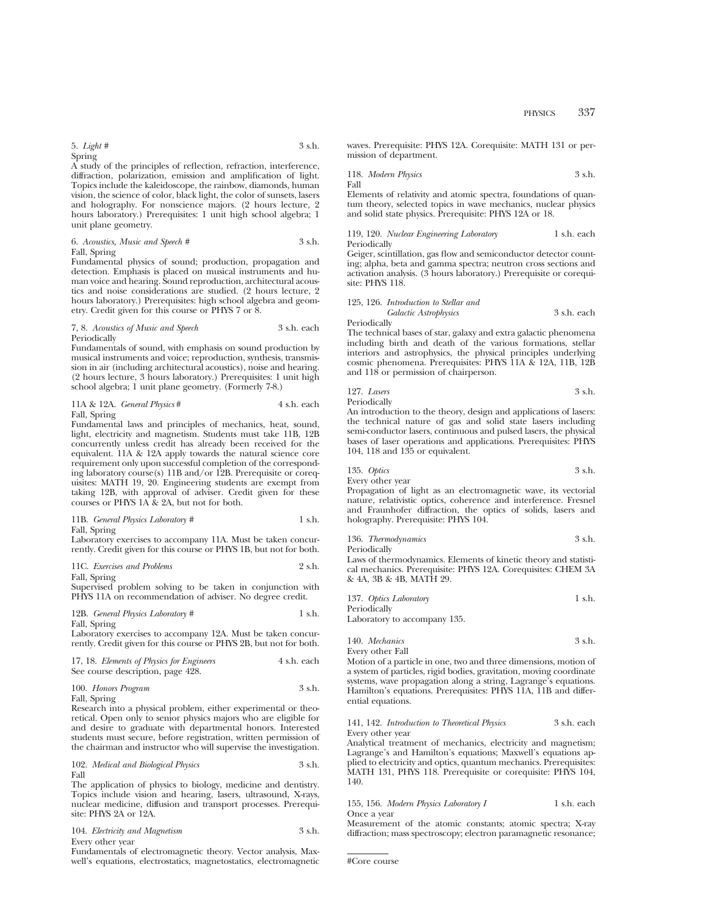5. *Light #* 3 s.h. Spring

A study of the principles of reflection, refraction, interference, diffraction, polarization, emission and amplification of light. Topics include the kaleidoscope, the rainbow, diamonds, human vision, the science of color, black light, the color of sunsets, lasers and holography. For nonscience majors. (2 hours lecture, 2 hours laboratory.) Prerequisites: 1 unit high school algebra; 1 unit plane geometry.

6. *Acoustics, Music and Speech #* 3 s.h. Fall, Spring

Fundamental physics of sound; production, propagation and detection. Emphasis is placed on musical instruments and human voice and hearing. Sound reproduction, architectural acoustics and noise considerations are studied. (2 hours lecture, 2 hours laboratory.) Prerequisites: high school algebra and geometry. Credit given for this course or PHYS 7 or 8.

#### 7, 8. *Acoustics of Music and Speech* 3 s.h. each Periodically

Fundamentals of sound, with emphasis on sound production by musical instruments and voice; reproduction, synthesis, transmission in air (including architectural acoustics), noise and hearing. (2 hours lecture, 3 hours laboratory.) Prerequisites: 1 unit high school algebra; 1 unit plane geometry. (Formerly 7-8.)

|              | 11A & 12A. General Physics # | 4 s.h. each |
|--------------|------------------------------|-------------|
| Fall, Spring |                              |             |

Fundamental laws and principles of mechanics, heat, sound, light, electricity and magnetism. Students must take 11B, 12B concurrently unless credit has already been received for the equivalent. 11A & 12A apply towards the natural science core requirement only upon successful completion of the corresponding laboratory course(s) 11B and/or 12B. Prerequisite or corequisites: MATH 19, 20. Engineering students are exempt from taking 12B, with approval of adviser. Credit given for these courses or PHYS 1A & 2A, but not for both.

11B. *General Physics Laboratory #* 1 s.h. Fall, Spring

Laboratory exercises to accompany 11A. Must be taken concurrently. Credit given for this course or PHYS 1B, but not for both.

## 11C. *Exercises and Problems* 2 s.h.

Fall, Spring

Supervised problem solving to be taken in conjunction with PHYS 11A on recommendation of adviser. No degree credit.

12B. *General Physics Laboratory #* 1 s.h. Fall, Spring

Laboratory exercises to accompany 12A. Must be taken concurrently. Credit given for this course or PHYS 2B, but not for both.

| 17, 18. Elements of Physics for Engineers | 4 s.h. each |
|-------------------------------------------|-------------|
| See course description, page 428.         |             |

|                          | 100. Honors Program | 3 s.h. |  |
|--------------------------|---------------------|--------|--|
| $\mathbf{r}$ 11 $\alpha$ |                     |        |  |

Fall, Spring

Research into a physical problem, either experimental or theoretical. Open only to senior physics majors who are eligible for and desire to graduate with departmental honors. Interested students must secure, before registration, written permission of the chairman and instructor who will supervise the investigation.

#### 102. *Medical and Biological Physics* 3 s.h. Fall

The application of physics to biology, medicine and dentistry. Topics include vision and hearing, lasers, ultrasound, X-rays, nuclear medicine, diffusion and transport processes. Prerequisite: PHYS 2A or 12A.

| 104. Electricity and Magnetism | 3 s.h. |
|--------------------------------|--------|
| Every other year               |        |

Fundamentals of electromagnetic theory. Vector analysis, Maxwell's equations, electrostatics, magnetostatics, electromagnetic waves. Prerequisite: PHYS 12A. Corequisite: MATH 131 or permission of department.

118. *Modern Physics* 3 s.h. Fall

Elements of relativity and atomic spectra, foundations of quantum theory, selected topics in wave mechanics, nuclear physics and solid state physics. Prerequisite: PHYS 12A or 18.

#### 119, 120. *Nuclear Engineering Laboratory* 1 s.h. each Periodically

Geiger, scintillation, gas flow and semiconductor detector counting; alpha, beta and gamma spectra; neutron cross sections and activation analysis. (3 hours laboratory.) Prerequisite or corequisite: PHYS 118.

#### 125, 126. *Introduction to Stellar and Galactic Astrophysics* 3 s.h. each Periodically

The technical bases of star, galaxy and extra galactic phenomena including birth and death of the various formations, stellar interiors and astrophysics, the physical principles underlying cosmic phenomena. Prerequisites: PHYS 11A & 12A, 11B, 12B and 118 or permission of chairperson.

#### 127. *Lasers* 3 s.h. Periodically

An introduction to the theory, design and applications of lasers: the technical nature of gas and solid state lasers including semi-conductor lasers, continuous and pulsed lasers, the physical bases of laser operations and applications. Prerequisites: PHYS 104, 118 and 135 or equivalent.

$$
135. Optics \t\t 3 s.h.
$$

Every other year

Propagation of light as an electromagnetic wave, its vectorial nature, relativistic optics, coherence and interference. Fresnel and Fraunhofer diffraction, the optics of solids, lasers and holography. Prerequisite: PHYS 104.

| 136. Thermodynamics | 3 s.h. |
|---------------------|--------|
| Periodically        |        |

Laws of thermodynamics. Elements of kinetic theory and statistical mechanics. Prerequisite: PHYS 12A. Corequisites: CHEM 3A & 4A, 3B & 4B, MATH 29.

|        | 137. Optics Laboratory | 1 s.h. |
|--------|------------------------|--------|
| $\sim$ |                        |        |

Periodically Laboratory to accompany 135.

| 140. Mechanics   | 3 s.h. |
|------------------|--------|
| Every other Fall |        |

Motion of a particle in one, two and three dimensions, motion of a system of particles, rigid bodies, gravitation, moving coordinate systems, wave propagation along a string, Lagrange's equations. Hamilton's equations. Prerequisites: PHYS 11A, 11B and differential equations.

### 141, 142. *Introduction to Theoretical Physics* 3 s.h. each Every other year

Analytical treatment of mechanics, electricity and magnetism; Lagrange's and Hamilton's equations; Maxwell's equations applied to electricity and optics, quantum mechanics. Prerequisites: MATH 131, PHYS 118. Prerequisite or corequisite: PHYS 104, 140.

#### 155, 156. *Modern Physics Laboratory I* 1 s.h. each Once a year

Measurement of the atomic constants; atomic spectra; X-ray diffraction; mass spectroscopy; electron paramagnetic resonance;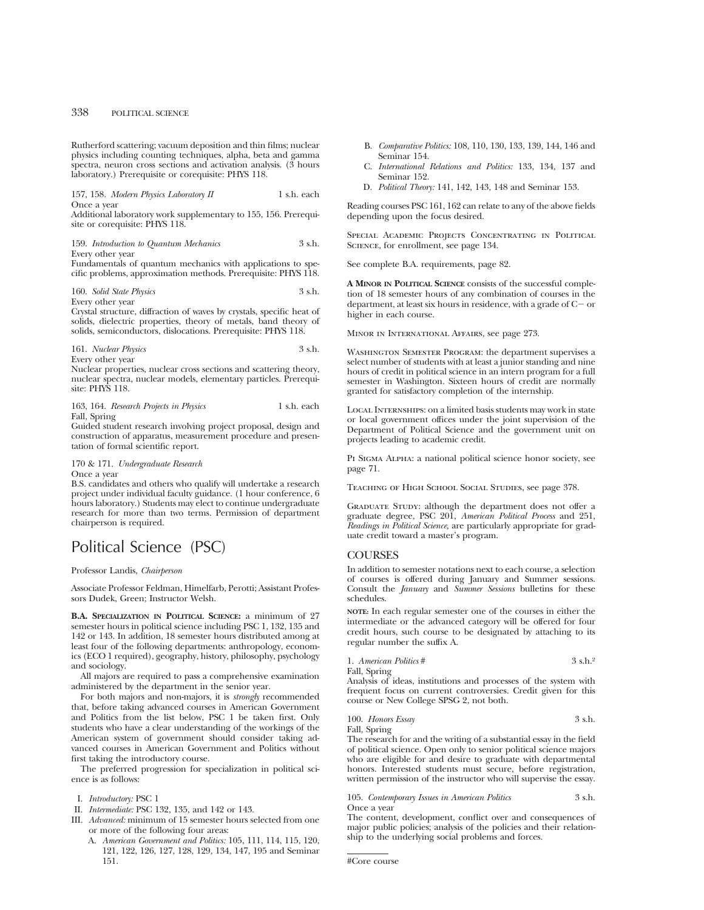Rutherford scattering; vacuum deposition and thin films; nuclear physics including counting techniques, alpha, beta and gamma spectra, neuron cross sections and activation analysis. (3 hours laboratory.) Prerequisite or corequisite: PHYS 118.

157, 158. *Modern Physics Laboratory II* 1 s.h. each Once a year

Additional laboratory work supplementary to 155, 156. Prerequisite or corequisite: PHYS 118.

159. *Introduction to Quantum Mechanics* 3 s.h. Every other year

Fundamentals of quantum mechanics with applications to specific problems, approximation methods. Prerequisite: PHYS 118.

160. *Solid State Physics* 3 s.h. Every other year

Crystal structure, diffraction of waves by crystals, specific heat of solids, dielectric properties, theory of metals, band theory of solids, semiconductors, dislocations. Prerequisite: PHYS 118.

161. *Nuclear Physics* 3 s.h. Every other year

Nuclear properties, nuclear cross sections and scattering theory, nuclear spectra, nuclear models, elementary particles. Prerequisite: PHYS 118.

163, 164. *Research Projects in Physics* 1 s.h. each Fall, Spring

Guided student research involving project proposal, design and construction of apparatus, measurement procedure and presentation of formal scientific report.

# 170 & 171. *Undergraduate Research*

### Once a year

B.S. candidates and others who qualify will undertake a research project under individual faculty guidance. (1 hour conference, 6 hours laboratory.) Students may elect to continue undergraduate research for more than two terms. Permission of department chairperson is required.

# Political Science (PSC)

#### Professor Landis, *Chairperson*

Associate Professor Feldman, Himelfarb, Perotti; Assistant Professors Dudek, Green; Instructor Welsh.

**B.A. SPECIALIZATION IN POLITICAL SCIENCE:** a minimum of 27 semester hours in political science including PSC 1, 132, 135 and 142 or 143. In addition, 18 semester hours distributed among at least four of the following departments: anthropology, economics (ECO 1 required), geography, history, philosophy, psychology and sociology.

All majors are required to pass a comprehensive examination administered by the department in the senior year.

For both majors and non-majors, it is *strongly* recommended that, before taking advanced courses in American Government and Politics from the list below, PSC 1 be taken first. Only students who have a clear understanding of the workings of the American system of government should consider taking advanced courses in American Government and Politics without first taking the introductory course.

The preferred progression for specialization in political science is as follows:

- I. *Introductory:* PSC 1
- II. *Intermediate:* PSC 132, 135, and 142 or 143.
- III. *Advanced:* minimum of 15 semester hours selected from one or more of the following four areas:
	- A. *American Government and Politics:* 105, 111, 114, 115, 120, 121, 122, 126, 127, 128, 129, 134, 147, 195 and Seminar 151.
- B. *Comparative Politics:* 108, 110, 130, 133, 139, 144, 146 and Seminar 154.
- C. *International Relations and Politics:* 133, 134, 137 and Seminar 152.
- D. *Political Theory:* 141, 142, 143, 148 and Seminar 153.

Reading courses PSC 161, 162 can relate to any of the above fields depending upon the focus desired.

SPECIAL ACADEMIC PROJECTS CONCENTRATING IN POLITICAL Science, for enrollment, see page 134.

See complete B.A. requirements, page 82.

**A MINOR IN POLITICAL SCIENCE** consists of the successful completion of 18 semester hours of any combination of courses in the department, at least six hours in residence, with a grade of  $C-$  or higher in each course.

Minor in International Affairs, see page 273.

WASHINGTON SEMESTER PROGRAM: the department supervises a select number of students with at least a junior standing and nine hours of credit in political science in an intern program for a full semester in Washington. Sixteen hours of credit are normally granted for satisfactory completion of the internship.

Local Internships: on a limited basis students may work in state or local government offices under the joint supervision of the Department of Political Science and the government unit on projects leading to academic credit.

PI SIGMA ALPHA: a national political science honor society, see page 71.

Teaching of High School Social Studies, see page 378.

GRADUATE STUDY: although the department does not offer a graduate degree, PSC 201, *American Political Process* and 251, *Readings in Political Science,* are particularly appropriate for graduate credit toward a master's program.

# **COURSES**

In addition to semester notations next to each course, a selection of courses is offered during January and Summer sessions. Consult the *January* and *Summer Sessions* bulletins for these schedules.

**NOTE:** In each regular semester one of the courses in either the intermediate or the advanced category will be offered for four credit hours, such course to be designated by attaching to its regular number the suffix A.

1. *American Politics* # 3 s.h.2 Fall, Spring

Analysis of ideas, institutions and processes of the system with frequent focus on current controversies. Credit given for this course or New College SPSG 2, not both.

# 100. *Honors Essay* 3 s.h.

Fall, Spring

The research for and the writing of a substantial essay in the field of political science. Open only to senior political science majors who are eligible for and desire to graduate with departmental honors. Interested students must secure, before registration, written permission of the instructor who will supervise the essay.

105. *Contemporary Issues in American Politics* 3 s.h.

Once a year

The content, development, conflict over and consequences of major public policies; analysis of the policies and their relationship to the underlying social problems and forces.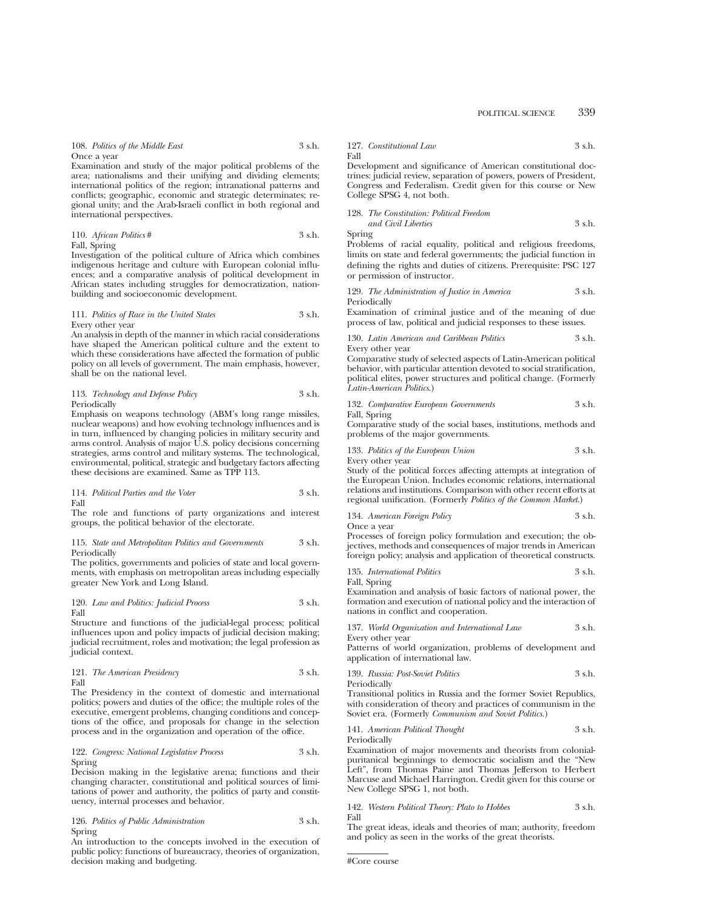Examination and study of the major political problems of the area; nationalisms and their unifying and dividing elements; international politics of the region; intranational patterns and conflicts; geographic, economic and strategic determinates; regional unity; and the Arab-Israeli conflict in both regional and international perspectives.

110. *African Politics* # 3 s.h. Fall, Spring

Investigation of the political culture of Africa which combines indigenous heritage and culture with European colonial influences; and a comparative analysis of political development in African states including struggles for democratization, nationbuilding and socioeconomic development.

#### 111. *Politics of Race in the United States* 3 s.h. Every other year

An analysis in depth of the manner in which racial considerations have shaped the American political culture and the extent to which these considerations have affected the formation of public policy on all levels of government. The main emphasis, however, shall be on the national level.

#### 113. *Technology and Defense Policy* 3 s.h. **Periodically**

Emphasis on weapons technology (ABM's long range missiles, nuclear weapons) and how evolving technology influences and is in turn, influenced by changing policies in military security and arms control. Analysis of major U.S. policy decisions concerning strategies, arms control and military systems. The technological, environmental, political, strategic and budgetary factors affecting these decisions are examined. Same as TPP 113.

114. *Political Parties and the Voter* 3 s.h. Fall

The role and functions of party organizations and interest groups, the political behavior of the electorate.

#### 115. *State and Metropolitan Politics and Governments* 3 s.h. Periodically

The politics, governments and policies of state and local governments, with emphasis on metropolitan areas including especially greater New York and Long Island.

120. *Law and Politics: Judicial Process* 3 s.h. Fall

Structure and functions of the judicial-legal process; political influences upon and policy impacts of judicial decision making; judicial recruitment, roles and motivation; the legal profession as judicial context.

121. *The American Presidency* 3 s.h. Fall

The Presidency in the context of domestic and international politics; powers and duties of the office; the multiple roles of the executive, emergent problems, changing conditions and conceptions of the office, and proposals for change in the selection process and in the organization and operation of the office.

#### 122. *Congress: National Legislative Process* 3 s.h. Spring

Decision making in the legislative arena; functions and their changing character, constitutional and political sources of limitations of power and authority, the politics of party and constituency, internal processes and behavior.

126. *Politics of Public Administration* 3 s.h. Spring

An introduction to the concepts involved in the execution of public policy: functions of bureaucracy, theories of organization, decision making and budgeting.

127. *Constitutional Law* 3 s.h. Fall

Development and significance of American constitutional doctrines: judicial review, separation of powers, powers of President, Congress and Federalism. Credit given for this course or New College SPSG 4, not both.

### 128. *The Constitution: Political Freedom and Civil Liberties* 3 s.h.

Spring

Problems of racial equality, political and religious freedoms, limits on state and federal governments; the judicial function in defining the rights and duties of citizens. Prerequisite: PSC 127 or permission of instructor.

129. *The Administration of Justice in America* 3 s.h. Periodically

Examination of criminal justice and of the meaning of due process of law, political and judicial responses to these issues.

130. *Latin American and Caribbean Politics* 3 s.h. Every other year

Comparative study of selected aspects of Latin-American political behavior, with particular attention devoted to social stratification, political elites, power structures and political change. (Formerly *Latin-American Politics*.)

132. *Comparative European Governments* 3 s.h.

Fall, Spring

Comparative study of the social bases, institutions, methods and problems of the major governments.

133. *Politics of the European Union* 3 s.h. Every other year

Study of the political forces affecting attempts at integration of the European Union. Includes economic relations, international relations and institutions. Comparison with other recent efforts at regional unification. (Formerly *Politics of the Common Market*.)

134. *American Foreign Policy* 3 s.h. Once a year

Processes of foreign policy formulation and execution; the objectives, methods and consequences of major trends in American foreign policy; analysis and application of theoretical constructs.

135. *International Politics* 3 s.h.

Fall, Spring Examination and analysis of basic factors of national power, the formation and execution of national policy and the interaction of nations in conflict and cooperation.

|                  | 137. World Organization and International Law | 3 s.h. |
|------------------|-----------------------------------------------|--------|
| Every other year |                                               |        |

Patterns of world organization, problems of development and application of international law.

139. *Russia: Post-Soviet Politics* 3 s.h. Periodically

Transitional politics in Russia and the former Soviet Republics, with consideration of theory and practices of communism in the Soviet era. (Formerly *Communism and Soviet Politics.*)

141. *American Political Thought* 3 s.h. Periodically

Examination of major movements and theorists from colonialpuritanical beginnings to democratic socialism and the "New Left", from Thomas Paine and Thomas Jefferson to Herbert Marcuse and Michael Harrington. Credit given for this course or New College SPSG 1, not both.

142. *Western Political Theory: Plato to Hobbes* 3 s.h. Fall

The great ideas, ideals and theories of man; authority, freedom and policy as seen in the works of the great theorists.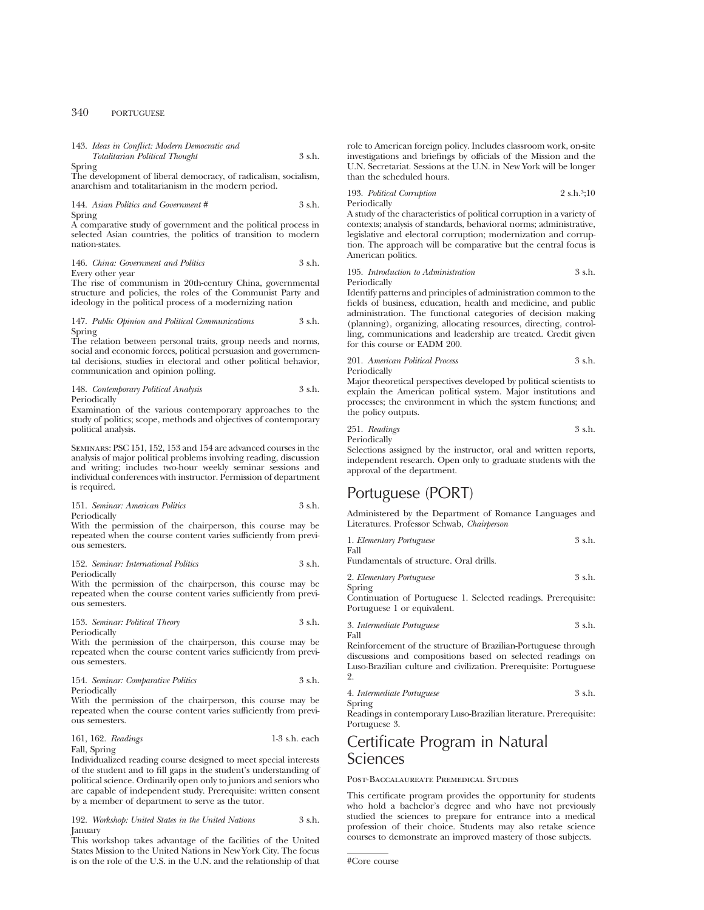143. *Ideas in Conflict: Modern Democratic and Totalitarian Political Thought* 3 s.h.

Spring

The development of liberal democracy, of radicalism, socialism, anarchism and totalitarianism in the modern period.

144. *Asian Politics and Government #* 3 s.h. Spring

A comparative study of government and the political process in selected Asian countries, the politics of transition to modern nation-states.

146. *China: Government and Politics* 3 s.h. Every other year

The rise of communism in 20th-century China, governmental structure and policies, the roles of the Communist Party and ideology in the political process of a modernizing nation

#### 147. *Public Opinion and Political Communications* 3 s.h. Spring

The relation between personal traits, group needs and norms, social and economic forces, political persuasion and governmental decisions, studies in electoral and other political behavior, communication and opinion polling.

148. *Contemporary Political Analysis* 3 s.h. Periodically

Examination of the various contemporary approaches to the study of politics; scope, methods and objectives of contemporary political analysis.

Seminars: PSC 151, 152, 153 and 154 are advanced courses in the analysis of major political problems involving reading, discussion and writing; includes two-hour weekly seminar sessions and individual conferences with instructor. Permission of department is required.

151. *Seminar: American Politics* 3 s.h. Periodically

With the permission of the chairperson, this course may be repeated when the course content varies sufficiently from previous semesters.

152. *Seminar: International Politics* 3 s.h. Periodically

With the permission of the chairperson, this course may be repeated when the course content varies sufficiently from previous semesters.

153. *Seminar: Political Theory* 3 s.h. Periodically

With the permission of the chairperson, this course may be repeated when the course content varies sufficiently from previous semesters.

154. *Seminar: Comparative Politics* 3 s.h. Periodically

With the permission of the chairperson, this course may be repeated when the course content varies sufficiently from previous semesters.

```
161, 162. Readings 1-3 s.h. each
Fall, Spring
```
Individualized reading course designed to meet special interests of the student and to fill gaps in the student's understanding of political science. Ordinarily open only to juniors and seniors who are capable of independent study. Prerequisite: written consent by a member of department to serve as the tutor.

192. *Workshop: United States in the United Nations* 3 s.h. January

This workshop takes advantage of the facilities of the United States Mission to the United Nations in New York City. The focus is on the role of the U.S. in the U.N. and the relationship of that

role to American foreign policy. Includes classroom work, on-site investigations and briefings by officials of the Mission and the U.N. Secretariat. Sessions at the U.N. in New York will be longer than the scheduled hours.

193. *Political Corruption* 2 s.h.3;10 Periodically

A study of the characteristics of political corruption in a variety of contexts; analysis of standards, behavioral norms; administrative, legislative and electoral corruption; modernization and corruption. The approach will be comparative but the central focus is American politics.

195. *Introduction to Administration* 3 s.h. Periodically

Identify patterns and principles of administration common to the fields of business, education, health and medicine, and public administration. The functional categories of decision making (planning), organizing, allocating resources, directing, controlling, communications and leadership are treated. Credit given for this course or EADM 200.

201. *American Political Process* 3 s.h. Periodically

Major theoretical perspectives developed by political scientists to explain the American political system. Major institutions and processes; the environment in which the system functions; and the policy outputs.

251. *Readings* 3 s.h. Periodically

Selections assigned by the instructor, oral and written reports, independent research. Open only to graduate students with the approval of the department.

# Portuguese (PORT)

Administered by the Department of Romance Languages and Literatures. Professor Schwab, *Chairperson*

| 1. Elementary Portuguese | 3 s.h. |
|--------------------------|--------|
| Fall                     |        |

Fundamentals of structure. Oral drills.

2. *Elementary Portuguese* 3 s.h. Spring

Continuation of Portuguese 1. Selected readings. Prerequisite: Portuguese 1 or equivalent.

3. *Intermediate Portuguese* 3 s.h. Fall

Reinforcement of the structure of Brazilian-Portuguese through discussions and compositions based on selected readings on Luso-Brazilian culture and civilization. Prerequisite: Portuguese 2.

4. *Intermediate Portuguese* 3 s.h. Spring

Readings in contemporary Luso-Brazilian literature. Prerequisite: Portuguese 3.

# Certificate Program in Natural Sciences

Post-Baccalaureate Premedical Studies

This certificate program provides the opportunity for students who hold a bachelor's degree and who have not previously studied the sciences to prepare for entrance into a medical profession of their choice. Students may also retake science courses to demonstrate an improved mastery of those subjects.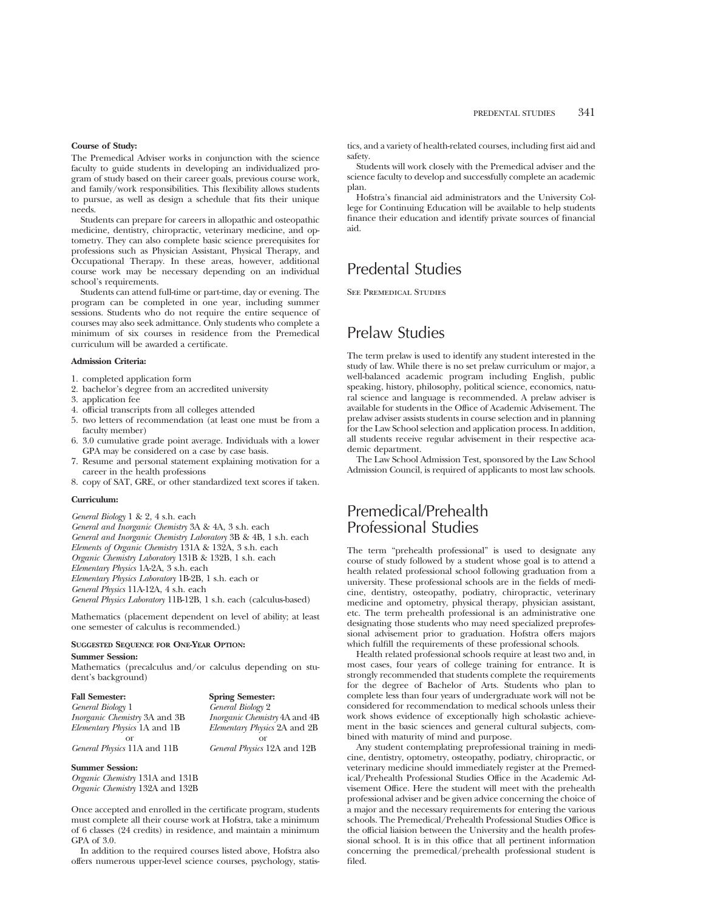#### **Course of Study:**

The Premedical Adviser works in conjunction with the science faculty to guide students in developing an individualized program of study based on their career goals, previous course work, and family/work responsibilities. This flexibility allows students to pursue, as well as design a schedule that fits their unique needs.

Students can prepare for careers in allopathic and osteopathic medicine, dentistry, chiropractic, veterinary medicine, and optometry. They can also complete basic science prerequisites for professions such as Physician Assistant, Physical Therapy, and Occupational Therapy. In these areas, however, additional course work may be necessary depending on an individual school's requirements.

Students can attend full-time or part-time, day or evening. The program can be completed in one year, including summer sessions. Students who do not require the entire sequence of courses may also seek admittance. Only students who complete a minimum of six courses in residence from the Premedical curriculum will be awarded a certificate.

#### **Admission Criteria:**

- 1. completed application form
- 2. bachelor's degree from an accredited university
- 3. application fee
- 4. official transcripts from all colleges attended
- 5. two letters of recommendation (at least one must be from a faculty member)
- 6. 3.0 cumulative grade point average. Individuals with a lower GPA may be considered on a case by case basis.
- 7. Resume and personal statement explaining motivation for a career in the health professions
- 8. copy of SAT, GRE, or other standardized text scores if taken.

## **Curriculum:**

*General Biology* 1 & 2, 4 s.h. each *General and Inorganic Chemistry* 3A & 4A, 3 s.h. each *General and Inorganic Chemistry Laboratory* 3B & 4B, 1 s.h. each *Elements of Organic Chemistry* 131A & 132A, 3 s.h. each *Organic Chemistry Laboratory* 131B & 132B, 1 s.h. each *Elementary Physics* 1A-2A, 3 s.h. each *Elementary Physics Laboratory* 1B-2B, 1 s.h. each or *General Physics* 11A-12A, 4 s.h. each *General Physics Laboratory* 11B-12B, 1 s.h. each (calculus-based)

Mathematics (placement dependent on level of ability; at least one semester of calculus is recommended.)

### **SUGGESTED SEQUENCE FOR ONE-YEAR OPTION:**

#### **Summer Session:**

Mathematics (precalculus and/or calculus depending on student's background)

| <b>Spring Semester:</b>              |
|--------------------------------------|
| General Biology 2                    |
| <i>Inorganic Chemistry</i> 4A and 4B |
| Elementary Physics 2A and 2B         |
|                                      |
| General Physics 12A and 12B          |
|                                      |

#### **Summer Session:**

*Organic Chemistry* 131A and 131B *Organic Chemistry* 132A and 132B

Once accepted and enrolled in the certificate program, students must complete all their course work at Hofstra, take a minimum of 6 classes (24 credits) in residence, and maintain a minimum GPA of 3.0.

In addition to the required courses listed above, Hofstra also offers numerous upper-level science courses, psychology, statistics, and a variety of health-related courses, including first aid and safety.

Students will work closely with the Premedical adviser and the science faculty to develop and successfully complete an academic plan.

Hofstra's financial aid administrators and the University College for Continuing Education will be available to help students finance their education and identify private sources of financial aid.

# Predental Studies

See Premedical Studies

# Prelaw Studies

The term prelaw is used to identify any student interested in the study of law. While there is no set prelaw curriculum or major, a well-balanced academic program including English, public speaking, history, philosophy, political science, economics, natural science and language is recommended. A prelaw adviser is available for students in the Office of Academic Advisement. The prelaw adviser assists students in course selection and in planning for the Law School selection and application process. In addition, all students receive regular advisement in their respective academic department.

The Law School Admission Test, sponsored by the Law School Admission Council, is required of applicants to most law schools.

# Premedical/Prehealth Professional Studies

The term "prehealth professional" is used to designate any course of study followed by a student whose goal is to attend a health related professional school following graduation from a university. These professional schools are in the fields of medicine, dentistry, osteopathy, podiatry, chiropractic, veterinary medicine and optometry, physical therapy, physician assistant, etc. The term prehealth professional is an administrative one designating those students who may need specialized preprofessional advisement prior to graduation. Hofstra offers majors which fulfill the requirements of these professional schools.

Health related professional schools require at least two and, in most cases, four years of college training for entrance. It is strongly recommended that students complete the requirements for the degree of Bachelor of Arts. Students who plan to complete less than four years of undergraduate work will not be considered for recommendation to medical schools unless their work shows evidence of exceptionally high scholastic achievement in the basic sciences and general cultural subjects, combined with maturity of mind and purpose.

Any student contemplating preprofessional training in medicine, dentistry, optometry, osteopathy, podiatry, chiropractic, or veterinary medicine should immediately register at the Premedical/Prehealth Professional Studies Office in the Academic Advisement Office. Here the student will meet with the prehealth professional adviser and be given advice concerning the choice of a major and the necessary requirements for entering the various schools. The Premedical/Prehealth Professional Studies Office is the official liaision between the University and the health professional school. It is in this office that all pertinent information concerning the premedical/prehealth professional student is filed.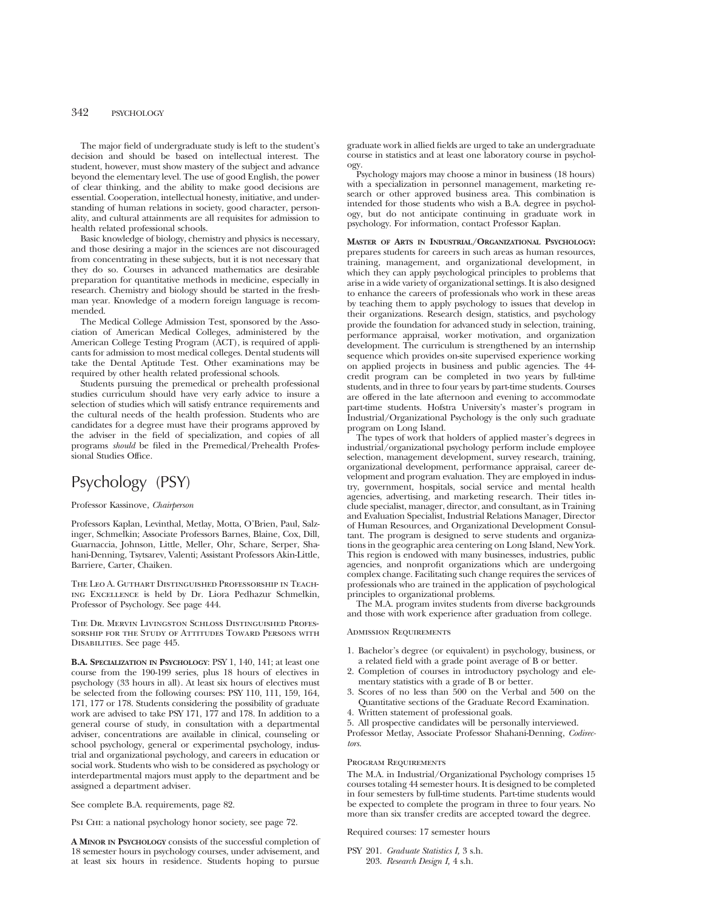The major field of undergraduate study is left to the student's decision and should be based on intellectual interest. The student, however, must show mastery of the subject and advance beyond the elementary level. The use of good English, the power of clear thinking, and the ability to make good decisions are essential. Cooperation, intellectual honesty, initiative, and understanding of human relations in society, good character, personality, and cultural attainments are all requisites for admission to health related professional schools.

Basic knowledge of biology, chemistry and physics is necessary, and those desiring a major in the sciences are not discouraged from concentrating in these subjects, but it is not necessary that they do so. Courses in advanced mathematics are desirable preparation for quantitative methods in medicine, especially in research. Chemistry and biology should be started in the freshman year. Knowledge of a modern foreign language is recommended.

The Medical College Admission Test, sponsored by the Association of American Medical Colleges, administered by the American College Testing Program (ACT), is required of applicants for admission to most medical colleges. Dental students will take the Dental Aptitude Test. Other examinations may be required by other health related professional schools.

Students pursuing the premedical or prehealth professional studies curriculum should have very early advice to insure a selection of studies which will satisfy entrance requirements and the cultural needs of the health profession. Students who are candidates for a degree must have their programs approved by the adviser in the field of specialization, and copies of all programs *should* be filed in the Premedical/Prehealth Professional Studies Office.

# Psychology (PSY)

#### Professor Kassinove, *Chairperson*

Professors Kaplan, Levinthal, Metlay, Motta, O'Brien, Paul, Salzinger, Schmelkin; Associate Professors Barnes, Blaine, Cox, Dill, Guarnaccia, Johnson, Little, Meller, Ohr, Schare, Serper, Shahani-Denning, Tsytsarev, Valenti; Assistant Professors Akin-Little, Barriere, Carter, Chaiken.

The Leo A. Guthart Distinguished Professorship in Teaching Excellence is held by Dr. Liora Pedhazur Schmelkin, Professor of Psychology. See page 444.

The Dr. Mervin Livingston Schloss Distinguished Professorship for the Study of Attitudes Toward Persons with DISABILITIES. See page 445.

**B.A. SPECIALIZATION IN PSYCHOLOGY**: PSY 1, 140, 141; at least one course from the 190-199 series, plus 18 hours of electives in psychology (33 hours in all). At least six hours of electives must be selected from the following courses: PSY 110, 111, 159, 164, 171, 177 or 178. Students considering the possibility of graduate work are advised to take PSY 171, 177 and 178. In addition to a general course of study, in consultation with a departmental adviser, concentrations are available in clinical, counseling or school psychology, general or experimental psychology, industrial and organizational psychology, and careers in education or social work. Students who wish to be considered as psychology or interdepartmental majors must apply to the department and be assigned a department adviser.

See complete B.A. requirements, page 82.

Psi Chi: a national psychology honor society, see page 72.

**A MINOR IN PSYCHOLOGY** consists of the successful completion of 18 semester hours in psychology courses, under advisement, and at least six hours in residence. Students hoping to pursue graduate work in allied fields are urged to take an undergraduate course in statistics and at least one laboratory course in psychology.

Psychology majors may choose a minor in business (18 hours) with a specialization in personnel management, marketing research or other approved business area. This combination is intended for those students who wish a B.A. degree in psychology, but do not anticipate continuing in graduate work in psychology. For information, contact Professor Kaplan.

**MASTER OF ARTS IN INDUSTRIAL/ORGANIZATIONAL PSYCHOLOGY:** prepares students for careers in such areas as human resources, training, management, and organizational development, in which they can apply psychological principles to problems that arise in a wide variety of organizational settings. It is also designed to enhance the careers of professionals who work in these areas by teaching them to apply psychology to issues that develop in their organizations. Research design, statistics, and psychology provide the foundation for advanced study in selection, training, performance appraisal, worker motivation, and organization development. The curriculum is strengthened by an internship sequence which provides on-site supervised experience working on applied projects in business and public agencies. The 44 credit program can be completed in two years by full-time students, and in three to four years by part-time students. Courses are offered in the late afternoon and evening to accommodate part-time students. Hofstra University's master's program in Industrial/Organizational Psychology is the only such graduate program on Long Island.

The types of work that holders of applied master's degrees in industrial/organizational psychology perform include employee selection, management development, survey research, training, organizational development, performance appraisal, career development and program evaluation. They are employed in industry, government, hospitals, social service and mental health agencies, advertising, and marketing research. Their titles include specialist, manager, director, and consultant, as in Training and Evaluation Specialist, Industrial Relations Manager, Director of Human Resources, and Organizational Development Consultant. The program is designed to serve students and organizations in the geographic area centering on Long Island, New York. This region is endowed with many businesses, industries, public agencies, and nonprofit organizations which are undergoing complex change. Facilitating such change requires the services of professionals who are trained in the application of psychological principles to organizational problems.

The M.A. program invites students from diverse backgrounds and those with work experience after graduation from college.

#### Admission Requirements

- 1. Bachelor's degree (or equivalent) in psychology, business, or a related field with a grade point average of B or better.
- 2. Completion of courses in introductory psychology and elementary statistics with a grade of B or better.
- 3. Scores of no less than 500 on the Verbal and 500 on the Quantitative sections of the Graduate Record Examination.
- 4. Written statement of professional goals.
- 5. All prospective candidates will be personally interviewed.

Professor Metlay, Associate Professor Shahani-Denning, *Codirectors.*

#### Program Requirements

The M.A. in Industrial/Organizational Psychology comprises 15 courses totaling 44 semester hours. It is designed to be completed in four semesters by full-time students. Part-time students would be expected to complete the program in three to four years. No more than six transfer credits are accepted toward the degree.

Required courses: 17 semester hours

PSY 201. *Graduate Statistics I,* 3 s.h. 203. *Research Design I,* 4 s.h.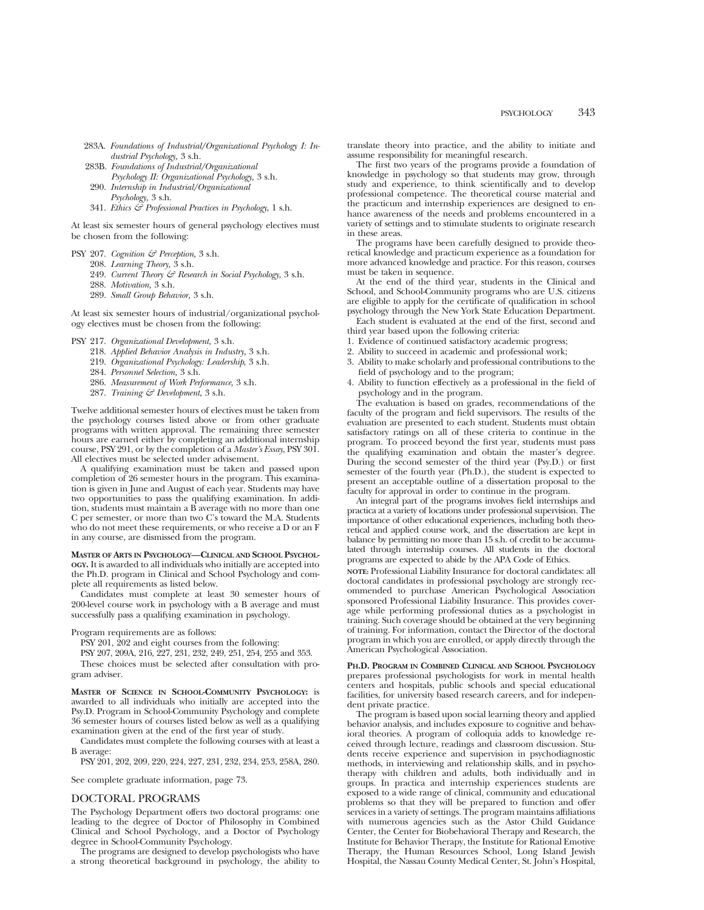- 283A. *Foundations of Industrial/Organizational Psychology I: Industrial Psychology,* 3 s.h.
- 283B. *Foundations of Industrial/Organizational Psychology II: Organizational Psychology,* 3 s.h.
- 290. *Internship in Industrial/Organizational Psychology,* 3 s.h.
- 341. *Ethics & Professional Practices in Psychology*, 1 s.h.

At least six semester hours of general psychology electives must be chosen from the following:

- PSY 207. *Cognition & Perception,* 3 s.h.
	- 208. *Learning Theory,* 3 s.h.
		- 249. *Current Theory & Research in Social Psychology,* 3 s.h.
		- 288. *Motivation,* 3 s.h.
		- 289. *Small Group Behavior,* 3 s.h.

At least six semester hours of industrial/organizational psychology electives must be chosen from the following:

- PSY 217. *Organizational Development,* 3 s.h.
	- 218. *Applied Behavior Analysis in Industry,* 3 s.h.
	- 219. *Organizational Psychology: Leadership*, 3 s.h.
	- 284. *Personnel Selection,* 3 s.h.
	- 286. *Measurement of Work Performance,* 3 s.h.
	- 287. *Training & Development,* 3 s.h.

Twelve additional semester hours of electives must be taken from the psychology courses listed above or from other graduate programs with written approval. The remaining three semester hours are earned either by completing an additional internship course, PSY 291, or by the completion of a *Master's Essay*, PSY 301. All electives must be selected under advisement.

A qualifying examination must be taken and passed upon completion of 26 semester hours in the program. This examination is given in June and August of each year. Students may have two opportunities to pass the qualifying examination. In addition, students must maintain a B average with no more than one C per semester, or more than two C's toward the M.A. Students who do not meet these requirements, or who receive a D or an F in any course, are dismissed from the program.

**MASTER OF ARTS IN PSYCHOLOGY—CLINICAL AND SCHOOL PSYCHOL-OGY.** It is awarded to all individuals who initially are accepted into the Ph.D. program in Clinical and School Psychology and complete all requirements as listed below.

Candidates must complete at least 30 semester hours of 200-level course work in psychology with a B average and must successfully pass a qualifying examination in psychology.

Program requirements are as follows:

PSY 201, 202 and eight courses from the following:

PSY 207, 209A, 216, 227, 231, 232, 249, 251, 254, 255 and 353.

These choices must be selected after consultation with program adviser.

**MASTER OF SCIENCE IN SCHOOL-COMMUNITY PSYCHOLOGY:** is awarded to all individuals who initially are accepted into the Psy.D. Program in School-Community Psychology and complete 36 semester hours of courses listed below as well as a qualifying examination given at the end of the first year of study.

Candidates must complete the following courses with at least a B average:

PSY 201, 202, 209, 220, 224, 227, 231, 232, 234, 253, 258A, 280.

See complete graduate information, page 73.

### DOCTORAL PROGRAMS

The Psychology Department offers two doctoral programs: one leading to the degree of Doctor of Philosophy in Combined Clinical and School Psychology, and a Doctor of Psychology degree in School-Community Psychology.

The programs are designed to develop psychologists who have a strong theoretical background in psychology, the ability to translate theory into practice, and the ability to initiate and assume responsibility for meaningful research.

The first two years of the programs provide a foundation of knowledge in psychology so that students may grow, through study and experience, to think scientifically and to develop professional competence. The theoretical course material and the practicum and internship experiences are designed to enhance awareness of the needs and problems encountered in a variety of settings and to stimulate students to originate research in these areas.

The programs have been carefully designed to provide theoretical knowledge and practicum experience as a foundation for more advanced knowledge and practice. For this reason, courses must be taken in sequence.

At the end of the third year, students in the Clinical and School, and School-Community programs who are U.S. citizens are eligible to apply for the certificate of qualification in school psychology through the New York State Education Department.

Each student is evaluated at the end of the first, second and third year based upon the following criteria:

- 1. Evidence of continued satisfactory academic progress;
- 2. Ability to succeed in academic and professional work;
- 3. Ability to make scholarly and professional contributions to the field of psychology and to the program;
- 4. Ability to function effectively as a professional in the field of psychology and in the program.

The evaluation is based on grades, recommendations of the faculty of the program and field supervisors. The results of the evaluation are presented to each student. Students must obtain satisfactory ratings on all of these criteria to continue in the program. To proceed beyond the first year, students must pass the qualifying examination and obtain the master's degree. During the second semester of the third year (Psy.D.) or first semester of the fourth year (Ph.D.), the student is expected to present an acceptable outline of a dissertation proposal to the faculty for approval in order to continue in the program.

An integral part of the programs involves field internships and practica at a variety of locations under professional supervision. The importance of other educational experiences, including both theoretical and applied course work, and the dissertation are kept in balance by permitting no more than 15 s.h. of credit to be accumulated through internship courses. All students in the doctoral programs are expected to abide by the APA Code of Ethics.

**NOTE:** Professional Liability Insurance for doctoral candidates: all doctoral candidates in professional psychology are strongly recommended to purchase American Psychological Association sponsored Professional Liability Insurance. This provides coverage while performing professional duties as a psychologist in training. Such coverage should be obtained at the very beginning of training. For information, contact the Director of the doctoral program in which you are enrolled, or apply directly through the American Psychological Association.

**PH.D. PROGRAM IN COMBINED CLINICAL AND SCHOOL PSYCHOLOGY** prepares professional psychologists for work in mental health centers and hospitals, public schools and special educational facilities, for university based research careers, and for independent private practice.

The program is based upon social learning theory and applied behavior analysis, and includes exposure to cognitive and behavioral theories. A program of colloquia adds to knowledge received through lecture, readings and classroom discussion. Students receive experience and supervision in psychodiagnostic methods, in interviewing and relationship skills, and in psychotherapy with children and adults, both individually and in groups. In practica and internship experiences students are exposed to a wide range of clinical, community and educational problems so that they will be prepared to function and offer services in a variety of settings. The program maintains affiliations with numerous agencies such as the Astor Child Guidance Center, the Center for Biobehavioral Therapy and Research, the Institute for Behavior Therapy, the Institute for Rational Emotive Therapy, the Human Resources School, Long Island Jewish Hospital, the Nassau County Medical Center, St. John's Hospital,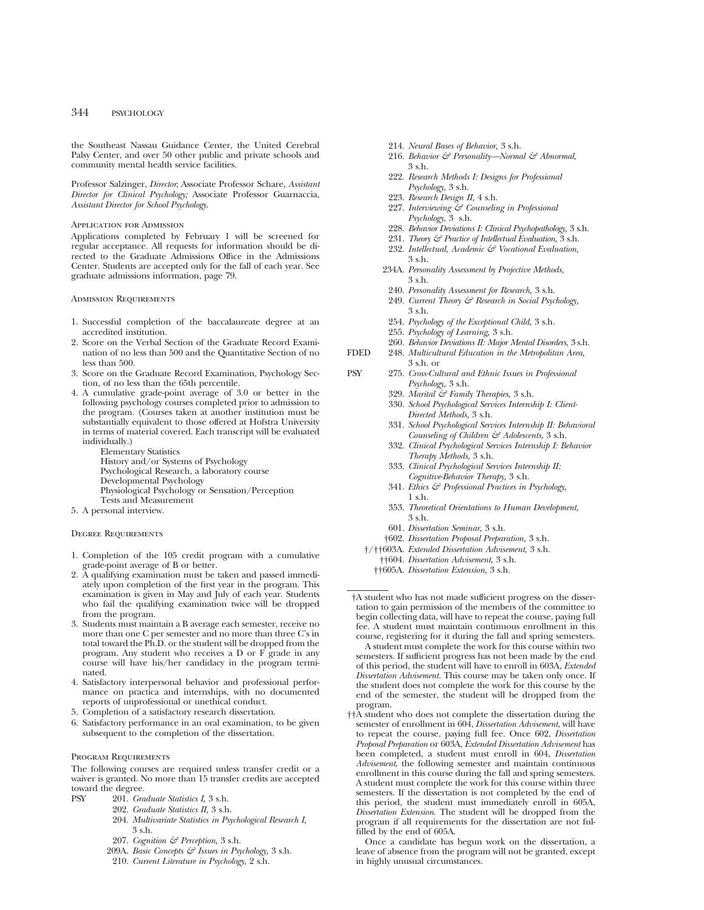the Southeast Nassau Guidance Center, the United Cerebral Palsy Center, and over 50 other public and private schools and community mental health service facilities.

Professor Salzinger, *Director*; Associate Professor Schare, *Assistant Director for Clinical Psychology;* Associate Professor Guarnaccia, *Assistant Director for School Psychology*.

#### Application for Admission

Applications completed by February 1 will be screened for regular acceptance. All requests for information should be directed to the Graduate Admissions Office in the Admissions Center. Students are accepted only for the fall of each year. See graduate admissions information, page 79.

#### Admission Requirements

- 1. Successful completion of the baccalaureate degree at an accredited institution.
- 2. Score on the Verbal Section of the Graduate Record Examination of no less than 500 and the Quantitative Section of no less than 500.
- 3. Score on the Graduate Record Examination, Psychology Section, of no less than the 65th percentile.
- 4. A cumulative grade-point average of 3.0 or better in the following psychology courses completed prior to admission to the program. (Courses taken at another institution must be substantially equivalent to those offered at Hofstra University in terms of material covered. Each transcript will be evaluated individually.)

Elementary Statistics History and/or Systems of Psychology Psychological Research, a laboratory course Developmental Psychology Physiological Psychology or Sensation/Perception Tests and Measurement

5. A personal interview.

#### Degree Requirements

- 1. Completion of the 105 credit program with a cumulative grade-point average of B or better.
- 2. A qualifying examination must be taken and passed immediately upon completion of the first year in the program. This examination is given in May and July of each year. Students who fail the qualifying examination twice will be dropped from the program.
- 3. Students must maintain a B average each semester, receive no more than one C per semester and no more than three C's in total toward the Ph.D. or the student will be dropped from the program. Any student who receives a D or F grade in any course will have his/her candidacy in the program terminated.
- 4. Satisfactory interpersonal behavior and professional performance on practica and internships, with no documented reports of unprofessional or unethical conduct.
- 5. Completion of a satisfactory research dissertation.
- 6. Satisfactory performance in an oral examination, to be given subsequent to the completion of the dissertation.

#### Program Requirements

The following courses are required unless transfer credit or a waiver is granted. No more than 15 transfer credits are accepted toward the degree.

- PSY 201. *Graduate Statistics I,* 3 s.h.
	- 202. *Graduate Statistics II,* 3 s.h.
	- 204. *Multivariate Statistics in Psychological Research I,* 3 s.h.
	- 207. *Cognition & Perception,* 3 s.h.
	- 209A. *Basic Concepts & Issues in Psychology,* 3 s.h.
	- 210. *Current Literature in Psychology,* 2 s.h.
- 214. *Neural Bases of Behavior,* 3 s.h.
- 216. *Behavior & Personality—Normal & Abnormal*, 3 s.h.
- 222. *Research Methods I: Designs for Professional Psychology*, 3 s.h.
- 223. *Research Design II,* 4 s.h.
- 227. *Interviewing & Counseling in Professional Psychology*, 3 s.h.
- 228. *Behavior Deviations I: Clinical Psychopathology,* 3 s.h.
- 231. *Theory & Practice of Intellectual Evaluation,* 3 s.h.
- 232. *Intellectual, Academic & Vocational Evaluation,* 3 s.h.
- 234A. *Personality Assessment by Projective Methods,* 3 s.h.
- 240. *Personality Assessment for Research,* 3 s.h.
- 249. *Current Theory & Research in Social Psychology,* 3 s.h.
- 254. *Psychology of the Exceptional Child,* 3 s.h.
- 255. *Psychology of Learning,* 3 s.h.
- 260. *Behavior Deviations II: Major Mental Disorders,* 3 s.h.
- FDED 248. *Multicultural Education in the Metropolitan Area,* 3 s.h. or
- PSY 275. *Cross-Cultural and Ethnic Issues in Professional Psychology,* 3 s.h.
	- 329. *Marital & Family Therapies,* 3 s.h.
	- 330. *School Psychological Services Internship I: Client-Directed Methods,* 3 s.h.
	- 331. *School Psychological Services Internship II: Behavioral Counseling of Children & Adolescents,* 3 s.h.
	- 332. *Clinical Psychological Services Internship I: Behavior Therapy Methods,* 3 s.h.
	- 333. *Clinical Psychological Services Internship II: Cognitive-Behavior Therapy,* 3 s.h.
	- 341. *Ethics & Professional Practices in Psychology,* 1 s.h.
	- 353. *Theoretical Orientations to Human Development,* 3 s.h.
	- 601. *Dissertation Seminar,* 3 s.h.
	- †602. *Dissertation Proposal Preparation,* 3 s.h.
	- †/††603A. *Extended Dissertation Advisement,* 3 s.h.
	- ††604. *Dissertation Advisement,* 3 s.h.
	- ††605A. *Dissertation Extension,* 3 s.h.

†A student who has not made sufficient progress on the dissertation to gain permission of the members of the committee to begin collecting data, will have to repeat the course, paying full fee. A student must maintain continuous enrollment in this course, registering for it during the fall and spring semesters.

A student must complete the work for this course within two semesters. If sufficient progress has not been made by the end of this period, the student will have to enroll in 603A, *Extended Dissertation Advisement.* This course may be taken only once. If the student does not complete the work for this course by the end of the semester, the student will be dropped from the program.

††A student who does not complete the dissertation during the semester of enrollment in 604, *Dissertation Advisement*, will have to repeat the course, paying full fee. Once 602, *Dissertation Proposal Preparation* or 603A, *Extended Dissertation Advisement* has been completed, a student must enroll in 604, *Dissertation Advisement*, the following semester and maintain continuous enrollment in this course during the fall and spring semesters. A student must complete the work for this course within three semesters. If the dissertation is not completed by the end of this period, the student must immediately enroll in 605A, *Dissertation Extension*. The student will be dropped from the program if all requirements for the dissertation are not fulfilled by the end of 605A.

Once a candidate has begun work on the dissertation, a leave of absence from the program will not be granted, except in highly unusual circumstances.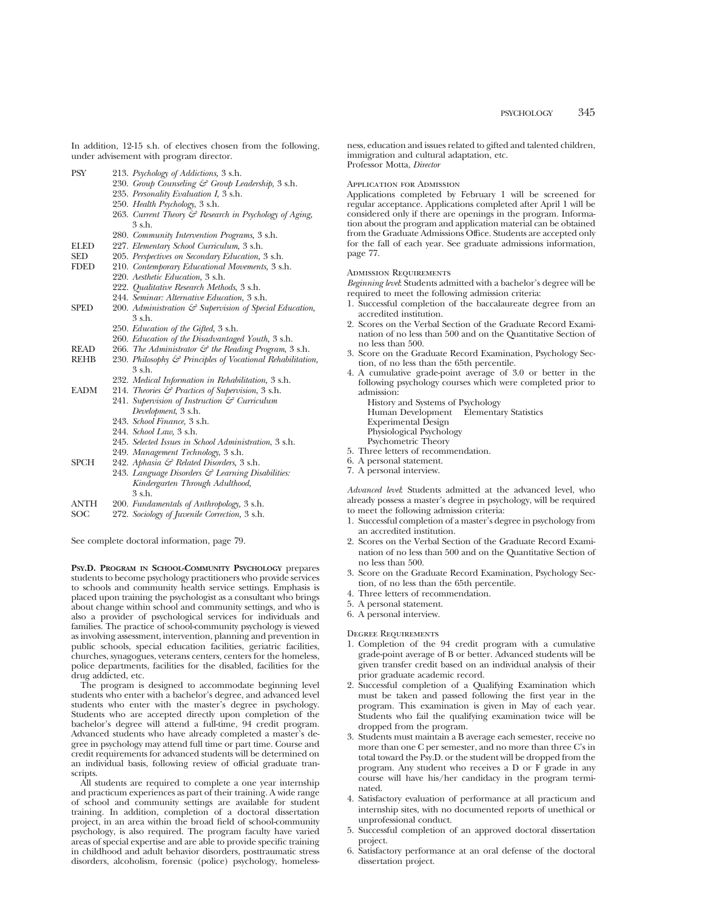In addition, 12-15 s.h. of electives chosen from the following, under advisement with program director.

| PSY  | 213. Psychology of Addictions, 3 s.h.                               |
|------|---------------------------------------------------------------------|
|      | 230. Group Counseling & Group Leadership, 3 s.h.                    |
|      | 235. Personality Evaluation I, 3 s.h.                               |
|      | 250. Health Psychology, 3 s.h.                                      |
|      | 263. Current Theory & Research in Psychology of Aging,<br>3 s.h.    |
|      | 280. Community Intervention Programs, 3 s.h.                        |
| ELED | 227. Elementary School Curriculum, 3 s.h.                           |
| SED  | 205. Perspectives on Secondary Education, 3 s.h.                    |
| FDED | 210. Contemporary Educational Movements, 3 s.h.                     |
|      | 220. Aesthetic Education, 3 s.h.                                    |
|      | 222. Qualitative Research Methods, 3 s.h.                           |
|      | 244. Seminar: Alternative Education, 3 s.h.                         |
| SPED | 200. Administration $\mathcal{C}$ Supervision of Special Education, |
|      | 3 s.h.                                                              |
|      | 250. <i>Education of the Gifted</i> , 3 s.h.                        |
|      | 260. Education of the Disadvantaged Youth, 3 s.h.                   |
| READ | 266. The Administrator $\mathcal{C}$ the Reading Program, 3 s.h.    |
| REHB | 230. Philosophy & Principles of Vocational Rehabilitation,          |
|      | 3 s.h.                                                              |
|      | 232. Medical Information in Rehabilitation, 3 s.h.                  |
| EADM | 214. Theories $\mathcal G$ Practices of Supervision, 3 s.h.         |
|      | 241. Supervision of Instruction & Curriculum                        |
|      | Development, 3 s.h.                                                 |
|      | 243. School Finance, 3 s.h.                                         |
|      | 244. School Law, 3 s.h.                                             |
|      | 245. Selected Issues in School Administration, 3 s.h.               |
|      | 249. Management Technology, 3 s.h.                                  |
| SPCH | 242. Aphasia & Related Disorders, 3 s.h.                            |
|      | 942 Language Disordars for Leapning Dischibities.                   |

243. *Language Disorders & Learning Disabilities: Kindergarten Through Adulthood,* 3 s.h.

- ANTH 200. *Fundamentals of Anthropology,* 3 s.h.
- SOC 272. *Sociology of Juvenile Correction,* 3 s.h.

See complete doctoral information, page 79.

**PSY.D. PROGRAM IN SCHOOL-COMMUNITY PSYCHOLOGY** prepares students to become psychology practitioners who provide services to schools and community health service settings. Emphasis is placed upon training the psychologist as a consultant who brings about change within school and community settings, and who is also a provider of psychological services for individuals and families. The practice of school-community psychology is viewed as involving assessment, intervention, planning and prevention in public schools, special education facilities, geriatric facilities, churches, synagogues, veterans centers, centers for the homeless, police departments, facilities for the disabled, facilities for the drug addicted, etc.

The program is designed to accommodate beginning level students who enter with a bachelor's degree, and advanced level students who enter with the master's degree in psychology. Students who are accepted directly upon completion of the bachelor's degree will attend a full-time, 94 credit program. Advanced students who have already completed a master's degree in psychology may attend full time or part time. Course and credit requirements for advanced students will be determined on an individual basis, following review of official graduate transcripts.

All students are required to complete a one year internship and practicum experiences as part of their training. A wide range of school and community settings are available for student training. In addition, completion of a doctoral dissertation project, in an area within the broad field of school-community psychology, is also required. The program faculty have varied areas of special expertise and are able to provide specific training in childhood and adult behavior disorders, posttraumatic stress disorders, alcoholism, forensic (police) psychology, homelessness, education and issues related to gifted and talented children, immigration and cultural adaptation, etc. Professor Motta, *Director*

#### Application for Admission

Applications completed by February 1 will be screened for regular acceptance. Applications completed after April 1 will be considered only if there are openings in the program. Information about the program and application material can be obtained from the Graduate Admissions Office. Students are accepted only for the fall of each year. See graduate admissions information, page 77.

### Admission Requirements

*Beginning level*: Students admitted with a bachelor's degree will be required to meet the following admission criteria:

- 1. Successful completion of the baccalaureate degree from an accredited institution.
- 2. Scores on the Verbal Section of the Graduate Record Examination of no less than 500 and on the Quantitative Section of no less than 500.
- 3. Score on the Graduate Record Examination, Psychology Section, of no less than the 65th percentile.
- 4. A cumulative grade-point average of 3.0 or better in the following psychology courses which were completed prior to admission:

History and Systems of Psychology Human Development Elementary Statistics

- Experimental Design
- Physiological Psychology Psychometric Theory
- 5. Three letters of recommendation.
- 6. A personal statement.
- 7. A personal interview.

*Advanced level*: Students admitted at the advanced level, who already possess a master's degree in psychology, will be required to meet the following admission criteria:

- 1. Successful completion of a master's degree in psychology from an accredited institution.
- 2. Scores on the Verbal Section of the Graduate Record Examination of no less than 500 and on the Quantitative Section of no less than 500.
- 3. Score on the Graduate Record Examination, Psychology Section, of no less than the 65th percentile.
- 4. Three letters of recommendation.
- 5. A personal statement.
- 6. A personal interview.

Degree Requirements

- 1. Completion of the 94 credit program with a cumulative grade-point average of B or better. Advanced students will be given transfer credit based on an individual analysis of their prior graduate academic record.
- 2. Successful completion of a Qualifying Examination which must be taken and passed following the first year in the program. This examination is given in May of each year. Students who fail the qualifying examination twice will be dropped from the program.
- 3. Students must maintain a B average each semester, receive no more than one C per semester, and no more than three C's in total toward the Psy.D. or the student will be dropped from the program. Any student who receives a D or F grade in any course will have his/her candidacy in the program terminated.
- 4. Satisfactory evaluation of performance at all practicum and internship sites, with no documented reports of unethical or unprofessional conduct.
- 5. Successful completion of an approved doctoral dissertation project.
- 6. Satisfactory performance at an oral defense of the doctoral dissertation project.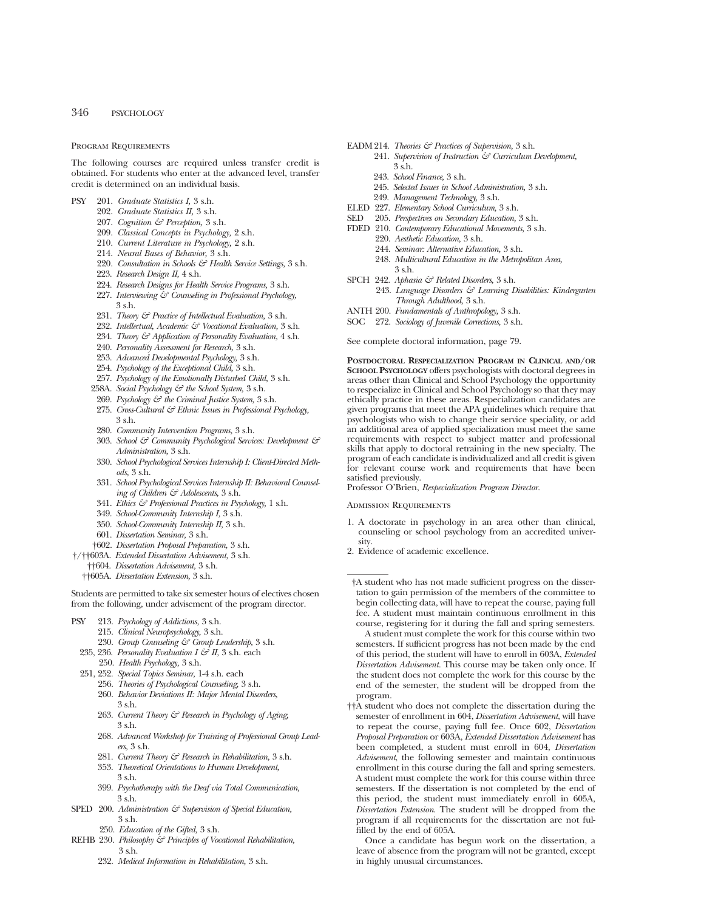#### Program Requirements

The following courses are required unless transfer credit is obtained. For students who enter at the advanced level, transfer credit is determined on an individual basis.

- PSY 201. *Graduate Statistics I,* 3 s.h.
	- 202. *Graduate Statistics II,* 3 s.h.
	- 207. *Cognition & Perception,* 3 s.h.
	- 209. *Classical Concepts in Psychology,* 2 s.h.
	- 210. *Current Literature in Psychology,* 2 s.h.
	- 214. *Neural Bases of Behavior,* 3 s.h.
	- 220. *Consultation in Schools & Health Service Settings,* 3 s.h.
	- 223. *Research Design II,* 4 s.h.
	- 224. *Research Designs for Health Service Programs,* 3 s.h.
	- 227. *Interviewing & Counseling in Professional Psychology,* 3 s.h.
	- 231. *Theory & Practice of Intellectual Evaluation,* 3 s.h.
	- 232. *Intellectual, Academic & Vocational Evaluation,* 3 s.h.
	- 234. *Theory & Application of Personality Evaluation,* 4 s.h.
	- 240. *Personality Assessment for Research,* 3 s.h.
	- 253. *Advanced Developmental Psychology,* 3 s.h.
	- 254. *Psychology of the Exceptional Child,* 3 s.h.
	- 257. *Psychology of the Emotionally Disturbed Child,* 3 s.h.
	- 258A. *Social Psychology & the School System,* 3 s.h.
	- 269. *Psychology & the Criminal Justice System,* 3 s.h.
	- 275. *Cross-Cultural & Ethnic Issues in Professional Psychology,* 3 s.h.
	- 280. *Community Intervention Programs,* 3 s.h.
	- 303. *School & Community Psychological Services: Development & Administration,* 3 s.h.
	- 330. *School Psychological Services Internship I: Client-Directed Methods,* 3 s.h.
	- 331. *School Psychological Services Internship II: Behavioral Counseling of Children & Adolescents,* 3 s.h.
	- 341. *Ethics & Professional Practices in Psychology,* 1 s.h.
	- 349. *School-Community Internship I,* 3 s.h.
	- 350. *School-Community Internship II,* 3 s.h.
	- 601. *Dissertation Seminar,* 3 s.h.
	- †602. *Dissertation Proposal Preparation,* 3 s.h.
- †/††603A. *Extended Dissertation Advisement,* 3 s.h.
	- ††604. *Dissertation Advisement,* 3 s.h.
	- ††605A. *Dissertation Extension,* 3 s.h.

Students are permitted to take six semester hours of electives chosen from the following, under advisement of the program director.

- PSY 213. *Psychology of Addictions,* 3 s.h.
	- 215. *Clinical Neuropsychology,* 3 s.h.
	- 230. *Group Counseling & Group Leadership,* 3 s.h.
	- 235, 236. *Personality Evaluation I & II,* 3 s.h. each
		- 250. *Health Psychology,* 3 s.h.
	- 251, 252. *Special Topics Seminar,* 1-4 s.h. each
		- 256. *Theories of Psychological Counseling,* 3 s.h.
		- 260. *Behavior Deviations II: Major Mental Disorders,* 3 s.h.
		- 263. *Current Theory & Research in Psychology of Aging,* 3 s.h.
		- 268. *Advanced Workshop for Training of Professional Group Leaders,* 3 s.h.
		- 281. *Current Theory & Research in Rehabilitation,* 3 s.h.
		- 353. *Theoretical Orientations to Human Development,* 3 s.h.
		- 399. *Psychotherapy with the Deaf via Total Communication,* 3 s.h.
- SPED 200. Administration  $\mathcal{S}$  Supervision of Special Education, 3 s.h.
	- 250. *Education of the Gifted,* 3 s.h.
- REHB 230. *Philosophy & Principles of Vocational Rehabilitation,* 3 s.h.
	- 232. *Medical Information in Rehabilitation,* 3 s.h.
- EADM 214. *Theories & Practices of Supervision,* 3 s.h.
	- 241. *Supervision of Instruction & Curriculum Development,* 3 s.h.
		- 243. *School Finance,* 3 s.h.
		- 245. *Selected Issues in School Administration,* 3 s.h.
- 249. *Management Technology,* 3 s.h.
- ELED 227. *Elementary School Curriculum,* 3 s.h.
- SED 205. *Perspectives on Secondary Education,* 3 s.h.
- FDED 210. *Contemporary Educational Movements,* 3 s.h.
	- 220. *Aesthetic Education,* 3 s.h.
	- 244. *Seminar: Alternative Education,* 3 s.h.
	- 248. *Multicultural Education in the Metropolitan Area,* 3 s.h.
- SPCH 242. *Aphasia & Related Disorders,* 3 s.h.
	- 243. *Language Disorders & Learning Disabilities: Kindergarten Through Adulthood,* 3 s.h.
- ANTH 200. *Fundamentals of Anthropology,* 3 s.h.
- SOC 272. *Sociology of Juvenile Corrections,* 3 s.h.

See complete doctoral information, page 79.

**POSTDOCTORAL RESPECIALIZATION PROGRAM IN CLINICAL AND/OR SCHOOL PSYCHOLOGY** offers psychologists with doctoral degrees in areas other than Clinical and School Psychology the opportunity to respecialize in Clinical and School Psychology so that they may ethically practice in these areas. Respecialization candidates are given programs that meet the APA guidelines which require that psychologists who wish to change their service speciality, or add an additional area of applied specialization must meet the same requirements with respect to subject matter and professional skills that apply to doctoral retraining in the new specialty. The program of each candidate is individualized and all credit is given for relevant course work and requirements that have been satisfied previously.

Professor O'Brien, *Respecialization Program Director.*

Admission Requirements

- 1. A doctorate in psychology in an area other than clinical, counseling or school psychology from an accredited university.
- 2. Evidence of academic excellence.

†A student who has not made sufficient progress on the dissertation to gain permission of the members of the committee to begin collecting data, will have to repeat the course, paying full fee. A student must maintain continuous enrollment in this course, registering for it during the fall and spring semesters.

A student must complete the work for this course within two semesters. If sufficient progress has not been made by the end of this period, the student will have to enroll in 603A, *Extended Dissertation Advisement.* This course may be taken only once. If the student does not complete the work for this course by the end of the semester, the student will be dropped from the program.

††A student who does not complete the dissertation during the semester of enrollment in 604, *Dissertation Advisement*, will have to repeat the course, paying full fee. Once 602, *Dissertation Proposal Preparation* or 603A, *Extended Dissertation Advisement* has been completed, a student must enroll in 604, *Dissertation Advisement*, the following semester and maintain continuous enrollment in this course during the fall and spring semesters. A student must complete the work for this course within three semesters. If the dissertation is not completed by the end of this period, the student must immediately enroll in 605A, *Dissertation Extension*. The student will be dropped from the program if all requirements for the dissertation are not fulfilled by the end of 605A.

Once a candidate has begun work on the dissertation, a leave of absence from the program will not be granted, except in highly unusual circumstances.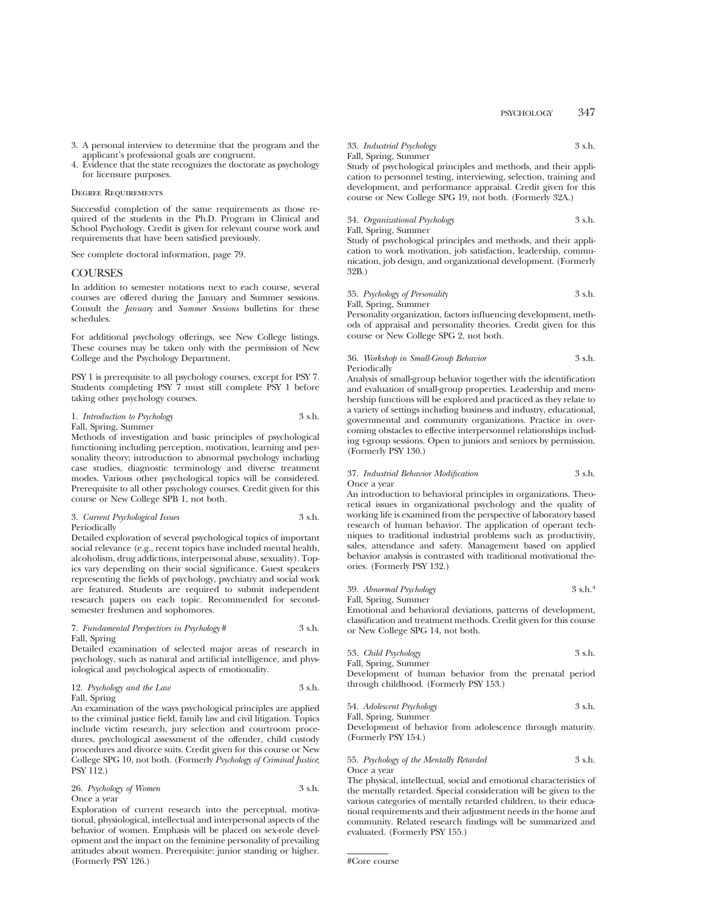- 3. A personal interview to determine that the program and the applicant's professional goals are congruent.
- 4. Evidence that the state recognizes the doctorate as psychology for licensure purposes.

#### Degree Requirements

Successful completion of the same requirements as those required of the students in the Ph.D. Program in Clinical and School Psychology. Credit is given for relevant course work and requirements that have been satisfied previously.

See complete doctoral information, page 79.

## **COURSES**

In addition to semester notations next to each course, several courses are offered during the January and Summer sessions. Consult the *January* and *Summer Sessions* bulletins for these schedules.

For additional psychology offerings, see New College listings. These courses may be taken only with the permission of New College and the Psychology Department.

PSY 1 is prerequisite to all psychology courses, except for PSY 7. Students completing PSY 7 must still complete PSY 1 before taking other psychology courses.

#### 1. *Introduction to Psychology* 3 s.h. Fall, Spring, Summer

Methods of investigation and basic principles of psychological functioning including perception, motivation, learning and personality theory; introduction to abnormal psychology including case studies, diagnostic terminology and diverse treatment modes. Various other psychological topics will be considered. Prerequisite to all other psychology courses. Credit given for this course or New College SPB 1, not both.

#### 3. *Current Psychological Issues* 3 s.h. Periodically

Detailed exploration of several psychological topics of important social relevance (e.g., recent topics have included mental health, alcoholism, drug addictions, interpersonal abuse, sexuality). Topics vary depending on their social significance. Guest speakers representing the fields of psychology, psychiatry and social work are featured. Students are required to submit independent research papers on each topic. Recommended for secondsemester freshmen and sophomores.

#### 7. *Fundamental Perspectives in Psychology* # 3 s.h. Fall, Spring

Detailed examination of selected major areas of research in psychology, such as natural and artificial intelligence, and physiological and psychological aspects of emotionality.

|              | 12. Psychology and the Law | 3 s.h. |
|--------------|----------------------------|--------|
| Fall, Spring |                            |        |

An examination of the ways psychological principles are applied to the criminal justice field, family law and civil litigation. Topics include victim research, jury selection and courtroom procedures, psychological assessment of the offender, child custody procedures and divorce suits. Credit given for this course or New College SPG 10, not both. (Formerly *Psychology of Criminal Justice*; PSY 112.)

| 26. Psychology of Women | 3 s.h. |
|-------------------------|--------|
| Once a year             |        |

Exploration of current research into the perceptual, motivational, physiological, intellectual and interpersonal aspects of the behavior of women. Emphasis will be placed on sex-role development and the impact on the feminine personality of prevailing attitudes about women. Prerequisite: junior standing or higher. (Formerly PSY 126.)

# 33. *Industrial Psychology* 3 s.h.

## Fall, Spring, Summer

Study of psychological principles and methods, and their application to personnel testing, interviewing, selection, training and development, and performance appraisal. Credit given for this course or New College SPG 19, not both. (Formerly 32A.)

#### 34. *Organizational Psychology* 3 s.h. Fall, Spring, Summer

Study of psychological principles and methods, and their application to work motivation, job satisfaction, leadership, communication, job design, and organizational development. (Formerly 32B.)

#### 35. *Psychology of Personality* 3 s.h. Fall, Spring, Summer

Personality organization, factors influencing development, methods of appraisal and personality theories. Credit given for this course or New College SPG 2, not both.

#### 36. *Workshop in Small-Group Behavior* 3 s.h. Periodically

Analysis of small-group behavior together with the identification and evaluation of small-group properties. Leadership and membership functions will be explored and practiced as they relate to a variety of settings including business and industry, educational, governmental and community organizations. Practice in overcoming obstacles to effective interpersonnel relationships including t-group sessions. Open to juniors and seniors by permission. (Formerly PSY 130.)

# 37. *Industrial Behavior Modification* 3 s.h.

Once a year

An introduction to behavioral principles in organizations. Theoretical issues in organizational psychology and the quality of working life is examined from the perspective of laboratory based research of human behavior. The application of operant techniques to traditional industrial problems such as productivity, sales, attendance and safety. Management based on applied behavior analysis is contrasted with traditional motivational theories. (Formerly PSY 132.)

39. *Abnormal Psychology* 3 s.h.4

Fall, Spring, Summer Emotional and behavioral deviations, patterns of development, classification and treatment methods. Credit given for this course or New College SPG 14, not both.

| 53. Child Psychology | 3 s.h. |
|----------------------|--------|
|                      |        |

Fall, Spring, Summer Development of human behavior from the prenatal period through childhood. (Formerly PSY 153.)

54. *Adolescent Psychology* 3 s.h.

Fall, Spring, Summer Development of behavior from adolescence through maturity. (Formerly PSY 154.)

55. *Psychology of the Mentally Retarded* 3 s.h. Once a year

The physical, intellectual, social and emotional characteristics of the mentally retarded. Special consideration will be given to the various categories of mentally retarded children, to their educational requirements and their adjustment needs in the home and community. Related research findings will be summarized and evaluated. (Formerly PSY 155.)

<sup>#</sup>Core course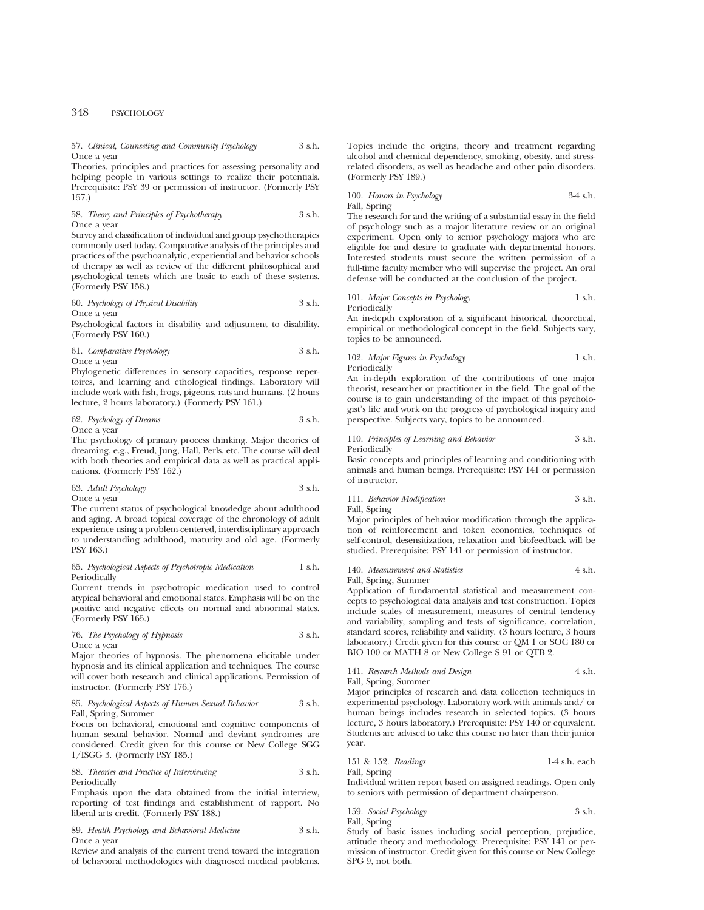#### 57. *Clinical, Counseling and Community Psychology* 3 s.h. Once a year

Theories, principles and practices for assessing personality and helping people in various settings to realize their potentials. Prerequisite: PSY 39 or permission of instructor. (Formerly PSY 157.)

#### 58. *Theory and Principles of Psychotherapy* 3 s.h. Once a year

Survey and classification of individual and group psychotherapies commonly used today. Comparative analysis of the principles and practices of the psychoanalytic, experiential and behavior schools of therapy as well as review of the different philosophical and psychological tenets which are basic to each of these systems. (Formerly PSY 158.)

#### 60. *Psychology of Physical Disability* 3 s.h. Once a year

Psychological factors in disability and adjustment to disability. (Formerly PSY 160.)

### 61. *Comparative Psychology* 3 s.h. Once a year

Phylogenetic differences in sensory capacities, response repertoires, and learning and ethological findings. Laboratory will include work with fish, frogs, pigeons, rats and humans. (2 hours lecture, 2 hours laboratory.) (Formerly PSY 161.)

#### 62. *Psychology of Dreams* 3 s.h. Once a year

The psychology of primary process thinking. Major theories of dreaming, e.g., Freud, Jung, Hall, Perls, etc. The course will deal with both theories and empirical data as well as practical applications. (Formerly PSY 162.)

#### 63. *Adult Psychology* 3 s.h. Once a year

The current status of psychological knowledge about adulthood and aging. A broad topical coverage of the chronology of adult experience using a problem-centered, interdisciplinary approach to understanding adulthood, maturity and old age. (Formerly PSY 163.)

#### 65. *Psychological Aspects of Psychotropic Medication* 1 s.h. Periodically

Current trends in psychotropic medication used to control atypical behavioral and emotional states. Emphasis will be on the positive and negative effects on normal and abnormal states. (Formerly PSY 165.)

# 76. *The Psychology of Hypnosis* 3 s.h. Once a year

Major theories of hypnosis. The phenomena elicitable under hypnosis and its clinical application and techniques. The course will cover both research and clinical applications. Permission of instructor. (Formerly PSY 176.)

#### 85. *Psychological Aspects of Human Sexual Behavior* 3 s.h. Fall, Spring, Summer

Focus on behavioral, emotional and cognitive components of human sexual behavior. Normal and deviant syndromes are considered. Credit given for this course or New College SGG 1/ISGG 3. (Formerly PSY 185.)

#### 88. *Theories and Practice of Interviewing* 3 s.h. Periodically

Emphasis upon the data obtained from the initial interview, reporting of test findings and establishment of rapport. No liberal arts credit. (Formerly PSY 188.)

89. *Health Psychology and Behavioral Medicine* 3 s.h. Once a year

Review and analysis of the current trend toward the integration of behavioral methodologies with diagnosed medical problems. Topics include the origins, theory and treatment regarding alcohol and chemical dependency, smoking, obesity, and stressrelated disorders, as well as headache and other pain disorders. (Formerly PSY 189.)

100. *Honors in Psychology* 3-4 s.h. Fall, Spring

The research for and the writing of a substantial essay in the field of psychology such as a major literature review or an original experiment. Open only to senior psychology majors who are eligible for and desire to graduate with departmental honors. Interested students must secure the written permission of a full-time faculty member who will supervise the project. An oral defense will be conducted at the conclusion of the project.

#### 101. *Major Concepts in Psychology* 1 s.h. Periodically

An in-depth exploration of a significant historical, theoretical, empirical or methodological concept in the field. Subjects vary, topics to be announced.

#### 102. *Major Figures in Psychology* 1 s.h. Periodically

An in-depth exploration of the contributions of one major theorist, researcher or practitioner in the field. The goal of the course is to gain understanding of the impact of this psychologist's life and work on the progress of psychological inquiry and perspective. Subjects vary, topics to be announced.

# 110. *Principles of Learning and Behavior* 3 s.h.

Periodically

Basic concepts and principles of learning and conditioning with animals and human beings. Prerequisite: PSY 141 or permission of instructor.

# 111. *Behavior Modification* 3 s.h.

Fall, Spring

Major principles of behavior modification through the application of reinforcement and token economies, techniques of self-control, desensitization, relaxation and biofeedback will be studied. Prerequisite: PSY 141 or permission of instructor.

#### 140. *Measurement and Statistics* 4 s.h. Fall, Spring, Summer

Application of fundamental statistical and measurement concepts to psychological data analysis and test construction. Topics include scales of measurement, measures of central tendency and variability, sampling and tests of significance, correlation, standard scores, reliability and validity. (3 hours lecture, 3 hours laboratory.) Credit given for this course or QM 1 or SOC 180 or BIO 100 or MATH 8 or New College S 91 or QTB 2.

# 141. *Research Methods and Design* 4 s.h.

Fall, Spring, Summer

Major principles of research and data collection techniques in experimental psychology. Laboratory work with animals and/ or human beings includes research in selected topics. (3 hours lecture, 3 hours laboratory.) Prerequisite: PSY 140 or equivalent. Students are advised to take this course no later than their junior year.

151 & 152. *Readings* 1-4 s.h. each

Fall, Spring

Individual written report based on assigned readings. Open only to seniors with permission of department chairperson.

# 159. *Social Psychology* 3 s.h. Fall, Spring

Study of basic issues including social perception, prejudice, attitude theory and methodology. Prerequisite: PSY 141 or permission of instructor. Credit given for this course or New College SPG 9, not both.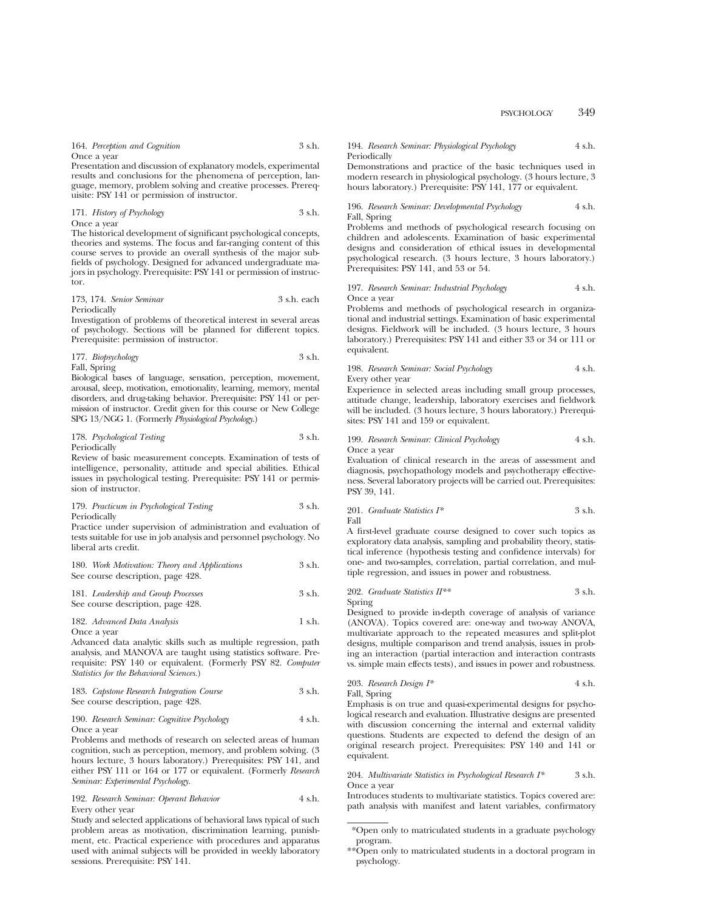164. *Perception and Cognition* 3 s.h. Once a year

Presentation and discussion of explanatory models, experimental results and conclusions for the phenomena of perception, language, memory, problem solving and creative processes. Prerequisite: PSY 141 or permission of instructor.

| 171. History of Psychology | 3 s.h. |
|----------------------------|--------|
| Once a vear                |        |

The historical development of significant psychological concepts, theories and systems. The focus and far-ranging content of this course serves to provide an overall synthesis of the major subfields of psychology. Designed for advanced undergraduate majors in psychology. Prerequisite: PSY 141 or permission of instructor.

#### 173, 174. *Senior Seminar* 3 s.h. each Periodically

Investigation of problems of theoretical interest in several areas of psychology. Sections will be planned for different topics. Prerequisite: permission of instructor.

177. *Biopsychology* 3 s.h. Fall, Spring

Biological bases of language, sensation, perception, movement, arousal, sleep, motivation, emotionality, learning, memory, mental disorders, and drug-taking behavior. Prerequisite: PSY 141 or permission of instructor. Credit given for this course or New College SPG 13/NGG 1. (Formerly *Physiological Psychology*.)

178. *Psychological Testing* 3 s.h. Periodically

Review of basic measurement concepts. Examination of tests of intelligence, personality, attitude and special abilities. Ethical issues in psychological testing. Prerequisite: PSY 141 or permission of instructor.

179. *Practicum in Psychological Testing* 3 s.h. Periodically

Practice under supervision of administration and evaluation of tests suitable for use in job analysis and personnel psychology. No liberal arts credit.

| 180. Work Motivation: Theory and Applications | 3 s.h. |
|-----------------------------------------------|--------|
| See course description, page 428.             |        |

```
181. Leadership and Group Processes 3 s.h.
See course description, page 428.
```
#### 182. *Advanced Data Analysis* 1 s.h. Once a year

Advanced data analytic skills such as multiple regression, path analysis, and MANOVA are taught using statistics software. Prerequisite: PSY 140 or equivalent. (Formerly PSY 82. *Computer Statistics for the Behavioral Sciences.*)

#### 183. *Capstone Research Integration Course* 3 s.h. See course description, page 428.

#### 190. *Research Seminar: Cognitive Psychology* 4 s.h. Once a year

Problems and methods of research on selected areas of human cognition, such as perception, memory, and problem solving. (3 hours lecture, 3 hours laboratory.) Prerequisites: PSY 141, and either PSY 111 or 164 or 177 or equivalent. (Formerly *Research Seminar: Experimental Psychology.*

#### 192. *Research Seminar: Operant Behavior* 4 s.h. Every other year

Study and selected applications of behavioral laws typical of such problem areas as motivation, discrimination learning, punishment, etc. Practical experience with procedures and apparatus used with animal subjects will be provided in weekly laboratory sessions. Prerequisite: PSY 141.

#### 194. *Research Seminar: Physiological Psychology* 4 s.h. Periodically

Demonstrations and practice of the basic techniques used in modern research in physiological psychology. (3 hours lecture, 3 hours laboratory.) Prerequisite: PSY 141, 177 or equivalent.

#### 196. *Research Seminar: Developmental Psychology* 4 s.h. Fall, Spring

Problems and methods of psychological research focusing on children and adolescents. Examination of basic experimental designs and consideration of ethical issues in developmental psychological research. (3 hours lecture, 3 hours laboratory.) Prerequisites: PSY 141, and 53 or 54.

#### 197. *Research Seminar: Industrial Psychology* 4 s.h. Once a year

Problems and methods of psychological research in organizational and industrial settings. Examination of basic experimental designs. Fieldwork will be included. (3 hours lecture, 3 hours laboratory.) Prerequisites: PSY 141 and either 33 or 34 or 111 or equivalent.

# 198. *Research Seminar: Social Psychology* 4 s.h.

Every other year

Experience in selected areas including small group processes, attitude change, leadership, laboratory exercises and fieldwork will be included. (3 hours lecture, 3 hours laboratory.) Prerequisites: PSY 141 and 159 or equivalent.

# 199. *Research Seminar: Clinical Psychology* 4 s.h.

Once a year

Evaluation of clinical research in the areas of assessment and diagnosis, psychopathology models and psychotherapy effectiveness. Several laboratory projects will be carried out. Prerequisites: PSY 39, 141.

#### 201. *Graduate Statistics I\** 3 s.h. Fall

A first-level graduate course designed to cover such topics as exploratory data analysis, sampling and probability theory, statistical inference (hypothesis testing and confidence intervals) for one- and two-samples, correlation, partial correlation, and multiple regression, and issues in power and robustness.

202. *Graduate Statistics II*<sup>\*\*</sup> 
$$
3 \text{ s.h.}
$$
 Spring

Designed to provide in-depth coverage of analysis of variance (ANOVA). Topics covered are: one-way and two-way ANOVA, multivariate approach to the repeated measures and split-plot designs, multiple comparison and trend analysis, issues in probing an interaction (partial interaction and interaction contrasts vs. simple main effects tests), and issues in power and robustness.

203. *Research Design I\** 4 s.h. Fall, Spring

Emphasis is on true and quasi-experimental designs for psychological research and evaluation. Illustrative designs are presented with discussion concerning the internal and external validity questions. Students are expected to defend the design of an original research project. Prerequisites: PSY 140 and 141 or equivalent.

#### 204. *Multivariate Statistics in Psychological Research I\** 3 s.h. Once a year

Introduces students to multivariate statistics. Topics covered are: path analysis with manifest and latent variables, confirmatory

<sup>\*</sup>Open only to matriculated students in a graduate psychology program.

<sup>\*\*</sup>Open only to matriculated students in a doctoral program in psychology.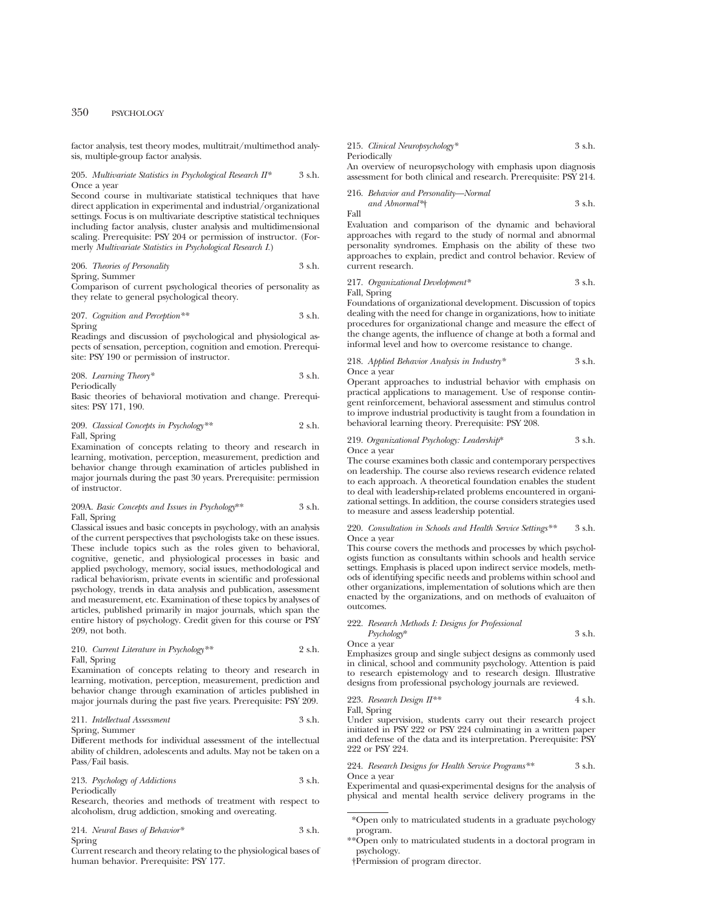factor analysis, test theory modes, multitrait/multimethod analysis, multiple-group factor analysis.

#### 205. *Multivariate Statistics in Psychological Research II\** 3 s.h. Once a year

Second course in multivariate statistical techniques that have direct application in experimental and industrial/organizational settings. Focus is on multivariate descriptive statistical techniques including factor analysis, cluster analysis and multidimensional scaling. Prerequisite: PSY 204 or permission of instructor. (Formerly *Multivariate Statistics in Psychological Research I.*)

206. *Theories of Personality* 3 s.h. Spring, Summer

Comparison of current psychological theories of personality as they relate to general psychological theory.

207. *Cognition and Perception\*\** 3 s.h. Spring

Readings and discussion of psychological and physiological aspects of sensation, perception, cognition and emotion. Prerequisite: PSY 190 or permission of instructor.

208. *Learning Theory\** 3 s.h. Periodically

Basic theories of behavioral motivation and change. Prerequisites: PSY 171, 190.

209. *Classical Concepts in Psychology\*\** 2 s.h. Fall, Spring

Examination of concepts relating to theory and research in learning, motivation, perception, measurement, prediction and behavior change through examination of articles published in major journals during the past 30 years. Prerequisite: permission of instructor.

#### 209A. *Basic Concepts and Issues in Psychology*\*\* 3 s.h. Fall, Spring

Classical issues and basic concepts in psychology, with an analysis of the current perspectives that psychologists take on these issues. These include topics such as the roles given to behavioral, cognitive, genetic, and physiological processes in basic and applied psychology, memory, social issues, methodological and radical behaviorism, private events in scientific and professional psychology, trends in data analysis and publication, assessment and measurement, etc. Examination of these topics by analyses of articles, published primarily in major journals, which span the entire history of psychology. Credit given for this course or PSY 209, not both.

210. *Current Literature in Psychology\*\** 2 s.h. Fall, Spring

Examination of concepts relating to theory and research in learning, motivation, perception, measurement, prediction and behavior change through examination of articles published in major journals during the past five years. Prerequisite: PSY 209.

211. *Intellectual Assessment* 3 s.h.

Spring, Summer

Different methods for individual assessment of the intellectual ability of children, adolescents and adults. May not be taken on a Pass/Fail basis.

213. *Psychology of Addictions* 3 s.h. Periodically

Research, theories and methods of treatment with respect to alcoholism, drug addiction, smoking and overeating.

214. *Neural Bases of Behavior\** 3 s.h. Spring

Current research and theory relating to the physiological bases of human behavior. Prerequisite: PSY 177.

215. *Clinical Neuropsychology\** 3 s.h. Periodically

An overview of neuropsychology with emphasis upon diagnosis assessment for both clinical and research. Prerequisite: PSY 214.

#### 216. *Behavior and Personality—Normal*

$$
and Abnormal3+
$$
 3 s.h.

Evaluation and comparison of the dynamic and behavioral approaches with regard to the study of normal and abnormal personality syndromes. Emphasis on the ability of these two approaches to explain, predict and control behavior. Review of current research.

#### 217. *Organizational Development\** 3 s.h. Fall, Spring

Foundations of organizational development. Discussion of topics dealing with the need for change in organizations, how to initiate procedures for organizational change and measure the effect of the change agents, the influence of change at both a formal and informal level and how to overcome resistance to change.

#### 218. *Applied Behavior Analysis in Industry\** 3 s.h. Once a year

Operant approaches to industrial behavior with emphasis on practical applications to management. Use of response contingent reinforcement, behavioral assessment and stimulus control to improve industrial productivity is taught from a foundation in behavioral learning theory. Prerequisite: PSY 208.

# 219. *Organizational Psychology: Leadership*\* 3 s.h.

Once a year

Fall

The course examines both classic and contemporary perspectives on leadership. The course also reviews research evidence related to each approach. A theoretical foundation enables the student to deal with leadership-related problems encountered in organizational settings. In addition, the course considers strategies used to measure and assess leadership potential.

220. *Consultation in Schools and Health Service Settings\*\** 3 s.h. Once a year

This course covers the methods and processes by which psychologists function as consultants within schools and health service settings. Emphasis is placed upon indirect service models, methods of identifying specific needs and problems within school and other organizations, implementation of solutions which are then enacted by the organizations, and on methods of evaluaiton of outcomes.

#### 222. *Research Methods I: Designs for Professional*

*Psychology*\* 3 s.h. Once a year

Emphasizes group and single subject designs as commonly used in clinical, school and community psychology. Attention is paid to research epistemology and to research design. Illustrative designs from professional psychology journals are reviewed.

223. *Research Design II\*\** 4 s.h. Fall, Spring

Under supervision, students carry out their research project initiated in PSY 222 or PSY 224 culminating in a written paper and defense of the data and its interpretation. Prerequisite: PSY 222 or PSY 224.

224. *Research Designs for Health Service Programs\**\* 3 s.h. Once a year

Experimental and quasi-experimental designs for the analysis of physical and mental health service delivery programs in the

- \*\*Open only to matriculated students in a doctoral program in psychology.
- †Permission of program director.

<sup>\*</sup>Open only to matriculated students in a graduate psychology program.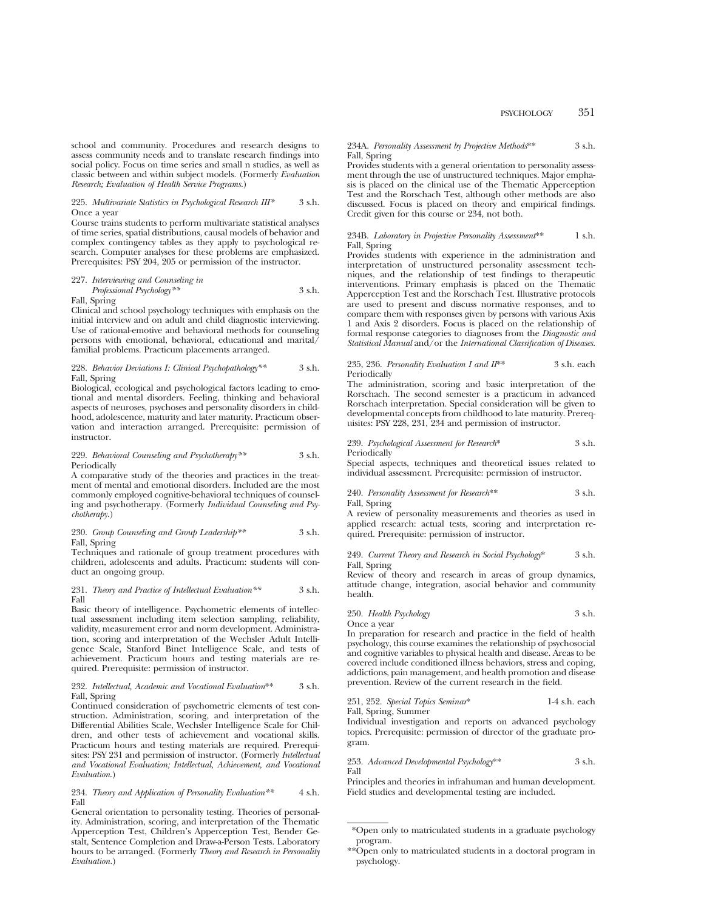school and community. Procedures and research designs to assess community needs and to translate research findings into social policy. Focus on time series and small n studies, as well as classic between and within subject models. (Formerly *Evaluation Research; Evaluation of Health Service Programs.*)

#### 225. *Multivariate Statistics in Psychological Research III\** 3 s.h. Once a year

Course trains students to perform multivariate statistical analyses of time series, spatial distributions, causal models of behavior and complex contingency tables as they apply to psychological research. Computer analyses for these problems are emphasized. Prerequisites: PSY 204, 205 or permission of the instructor.

227. *Interviewing and Counseling in Professional Psychology\*\** 3 s.h.

Fall, Spring

Clinical and school psychology techniques with emphasis on the initial interview and on adult and child diagnostic interviewing. Use of rational-emotive and behavioral methods for counseling persons with emotional, behavioral, educational and marital $\bar{a}$ familial problems. Practicum placements arranged.

### 228. *Behavior Deviations I: Clinical Psychopathology\*\** 3 s.h. Fall, Spring

Biological, ecological and psychological factors leading to emotional and mental disorders. Feeling, thinking and behavioral aspects of neuroses, psychoses and personality disorders in childhood, adolescence, maturity and later maturity. Practicum observation and interaction arranged. Prerequisite: permission of instructor.

#### 229. *Behavioral Counseling and Psychotherapy\*\** 3 s.h. Periodically

A comparative study of the theories and practices in the treatment of mental and emotional disorders. Included are the most commonly employed cognitive-behavioral techniques of counseling and psychotherapy. (Formerly *Individual Counseling and Psychotherapy.*)

#### 230. *Group Counseling and Group Leadership\*\** 3 s.h. Fall, Spring

Techniques and rationale of group treatment procedures with children, adolescents and adults. Practicum: students will conduct an ongoing group.

#### 231. *Theory and Practice of Intellectual Evaluation\*\** 3 s.h. Fall

Basic theory of intelligence. Psychometric elements of intellectual assessment including item selection sampling, reliability, validity, measurement error and norm development. Administration, scoring and interpretation of the Wechsler Adult Intelligence Scale, Stanford Binet Intelligence Scale, and tests of achievement. Practicum hours and testing materials are required. Prerequisite: permission of instructor.

#### 232. *Intellectual, Academic and Vocational Evaluation*\*\* 3 s.h. Fall, Spring

Continued consideration of psychometric elements of test construction. Administration, scoring, and interpretation of the Differential Abilities Scale, Wechsler Intelligence Scale for Children, and other tests of achievement and vocational skills. Practicum hours and testing materials are required. Prerequisites: PSY 231 and permission of instructor. (Formerly *Intellectual and Vocational Evaluation; Intellectual, Achievement, and Vocational Evaluation*.)

234. *Theory and Application of Personality Evaluation\*\** 4 s.h. Fall

General orientation to personality testing. Theories of personality. Administration, scoring, and interpretation of the Thematic Apperception Test, Children's Apperception Test, Bender Gestalt, Sentence Completion and Draw-a-Person Tests. Laboratory hours to be arranged. (Formerly *Theory and Research in Personality Evaluation.*)

#### 234A. *Personality Assessment by Projective Methods*\*\* 3 s.h. Fall, Spring

Provides students with a general orientation to personality assessment through the use of unstructured techniques. Major emphasis is placed on the clinical use of the Thematic Apperception Test and the Rorschach Test, although other methods are also discussed. Focus is placed on theory and empirical findings. Credit given for this course or 234, not both.

234B. *Laboratory in Projective Personality Assessment*\*\* 1 s.h. Fall, Spring

Provides students with experience in the administration and interpretation of unstructured personality assessment techniques, and the relationship of test findings to therapeutic interventions. Primary emphasis is placed on the Thematic Apperception Test and the Rorschach Test. Illustrative protocols are used to present and discuss normative responses, and to compare them with responses given by persons with various Axis 1 and Axis 2 disorders. Focus is placed on the relationship of formal response categories to diagnoses from the *Diagnostic and Statistical Manual* and/or the *International Classification of Diseases.*

#### 235, 236. *Personality Evaluation I and II*\*\* 3 s.h. each Periodically

The administration, scoring and basic interpretation of the Rorschach. The second semester is a practicum in advanced Rorschach interpretation. Special consideration will be given to developmental concepts from childhood to late maturity. Prerequisites: PSY 228, 231, 234 and permission of instructor.

#### 239. *Psychological Assessment for Research*\* 3 s.h. Periodically

Special aspects, techniques and theoretical issues related to individual assessment. Prerequisite: permission of instructor.

#### 240. *Personality Assessment for Research*\*\* 3 s.h. Fall, Spring

A review of personality measurements and theories as used in applied research: actual tests, scoring and interpretation required. Prerequisite: permission of instructor.

### 249. *Current Theory and Research in Social Psychology*\* 3 s.h. Fall, Spring

Review of theory and research in areas of group dynamics, attitude change, integration, asocial behavior and community health.

#### 250. *Health Psychology* 3 s.h. Once a year

In preparation for research and practice in the field of health psychology, this course examines the relationship of psychosocial and cognitive variables to physical health and disease. Areas to be covered include conditioned illness behaviors, stress and coping, addictions, pain management, and health promotion and disease prevention. Review of the current research in the field.

251, 252. *Special Topics Seminar*\* 1-4 s.h. each Fall, Spring, Summer

Individual investigation and reports on advanced psychology topics. Prerequisite: permission of director of the graduate program.

253. *Advanced Developmental Psychology*\*\* 3 s.h. Fall

Principles and theories in infrahuman and human development. Field studies and developmental testing are included.

<sup>\*</sup>Open only to matriculated students in a graduate psychology program.

<sup>\*\*</sup>Open only to matriculated students in a doctoral program in psychology.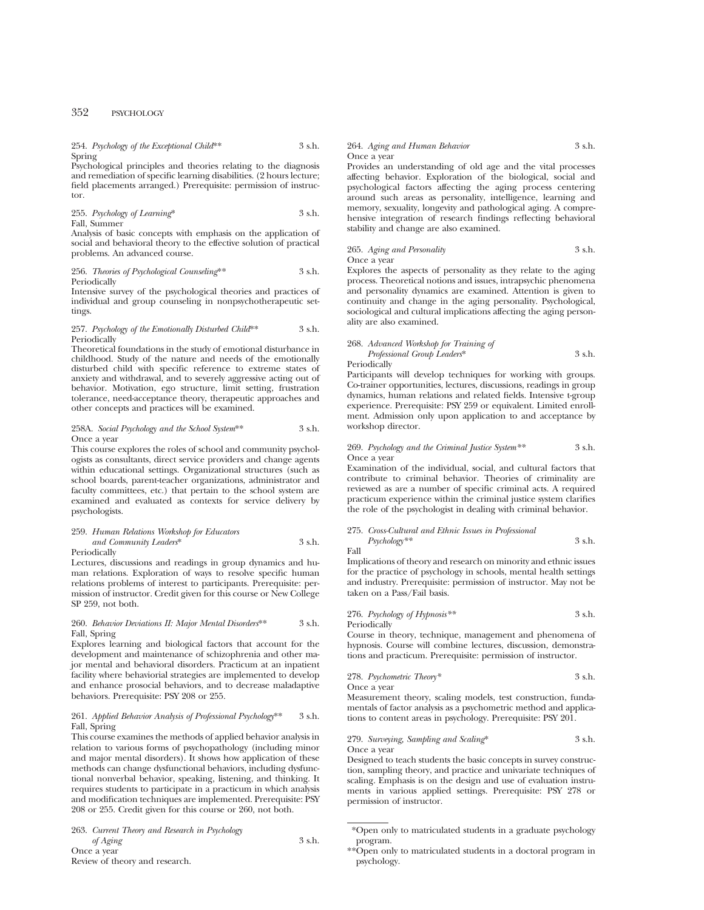254. *Psychology of the Exceptional Child*\*\* 3 s.h. Spring

Psychological principles and theories relating to the diagnosis and remediation of specific learning disabilities. (2 hours lecture; field placements arranged.) Prerequisite: permission of instructor.

255. *Psychology of Learning*\* 3 s.h. Fall, Summer

Analysis of basic concepts with emphasis on the application of social and behavioral theory to the effective solution of practical problems. An advanced course.

256. *Theories of Psychological Counseling*\*\* 3 s.h. Periodically

Intensive survey of the psychological theories and practices of individual and group counseling in nonpsychotherapeutic settings.

#### 257. *Psychology of the Emotionally Disturbed Child*\*\* 3 s.h. Periodically

Theoretical foundations in the study of emotional disturbance in childhood. Study of the nature and needs of the emotionally disturbed child with specific reference to extreme states of anxiety and withdrawal, and to severely aggressive acting out of behavior. Motivation, ego structure, limit setting, frustration tolerance, need-acceptance theory, therapeutic approaches and other concepts and practices will be examined.

258A. *Social Psychology and the School System*\*\* 3 s.h. Once a year

This course explores the roles of school and community psychologists as consultants, direct service providers and change agents within educational settings. Organizational structures (such as school boards, parent-teacher organizations, administrator and faculty committees, etc.) that pertain to the school system are examined and evaluated as contexts for service delivery by psychologists.

# 259. *Human Relations Workshop for Educators and Community Leaders*\* 3 s.h.

**Periodically** 

Lectures, discussions and readings in group dynamics and human relations. Exploration of ways to resolve specific human relations problems of interest to participants. Prerequisite: permission of instructor. Credit given for this course or New College SP 259, not both.

#### 260. *Behavior Deviations II: Major Mental Disorders*\*\* 3 s.h. Fall, Spring

Explores learning and biological factors that account for the development and maintenance of schizophrenia and other major mental and behavioral disorders. Practicum at an inpatient facility where behaviorial strategies are implemented to develop and enhance prosocial behaviors, and to decrease maladaptive behaviors. Prerequisite: PSY 208 or 255.

#### 261. *Applied Behavior Analysis of Professional Psychology*\*\* 3 s.h. Fall, Spring

This course examines the methods of applied behavior analysis in relation to various forms of psychopathology (including minor and major mental disorders). It shows how application of these methods can change dysfunctional behaviors, including dysfunctional nonverbal behavior, speaking, listening, and thinking. It requires students to participate in a practicum in which analysis and modification techniques are implemented. Prerequisite: PSY 208 or 255. Credit given for this course or 260, not both.

263. *Current Theory and Research in Psychology*

*of Aging* 3 s.h. Once a year Review of theory and research.

#### 264. *Aging and Human Behavior* 3 s.h. Once a year

Provides an understanding of old age and the vital processes affecting behavior. Exploration of the biological, social and psychological factors affecting the aging process centering around such areas as personality, intelligence, learning and memory, sexuality, longevity and pathological aging. A comprehensive integration of research findings reflecting behavioral stability and change are also examined.

### 265. *Aging and Personality* 3 s.h. Once a year

Explores the aspects of personality as they relate to the aging process. Theoretical notions and issues, intrapsychic phenomena and personality dynamics are examined. Attention is given to continuity and change in the aging personality. Psychological, sociological and cultural implications affecting the aging personality are also examined.

268. *Advanced Workshop for Training of Professional Group Leaders*\* 3 s.h.

Periodically

Participants will develop techniques for working with groups. Co-trainer opportunities, lectures, discussions, readings in group dynamics, human relations and related fields. Intensive t-group experience. Prerequisite: PSY 259 or equivalent. Limited enrollment. Admission only upon application to and acceptance by workshop director.

#### 269. *Psychology and the Criminal Justice System\*\** 3 s.h. Once a year

Examination of the individual, social, and cultural factors that contribute to criminal behavior. Theories of criminality are reviewed as are a number of specific criminal acts. A required practicum experience within the criminal justice system clarifies the role of the psychologist in dealing with criminal behavior.

#### 275. *Cross-Cultural and Ethnic Issues in Professional Psychology\*\** 3 s.h. Fall

Implications of theory and research on minority and ethnic issues for the practice of psychology in schools, mental health settings and industry. Prerequisite: permission of instructor. May not be taken on a Pass/Fail basis.

276. *Psychology of Hypnosis\*\** 3 s.h. Periodically

Course in theory, technique, management and phenomena of hypnosis. Course will combine lectures, discussion, demonstrations and practicum. Prerequisite: permission of instructor.

278. *Psychometric Theory\** 3 s.h. Once a year

Measurement theory, scaling models, test construction, fundamentals of factor analysis as a psychometric method and applications to content areas in psychology. Prerequisite: PSY 201.

279. *Surveying, Sampling and Scaling*\* 3 s.h. Once a year

Designed to teach students the basic concepts in survey construction, sampling theory, and practice and univariate techniques of scaling. Emphasis is on the design and use of evaluation instruments in various applied settings. Prerequisite: PSY 278 or permission of instructor.

<sup>\*</sup>Open only to matriculated students in a graduate psychology program.

<sup>\*\*</sup>Open only to matriculated students in a doctoral program in psychology.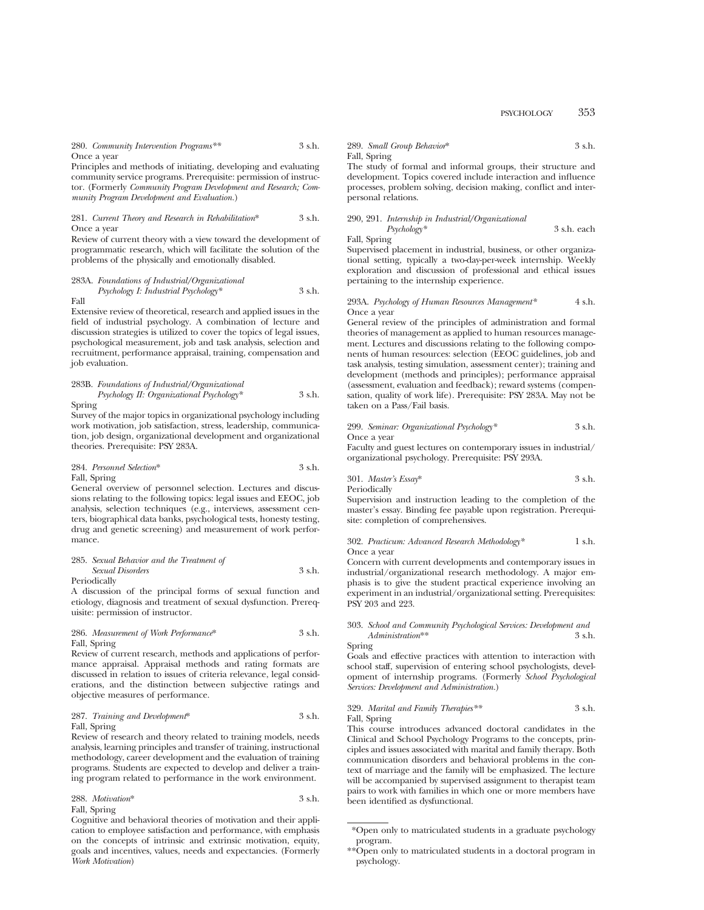280. *Community Intervention Programs\*\** 3 s.h. Once a year

Principles and methods of initiating, developing and evaluating community service programs. Prerequisite: permission of instructor. (Formerly *Community Program Development and Research; Community Program Development and Evaluation.*)

281. *Current Theory and Research in Rehabilitation*\* 3 s.h. Once a year

Review of current theory with a view toward the development of programmatic research, which will facilitate the solution of the problems of the physically and emotionally disabled.

283A. *Foundations of Industrial/Organizational Psychology I: Industrial Psychology\** 3 s.h. Fall

Extensive review of theoretical, research and applied issues in the field of industrial psychology. A combination of lecture and discussion strategies is utilized to cover the topics of legal issues, psychological measurement, job and task analysis, selection and recruitment, performance appraisal, training, compensation and job evaluation.

283B. *Foundations of Industrial/Organizational Psychology II: Organizational Psychology\** 3 s.h.

Spring

Survey of the major topics in organizational psychology including work motivation, job satisfaction, stress, leadership, communication, job design, organizational development and organizational theories. Prerequisite: PSY 283A.

284. *Personnel Selection*\* 3 s.h. Fall, Spring

General overview of personnel selection. Lectures and discussions relating to the following topics: legal issues and EEOC, job analysis, selection techniques (e.g., interviews, assessment centers, biographical data banks, psychological tests, honesty testing, drug and genetic screening) and measurement of work performance.

#### 285. *Sexual Behavior and the Treatment of Sexual Disorders* 3 s.h. Periodically

A discussion of the principal forms of sexual function and etiology, diagnosis and treatment of sexual dysfunction. Prerequisite: permission of instructor.

#### 286. *Measurement of Work Performance*\* 3 s.h. Fall, Spring

Review of current research, methods and applications of performance appraisal. Appraisal methods and rating formats are discussed in relation to issues of criteria relevance, legal considerations, and the distinction between subjective ratings and objective measures of performance.

#### 287. *Training and Development*\* 3 s.h. Fall, Spring

Review of research and theory related to training models, needs analysis, learning principles and transfer of training, instructional methodology, career development and the evaluation of training programs. Students are expected to develop and deliver a training program related to performance in the work environment.

288. *Motivation*\* 3 s.h. Fall, Spring

Cognitive and behavioral theories of motivation and their application to employee satisfaction and performance, with emphasis on the concepts of intrinsic and extrinsic motivation, equity, goals and incentives, values, needs and expectancies. (Formerly *Work Motivation*)

289. *Small Group Behavior*\* 3 s.h. Fall, Spring

The study of formal and informal groups, their structure and development. Topics covered include interaction and influence processes, problem solving, decision making, conflict and interpersonal relations.

290, 291. *Internship in Industrial/Organizational Psychology\** 3 s.h. each

Fall, Spring Supervised placement in industrial, business, or other organizational setting, typically a two-day-per-week internship. Weekly exploration and discussion of professional and ethical issues pertaining to the internship experience.

#### 293A. *Psychology of Human Resources Management\** 4 s.h. Once a year

General review of the principles of administration and formal theories of management as applied to human resources management. Lectures and discussions relating to the following components of human resources: selection (EEOC guidelines, job and task analysis, testing simulation, assessment center); training and development (methods and principles); performance appraisal (assessment, evaluation and feedback); reward systems (compensation, quality of work life). Prerequisite: PSY 283A. May not be taken on a Pass/Fail basis.

#### 299. *Seminar: Organizational Psychology\** 3 s.h. Once a year

Faculty and guest lectures on contemporary issues in industrial/ organizational psychology. Prerequisite: PSY 293A.

301. *Master's Essay*\* 3 s.h.

Periodically

Supervision and instruction leading to the completion of the master's essay. Binding fee payable upon registration. Prerequisite: completion of comprehensives.

#### 302. Practicum: Advanced Research Methodology\* 1 s.h. Once a year

Concern with current developments and contemporary issues in industrial/organizational research methodology. A major emphasis is to give the student practical experience involving an experiment in an industrial/organizational setting. Prerequisites: PSY 203 and 223.

#### 303. *School and Community Psychological Services: Development and Administration*\*\* 3 s.h.

Spring

Goals and effective practices with attention to interaction with school staff, supervision of entering school psychologists, development of internship programs. (Formerly *School Psychological Services: Development and Administration.*)

#### 329. *Marital and Family Therapies\*\** 3 s.h. Fall, Spring

This course introduces advanced doctoral candidates in the Clinical and School Psychology Programs to the concepts, principles and issues associated with marital and family therapy. Both communication disorders and behavioral problems in the context of marriage and the family will be emphasized. The lecture will be accompanied by supervised assignment to therapist team pairs to work with families in which one or more members have been identified as dysfunctional.

<sup>\*</sup>Open only to matriculated students in a graduate psychology program.

<sup>\*\*</sup>Open only to matriculated students in a doctoral program in psychology.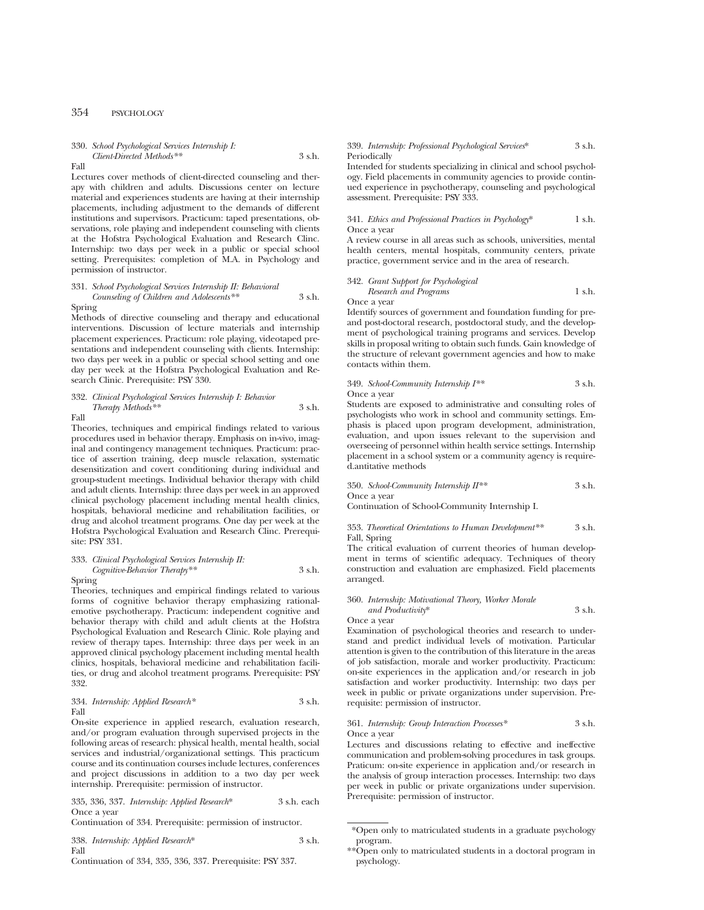### 330. *School Psychological Services Internship I: Client-Directed Methods\*\** 3 s.h.

Fall

Lectures cover methods of client-directed counseling and therapy with children and adults. Discussions center on lecture material and experiences students are having at their internship placements, including adjustment to the demands of different institutions and supervisors. Practicum: taped presentations, observations, role playing and independent counseling with clients at the Hofstra Psychological Evaluation and Research Clinc. Internship: two days per week in a public or special school setting. Prerequisites: completion of M.A. in Psychology and permission of instructor.

#### 331. *School Psychological Services Internship II: Behavioral Counseling of Children and Adolescents\*\** 3 s.h.

### Spring

Methods of directive counseling and therapy and educational interventions. Discussion of lecture materials and internship placement experiences. Practicum: role playing, videotaped presentations and independent counseling with clients. Internship: two days per week in a public or special school setting and one day per week at the Hofstra Psychological Evaluation and Research Clinic. Prerequisite: PSY 330.

# 332. *Clinical Psychological Services Internship I: Behavior Therapy Methods\*\** 3 s.h.

Fall

Theories, techniques and empirical findings related to various procedures used in behavior therapy. Emphasis on in-vivo, imaginal and contingency management techniques. Practicum: practice of assertion training, deep muscle relaxation, systematic desensitization and covert conditioning during individual and group-student meetings. Individual behavior therapy with child and adult clients. Internship: three days per week in an approved clinical psychology placement including mental health clinics, hospitals, behavioral medicine and rehabilitation facilities, or drug and alcohol treatment programs. One day per week at the Hofstra Psychological Evaluation and Research Clinc. Prerequisite: PSY 331.

#### 333. *Clinical Psychological Services Internship II: Cognitive-Behavior Therapy\*\** 3 s.h.

Spring

Theories, techniques and empirical findings related to various forms of cognitive behavior therapy emphasizing rationalemotive psychotherapy. Practicum: independent cognitive and behavior therapy with child and adult clients at the Hofstra Psychological Evaluation and Research Clinic. Role playing and review of therapy tapes. Internship: three days per week in an approved clinical psychology placement including mental health clinics, hospitals, behavioral medicine and rehabilitation facilities, or drug and alcohol treatment programs. Prerequisite: PSY 332.

#### 334. *Internship: Applied Research\** 3 s.h. Fall

On-site experience in applied research, evaluation research, and/or program evaluation through supervised projects in the following areas of research: physical health, mental health, social services and industrial/organizational settings. This practicum course and its continuation courses include lectures, conferences and project discussions in addition to a two day per week internship. Prerequisite: permission of instructor.

335, 336, 337. *Internship: Applied Research*\* 3 s.h. each Once a year

Continuation of 334. Prerequisite: permission of instructor.

338. *Internship: Applied Research*\* 3 s.h. Fall

#### Continuation of 334, 335, 336, 337. Prerequisite: PSY 337.

#### 339. *Internship: Professional Psychological Services*\* 3 s.h. Periodically

Intended for students specializing in clinical and school psychology. Field placements in community agencies to provide continued experience in psychotherapy, counseling and psychological assessment. Prerequisite: PSY 333.

#### 341. *Ethics and Professional Practices in Psychology*\* 1 s.h. Once a year

A review course in all areas such as schools, universities, mental health centers, mental hospitals, community centers, private practice, government service and in the area of research.

#### 342. *Grant Support for Psychological Research and Programs* 1 s.h. Once a year

Identify sources of government and foundation funding for preand post-doctoral research, postdoctoral study, and the development of psychological training programs and services. Develop skills in proposal writing to obtain such funds. Gain knowledge of the structure of relevant government agencies and how to make contacts within them.

#### 349. *School-Community Internship I\*\** 3 s.h. Once a year

Students are exposed to administrative and consulting roles of psychologists who work in school and community settings. Emphasis is placed upon program development, administration, evaluation, and upon issues relevant to the supervision and overseeing of personnel within health service settings. Internship placement in a school system or a community agency is required.antitative methods

350. *School-Community Internship II\*\** 3 s.h. Once a year

Continuation of School-Community Internship I.

#### 353. *Theoretical Orientations to Human Development\*\** 3 s.h. Fall, Spring

The critical evaluation of current theories of human development in terms of scientific adequacy. Techniques of theory construction and evaluation are emphasized. Field placements arranged.

### 360. *Internship: Motivational Theory, Worker Morale*

| and Productivity* | 3 s.h. |
|-------------------|--------|
| Once a vear       |        |

Examination of psychological theories and research to understand and predict individual levels of motivation. Particular attention is given to the contribution of this literature in the areas of job satisfaction, morale and worker productivity. Practicum: on-site experiences in the application and/or research in job satisfaction and worker productivity. Internship: two days per week in public or private organizations under supervision. Prerequisite: permission of instructor.

#### 361. *Internship: Group Interaction Processes\** 3 s.h. Once a year

Lectures and discussions relating to effective and ineffective communication and problem-solving procedures in task groups. Praticum: on-site experience in application and/or research in the analysis of group interaction processes. Internship: two days per week in public or private organizations under supervision. Prerequisite: permission of instructor.

<sup>\*</sup>Open only to matriculated students in a graduate psychology program.

<sup>\*\*</sup>Open only to matriculated students in a doctoral program in psychology.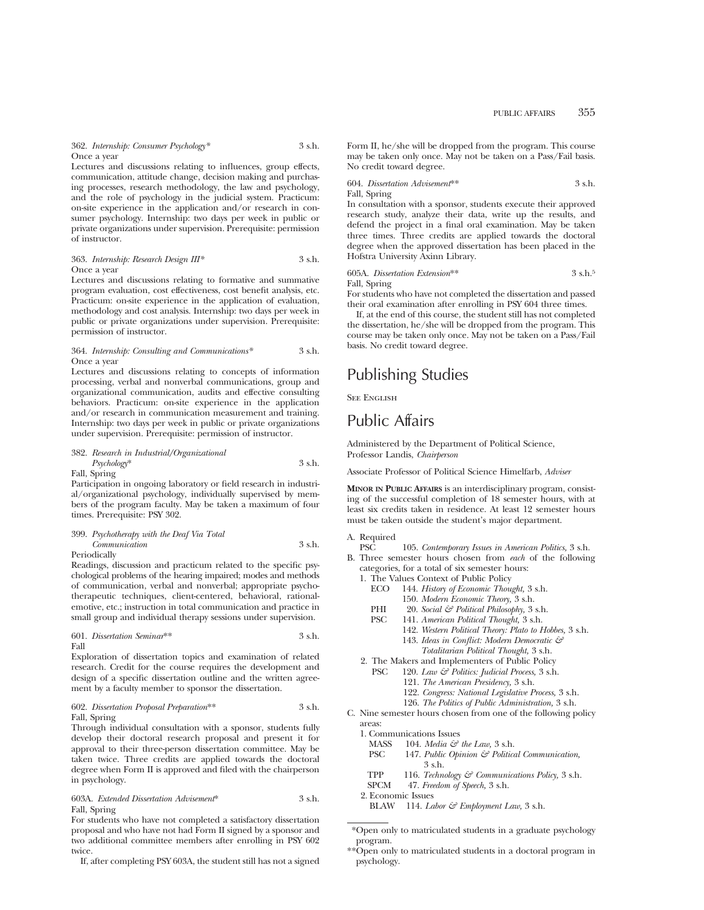362. *Internship: Consumer Psychology\** 3 s.h. Once a year

Lectures and discussions relating to influences, group effects, communication, attitude change, decision making and purchasing processes, research methodology, the law and psychology, and the role of psychology in the judicial system. Practicum: on-site experience in the application and/or research in consumer psychology. Internship: two days per week in public or private organizations under supervision. Prerequisite: permission of instructor.

#### 363. *Internship: Research Design III\** 3 s.h. Once a year

Lectures and discussions relating to formative and summative program evaluation, cost effectiveness, cost benefit analysis, etc. Practicum: on-site experience in the application of evaluation, methodology and cost analysis. Internship: two days per week in public or private organizations under supervision. Prerequisite: permission of instructor.

#### 364. *Internship: Consulting and Communications\** 3 s.h. Once a year

Lectures and discussions relating to concepts of information processing, verbal and nonverbal communications, group and organizational communication, audits and effective consulting behaviors. Practicum: on-site experience in the application and/or research in communication measurement and training. Internship: two days per week in public or private organizations under supervision. Prerequisite: permission of instructor.

#### 382. *Research in Industrial/Organizational Psychology*\* 3 s.h.

Fall, Spring

Participation in ongoing laboratory or field research in industrial/organizational psychology, individually supervised by members of the program faculty. May be taken a maximum of four times. Prerequisite: PSY 302.

# 399. *Psychotherapy with the Deaf Via Total Communication* 3 s.h.

Periodically

Readings, discussion and practicum related to the specific psychological problems of the hearing impaired; modes and methods of communication, verbal and nonverbal; appropriate psychotherapeutic techniques, client-centered, behavioral, rationalemotive, etc.; instruction in total communication and practice in small group and individual therapy sessions under supervision.

#### 601. *Dissertation Seminar*\*\* 3 s.h. Fall

Exploration of dissertation topics and examination of related research. Credit for the course requires the development and design of a specific dissertation outline and the written agreement by a faculty member to sponsor the dissertation.

#### 602. *Dissertation Proposal Preparation*\*\* 3 s.h. Fall, Spring

Through individual consultation with a sponsor, students fully develop their doctoral research proposal and present it for approval to their three-person dissertation committee. May be taken twice. Three credits are applied towards the doctoral degree when Form II is approved and filed with the chairperson in psychology.

603A. *Extended Dissertation Advisement*\* 3 s.h. Fall, Spring

For students who have not completed a satisfactory dissertation proposal and who have not had Form II signed by a sponsor and two additional committee members after enrolling in PSY 602 twice.

If, after completing PSY 603A, the student still has not a signed

Form II, he/she will be dropped from the program. This course may be taken only once. May not be taken on a Pass/Fail basis. No credit toward degree.

604. *Dissertation Advisement*\*\* 3 s.h. Fall, Spring

In consultation with a sponsor, students execute their approved research study, analyze their data, write up the results, and defend the project in a final oral examination. May be taken three times. Three credits are applied towards the doctoral degree when the approved dissertation has been placed in the Hofstra University Axinn Library.

605A. *Dissertation Extension*\*\* 3 s.h.5 Fall, Spring

For students who have not completed the dissertation and passed their oral examination after enrolling in PSY 604 three times.

If, at the end of this course, the student still has not completed the dissertation, he/she will be dropped from the program. This course may be taken only once. May not be taken on a Pass/Fail basis. No credit toward degree.

# Publishing Studies

SEE ENGLISH

# Public Affairs

Administered by the Department of Political Science, Professor Landis, *Chairperson*

Associate Professor of Political Science Himelfarb, *Adviser*

**MINOR IN PUBLIC AFFAIRS** is an interdisciplinary program, consisting of the successful completion of 18 semester hours, with at least six credits taken in residence. At least 12 semester hours must be taken outside the student's major department.

# A. Required

- 105. *Contemporary Issues in American Politics*, 3 s.h.
- B. Three semester hours chosen from *each* of the following categories, for a total of six semester hours:
	- 1. The Values Context of Public Policy
		- ECO 144. *History of Economic Thought,* 3 s.h.
			- 150. *Modern Economic Theory,* 3 s.h.
		- PHI 20. *Social & Political Philosophy,* 3 s.h.
		- PSC 141. *American Political Thought,* 3 s.h.
			- 142. *Western Political Theory: Plato to Hobbes,* 3 s.h. 143. *Ideas in Conflict: Modern Democratic &*
				- *Totalitarian Political Thought,* 3 s.h.
	- 2. The Makers and Implementers of Public Policy
		- PSC 120. *Law & Politics: Judicial Process,* 3 s.h.
			- 121. *The American Presidency,* 3 s.h.
			- 122. *Congress: National Legislative Process,* 3 s.h.
			- 126. *The Politics of Public Administration,* 3 s.h.
- C. Nine semester hours chosen from one of the following policy areas:
	- 1. Communications Issues
		- MASS 104. *Media*  $\mathcal{F}$  the Law, 3 s.h.<br>PSC 147. *Public Obinion*  $\mathcal{F}$  *Politice* 
			- 147. Public Opinion & Political Communication, 3 s.h.
		- TPP 116. *Technology & Communications Policy,* 3 s.h.
		- SPCM 47. *Freedom of Speech,* 3 s.h.
	- 2. Economic Issues
		- BLAW 114. *Labor & Employment Law,* 3 s.h.

\*\*Open only to matriculated students in a doctoral program in psychology.

<sup>\*</sup>Open only to matriculated students in a graduate psychology program.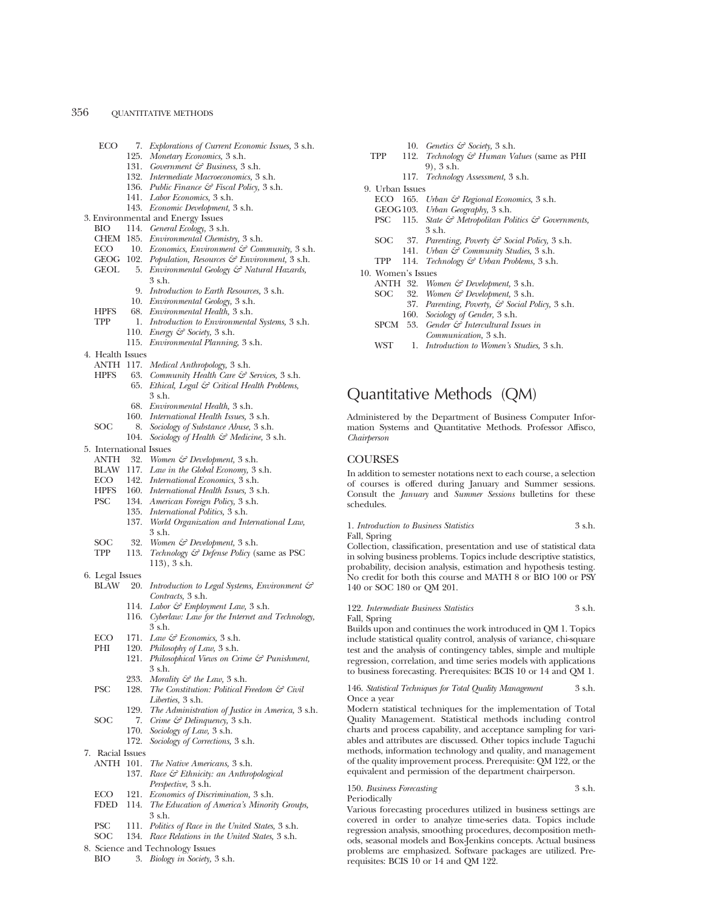| ECO              | 7. Explorations of Current Economic Issues, 3 s.h.             |
|------------------|----------------------------------------------------------------|
|                  | 125. Monetary Economics, 3 s.h.                                |
|                  | 131. Government & Business, 3 s.h.                             |
|                  | 132. Intermediate Macroeconomics, 3 s.h.                       |
|                  | 136. Public Finance & Fiscal Policy, 3 s.h.                    |
|                  | 141. Labor Economics, 3 s.h.                                   |
|                  | 143. Economic Development, 3 s.h.                              |
|                  | 3. Environmental and Energy Issues                             |
| BIO              | 114. General Ecology, 3 s.h.                                   |
|                  | CHEM 185. Environmental Chemistry, 3 s.h.                      |
|                  | ECO 10. Economics, Environment $\mathcal{C}$ Community, 3 s.h. |
|                  | GEOG 102. Population, Resources & Environment, 3 s.h.          |
|                  | GEOL 5. Environmental Geology & Natural Hazards,               |
|                  | $3$ s.h.                                                       |
|                  | 9. Introduction to Earth Resources, 3 s.h.                     |
|                  | 10. Environmental Geology, 3 s.h.                              |
| <b>HPFS</b>      | 68. Environmental Health, 3 s.h.                               |
| <b>TPP</b>       | 1. Introduction to Environmental Systems, 3 s.h.               |
|                  | 110. <i>Energy</i> $\mathcal{C}$ Society, 3 s.h.               |
|                  | 115. Environmental Planning, 3 s.h.                            |
| 4. Health Issues |                                                                |
|                  | ANTH 117. Medical Anthropology, 3 s.h.                         |
| <b>HPFS</b>      | 63. Community Health Care & Services, 3 s.h.                   |
|                  | 65. Ethical, Legal & Critical Health Problems,                 |
|                  | 3 s.h.                                                         |
|                  |                                                                |

- 68. *Environmental Health,* 3 s.h.
- 160. *International Health Issues,* 3 s.h.
- SOC 8. *Sociology of Substance Abuse,* 3 s.h.
	- 104. *Sociology of Health & Medicine,* 3 s.h.
- 5. International Issues
	- ANTH 32. *Women & Development,* 3 s.h.
	- BLAW 117. *Law in the Global Economy,* 3 s.h.
	-
	- ECO 142. *International Economics*,  $\overline{3}$  s.h.<br>HPFS 160. *International Health Issues*,  $3$  s 160. *International Health Issues*, 3 s.h.
	- PSC 134. *American Foreign Policy,* 3 s.h.
		-
		- 135. *International Politics,* 3 s.h.
			- 137. *World Organization and International Law,* 3 s.h.
	- SOC 32. *Women & Development*, 3 s.h.<br>TPP 113. *Technology & Defense Policy* (s
		- Technology & Defense Policy (same as PSC 113), 3 s.h.
- 6. Legal Issues
	- BLAW 20. *Introduction to Legal Systems, Environment & Contracts,* 3 s.h.
		- 114. *Labor & Employment Law,* 3 s.h.
		- 116. *Cyberlaw: Law for the Internet and Technology,* 3 s.h.
	- ECO 171. *Law & Economics*, 3 s.h.<br>PHI 190 *Philosophy of Law* 3 s.h.
	- 120. *Philosophy of Law*, 3 s.h.
		- 121. *Philosophical Views on Crime & Punishment,* 3 s.h.
		- 233. *Morality & the Law*, 3 s.h.<br>198. *The Constitution: Political B*
	- PSC 128. *The Constitution: Political Freedom & Civil Liberties,* 3 s.h.
	- 129. *The Administration of Justice in America,* 3 s.h. SOC 7. *Crime & Delinquency,* 3 s.h.
		- 170. *Sociology of Law,* 3 s.h.
			- 172. *Sociology of Corrections,* 3 s.h.
			-
- 7. Racial Issues
	- ANTH 101. *The Native Americans,* 3 s.h.
		- 137. *Race & Ethnicity: an Anthropological Perspective,* 3 s.h.
	- ECO 121. *Economics of Discrimination,* 3 s.h.
	- FDED 114. *The Education of America's Minority Groups,* 3 s.h.
	- PSC 111. *Politics of Race in the United States,* 3 s.h.
	- SOC 134. *Race Relations in the United States,* 3 s.h.
- 8. Science and Technology Issues
	- BIO 3. *Biology in Society,* 3 s.h.
- 10. *Genetics & Society,* 3 s.h.
- TPP 112. *Technology & Human Values* (same as PHI 9), 3 s.h.
	- 117. *Technology Assessment,* 3 s.h.
- 9. Urban Issues
	- ECO 165. *Urban & Regional Economics,* 3 s.h.
	- GEOG103. *Urban Geography,* 3 s.h.
	- PSC 115. *State & Metropolitan Politics & Governments,* 3 s.h.
	- SOC 37. *Parenting, Poverty & Social Policy,* 3 s.h.
	- 141. *Urban & Community Studies,* 3 s.h.
	- TPP 114. *Technology & Urban Problems,* 3 s.h.
- 10. Women's Issues
	- ANTH 32. *Women & Development,* 3 s.h.
	- SOC 32. *Women & Development,* 3 s.h.
		- 37. *Parenting, Poverty, & Social Policy,* 3 s.h.
			- 160. *Sociology of Gender,* 3 s.h.
	- SPCM 53. *Gender & Intercultural Issues in Communication,* 3 s.h.
	- WST 1. *Introduction to Women's Studies,* 3 s.h.

# Quantitative Methods (QM)

Administered by the Department of Business Computer Information Systems and Quantitative Methods. Professor Affisco, *Chairperson*

## **COURSES**

In addition to semester notations next to each course, a selection of courses is offered during January and Summer sessions. Consult the *January* and *Summer Sessions* bulletins for these schedules.

1. *Introduction to Business Statistics* 3 s.h.

Fall, Spring

Collection, classification, presentation and use of statistical data in solving business problems. Topics include descriptive statistics, probability, decision analysis, estimation and hypothesis testing. No credit for both this course and MATH 8 or BIO 100 or PSY 140 or SOC 180 or QM 201.

#### 122. *Intermediate Business Statistics* 3 s.h. Fall, Spring

Builds upon and continues the work introduced in QM 1. Topics include statistical quality control, analysis of variance, chi-square test and the analysis of contingency tables, simple and multiple regression, correlation, and time series models with applications to business forecasting. Prerequisites: BCIS 10 or 14 and QM 1.

146. *Statistical Techniques for Total Quality Management* 3 s.h. Once a year

Modern statistical techniques for the implementation of Total Quality Management. Statistical methods including control charts and process capability, and acceptance sampling for variables and attributes are discussed. Other topics include Taguchi methods, information technology and quality, and management of the quality improvement process. Prerequisite: QM 122, or the equivalent and permission of the department chairperson.

# 150. *Business Forecasting* 3 s.h.

Periodically

Various forecasting procedures utilized in business settings are covered in order to analyze time-series data. Topics include regression analysis, smoothing procedures, decomposition methods, seasonal models and Box-Jenkins concepts. Actual business problems are emphasized. Software packages are utilized. Prerequisites: BCIS 10 or 14 and QM 122.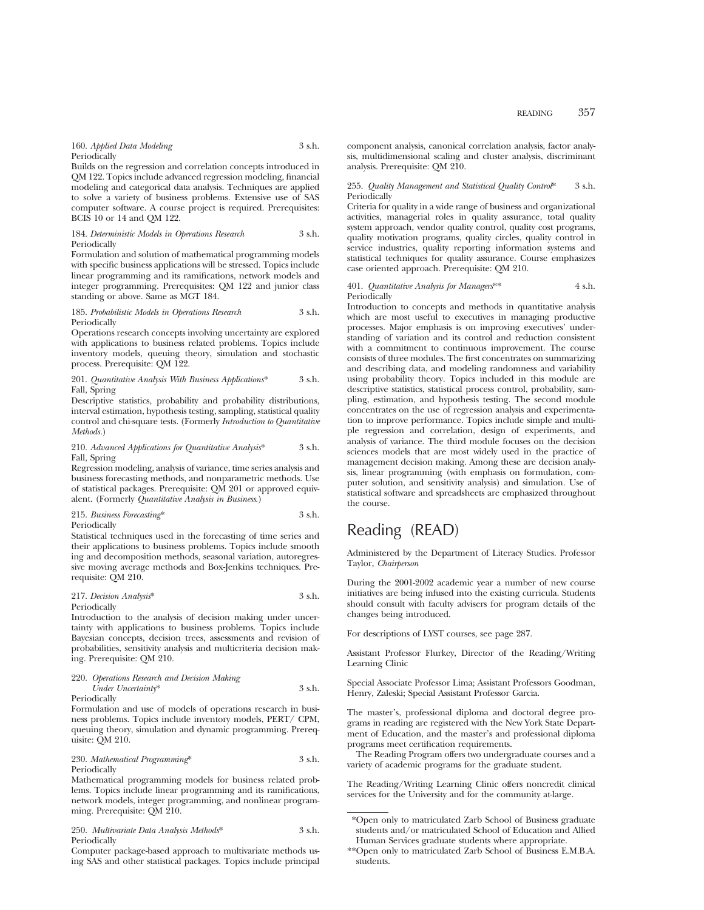160. *Applied Data Modeling* 3 s.h. **Periodically** 

Builds on the regression and correlation concepts introduced in QM 122. Topics include advanced regression modeling, financial modeling and categorical data analysis. Techniques are applied to solve a variety of business problems. Extensive use of SAS computer software. A course project is required. Prerequisites: BCIS 10 or 14 and QM 122.

#### 184. *Deterministic Models in Operations Research* 3 s.h. Periodically

Formulation and solution of mathematical programming models with specific business applications will be stressed. Topics include linear programming and its ramifications, network models and integer programming. Prerequisites: QM 122 and junior class standing or above. Same as MGT 184.

#### 185. *Probabilistic Models in Operations Research* 3 s.h. Periodically

Operations research concepts involving uncertainty are explored with applications to business related problems. Topics include inventory models, queuing theory, simulation and stochastic process. Prerequisite: QM 122.

201. *Quantitative Analysis With Business Applications*\* 3 s.h. Fall, Spring

Descriptive statistics, probability and probability distributions, interval estimation, hypothesis testing, sampling, statistical quality control and chi-square tests. (Formerly *Introduction to Quantitative Methods.*)

#### 210. *Advanced Applications for Quantitative Analysis*\* 3 s.h. Fall, Spring

Regression modeling, analysis of variance, time series analysis and business forecasting methods, and nonparametric methods. Use of statistical packages. Prerequisite: QM 201 or approved equivalent. (Formerly *Quantitative Analysis in Business*.)

#### 215. *Business Forecasting*\* 3 s.h. Periodically

Statistical techniques used in the forecasting of time series and their applications to business problems. Topics include smooth ing and decomposition methods, seasonal variation, autoregressive moving average methods and Box-Jenkins techniques. Prerequisite: QM 210.

# 217. *Decision Analysis*\* 3 s.h.

Periodically Introduction to the analysis of decision making under uncertainty with applications to business problems. Topics include Bayesian concepts, decision trees, assessments and revision of probabilities, sensitivity analysis and multicriteria decision making. Prerequisite: QM 210.

# 220. *Operations Research and Decision Making Under Uncertainty*\* 3 s.h.

Periodically

Formulation and use of models of operations research in business problems. Topics include inventory models, PERT/ CPM, queuing theory, simulation and dynamic programming. Prerequisite: QM 210.

## 230. *Mathematical Programming*\* 3 s.h. Periodically

Mathematical programming models for business related problems. Topics include linear programming and its ramifications, network models, integer programming, and nonlinear programming. Prerequisite: QM 210.

| 250. Multivariate Data Analysis Methods* | $3$ s.h. |
|------------------------------------------|----------|
| Periodically                             |          |

Computer package-based approach to multivariate methods using SAS and other statistical packages. Topics include principal component analysis, canonical correlation analysis, factor analysis, multidimensional scaling and cluster analysis, discriminant analysis. Prerequisite: QM 210.

#### 255. *Quality Management and Statistical Quality Control*\* 3 s.h. Periodically

Criteria for quality in a wide range of business and organizational activities, managerial roles in quality assurance, total quality system approach, vendor quality control, quality cost programs, quality motivation programs, quality circles, quality control in service industries, quality reporting information systems and statistical techniques for quality assurance. Course emphasizes case oriented approach. Prerequisite: QM 210.

401. *Quantitative Analysis for Managers*\*\* 4 s.h. Periodically

Introduction to concepts and methods in quantitative analysis which are most useful to executives in managing productive processes. Major emphasis is on improving executives' understanding of variation and its control and reduction consistent with a commitment to continuous improvement. The course consists of three modules. The first concentrates on summarizing and describing data, and modeling randomness and variability using probability theory. Topics included in this module are descriptive statistics, statistical process control, probability, sampling, estimation, and hypothesis testing. The second module concentrates on the use of regression analysis and experimentation to improve performance. Topics include simple and multiple regression and correlation, design of experiments, and analysis of variance. The third module focuses on the decision sciences models that are most widely used in the practice of management decision making. Among these are decision analysis, linear programming (with emphasis on formulation, computer solution, and sensitivity analysis) and simulation. Use of statistical software and spreadsheets are emphasized throughout the course.

# Reading (READ)

Administered by the Department of Literacy Studies. Professor Taylor, *Chairperson*

During the 2001-2002 academic year a number of new course initiatives are being infused into the existing curricula. Students should consult with faculty advisers for program details of the changes being introduced.

For descriptions of LYST courses, see page 287.

Assistant Professor Flurkey, Director of the Reading/Writing Learning Clinic

Special Associate Professor Lima; Assistant Professors Goodman, Henry, Zaleski; Special Assistant Professor Garcia.

The master's, professional diploma and doctoral degree programs in reading are registered with the New York State Department of Education, and the master's and professional diploma programs meet certification requirements.

The Reading Program offers two undergraduate courses and a variety of academic programs for the graduate student.

The Reading/Writing Learning Clinic offers noncredit clinical services for the University and for the community at-large.

<sup>\*</sup>Open only to matriculated Zarb School of Business graduate students and/or matriculated School of Education and Allied Human Services graduate students where appropriate.

<sup>\*\*</sup>Open only to matriculated Zarb School of Business E.M.B.A. students.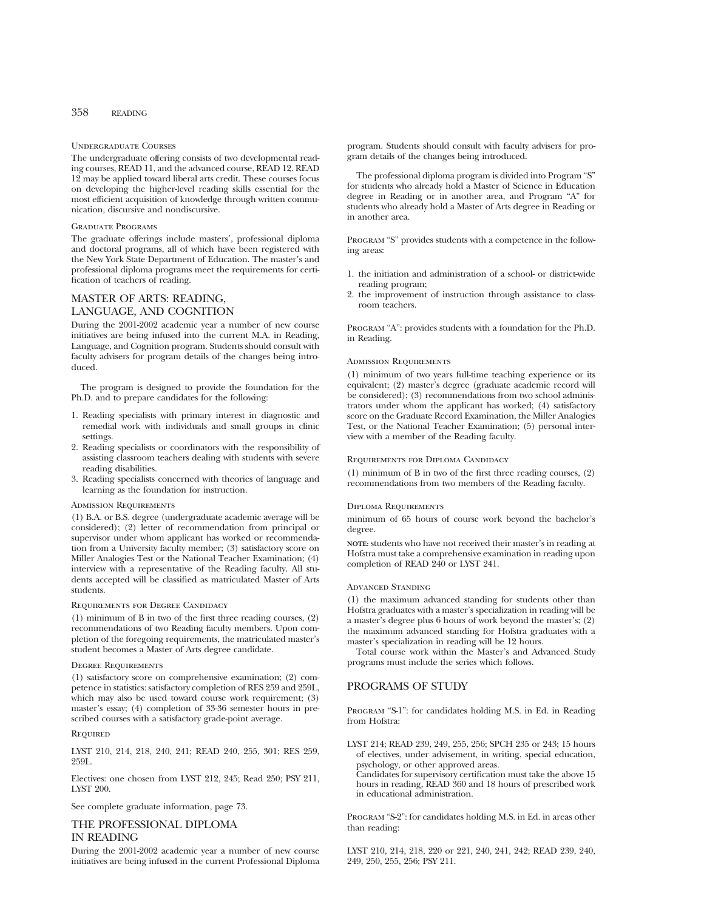#### Undergraduate Courses

The undergraduate offering consists of two developmental reading courses, READ 11, and the advanced course, READ 12. READ 12 may be applied toward liberal arts credit. These courses focus on developing the higher-level reading skills essential for the most efficient acquisition of knowledge through written communication, discursive and nondiscursive.

#### Graduate Programs

The graduate offerings include masters', professional diploma and doctoral programs, all of which have been registered with the New York State Department of Education. The master's and professional diploma programs meet the requirements for certification of teachers of reading.

# MASTER OF ARTS: READING, LANGUAGE, AND COGNITION

During the 2001-2002 academic year a number of new course initiatives are being infused into the current M.A. in Reading, Language, and Cognition program. Students should consult with faculty advisers for program details of the changes being introduced.

The program is designed to provide the foundation for the Ph.D. and to prepare candidates for the following:

- 1. Reading specialists with primary interest in diagnostic and remedial work with individuals and small groups in clinic settings.
- 2. Reading specialists or coordinators with the responsibility of assisting classroom teachers dealing with students with severe reading disabilities.
- 3. Reading specialists concerned with theories of language and learning as the foundation for instruction.

#### Admission Requirements

(1) B.A. or B.S. degree (undergraduate academic average will be considered); (2) letter of recommendation from principal or supervisor under whom applicant has worked or recommendation from a University faculty member; (3) satisfactory score on Miller Analogies Test or the National Teacher Examination; (4) interview with a representative of the Reading faculty. All students accepted will be classified as matriculated Master of Arts students.

#### Requirements for Degree Candidacy

(1) minimum of B in two of the first three reading courses, (2) recommendations of two Reading faculty members. Upon completion of the foregoing requirements, the matriculated master's student becomes a Master of Arts degree candidate.

#### Degree Requirements

(1) satisfactory score on comprehensive examination; (2) competence in statistics: satisfactory completion of RES 259 and 259L, which may also be used toward course work requirement; (3) master's essay; (4) completion of 33-36 semester hours in prescribed courses with a satisfactory grade-point average.

#### **REQUIRED**

LYST 210, 214, 218, 240, 241; READ 240, 255, 301; RES 259, 259L.

Electives: one chosen from LYST 212, 245; Read 250; PSY 211, LYST 200.

See complete graduate information, page 73.

# THE PROFESSIONAL DIPLOMA IN READING

During the 2001-2002 academic year a number of new course initiatives are being infused in the current Professional Diploma program. Students should consult with faculty advisers for program details of the changes being introduced.

The professional diploma program is divided into Program "S" for students who already hold a Master of Science in Education degree in Reading or in another area, and Program "A" for students who already hold a Master of Arts degree in Reading or in another area.

PROGRAM "S" provides students with a competence in the following areas:

- 1. the initiation and administration of a school- or district-wide reading program;
- 2. the improvement of instruction through assistance to classroom teachers.

Program "A": provides students with a foundation for the Ph.D. in Reading.

## Admission Requirements

(1) minimum of two years full-time teaching experience or its equivalent; (2) master's degree (graduate academic record will be considered); (3) recommendations from two school administrators under whom the applicant has worked; (4) satisfactory score on the Graduate Record Examination, the Miller Analogies Test, or the National Teacher Examination; (5) personal interview with a member of the Reading faculty.

### Requirements for Diploma Candidacy

(1) minimum of B in two of the first three reading courses, (2) recommendations from two members of the Reading faculty.

#### Diploma Requirements

minimum of 65 hours of course work beyond the bachelor's degree.

**NOTE:** students who have not received their master's in reading at Hofstra must take a comprehensive examination in reading upon completion of READ 240 or LYST 241.

#### Advanced Standing

(1) the maximum advanced standing for students other than Hofstra graduates with a master's specialization in reading will be a master's degree plus 6 hours of work beyond the master's; (2) the maximum advanced standing for Hofstra graduates with a master's specialization in reading will be 12 hours.

Total course work within the Master's and Advanced Study programs must include the series which follows.

# PROGRAMS OF STUDY

Program "S-1": for candidates holding M.S. in Ed. in Reading from Hofstra:

LYST 214; READ 239, 249, 255, 256; SPCH 235 or 243; 15 hours of electives, under advisement, in writing, special education, psychology, or other approved areas.

Candidates for supervisory certification must take the above 15 hours in reading, READ 360 and 18 hours of prescribed work in educational administration.

Program "S-2": for candidates holding M.S. in Ed. in areas other than reading:

LYST 210, 214, 218, 220 or 221, 240, 241, 242; READ 239, 240, 249, 250, 255, 256; PSY 211.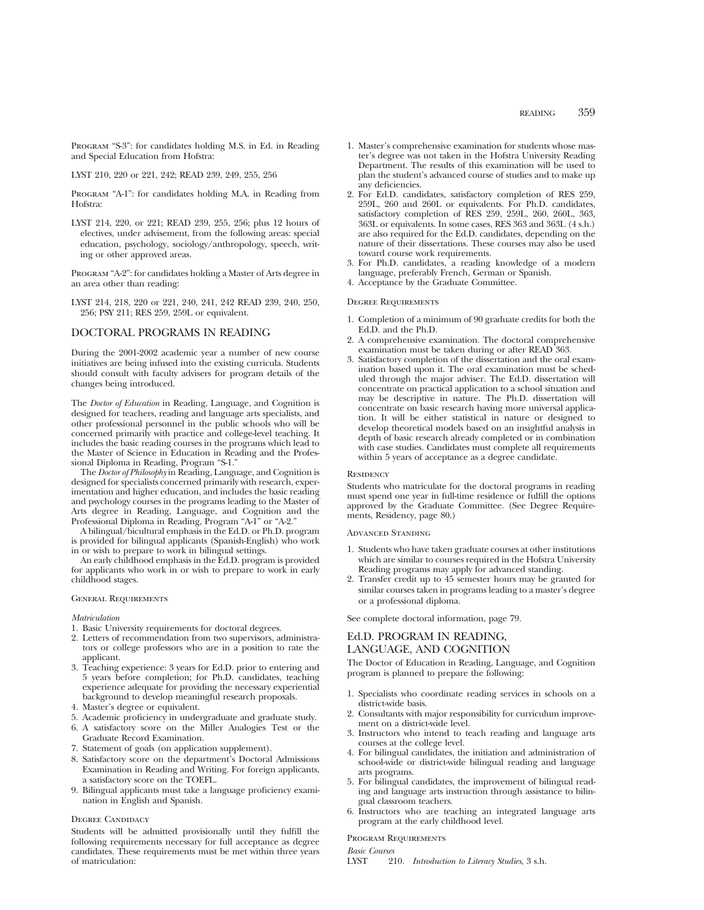Program "S-3": for candidates holding M.S. in Ed. in Reading and Special Education from Hofstra:

LYST 210, 220 or 221, 242; READ 239, 249, 255, 256

Program "A-1": for candidates holding M.A. in Reading from Hofstra:

LYST 214, 220, or 221; READ 239, 255, 256; plus 12 hours of electives, under advisement, from the following areas: special education, psychology, sociology/anthropology, speech, writing or other approved areas.

Program "A-2": for candidates holding a Master of Arts degree in an area other than reading:

LYST 214, 218, 220 or 221, 240, 241, 242 READ 239, 240, 250, 256; PSY 211; RES 259, 259L or equivalent.

## DOCTORAL PROGRAMS IN READING

During the 2001-2002 academic year a number of new course initiatives are being infused into the existing curricula. Students should consult with faculty advisers for program details of the changes being introduced.

The *Doctor of Education* in Reading, Language, and Cognition is designed for teachers, reading and language arts specialists, and other professional personnel in the public schools who will be concerned primarily with practice and college-level teaching. It includes the basic reading courses in the programs which lead to the Master of Science in Education in Reading and the Professional Diploma in Reading, Program "S-1."

The *Doctor of Philosophy* in Reading, Language, and Cognition is designed for specialists concerned primarily with research, experimentation and higher education, and includes the basic reading and psychology courses in the programs leading to the Master of Arts degree in Reading, Language, and Cognition and the Professional Diploma in Reading, Program "A-1" or "A-2."

A bilingual/bicultural emphasis in the Ed.D. or Ph.D. program is provided for bilingual applicants (Spanish-English) who work in or wish to prepare to work in bilingual settings.

An early childhood emphasis in the Ed.D. program is provided for applicants who work in or wish to prepare to work in early childhood stages.

## General Requirements

*Matriculation*

- 1. Basic University requirements for doctoral degrees.
- 2. Letters of recommendation from two supervisors, administrators or college professors who are in a position to rate the applicant.
- 3. Teaching experience: 3 years for Ed.D. prior to entering and 5 years before completion; for Ph.D. candidates, teaching experience adequate for providing the necessary experiential background to develop meaningful research proposals.
- 4. Master's degree or equivalent.
- 5. Academic proficiency in undergraduate and graduate study.
- 6. A satisfactory score on the Miller Analogies Test or the Graduate Record Examination.
- 7. Statement of goals (on application supplement).
- 8. Satisfactory score on the department's Doctoral Admissions Examination in Reading and Writing. For foreign applicants, a satisfactory score on the TOEFL.
- 9. Bilingual applicants must take a language proficiency examination in English and Spanish.

## DEGREE CANDIDACY

Students will be admitted provisionally until they fulfill the following requirements necessary for full acceptance as degree candidates. These requirements must be met within three years of matriculation:

- 1. Master's comprehensive examination for students whose master's degree was not taken in the Hofstra University Reading Department. The results of this examination will be used to plan the student's advanced course of studies and to make up any deficiencies.
- 2. For Ed.D. candidates, satisfactory completion of RES 259, 259L, 260 and 260L or equivalents. For Ph.D. candidates, satisfactory completion of RES 259, 259L, 260, 260L, 363, 363L or equivalents. In some cases, RES 363 and 363L (4 s.h.) are also required for the Ed.D. candidates, depending on the nature of their dissertations. These courses may also be used toward course work requirements.
- 3. For Ph.D. candidates, a reading knowledge of a modern language, preferably French, German or Spanish.
- 4. Acceptance by the Graduate Committee.

#### Degree Requirements

- 1. Completion of a minimum of 90 graduate credits for both the Ed.D. and the Ph.D.
- 2. A comprehensive examination. The doctoral comprehensive examination must be taken during or after READ 363.
- 3. Satisfactory completion of the dissertation and the oral examination based upon it. The oral examination must be scheduled through the major adviser. The Ed.D. dissertation will concentrate on practical application to a school situation and may be descriptive in nature. The Ph.D. dissertation will concentrate on basic research having more universal application. It will be either statistical in nature or designed to develop theoretical models based on an insightful analysis in depth of basic research already completed or in combination with case studies. Candidates must complete all requirements within 5 years of acceptance as a degree candidate.

#### **RESIDENCY**

Students who matriculate for the doctoral programs in reading must spend one year in full-time residence or fulfill the options approved by the Graduate Committee. (See Degree Requirements, Residency, page 80.)

#### Advanced Standing

- 1. Students who have taken graduate courses at other institutions which are similar to courses required in the Hofstra University Reading programs may apply for advanced standing.
- 2. Transfer credit up to 45 semester hours may be granted for similar courses taken in programs leading to a master's degree or a professional diploma.

See complete doctoral information, page 79.

## Ed.D. PROGRAM IN READING, LANGUAGE, AND COGNITION

The Doctor of Education in Reading, Language, and Cognition program is planned to prepare the following:

- 1. Specialists who coordinate reading services in schools on a district-wide basis.
- 2. Consultants with major responsibility for curriculum improvement on a district-wide level.
- 3. Instructors who intend to teach reading and language arts courses at the college level.
- 4. For bilingual candidates, the initiation and administration of school-wide or district-wide bilingual reading and language arts programs.
- 5. For bilingual candidates, the improvement of bilingual reading and language arts instruction through assistance to bilingual classroom teachers.
- 6. Instructors who are teaching an integrated language arts program at the early childhood level.

#### Program Requirements

*Basic Courses*

LYST 210. *Introduction to Literacy Studies*, 3 s.h.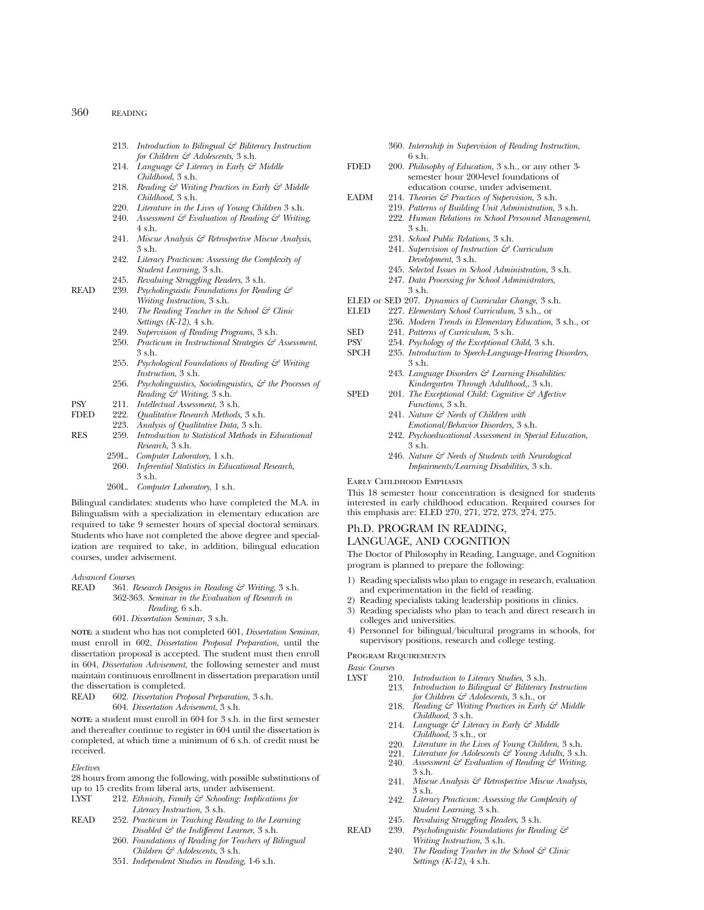- 213. *Introduction to Bilingual & Biliteracy Instruction for Children & Adolescents*, 3 s.h.
- 214. *Language & Literacy in Early & Middle Childhood*, 3 s.h.
- 218. *Reading & Writing Practices in Early & Middle Childhood*, 3 s.h.
- 220. *Literature in the Lives of Young Children* 3 s.h.
- 240. *Assessment & Evaluation of Reading & Writing*, 4 s.h.
- 241. *Miscue Analysis & Retrospective Miscue Analysis*, 3 s.h.
- 242. *Literacy Practicum: Assessing the Complexity of Student Learning*, 3 s.h.
- 245. *Revaluing Struggling Readers*, 3 s.h.
- READ 239. *Psycholinguistic Foundations for Reading & Writing Instruction*, 3 s.h.
	- 240. *The Reading Teacher in the School & Clinic Settings (K-12)*, 4 s.h.
	- 249. *Supervision of Reading Programs*, 3 s.h.
	- 250. *Practicum in Instructional Strategies & Assessment*, 3 s.h.
	- 255. *Psychological Foundations of Reading & Writing Instruction*, 3 s.h.
	- 256. *Psycholinguistics, Sociolinguistics, & the Processes of Reading & Writing*, 3 s.h.
- PSY 211. *Intellectual Assessment*, 3 s.h.
- FDED 222. *Qualitative Research Methods*, 3 s.h.
	- 223. *Analysis of Qualitative Data,* 3 s.h.
- RES 259. *Introduction to Statistical Methods in Educational Research*, 3 s.h.
	- 259L. *Computer Laboratory*, 1 s.h. 260. *Inferential Statistics in Educational Research*, 3 s.h.
	- 260L. *Computer Laboratory*, 1 s.h.

Bilingual candidates: students who have completed the M.A. in Bilingualism with a specialization in elementary education are required to take 9 semester hours of special doctoral seminars. Students who have not completed the above degree and specialization are required to take, in addition, bilingual education courses, under advisement.

# *Advanced Courses*

361. *Research Designs in Reading & Writing*, 3 s.h. 362-363. *Seminar in the Evaluation of Research in Reading*, 6 s.h. 601. *Dissertation Seminar,* 3 s.h.

**NOTE:** a student who has not completed 601, *Dissertation Seminar*, must enroll in 602, *Dissertation Proposal Preparation*, until the dissertation proposal is accepted. The student must then enroll in 604, *Dissertation Advisement*, the following semester and must maintain continuous enrollment in dissertation preparation until the dissertation is completed.

READ 602. *Dissertation Proposal Preparation*, 3 s.h. 604. *Dissertation Advisement*, 3 s.h.

**NOTE:** a student must enroll in 604 for 3 s.h. in the first semester and thereafter continue to register in 604 until the dissertation is completed, at which time a minimum of 6 s.h. of credit must be received.

#### *Electives*

28 hours from among the following, with possible substitutions of up to 15 credits from liberal arts, under advisement.

- LYST 212. *Ethnicity, Family & Schooling: Implications for Literacy Instruction,* 3 s.h.
- READ 252. *Practicum in Teaching Reading to the Learning Disabled & the Indifferent Learner*, 3 s.h.
	- 260. *Foundations of Reading for Teachers of Bilingual Children & Adolescents*, 3 s.h.
	- 351. *Independent Studies in Reading*, 1-6 s.h.
- 360. *Internship in Supervision of Reading Instruction*, 6 s.h.
- FDED 200. *Philosophy of Education*, 3 s.h., or any other 3 semester hour 200-level foundations of education course, under advisement.
- EADM 214. *Theories & Practices of Supervision*, 3 s.h.
	- 219. *Patterns of Building Unit Administration*, 3 s.h. 222. *Human Relations in School Personnel Management*, 3 s.h.
		- 231. *School Public Relations*, 3 s.h.
		- 241. *Supervision of Instruction & Curriculum Development*, 3 s.h.
	- 245. *Selected Issues in School Administration*, 3 s.h. 247. *Data Processing for School Administrators*,
	- 3 s.h.
	-
- ELED or SED 207. *Dynamics of Curricular Change*, 3 s.h. 227. *Elementary School Curriculum*, 3 s.h., or
- 236. *Modern Trends in Elementary Education*, 3 s.h., or
- SED 241. *Patterns of Curriculum*, 3 s.h.
- 
- PSY 254. *Psychology of the Exceptional Child*, 3 s.h. 235. *Introduction to Speech-Language-Hearing Disorders*, 3 s.h.
	- 243. *Language Disorders & Learning Disabilities: Kindergarten Through Adulthood,*, 3 s.h.
- SPED 201. *The Exceptional Child: Cognitive & Affective Functions*, 3 s.h.
	- 241. *Nature & Needs of Children with Emotional/Behavior Disorders,* 3 s.h.
	- 242. *Psychoeducational Assessment in Special Education,* 3 s.h.
	- 246. *Nature & Needs of Students with Neurological Impairments/Learning Disabilities,* 3 s.h.

#### Early Childhood Emphasis

This 18 semester hour concentration is designed for students interested in early childhood education. Required courses for this emphasis are: ELED 270, 271, 272, 273, 274, 275.

## Ph.D. PROGRAM IN READING, LANGUAGE, AND COGNITION

The Doctor of Philosophy in Reading, Language, and Cognition program is planned to prepare the following:

- 1) Reading specialists who plan to engage in research, evaluation and experimentation in the field of reading.
- 2) Reading specialists taking leadership positions in clinics.
- 3) Reading specialists who plan to teach and direct research in colleges and universities.
- 4) Personnel for bilingual/bicultural programs in schools, for supervisory positions, research and college testing.

## Program Requirements

*Basic Courses*

- 210. *Introduction to Literacy Studies*, 3 s.h.<br>213. *Introduction to Bilingual & Biliteracy* 
	- 213. *Introduction to Bilingual & Biliteracy Instruction for Children & Adolescents*, 3 s.h., or
	- 218. *Reading & Writing Practices in Early & Middle Childhood*, 3 s.h.
	- 214. *Language & Literacy in Early & Middle Childhood*, 3 s.h., or
	- 220. *Literature in the Lives of Young Children*, 3 s.h.
	- 221. *Literature for Adolescents & Young Adults*, 3 s.h.<br>240. *Assessment & Evaluation of Reading & Writing*,
	- 240. *Assessment & Evaluation of Reading & Writing*, 3 s.h.
	- 241. *Miscue Analysis & Retrospective Miscue Analysis*, 3 s.h.
	- 242. *Literacy Practicum: Assessing the Complexity of Student Learning*, 3 s.h.
- 245. *Revaluing Struggling Readers*, 3 s.h. READ 239. *Psycholinguistic Foundations for Reading &*
	- *Writing Instruction*, 3 s.h.
		- 240. *The Reading Teacher in the School & Clinic Settings (K-12)*, 4 s.h.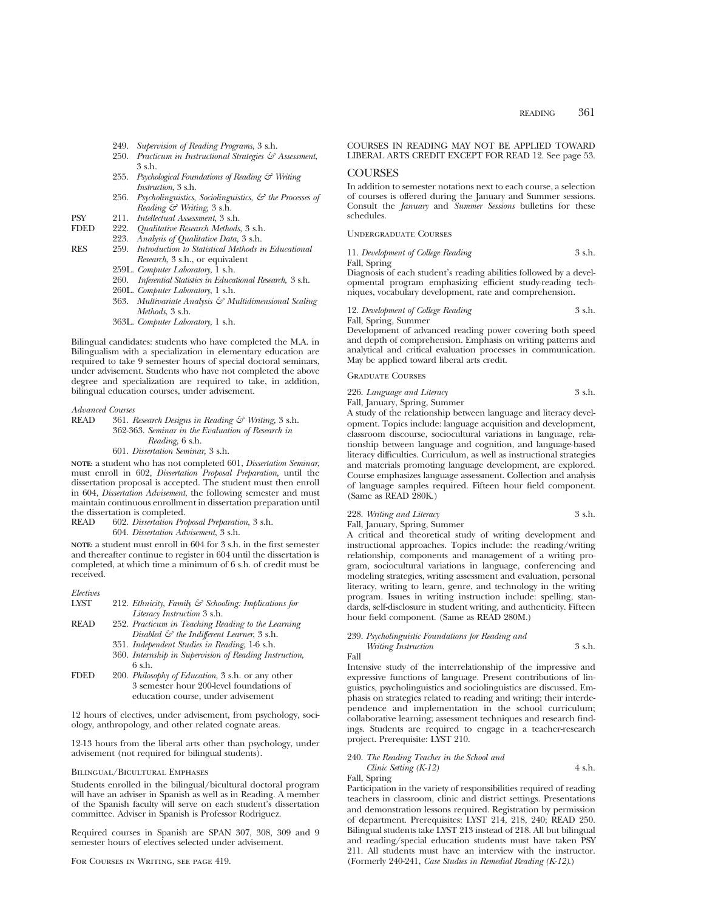- 249. *Supervision of Reading Programs*, 3 s.h.
- 250. *Practicum in Instructional Strategies & Assessment*, 3 s.h.
- 255. *Psychological Foundations of Reading & Writing Instruction*, 3 s.h.
- 256. *Psycholinguistics, Sociolinguistics, & the Processes of Reading & Writing*, 3 s.h.
- PSY 211. *Intellectual Assessment*, 3 s.h.
- FDED 222. *Qualitative Research Methods,* 3 s.h.
- 223. *Analysis of Qualitative Data,* 3 s.h.
- RES 259. *Introduction to Statistical Methods in Educational Research*, 3 s.h., or equivalent
	- 259L. *Computer Laboratory*, 1 s.h.
	- 260. *Inferential Statistics in Educational Research*, 3 s.h.
	- 260L. *Computer Laboratory*, 1 s.h.
	- 363. *Multivariate Analysis & Multidimensional Scaling Methods*, 3 s.h.
	- 363L. *Computer Laboratory*, 1 s.h.

Bilingual candidates: students who have completed the M.A. in Bilingualism with a specialization in elementary education are required to take 9 semester hours of special doctoral seminars, under advisement. Students who have not completed the above degree and specialization are required to take, in addition, bilingual education courses, under advisement.

#### *Advanced Courses*

READ 361. *Research Designs in Reading & Writing,* 3 s.h. 362-363. *Seminar in the Evaluation of Research in Reading*, 6 s.h. 601. *Dissertation Seminar,* 3 s.h.

**NOTE:** a student who has not completed 601, *Dissertation Seminar*, must enroll in 602, *Dissertation Proposal Preparation*, until the dissertation proposal is accepted. The student must then enroll in 604, *Dissertation Advisement*, the following semester and must maintain continuous enrollment in dissertation preparation until the dissertation is completed.<br>READ 602. Dissertation Pro

READ 602. *Dissertation Proposal Preparation*, 3 s.h. 604. *Dissertation Advisement*, 3 s.h.

**NOTE:** a student must enroll in 604 for 3 s.h. in the first semester and thereafter continue to register in 604 until the dissertation is completed, at which time a minimum of 6 s.h. of credit must be received.

| Electives |                                                      |
|-----------|------------------------------------------------------|
| LYST      | 212. Ethnicity, Family & Schooling: Implications for |
|           | Literacy Instruction 3 s.h.                          |
| READ      | 252. Practicum in Teaching Reading to the Learning   |
|           |                                                      |

- *Disabled & the Indifferent Learner*, 3 s.h. 351. *Independent Studies in Reading*, 1-6 s.h.
- 
- 360. *Internship in Supervision of Reading Instruction*, 6 s.h.
- FDED 200. *Philosophy of Education*, 3 s.h. or any other 3 semester hour 200-level foundations of education course, under advisement

12 hours of electives, under advisement, from psychology, sociology, anthropology, and other related cognate areas.

12-13 hours from the liberal arts other than psychology, under advisement (not required for bilingual students).

#### Bilingual/Bicultural Emphases

Students enrolled in the bilingual/bicultural doctoral program will have an adviser in Spanish as well as in Reading. A member of the Spanish faculty will serve on each student's dissertation committee. Adviser in Spanish is Professor Rodriguez.

Required courses in Spanish are SPAN 307, 308, 309 and 9 semester hours of electives selected under advisement.

## COURSES IN READING MAY NOT BE APPLIED TOWARD LIBERAL ARTS CREDIT EXCEPT FOR READ 12. See page 53.

## COURSES

In addition to semester notations next to each course, a selection of courses is offered during the January and Summer sessions. Consult the *January* and *Summer Sessions* bulletins for these schedules.

Undergraduate Courses

11. *Development of College Reading* 3 s.h. Fall, Spring

Diagnosis of each student's reading abilities followed by a developmental program emphasizing efficient study-reading techniques, vocabulary development, rate and comprehension.

#### 12. *Development of College Reading* 3 s.h. Fall, Spring, Summer

Development of advanced reading power covering both speed and depth of comprehension. Emphasis on writing patterns and analytical and critical evaluation processes in communication. May be applied toward liberal arts credit.

## Graduate Courses

226. *Language and Literacy* 3 s.h.

Fall, January, Spring, Summer A study of the relationship between language and literacy development. Topics include: language acquisition and development, classroom discourse, sociocultural variations in language, relationship between language and cognition, and language-based literacy difficulties. Curriculum, as well as instructional strategies and materials promoting language development, are explored. Course emphasizes language assessment. Collection and analysis of language samples required. Fifteen hour field component. (Same as READ 280K.)

228. *Writing and Literacy* 3 s.h.

Fall, January, Spring, Summer

A critical and theoretical study of writing development and instructional approaches. Topics include: the reading/writing relationship, components and management of a writing program, sociocultural variations in language, conferencing and modeling strategies, writing assessment and evaluation, personal literacy, writing to learn, genre, and technology in the writing program. Issues in writing instruction include: spelling, standards, self-disclosure in student writing, and authenticity. Fifteen hour field component. (Same as READ 280M.)

## 239. *Psycholinguistic Foundations for Reading and*

*Writing Instruction* 3 s.h. Fall

Intensive study of the interrelationship of the impressive and expressive functions of language. Present contributions of linguistics, psycholinguistics and sociolinguistics are discussed. Emphasis on strategies related to reading and writing; their interdependence and implementation in the school curriculum; collaborative learning; assessment techniques and research findings. Students are required to engage in a teacher-research project. Prerequisite: LYST 210.

## 240. *The Reading Teacher in the School and*

*Clinic Setting (K-12)* 4 s.h. Fall, Spring

Participation in the variety of responsibilities required of reading teachers in classroom, clinic and district settings. Presentations and demonstration lessons required. Registration by permission of department. Prerequisites: LYST 214, 218, 240; READ 250. Bilingual students take LYST 213 instead of 218. All but bilingual and reading/special education students must have taken PSY 211. All students must have an interview with the instructor. (Formerly 240-241, *Case Studies in Remedial Reading (K-12)*.)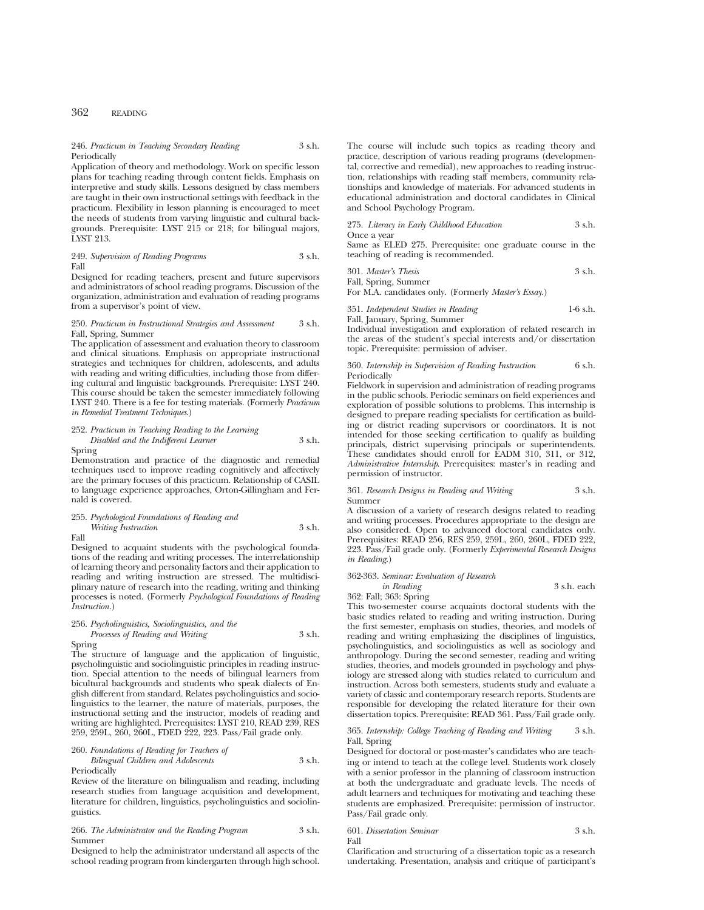#### 246. *Practicum in Teaching Secondary Reading* 3 s.h. Periodically

Application of theory and methodology. Work on specific lesson plans for teaching reading through content fields. Emphasis on interpretive and study skills. Lessons designed by class members are taught in their own instructional settings with feedback in the practicum. Flexibility in lesson planning is encouraged to meet the needs of students from varying linguistic and cultural backgrounds. Prerequisite: LYST 215 or 218; for bilingual majors, LYST 213.

249. *Supervision of Reading Programs* 3 s.h. Fall

Designed for reading teachers, present and future supervisors and administrators of school reading programs. Discussion of the organization, administration and evaluation of reading programs from a supervisor's point of view.

#### 250. *Practicum in Instructional Strategies and Assessment* 3 s.h. Fall, Spring, Summer

The application of assessment and evaluation theory to classroom and clinical situations. Emphasis on appropriate instructional strategies and techniques for children, adolescents, and adults with reading and writing difficulties, including those from differing cultural and linguistic backgrounds. Prerequisite: LYST 240. This course should be taken the semester immediately following LYST 240. There is a fee for testing materials. (Formerly *Practicum in Remedial Treatment Techniques.*)

## 252. *Practicum in Teaching Reading to the Learning Disabled and the Indifferent Learner* 3 s.h.

Spring

Demonstration and practice of the diagnostic and remedial techniques used to improve reading cognitively and affectively are the primary focuses of this practicum. Relationship of CASIL to language experience approaches, Orton-Gillingham and Fernald is covered.

## 255. *Psychological Foundations of Reading and Writing Instruction* 3 s.h.

Fall

## Designed to acquaint students with the psychological foundations of the reading and writing processes. The interrelationship of learning theory and personality factors and their application to reading and writing instruction are stressed. The multidisciplinary nature of research into the reading, writing and thinking processes is noted. (Formerly *Psychological Foundations of Reading Instruction.*)

#### 256. *Psycholinguistics, Sociolinguistics, and the Processes of Reading and Writing* 3 s.h.

Spring

The structure of language and the application of linguistic, psycholinguistic and sociolinguistic principles in reading instruction. Special attention to the needs of bilingual learners from bicultural backgrounds and students who speak dialects of English different from standard. Relates psycholinguistics and sociolinguistics to the learner, the nature of materials, purposes, the instructional setting and the instructor, models of reading and writing are highlighted. Prerequisites: LYST 210, READ 239, RES 259, 259L, 260, 260L, FDED 222, 223. Pass/Fail grade only.

## 260. *Foundations of Reading for Teachers of*

*Bilingual Children and Adolescents* 3 s.h. **Periodically** 

Review of the literature on bilingualism and reading, including research studies from language acquisition and development, literature for children, linguistics, psycholinguistics and sociolinguistics.

#### 266. *The Administrator and the Reading Program* 3 s.h. Summer

Designed to help the administrator understand all aspects of the school reading program from kindergarten through high school. The course will include such topics as reading theory and practice, description of various reading programs (developmental, corrective and remedial), new approaches to reading instruction, relationships with reading staff members, community relationships and knowledge of materials. For advanced students in educational administration and doctoral candidates in Clinical and School Psychology Program.

275. *Literacy in Early Childhood Education* 3 s.h. Once a year

Same as ELED 275. Prerequisite: one graduate course in the teaching of reading is recommended.

| 301. Master's Thesis | 3 s.h. |
|----------------------|--------|
| Fall, Spring, Summer |        |

For M.A. candidates only. (Formerly *Master's Essay.*)

351. *Independent Studies in Reading* 1-6 s.h. Fall, January, Spring, Summer

Individual investigation and exploration of related research in the areas of the student's special interests and/or dissertation topic. Prerequisite: permission of adviser.

#### 360. *Internship in Supervision of Reading Instruction* 6 s.h. Periodically

Fieldwork in supervision and administration of reading programs in the public schools. Periodic seminars on field experiences and exploration of possible solutions to problems. This internship is designed to prepare reading specialists for certification as building or district reading supervisors or coordinators. It is not intended for those seeking certification to qualify as building principals, district supervising principals or superintendents. These candidates should enroll for EADM 310, 311, or 312, *Administrative Internship*. Prerequisites: master's in reading and permission of instructor.

#### 361. *Research Designs in Reading and Writing* 3 s.h. Summer

A discussion of a variety of research designs related to reading and writing processes. Procedures appropriate to the design are also considered. Open to advanced doctoral candidates only. Prerequisites: READ 256, RES 259, 259L, 260, 260L, FDED 222, 223. Pass/Fail grade only. (Formerly *Experimental Research Designs in Reading*.)

# 362-363. *Seminar: Evaluation of Research*

*in Reading* 3 s.h. each

362: Fall; 363: Spring

This two-semester course acquaints doctoral students with the basic studies related to reading and writing instruction. During the first semester, emphasis on studies, theories, and models of reading and writing emphasizing the disciplines of linguistics, psycholinguistics, and sociolinguistics as well as sociology and anthropology. During the second semester, reading and writing studies, theories, and models grounded in psychology and physiology are stressed along with studies related to curriculum and instruction. Across both semesters, students study and evaluate a variety of classic and contemporary research reports. Students are responsible for developing the related literature for their own dissertation topics. Prerequisite: READ 361. Pass/Fail grade only.

#### 365. *Internship: College Teaching of Reading and Writing* 3 s.h. Fall, Spring

Designed for doctoral or post-master's candidates who are teaching or intend to teach at the college level. Students work closely with a senior professor in the planning of classroom instruction at both the undergraduate and graduate levels. The needs of adult learners and techniques for motivating and teaching these students are emphasized. Prerequisite: permission of instructor. Pass/Fail grade only.

#### 601. *Dissertation Seminar* 3 s.h. Fall

Clarification and structuring of a dissertation topic as a research undertaking. Presentation, analysis and critique of participant's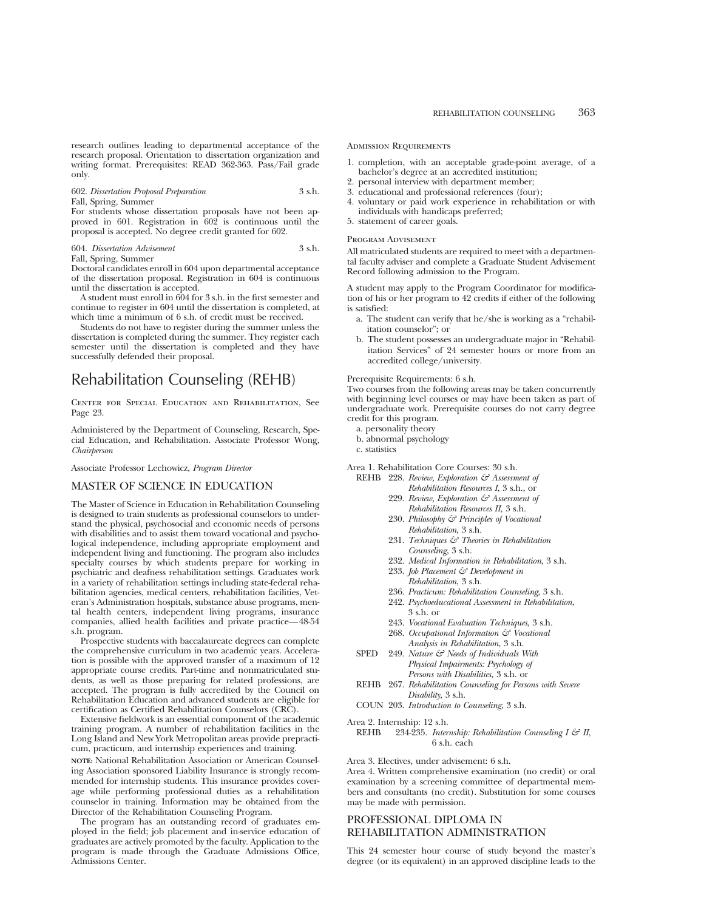## 602. *Dissertation Proposal Preparation* 3 s.h. Fall, Spring, Summer

For students whose dissertation proposals have not been approved in 601. Registration in 602 is continuous until the proposal is accepted. No degree credit granted for 602.

## 604. *Dissertation Advisement* 3 s.h. Fall, Spring, Summer

Doctoral candidates enroll in 604 upon departmental acceptance of the dissertation proposal. Registration in 604 is continuous until the dissertation is accepted.

A student must enroll in 604 for 3 s.h. in the first semester and continue to register in 604 until the dissertation is completed, at which time a minimum of 6 s.h. of credit must be received.

Students do not have to register during the summer unless the dissertation is completed during the summer. They register each semester until the dissertation is completed and they have successfully defended their proposal.

# Rehabilitation Counseling (REHB)

Center for Special Education and Rehabilitation, See Page 23.

Administered by the Department of Counseling, Research, Special Education, and Rehabilitation. Associate Professor Wong, *Chairperson*

Associate Professor Lechowicz, *Program Director*

## MASTER OF SCIENCE IN EDUCATION

The Master of Science in Education in Rehabilitation Counseling is designed to train students as professional counselors to understand the physical, psychosocial and economic needs of persons with disabilities and to assist them toward vocational and psychological independence, including appropriate employment and independent living and functioning. The program also includes specialty courses by which students prepare for working in psychiatric and deafness rehabilitation settings. Graduates work in a variety of rehabilitation settings including state-federal rehabilitation agencies, medical centers, rehabilitation facilities, Veteran's Administration hospitals, substance abuse programs, mental health centers, independent living programs, insurance companies, allied health facilities and private practice—48-54 s.h. program.

Prospective students with baccalaureate degrees can complete the comprehensive curriculum in two academic years. Acceleration is possible with the approved transfer of a maximum of 12 appropriate course credits. Part-time and nonmatriculated students, as well as those preparing for related professions, are accepted. The program is fully accredited by the Council on Rehabilitation Education and advanced students are eligible for certification as Certified Rehabilitation Counselors (CRC).

Extensive fieldwork is an essential component of the academic training program. A number of rehabilitation facilities in the Long Island and New York Metropolitan areas provide prepracticum, practicum, and internship experiences and training.

**NOTE:** National Rehabilitation Association or American Counseling Association sponsored Liability Insurance is strongly recommended for internship students. This insurance provides coverage while performing professional duties as a rehabilitation counselor in training. Information may be obtained from the Director of the Rehabilitation Counseling Program.

The program has an outstanding record of graduates employed in the field; job placement and in-service education of graduates are actively promoted by the faculty. Application to the program is made through the Graduate Admissions Office, Admissions Center.

### Admission Requirements

- 1. completion, with an acceptable grade-point average, of a bachelor's degree at an accredited institution;
- 2. personal interview with department member;
- 3. educational and professional references (four);
- 4. voluntary or paid work experience in rehabilitation or with individuals with handicaps preferred;
- 5. statement of career goals.

#### Program Advisement

All matriculated students are required to meet with a departmental faculty adviser and complete a Graduate Student Advisement Record following admission to the Program.

A student may apply to the Program Coordinator for modification of his or her program to 42 credits if either of the following is satisfied:

- a. The student can verify that he/she is working as a "rehabilitation counselor"; or
- b. The student possesses an undergraduate major in "Rehabilitation Services" of 24 semester hours or more from an accredited college/university.

Prerequisite Requirements: 6 s.h.

Two courses from the following areas may be taken concurrently with beginning level courses or may have been taken as part of undergraduate work. Prerequisite courses do not carry degree credit for this program.

a. personality theory

- b. abnormal psychology
- c. statistics

Area 1. Rehabilitation Core Courses: 30 s.h.

- REHB 228. *Review, Exploration & Assessment of Rehabilitation Resources I*, 3 s.h., or
	- 229. *Review, Exploration & Assessment of Rehabilitation Resources II,* 3 s.h.
	- 230. *Philosophy & Principles of Vocational Rehabilitation*, 3 s.h.
	- 231. *Techniques & Theories in Rehabilitation Counseling*, 3 s.h.
	- 232. *Medical Information in Rehabilitation*, 3 s.h.
	- 233. *Job Placement & Development in Rehabilitation*, 3 s.h.
	- 236. *Practicum: Rehabilitation Counseling*, 3 s.h.
	- 242. *Psychoeducational Assessment in Rehabilitation*, 3 s.h. or
	- 243. *Vocational Evaluation Techniques*, 3 s.h.
	- 268. *Occupational Information & Vocational Analysis in Rehabilitation*, 3 s.h.
- SPED 249. *Nature & Needs of Individuals With Physical Impairments: Psychology of Persons with Disabilities,* 3 s.h. or
- REHB 267. *Rehabilitation Counseling for Persons with Severe Disability*, 3 s.h.
- COUN 203. *Introduction to Counseling*, 3 s.h.

Area 2. Internship: 12 s.h.<br>REHB 934-935 Inter

234-235. *Internship: Rehabilitation Counseling I & II*, 6 s.h. each

Area 3. Electives, under advisement: 6 s.h.

Area 4. Written comprehensive examination (no credit) or oral examination by a screening committee of departmental members and consultants (no credit). Substitution for some courses may be made with permission.

## PROFESSIONAL DIPLOMA IN REHABILITATION ADMINISTRATION

This 24 semester hour course of study beyond the master's degree (or its equivalent) in an approved discipline leads to the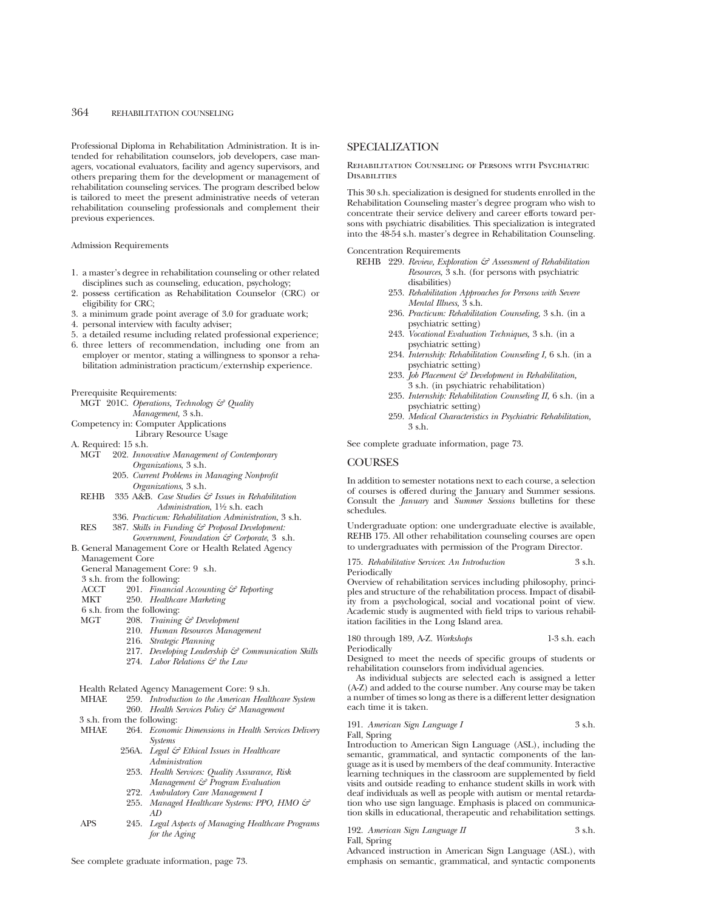Professional Diploma in Rehabilitation Administration. It is intended for rehabilitation counselors, job developers, case managers, vocational evaluators, facility and agency supervisors, and others preparing them for the development or management of rehabilitation counseling services. The program described below is tailored to meet the present administrative needs of veteran rehabilitation counseling professionals and complement their previous experiences.

#### Admission Requirements

- 1. a master's degree in rehabilitation counseling or other related disciplines such as counseling, education, psychology;
- 2. possess certification as Rehabilitation Counselor (CRC) or eligibility for CRC;
- 3. a minimum grade point average of 3.0 for graduate work;
- 4. personal interview with faculty adviser;
- 5. a detailed resume including related professional experience;
- 6. three letters of recommendation, including one from an employer or mentor, stating a willingness to sponsor a rehabilitation administration practicum/externship experience.

Prerequisite Requirements:

- MGT 201C. *Operations, Technology & Quality Management,* 3 s.h.
- Competency in: Computer Applications
- Library Resource Usage
- A. Required: 15 s.h.
	- MGT 202. *Innovative Management of Contemporary Organizations*, 3 s.h.
		- 205. *Current Problems in Managing Nonprofit Organizations*, 3 s.h.
- REHB 335 A&B. *Case Studies & Issues in Rehabilitation Administration*, 1<sup>1</sup>/<sub>2</sub> s.h. each
- 336. *Practicum: Rehabilitation Administration*, 3 s.h.
- RES 387. *Skills in Funding & Proposal Development:*
- *Government, Foundation & Corporate*, 3 s.h. B. General Management Core or Health Related Agency
	- Management Core

## General Management Core: 9 s.h.

- 3 s.h. from the following:
- 
- ACCT 201. *Financial Accounting & Reporting*<br>MKT 250. *Healthcare Marketing* 250. Healthcare Marketing
- 
- 6 s.h. from the following:<br>MGT 208. Training
	- 208. *Training & Development* 210. *Human Resources Management*
	-
	- 216. *Strategic Planning*
	- 217. *Developing Leadership & Communication Skills*
	- 274. *Labor Relations & the Law*

# Health Related Agency Management Core: 9 s.h.<br>MHAE 259. Introduction to the American Health

- 259. *Introduction to the American Healthcare System* 
	- 260. *Health Services Policy & Management*
- 3 s.h. from the following:<br>MHAE 264. *Econom* 
	- 264. *Economic Dimensions in Health Services Delivery Systems*
		- 256A. *Legal & Ethical Issues in Healthcare Administration*
		- 253. *Health Services: Quality Assurance, Risk Management & Program Evaluation*
		- 272. *Ambulatory Care Management I*
		- 255. *Managed Healthcare Systems: PPO, HMO & AD*
- APS 245. *Legal Aspects of Managing Healthcare Programs for the Aging*

See complete graduate information, page 73.

## SPECIALIZATION

Rehabilitation Counseling of Persons with Psychiatric **DISABILITIES** 

This 30 s.h. specialization is designed for students enrolled in the Rehabilitation Counseling master's degree program who wish to concentrate their service delivery and career efforts toward persons with psychiatric disabilities. This specialization is integrated into the 48-54 s.h. master's degree in Rehabilitation Counseling.

Concentration Requirements

- REHB 229. *Review, Exploration & Assessment of Rehabilitation Resources,* 3 s.h. (for persons with psychiatric disabilities)
	- 253. *Rehabilitation Approaches for Persons with Severe Mental Illness,* 3 s.h.
	- 236. *Practicum: Rehabilitation Counseling,* 3 s.h. (in a psychiatric setting)
	- 243. *Vocational Evaluation Techniques,* 3 s.h. (in a psychiatric setting)
	- 234. *Internship: Rehabilitation Counseling I,* 6 s.h. (in a psychiatric setting)
	- 233. *Job Placement & Development in Rehabilitation,* 3 s.h. (in psychiatric rehabilitation)
	- 235. *Internship: Rehabilitation Counseling II,* 6 s.h. (in a psychiatric setting)
	- 259. *Medical Characteristics in Psychiatric Rehabilitation,* 3 s.h.

See complete graduate information, page 73.

## **COURSES**

In addition to semester notations next to each course, a selection of courses is offered during the January and Summer sessions. Consult the *January* and *Summer Sessions* bulletins for these schedules.

Undergraduate option: one undergraduate elective is available, REHB 175. All other rehabilitation counseling courses are open to undergraduates with permission of the Program Director.

175. *Rehabilitative Services*: *An Introduction* 3 s.h.

Periodically

Overview of rehabilitation services including philosophy, principles and structure of the rehabilitation process. Impact of disability from a psychological, social and vocational point of view. Academic study is augmented with field trips to various rehabilitation facilities in the Long Island area.

#### 180 through 189, A-Z. *Workshops* 1-3 s.h. each Periodically

Designed to meet the needs of specific groups of students or rehabilitation counselors from individual agencies.

As individual subjects are selected each is assigned a letter (A-Z) and added to the course number. Any course may be taken a number of times so long as there is a different letter designation each time it is taken.

#### 191. *American Sign Language I* 3 s.h. Fall, Spring

Introduction to American Sign Language (ASL), including the semantic, grammatical, and syntactic components of the language as it is used by members of the deaf community. Interactive learning techniques in the classroom are supplemented by field visits and outside reading to enhance student skills in work with deaf individuals as well as people with autism or mental retardation who use sign language. Emphasis is placed on communication skills in educational, therapeutic and rehabilitation settings.

192. *American Sign Language II* 3 s.h. Fall, Spring

Advanced instruction in American Sign Language (ASL), with emphasis on semantic, grammatical, and syntactic components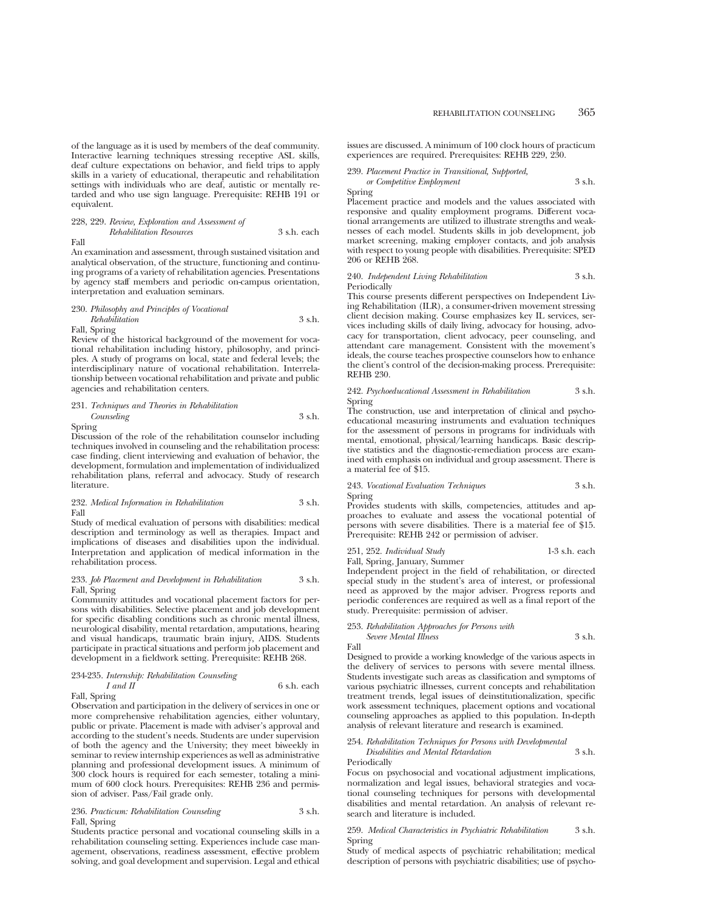#### 228, 229. *Review, Exploration and Assessment of*

*Rehabilitation Resources* 3 s.h. each Fall

An examination and assessment, through sustained visitation and analytical observation, of the structure, functioning and continuing programs of a variety of rehabilitation agencies. Presentations by agency staff members and periodic on-campus orientation, interpretation and evaluation seminars.

#### 230. *Philosophy and Principles of Vocational Rehabilitation* 3 s.h.

Fall, Spring

Review of the historical background of the movement for vocational rehabilitation including history, philosophy, and principles. A study of programs on local, state and federal levels; the interdisciplinary nature of vocational rehabilitation. Interrelationship between vocational rehabilitation and private and public agencies and rehabilitation centers.

## 231. *Techniques and Theories in Rehabilitation Counseling* 3 s.h.

Spring

Discussion of the role of the rehabilitation counselor including techniques involved in counseling and the rehabilitation process: case finding, client interviewing and evaluation of behavior, the development, formulation and implementation of individualized rehabilitation plans, referral and advocacy. Study of research literature.

#### 232. *Medical Information in Rehabilitation* 3 s.h. Fall

Study of medical evaluation of persons with disabilities: medical description and terminology as well as therapies. Impact and implications of diseases and disabilities upon the individual. Interpretation and application of medical information in the rehabilitation process.

#### 233. *Job Placement and Development in Rehabilitation* 3 s.h. Fall, Spring

Community attitudes and vocational placement factors for persons with disabilities. Selective placement and job development for specific disabling conditions such as chronic mental illness, neurological disability, mental retardation, amputations, hearing and visual handicaps, traumatic brain injury, AIDS. Students participate in practical situations and perform job placement and development in a fieldwork setting. Prerequisite: REHB 268.

## 234-235. *Internship: Rehabilitation Counseling*  $6$  s.h. each

Fall, Spring

Observation and participation in the delivery of services in one or more comprehensive rehabilitation agencies, either voluntary, public or private. Placement is made with adviser's approval and according to the student's needs. Students are under supervision of both the agency and the University; they meet biweekly in seminar to review internship experiences as well as administrative planning and professional development issues. A minimum of 300 clock hours is required for each semester, totaling a minimum of 600 clock hours. Prerequisites: REHB 236 and permission of adviser. Pass/Fail grade only.

## 236. *Practicum: Rehabilitation Counseling* 3 s.h. Fall, Spring

Students practice personal and vocational counseling skills in a rehabilitation counseling setting. Experiences include case management, observations, readiness assessment, effective problem solving, and goal development and supervision. Legal and ethical issues are discussed. A minimum of 100 clock hours of practicum experiences are required. Prerequisites: REHB 229, 230.

239. *Placement Practice in Transitional, Supported, or Competitive Employment* 3 s.h.

Spring

Placement practice and models and the values associated with responsive and quality employment programs. Different vocational arrangements are utilized to illustrate strengths and weaknesses of each model. Students skills in job development, job market screening, making employer contacts, and job analysis with respect to young people with disabilities. Prerequisite: SPED 206 or REHB 268.

#### 240. *Independent Living Rehabilitation* 3 s.h. Periodically

This course presents different perspectives on Independent Living Rehabilitation (ILR), a consumer-driven movement stressing client decision making. Course emphasizes key IL services, services including skills of daily living, advocacy for housing, advocacy for transportation, client advocacy, peer counseling, and attendant care management. Consistent with the movement's ideals, the course teaches prospective counselors how to enhance the client's control of the decision-making process. Prerequisite: REHB 230.

242. *Psychoeducational Assessment in Rehabilitation* 3 s.h. Spring

The construction, use and interpretation of clinical and psychoeducational measuring instruments and evaluation techniques for the assessment of persons in programs for individuals with mental, emotional, physical/learning handicaps. Basic descriptive statistics and the diagnostic-remediation process are examined with emphasis on individual and group assessment. There is a material fee of \$15.

243. *Vocational Evaluation Techniques* 3 s.h. Spring

Provides students with skills, competencies, attitudes and approaches to evaluate and assess the vocational potential of persons with severe disabilities. There is a material fee of \$15. Prerequisite: REHB 242 or permission of adviser.

#### 251, 252. *Individual Study* 1-3 s.h. each Fall, Spring, January, Summer

Independent project in the field of rehabilitation, or directed special study in the student's area of interest, or professional need as approved by the major adviser. Progress reports and periodic conferences are required as well as a final report of the study. Prerequisite: permission of adviser.

## 253. *Rehabilitation Approaches for Persons with Severe Mental Illness* 3 s.h.

Fall

Designed to provide a working knowledge of the various aspects in the delivery of services to persons with severe mental illness. Students investigate such areas as classification and symptoms of various psychiatric illnesses, current concepts and rehabilitation treatment trends, legal issues of deinstitutionalization, specific work assessment techniques, placement options and vocational counseling approaches as applied to this population. In-depth analysis of relevant literature and research is examined.

## 254. *Rehabilitation Techniques for Persons with Developmental*

*Disabilities and Mental Retardation* 3 s.h. Periodically

Focus on psychosocial and vocational adjustment implications, normalization and legal issues, behavioral strategies and vocational counseling techniques for persons with developmental disabilities and mental retardation. An analysis of relevant research and literature is included.

#### 259. *Medical Characteristics in Psychiatric Rehabilitation* 3 s.h. Spring

Study of medical aspects of psychiatric rehabilitation; medical description of persons with psychiatric disabilities; use of psycho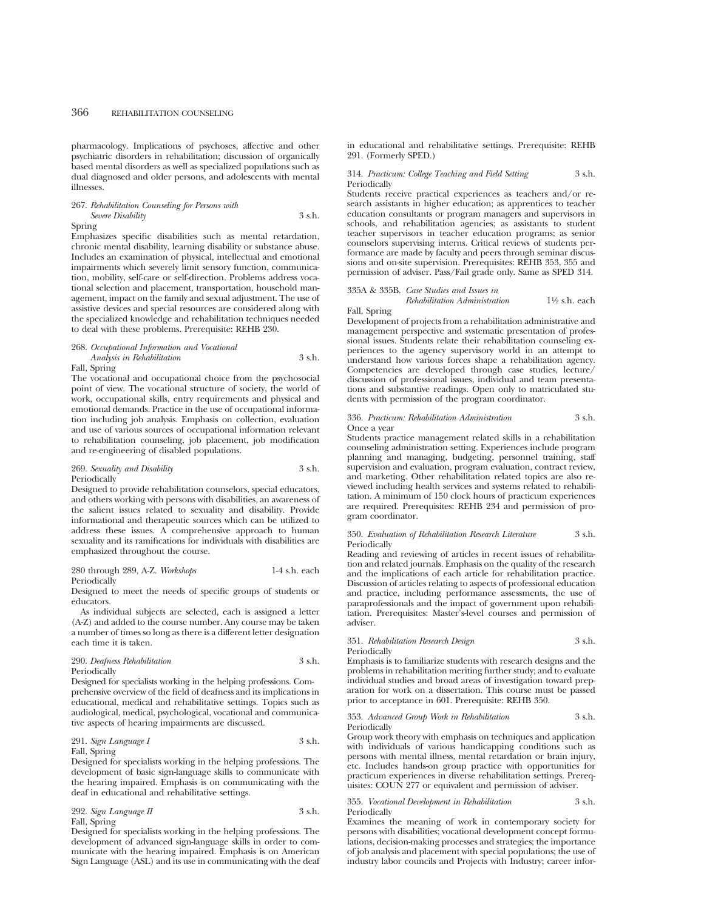pharmacology. Implications of psychoses, affective and other psychiatric disorders in rehabilitation; discussion of organically based mental disorders as well as specialized populations such as dual diagnosed and older persons, and adolescents with mental illnesses.

## 267. *Rehabilitation Counseling for Persons with Severe Disability* 3 s.h.

#### Spring

Emphasizes specific disabilities such as mental retardation, chronic mental disability, learning disability or substance abuse. Includes an examination of physical, intellectual and emotional impairments which severely limit sensory function, communication, mobility, self-care or self-direction. Problems address vocational selection and placement, transportation, household management, impact on the family and sexual adjustment. The use of assistive devices and special resources are considered along with the specialized knowledge and rehabilitation techniques needed to deal with these problems. Prerequisite: REHB 230.

#### 268. *Occupational Information and Vocational*

#### *Analysis in Rehabilitation* 3 s.h. Fall, Spring

The vocational and occupational choice from the psychosocial point of view. The vocational structure of society, the world of work, occupational skills, entry requirements and physical and emotional demands. Practice in the use of occupational information including job analysis. Emphasis on collection, evaluation and use of various sources of occupational information relevant to rehabilitation counseling, job placement, job modification and re-engineering of disabled populations.

#### 269. *Sexuality and Disability* 3 s.h. Periodically

Designed to provide rehabilitation counselors, special educators, and others working with persons with disabilities, an awareness of the salient issues related to sexuality and disability. Provide informational and therapeutic sources which can be utilized to address these issues. A comprehensive approach to human sexuality and its ramifications for individuals with disabilities are emphasized throughout the course.

#### 280 through 289, A-Z. *Workshops* 1-4 s.h. each **Periodically**

Designed to meet the needs of specific groups of students or educators.

As individual subjects are selected, each is assigned a letter (A-Z) and added to the course number. Any course may be taken a number of times so long as there is a different letter designation each time it is taken.

#### 290. *Deafness Rehabilitation* 3 s.h. Periodically

Designed for specialists working in the helping professions. Comprehensive overview of the field of deafness and its implications in educational, medical and rehabilitative settings. Topics such as audiological, medical, psychological, vocational and communicative aspects of hearing impairments are discussed.

## 291. *Sign Language I* 3 s.h. Fall, Spring

Designed for specialists working in the helping professions. The development of basic sign-language skills to communicate with the hearing impaired. Emphasis is on communicating with the deaf in educational and rehabilitative settings.

292. *Sign Language II* 3 s.h. Fall, Spring

Designed for specialists working in the helping professions. The development of advanced sign-language skills in order to communicate with the hearing impaired. Emphasis is on American Sign Language (ASL) and its use in communicating with the deaf in educational and rehabilitative settings. Prerequisite: REHB 291. (Formerly SPED.)

#### 314. *Practicum: College Teaching and Field Setting* 3 s.h. Periodically

Students receive practical experiences as teachers and/or research assistants in higher education; as apprentices to teacher education consultants or program managers and supervisors in schools, and rehabilitation agencies; as assistants to student teacher supervisors in teacher education programs; as senior counselors supervising interns. Critical reviews of students performance are made by faculty and peers through seminar discussions and on-site supervision. Prerequisites: REHB 353, 355 and permission of adviser. Pass/Fail grade only. Same as SPED 314.

# 335A & 335B. *Case Studies and Issues in*

*Rehabilitation Administration* 11⁄2 s.h. each

## Fall, Spring

Development of projects from a rehabilitation administrative and management perspective and systematic presentation of professional issues. Students relate their rehabilitation counseling experiences to the agency supervisory world in an attempt to understand how various forces shape a rehabilitation agency. Competencies are developed through case studies, lecture/ discussion of professional issues, individual and team presentations and substantive readings. Open only to matriculated students with permission of the program coordinator.

#### 336. *Practicum: Rehabilitation Administration* 3 s.h. Once a year

Students practice management related skills in a rehabilitation counseling administration setting. Experiences include program planning and managing, budgeting, personnel training, staff supervision and evaluation, program evaluation, contract review, and marketing. Other rehabilitation related topics are also reviewed including health services and systems related to rehabilitation. A minimum of 150 clock hours of practicum experiences are required. Prerequisites: REHB 234 and permission of program coordinator.

#### 350. *Evaluation of Rehabilitation Research Literature* 3 s.h. Periodically

Reading and reviewing of articles in recent issues of rehabilitation and related journals. Emphasis on the quality of the research and the implications of each article for rehabilitation practice. Discussion of articles relating to aspects of professional education and practice, including performance assessments, the use of paraprofessionals and the impact of government upon rehabilitation. Prerequisites: Master's-level courses and permission of adviser.

#### 351. *Rehabilitation Research Design* 3 s.h. Periodically

Emphasis is to familiarize students with research designs and the problems in rehabilitation meriting further study; and to evaluate individual studies and broad areas of investigation toward preparation for work on a dissertation. This course must be passed prior to acceptance in 601. Prerequisite: REHB 350.

353. *Advanced Group Work in Rehabilitation* 3 s.h. Periodically

Group work theory with emphasis on techniques and application with individuals of various handicapping conditions such as persons with mental illness, mental retardation or brain injury, etc. Includes hands-on group practice with opportunities for practicum experiences in diverse rehabilitation settings. Prerequisites: COUN 277 or equivalent and permission of adviser.

#### 355. *Vocational Development in Rehabilitation* 3 s.h. **Periodically**

Examines the meaning of work in contemporary society for persons with disabilities; vocational development concept formulations, decision-making processes and strategies; the importance of job analysis and placement with special populations; the use of industry labor councils and Projects with Industry; career infor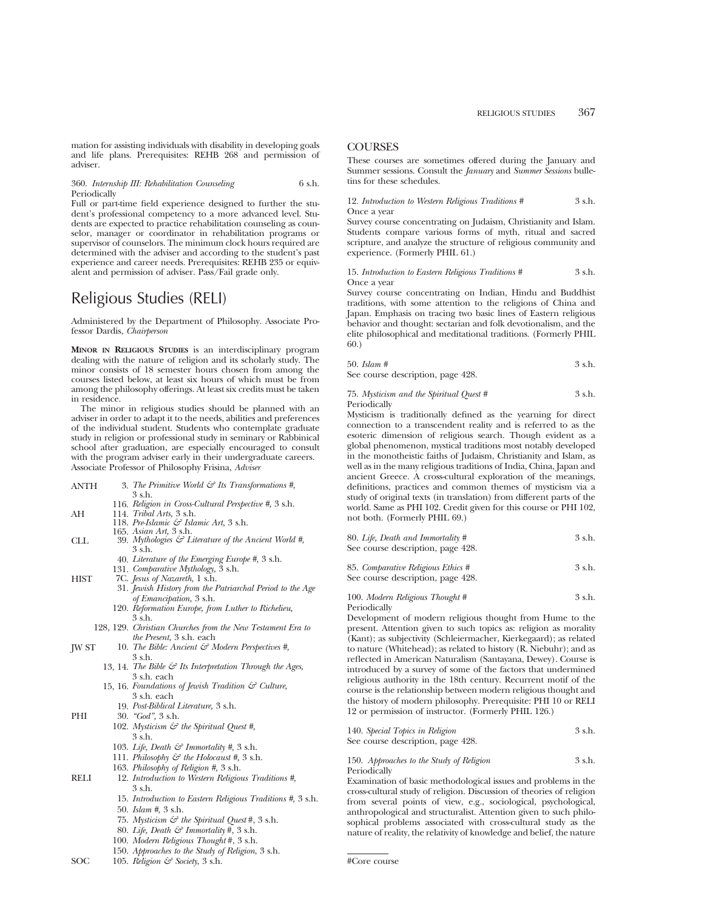mation for assisting individuals with disability in developing goals and life plans. Prerequisites: REHB 268 and permission of adviser.

360. *Internship III: Rehabilitation Counseling* 6 s.h. Periodically

Full or part-time field experience designed to further the student's professional competency to a more advanced level. Students are expected to practice rehabilitation counseling as counselor, manager or coordinator in rehabilitation programs or supervisor of counselors. The minimum clock hours required are determined with the adviser and according to the student's past experience and career needs. Prerequisites: REHB 235 or equivalent and permission of adviser. Pass/Fail grade only.

# Religious Studies (RELI)

Administered by the Department of Philosophy. Associate Professor Dardis, *Chairperson*

**MINOR IN RELIGIOUS STUDIES** is an interdisciplinary program dealing with the nature of religion and its scholarly study. The minor consists of 18 semester hours chosen from among the courses listed below, at least six hours of which must be from among the philosophy offerings. At least six credits must be taken in residence.

The minor in religious studies should be planned with an adviser in order to adapt it to the needs, abilities and preferences of the individual student. Students who contemplate graduate study in religion or professional study in seminary or Rabbinical school after graduation, are especially encouraged to consult with the program adviser early in their undergraduate careers. Associate Professor of Philosophy Frisina, *Adviser*

- ANTH 3. *The Primitive World & Its Transformations #,* 3 s.h.
	- 116. *Religion in Cross-Cultural Perspective #,* 3 s.h.
- AH 114. *Tribal Arts,* 3 s.h.
	- 118. *Pre-Islamic & Islamic Art,* 3 s.h.
- 165. *Asian Art,* 3 s.h. CLL 39. *Mythologies & Literature of the Ancient World #,* 3 s.h.
	- 40. *Literature of the Emerging Europe #,* 3 s.h.
	- 131. *Comparative Mythology,* 3 s.h.
- HIST 7C. *Jesus of Nazareth,* 1 s.h.
	- 31. *Jewish History from the Patriarchal Period to the Age of Emancipation,* 3 s.h.
		- 120. *Reformation Europe, from Luther to Richelieu,* 3 s.h.
	- 128, 129. *Christian Churches from the New Testament Era to the Present,* 3 s.h. each
- JW ST 10. *The Bible: Ancient & Modern Perspectives #,* 3 s.h.
	- 13, 14. *The Bible & Its Interpretation Through the Ages,* 3 s.h. each
	- 15, 16. *Foundations of Jewish Tradition & Culture,* 3 s.h. each
		- 19. *Post-Biblical Literature,* 3 s.h.
- PHI 30. *"God",* 3 s.h.
	- 102. *Mysticism & the Spiritual Quest #,* 3 s.h.
	- 103. *Life, Death & Immortality #,* 3 s.h.
	- 111. *Philosophy & the Holocaust #,* 3 s.h.
	- 163. *Philosophy of Religion #,* 3 s.h.
- RELI 12. *Introduction to Western Religious Traditions #,* 3 s.h.
	- 15. *Introduction to Eastern Religious Traditions #,* 3 s.h. 50. *Islam #,* 3 s.h.
	- 75. *Mysticism & the Spiritual Quest* #, 3 s.h.
	- 80. *Life, Death & Immortality* #, 3 s.h.
	- 100. *Modern Religious Thought* #, 3 s.h.
	- 150. *Approaches to the Study of Religion*, 3 s.h.
- SOC 105. *Religion & Society*, 3 s.h.

## **COURSES**

These courses are sometimes offered during the January and Summer sessions. Consult the *January* and *Summer Sessions* bulletins for these schedules.

12. *Introduction to Western Religious Traditions #* 3 s.h. Once a year

Survey course concentrating on Judaism, Christianity and Islam. Students compare various forms of myth, ritual and sacred scripture, and analyze the structure of religious community and experience. (Formerly PHIL 61.)

## 15. *Introduction to Eastern Religious Traditions #* 3 s.h. Once a year

Survey course concentrating on Indian, Hindu and Buddhist traditions, with some attention to the religions of China and Japan. Emphasis on tracing two basic lines of Eastern religious behavior and thought: sectarian and folk devotionalism, and the elite philosophical and meditational traditions. (Formerly PHIL 60.)

| $50.$ Islam #                     | 3 s.h. |
|-----------------------------------|--------|
| See course description, page 428. |        |

75. *Mysticism and the Spiritual Quest #* 3 s.h. Periodically

Mysticism is traditionally defined as the yearning for direct connection to a transcendent reality and is referred to as the esoteric dimension of religious search. Though evident as a global phenomenon, mystical traditions most notably developed in the monotheistic faiths of Judaism, Christianity and Islam, as well as in the many religious traditions of India, China, Japan and ancient Greece. A cross-cultural exploration of the meanings, definitions, practices and common themes of mysticism via a study of original texts (in translation) from different parts of the world. Same as PHI 102. Credit given for this course or PHI 102, not both. (Formerly PHIL 69.)

| 80. Life, Death and Immortality # | 3 s.h. |
|-----------------------------------|--------|
| See course description, page 428. |        |

| 85. Comparative Religious Ethics # | 3 s.h. |
|------------------------------------|--------|
| See course description, page 428.  |        |

#### 100. *Modern Religious Thought #* 3 s.h. Periodically

Development of modern religious thought from Hume to the present. Attention given to such topics as: religion as morality (Kant); as subjectivity (Schleiermacher, Kierkegaard); as related to nature (Whitehead); as related to history (R. Niebuhr); and as reflected in American Naturalism (Santayana, Dewey). Course is introduced by a survey of some of the factors that undermined religious authority in the 18th century. Recurrent motif of the course is the relationship between modern religious thought and the history of modern philosophy. Prerequisite: PHI 10 or RELI 12 or permission of instructor. (Formerly PHIL 126.)

| 140. Special Topics in Religion   | 3 s.h. |
|-----------------------------------|--------|
| See course description, page 428. |        |

| 150. Approaches to the Study of Religion | 3 s.h. |
|------------------------------------------|--------|
| Periodically                             |        |

Examination of basic methodological issues and problems in the cross-cultural study of religion. Discussion of theories of religion from several points of view, e.g., sociological, psychological, anthropological and structuralist. Attention given to such philosophical problems associated with cross-cultural study as the nature of reality, the relativity of knowledge and belief, the nature

<sup>#</sup>Core course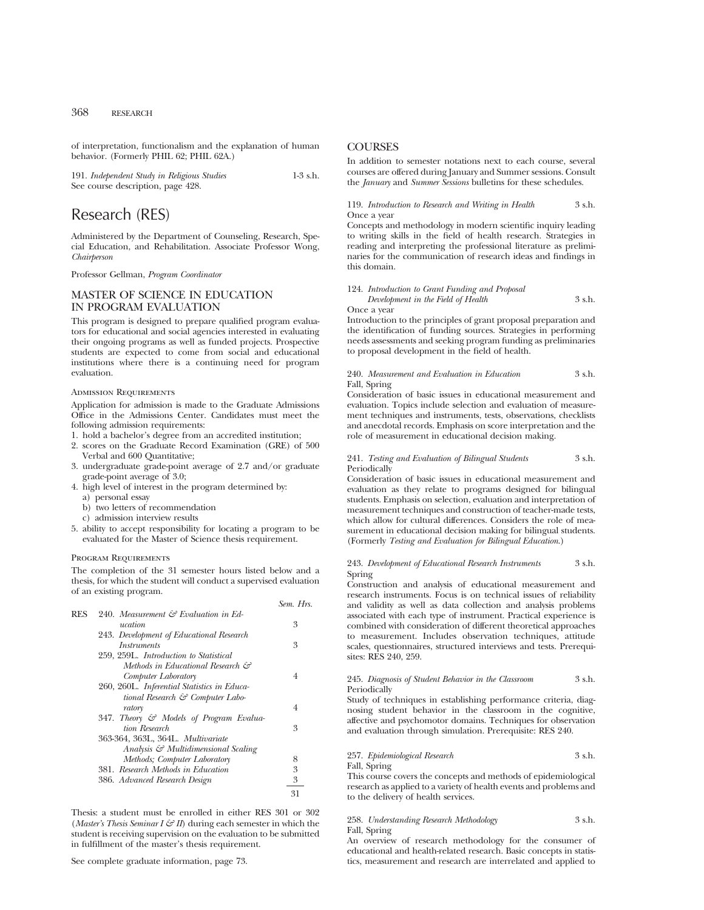of interpretation, functionalism and the explanation of human behavior. (Formerly PHIL 62; PHIL 62A.)

191. *Independent Study in Religious Studies* 1-3 s.h. See course description, page 428.

# Research (RES)

Administered by the Department of Counseling, Research, Special Education, and Rehabilitation. Associate Professor Wong, *Chairperson*

Professor Gellman, *Program Coordinator*

## MASTER OF SCIENCE IN EDUCATION IN PROGRAM EVALUATION

This program is designed to prepare qualified program evaluators for educational and social agencies interested in evaluating their ongoing programs as well as funded projects. Prospective students are expected to come from social and educational institutions where there is a continuing need for program evaluation.

#### Admission Requirements

Application for admission is made to the Graduate Admissions Office in the Admissions Center. Candidates must meet the following admission requirements:

- 1. hold a bachelor's degree from an accredited institution;
- 2. scores on the Graduate Record Examination (GRE) of 500 Verbal and 600 Quantitative;
- 3. undergraduate grade-point average of 2.7 and/or graduate grade-point average of 3.0;
- 4. high level of interest in the program determined by:
	- a) personal essay
	- b) two letters of recommendation
	- c) admission interview results
- 5. ability to accept responsibility for locating a program to be evaluated for the Master of Science thesis requirement.

#### Program Requirements

The completion of the 31 semester hours listed below and a thesis, for which the student will conduct a supervised evaluation of an existing program.

|     |                                             | Sem Hrs |
|-----|---------------------------------------------|---------|
| RES | 240. Measurement & Evaluation in Ed-        |         |
|     | ucation                                     | 3       |
|     | 243. Development of Educational Research    |         |
|     | Instruments                                 | 3       |
|     | 259, 259L. Introduction to Statistical      |         |
|     | Methods in Educational Research &           |         |
|     | Computer Laboratory                         | 4       |
|     | 260, 260L. Inferential Statistics in Educa- |         |
|     | tional Research & Computer Labo-            |         |
|     | ratory                                      | 4       |
|     | 347. Theory & Models of Program Evalua-     |         |
|     | tion Research                               | 3       |
|     | 363-364, 363L, 364L, Multivariate           |         |
|     | Analysis & Multidimensional Scaling         |         |
|     | Methods; Computer Laboratory                | 8       |
|     | 381. Research Methods in Education          | 3       |
|     | 386. Advanced Research Design               | 3       |
|     |                                             | 31      |

Thesis: a student must be enrolled in either RES 301 or 302 (*Master's Thesis Seminar I & II*) during each semester in which the student is receiving supervision on the evaluation to be submitted in fulfillment of the master's thesis requirement.

See complete graduate information, page 73.

## **COURSES**

In addition to semester notations next to each course, several courses are offered during January and Summer sessions. Consult the *January* and *Summer Sessions* bulletins for these schedules.

## 119. *Introduction to Research and Writing in Health* 3 s.h. Once a year

Concepts and methodology in modern scientific inquiry leading to writing skills in the field of health research. Strategies in reading and interpreting the professional literature as preliminaries for the communication of research ideas and findings in this domain.

|                                    | 124. Introduction to Grant Funding and Proposal |        |
|------------------------------------|-------------------------------------------------|--------|
| Development in the Field of Health |                                                 | 3 s.h. |

Once a year

Introduction to the principles of grant proposal preparation and the identification of funding sources. Strategies in performing needs assessments and seeking program funding as preliminaries to proposal development in the field of health.

#### 240. *Measurement and Evaluation in Education* 3 s.h. Fall, Spring

Consideration of basic issues in educational measurement and evaluation. Topics include selection and evaluation of measurement techniques and instruments, tests, observations, checklists and anecdotal records. Emphasis on score interpretation and the role of measurement in educational decision making.

#### 241. *Testing and Evaluation of Bilingual Students* 3 s.h. Periodically

Consideration of basic issues in educational measurement and evaluation as they relate to programs designed for bilingual students. Emphasis on selection, evaluation and interpretation of measurement techniques and construction of teacher-made tests, which allow for cultural differences. Considers the role of measurement in educational decision making for bilingual students. (Formerly *Testing and Evaluation for Bilingual Education*.)

#### 243. *Development of Educational Research Instruments* 3 s.h. Spring

Construction and analysis of educational measurement and research instruments. Focus is on technical issues of reliability and validity as well as data collection and analysis problems associated with each type of instrument. Practical experience is combined with consideration of different theoretical approaches to measurement. Includes observation techniques, attitude scales, questionnaires, structured interviews and tests. Prerequisites: RES 240, 259.

#### 245. *Diagnosis of Student Behavior in the Classroom* 3 s.h. Periodically

Study of techniques in establishing performance criteria, diagnosing student behavior in the classroom in the cognitive, affective and psychomotor domains. Techniques for observation and evaluation through simulation. Prerequisite: RES 240.

## 257. *Epidemiological Research* 3 s.h.

Fall, Spring

This course covers the concepts and methods of epidemiological research as applied to a variety of health events and problems and to the delivery of health services.

#### 258. *Understanding Research Methodology* 3 s.h. Fall, Spring

An overview of research methodology for the consumer of educational and health-related research. Basic concepts in statistics, measurement and research are interrelated and applied to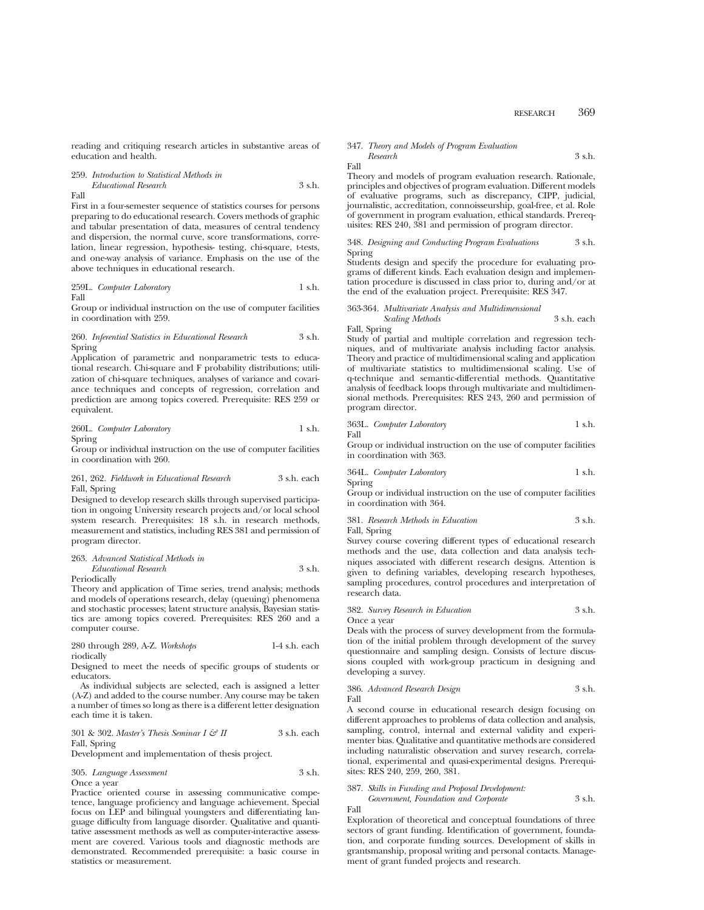reading and critiquing research articles in substantive areas of education and health.

259. *Introduction to Statistical Methods in Educational Research* 3 s.h. Fall

First in a four-semester sequence of statistics courses for persons preparing to do educational research. Covers methods of graphic and tabular presentation of data, measures of central tendency and dispersion, the normal curve, score transformations, correlation, linear regression, hypothesis- testing, chi-square, t-tests, and one-way analysis of variance. Emphasis on the use of the above techniques in educational research.

259L. *Computer Laboratory* 1 s.h. Fall

Group or individual instruction on the use of computer facilities in coordination with 259.

#### 260. *Inferential Statistics in Educational Research* 3 s.h. Spring

Application of parametric and nonparametric tests to educational research. Chi-square and F probability distributions; utilization of chi-square techniques, analyses of variance and covariance techniques and concepts of regression, correlation and prediction are among topics covered. Prerequisite: RES 259 or equivalent.

260L. *Computer Laboratory* 1 s.h. Spring

Group or individual instruction on the use of computer facilities in coordination with 260.

## 261, 262. *Fieldwork in Educational Research* 3 s.h. each Fall, Spring

Designed to develop research skills through supervised participation in ongoing University research projects and/or local school system research. Prerequisites: 18 s.h. in research methods, measurement and statistics, including RES 381 and permission of program director.

## 263. *Advanced Statistical Methods in*

*Educational Research* 3 s.h. Periodically

Theory and application of Time series, trend analysis; methods and models of operations research, delay (queuing) phenomena and stochastic processes; latent structure analysis, Bayesian statistics are among topics covered. Prerequisites: RES 260 and a computer course.

280 through 289, A-Z. *Workshops* 1-4 s.h. each riodically

Designed to meet the needs of specific groups of students or educators.

As individual subjects are selected, each is assigned a letter (A-Z) and added to the course number. Any course may be taken a number of times so long as there is a different letter designation each time it is taken.

#### 301 & 302. *Master's Thesis Seminar I & II* 3 s.h. each Fall, Spring

Development and implementation of thesis project.

#### 305. *Language Assessment* 3 s.h. Once a year

Practice oriented course in assessing communicative competence, language proficiency and language achievement. Special focus on LEP and bilingual youngsters and differentiating language difficulty from language disorder. Qualitative and quantitative assessment methods as well as computer-interactive assessment are covered. Various tools and diagnostic methods are demonstrated. Recommended prerequisite: a basic course in statistics or measurement.

# 347. *Theory and Models of Program Evaluation*

*Research* 3 s.h.

Fall

Fall

Theory and models of program evaluation research. Rationale, principles and objectives of program evaluation. Different models of evaluative programs, such as discrepancy, CIPP, judicial, journalistic, accreditation, connoisseurship, goal-free, et al. Role of government in program evaluation, ethical standards. Prerequisites: RES 240, 381 and permission of program director.

#### 348. *Designing and Conducting Program Evaluations* 3 s.h. Spring

Students design and specify the procedure for evaluating programs of different kinds. Each evaluation design and implementation procedure is discussed in class prior to, during and/or at the end of the evaluation project. Prerequisite: RES 347.

#### 363-364. *Multivariate Analysis and Multidimensional Scaling Methods* 3 s.h. each Fall, Spring

Study of partial and multiple correlation and regression techniques, and of multivariate analysis including factor analysis. Theory and practice of multidimensional scaling and application of multivariate statistics to multidimensional scaling. Use of q-technique and semantic-differential methods. Quantitative analysis of feedback loops through multivariate and multidimensional methods. Prerequisites: RES 243, 260 and permission of program director.

363L. *Computer Laboratory* 1 s.h.

Group or individual instruction on the use of computer facilities in coordination with 363.

364L. *Computer Laboratory* 1 s.h. Spring

Group or individual instruction on the use of computer facilities in coordination with 364.

#### 381. *Research Methods in Education* 3 s.h. Fall, Spring

Survey course covering different types of educational research methods and the use, data collection and data analysis techniques associated with different research designs. Attention is given to defining variables, developing research hypotheses, sampling procedures, control procedures and interpretation of research data.

#### 382. *Survey Research in Education* 3 s.h. Once a year

Deals with the process of survey development from the formulation of the initial problem through development of the survey questionnaire and sampling design. Consists of lecture discussions coupled with work-group practicum in designing and developing a survey.

#### 386. *Advanced Research Design* 3 s.h. Fall

A second course in educational research design focusing on different approaches to problems of data collection and analysis, sampling, control, internal and external validity and experimenter bias. Qualitative and quantitative methods are considered including naturalistic observation and survey research, correlational, experimental and quasi-experimental designs. Prerequisites: RES 240, 259, 260, 381.

| 387. Skills in Funding and Proposal Development: |        |
|--------------------------------------------------|--------|
| Government, Foundation and Corporate             | 3 s.h. |
|                                                  |        |

Fall Exploration of theoretical and conceptual foundations of three sectors of grant funding. Identification of government, foundation, and corporate funding sources. Development of skills in grantsmanship, proposal writing and personal contacts. Management of grant funded projects and research.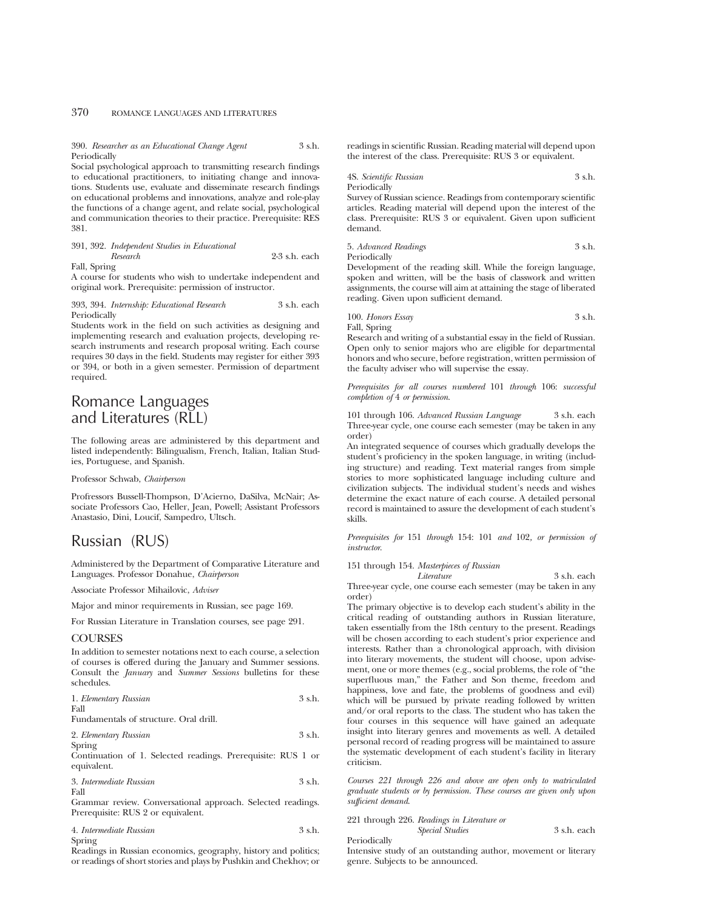390. *Researcher as an Educational Change Agent* 3 s.h. Periodically

Social psychological approach to transmitting research findings to educational practitioners, to initiating change and innovations. Students use, evaluate and disseminate research findings on educational problems and innovations, analyze and role-play the functions of a change agent, and relate social, psychological and communication theories to their practice. Prerequisite: RES 381.

391, 392. *Independent Studies in Educational Research* 2-3 s.h. each Fall, Spring

A course for students who wish to undertake independent and original work. Prerequisite: permission of instructor.

393, 394. *Internship: Educational Research* 3 s.h. each Periodically

Students work in the field on such activities as designing and implementing research and evaluation projects, developing research instruments and research proposal writing. Each course requires 30 days in the field. Students may register for either 393 or 394, or both in a given semester. Permission of department required.

# Romance Languages and Literatures (RLL)

The following areas are administered by this department and listed independently: Bilingualism, French, Italian, Italian Studies, Portuguese, and Spanish.

Professor Schwab, *Chairperson*

Profressors Bussell-Thompson, D'Acierno, DaSilva, McNair; Associate Professors Cao, Heller, Jean, Powell; Assistant Professors Anastasio, Dini, Loucif, Sampedro, Ultsch.

# Russian (RUS)

Administered by the Department of Comparative Literature and Languages. Professor Donahue, *Chairperson*

Associate Professor Mihailovic, *Adviser*

Major and minor requirements in Russian, see page 169.

For Russian Literature in Translation courses, see page 291.

## **COURSES**

In addition to semester notations next to each course, a selection of courses is offered during the January and Summer sessions. Consult the *January* and *Summer Sessions* bulletins for these schedules.

| 1. Elementary Russian |  |  |  |  |  | 3 s.h. |  |  |  |
|-----------------------|--|--|--|--|--|--------|--|--|--|
| Fall                  |  |  |  |  |  |        |  |  |  |
| $\sim$                |  |  |  |  |  |        |  |  |  |

Fundamentals of structure. Oral drill.

| 2. Elementary Russian | 3 s.h. |
|-----------------------|--------|
| Spring                |        |

Continuation of 1. Selected readings. Prerequisite: RUS 1 or equivalent.

| 3. Intermediate Russian | 3 s.h. |
|-------------------------|--------|
| Fall                    |        |

Grammar review. Conversational approach. Selected readings. Prerequisite: RUS 2 or equivalent.

| 4. Intermediate Russian | 3 s.h. |
|-------------------------|--------|
| Spring                  |        |

Readings in Russian economics, geography, history and politics; or readings of short stories and plays by Pushkin and Chekhov; or readings in scientific Russian. Reading material will depend upon the interest of the class. Prerequisite: RUS 3 or equivalent.

## 4S. *Scientific Russian* 3 s.h. Periodically

Survey of Russian science. Readings from contemporary scientific articles. Reading material will depend upon the interest of the class. Prerequisite: RUS 3 or equivalent. Given upon sufficient demand.

## 5. *Advanced Readings* 3 s.h. Periodically

Development of the reading skill. While the foreign language, spoken and written, will be the basis of classwork and written assignments, the course will aim at attaining the stage of liberated reading. Given upon sufficient demand.

100. *Honors Essay* 3 s.h. Fall, Spring

Research and writing of a substantial essay in the field of Russian. Open only to senior majors who are eligible for departmental honors and who secure, before registration, written permission of the faculty adviser who will supervise the essay.

*Prerequisites for all courses numbered* 101 *through* 106: *successful completion of* 4 *or permission*.

101 through 106. *Advanced Russian Language* 3 s.h. each Three-year cycle, one course each semester (may be taken in any order)

An integrated sequence of courses which gradually develops the student's proficiency in the spoken language, in writing (including structure) and reading. Text material ranges from simple stories to more sophisticated language including culture and civilization subjects. The individual student's needs and wishes determine the exact nature of each course. A detailed personal record is maintained to assure the development of each student's skills.

*Prerequisites for* 151 *through* 154: 101 *and* 102*, or permission of instructor*.

151 through 154. *Masterpieces of Russian*

*Literature* 3 s.h. each Three-year cycle, one course each semester (may be taken in any order)

The primary objective is to develop each student's ability in the critical reading of outstanding authors in Russian literature, taken essentially from the 18th century to the present. Readings will be chosen according to each student's prior experience and interests. Rather than a chronological approach, with division into literary movements, the student will choose, upon advisement, one or more themes (e.g., social problems, the role of "the superfluous man," the Father and Son theme, freedom and happiness, love and fate, the problems of goodness and evil) which will be pursued by private reading followed by written and/or oral reports to the class. The student who has taken the four courses in this sequence will have gained an adequate insight into literary genres and movements as well. A detailed personal record of reading progress will be maintained to assure the systematic development of each student's facility in literary criticism.

*Courses 221 through 226 and above are open only to matriculated graduate students or by permission. These courses are given only upon sufficient demand*.

221 through 226. *Readings in Literature or Special Studies* 3 s.h. each

Periodically

Intensive study of an outstanding author, movement or literary genre. Subjects to be announced.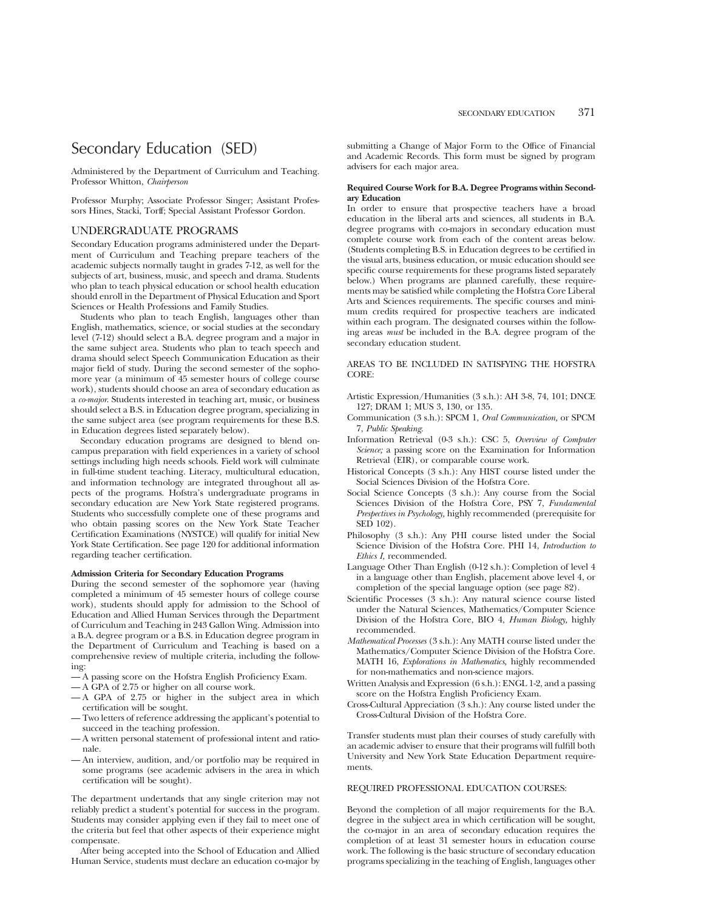# Secondary Education (SED)

Administered by the Department of Curriculum and Teaching. Professor Whitton, *Chairperson*

Professor Murphy; Associate Professor Singer; Assistant Professors Hines, Stacki, Torff; Special Assistant Professor Gordon.

## UNDERGRADUATE PROGRAMS

Secondary Education programs administered under the Department of Curriculum and Teaching prepare teachers of the academic subjects normally taught in grades 7-12, as well for the subjects of art, business, music, and speech and drama. Students who plan to teach physical education or school health education should enroll in the Department of Physical Education and Sport Sciences or Health Professions and Family Studies.

Students who plan to teach English, languages other than English, mathematics, science, or social studies at the secondary level (7-12) should select a B.A. degree program and a major in the same subject area. Students who plan to teach speech and drama should select Speech Communication Education as their major field of study. During the second semester of the sophomore year (a minimum of 45 semester hours of college course work), students should choose an area of secondary education as a *co-major*. Students interested in teaching art, music, or business should select a B.S. in Education degree program, specializing in the same subject area (see program requirements for these B.S. in Education degrees listed separately below).

Secondary education programs are designed to blend oncampus preparation with field experiences in a variety of school settings including high needs schools. Field work will culminate in full-time student teaching. Literacy, multicultural education, and information technology are integrated throughout all aspects of the programs. Hofstra's undergraduate programs in secondary education are New York State registered programs. Students who successfully complete one of these programs and who obtain passing scores on the New York State Teacher Certification Examinations (NYSTCE) will qualify for initial New York State Certification. See page 120 for additional information regarding teacher certification.

#### **Admission Criteria for Secondary Education Programs**

During the second semester of the sophomore year (having completed a minimum of 45 semester hours of college course work), students should apply for admission to the School of Education and Allied Human Services through the Department of Curriculum and Teaching in 243 Gallon Wing. Admission into a B.A. degree program or a B.S. in Education degree program in the Department of Curriculum and Teaching is based on a comprehensive review of multiple criteria, including the following:

- A passing score on the Hofstra English Proficiency Exam.
- A GPA of 2.75 or higher on all course work.
- A GPA of 2.75 or higher in the subject area in which certification will be sought.
- Two letters of reference addressing the applicant's potential to succeed in the teaching profession.
- A written personal statement of professional intent and rationale.
- An interview, audition, and/or portfolio may be required in some programs (see academic advisers in the area in which certification will be sought).

The department undertands that any single criterion may not reliably predict a student's potential for success in the program. Students may consider applying even if they fail to meet one of the criteria but feel that other aspects of their experience might compensate.

After being accepted into the School of Education and Allied Human Service, students must declare an education co-major by submitting a Change of Major Form to the Office of Financial and Academic Records. This form must be signed by program advisers for each major area.

## **Required Course Work for B.A. Degree Programs within Secondary Education**

In order to ensure that prospective teachers have a broad education in the liberal arts and sciences, all students in B.A. degree programs with co-majors in secondary education must complete course work from each of the content areas below. (Students completing B.S. in Education degrees to be certified in the visual arts, business education, or music education should see specific course requirements for these programs listed separately below.) When programs are planned carefully, these requirements may be satisfied while completing the Hofstra Core Liberal Arts and Sciences requirements. The specific courses and minimum credits required for prospective teachers are indicated within each program. The designated courses within the following areas *must* be included in the B.A. degree program of the secondary education student.

AREAS TO BE INCLUDED IN SATISFYING THE HOFSTRA CORE:

- Artistic Expression/Humanities (3 s.h.): AH 3-8, 74, 101; DNCE 127; DRAM 1; MUS 3, 130, or 135.
- Communication (3 s.h.): SPCM 1, *Oral Communication,* or SPCM 7, *Public Speaking*.
- Information Retrieval (0-3 s.h.): CSC 5, *Overview of Computer Science;* a passing score on the Examination for Information Retrieval (EIR), or comparable course work.
- Historical Concepts (3 s.h.): Any HIST course listed under the Social Sciences Division of the Hofstra Core.
- Social Science Concepts (3 s.h.): Any course from the Social Sciences Division of the Hofstra Core, PSY 7, *Fundamental Prespectives in Psychology,* highly recommended (prerequisite for SED 102).
- Philosophy (3 s.h.): Any PHI course listed under the Social Science Division of the Hofstra Core. PHI 14, *Introduction to Ethics I,* recommended.
- Language Other Than English (0-12 s.h.): Completion of level 4 in a language other than English, placement above level 4, or completion of the special language option (see page 82).
- Scientific Processes (3 s.h.): Any natural science course listed under the Natural Sciences, Mathematics/Computer Science Division of the Hofstra Core, BIO 4, *Human Biology,* highly recommended.
- *Mathematical Processes* (3 s.h.): Any MATH course listed under the Mathematics/Computer Science Division of the Hofstra Core. MATH 16, *Explorations in Mathematics,* highly recommended for non-mathematics and non-science majors.
- Written Analysis and Expression (6 s.h.): ENGL 1-2, and a passing score on the Hofstra English Proficiency Exam.
- Cross-Cultural Appreciation (3 s.h.): Any course listed under the Cross-Cultural Division of the Hofstra Core.

Transfer students must plan their courses of study carefully with an academic adviser to ensure that their programs will fulfill both University and New York State Education Department requirements.

## REQUIRED PROFESSIONAL EDUCATION COURSES:

Beyond the completion of all major requirements for the B.A. degree in the subject area in which certification will be sought, the co-major in an area of secondary education requires the completion of at least 31 semester hours in education course work. The following is the basic structure of secondary education programs specializing in the teaching of English, languages other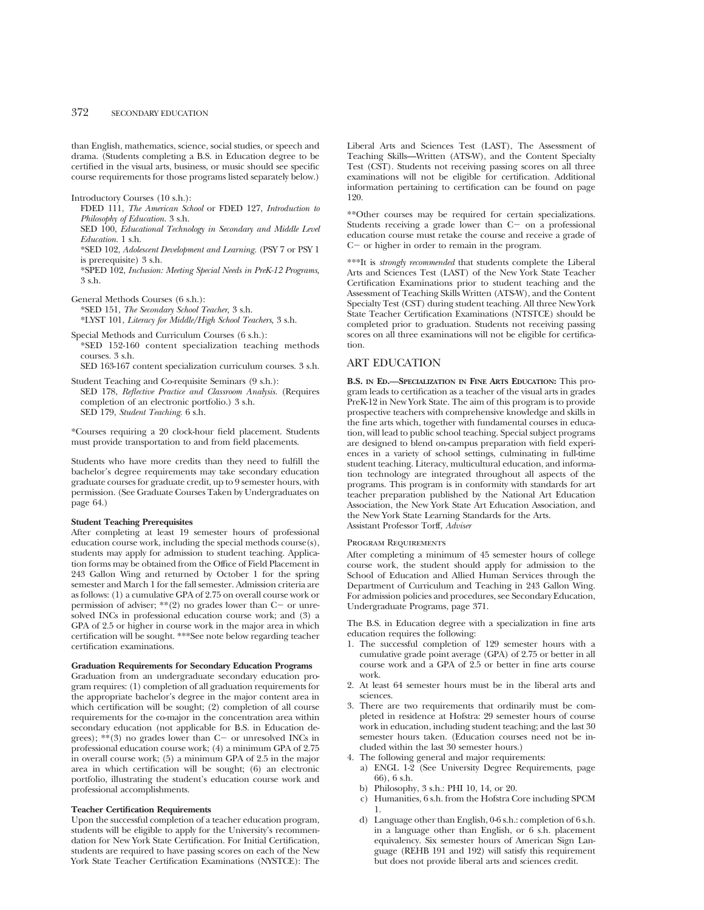than English, mathematics, science, social studies, or speech and drama. (Students completing a B.S. in Education degree to be certified in the visual arts, business, or music should see specific course requirements for those programs listed separately below.)

Introductory Courses (10 s.h.):

FDED 111, *The American School* or FDED 127, *Introduction to Philosophy of Education.* 3 s.h. SED 100, *Educational Technology in Secondary and Middle Level Education.* 1 s.h.

\*SED 102, *Adolescent Development and Learning.* (PSY 7 or PSY 1 is prerequisite) 3 s.h.

\*SPED 102, *Inclusion: Meeting Special Needs in PreK-12 Programs,* 3 s.h.

General Methods Courses (6 s.h.): \*SED 151, *The Secondary School Teacher,* 3 s.h. \*LYST 101, *Literacy for Middle/High School Teachers,* 3 s.h.

Special Methods and Curriculum Courses (6 s.h.):

\*SED 152-160 content specialization teaching methods courses. 3 s.h.

SED 163-167 content specialization curriculum courses. 3 s.h.

Student Teaching and Co-requisite Seminars (9 s.h.): SED 178, *Reflective Practice and Classroom Analysis.* (Requires completion of an electronic portfolio.) 3 s.h. SED 179, *Student Teaching.* 6 s.h.

\*Courses requiring a 20 clock-hour field placement. Students must provide transportation to and from field placements.

Students who have more credits than they need to fulfill the bachelor's degree requirements may take secondary education graduate courses for graduate credit, up to 9 semester hours, with permission. (See Graduate Courses Taken by Undergraduates on page 64.)

#### **Student Teaching Prerequisites**

After completing at least 19 semester hours of professional education course work, including the special methods course(s), students may apply for admission to student teaching. Application forms may be obtained from the Office of Field Placement in 243 Gallon Wing and returned by October 1 for the spring semester and March 1 for the fall semester. Admission criteria are as follows: (1) a cumulative GPA of 2.75 on overall course work or permission of adviser;  $**(2)$  no grades lower than C- or unresolved INCs in professional education course work; and (3) a GPA of 2.5 or higher in course work in the major area in which certification will be sought. \*\*\*See note below regarding teacher certification examinations.

#### **Graduation Requirements for Secondary Education Programs**

Graduation from an undergraduate secondary education program requires: (1) completion of all graduation requirements for the appropriate bachelor's degree in the major content area in which certification will be sought; (2) completion of all course requirements for the co-major in the concentration area within secondary education (not applicable for B.S. in Education degrees);  $**$ (3) no grades lower than C- or unresolved INCs in professional education course work; (4) a minimum GPA of 2.75 in overall course work; (5) a minimum GPA of 2.5 in the major area in which certification will be sought; (6) an electronic portfolio, illustrating the student's education course work and professional accomplishments.

#### **Teacher Certification Requirements**

Upon the successful completion of a teacher education program, students will be eligible to apply for the University's recommendation for New York State Certification. For Initial Certification, students are required to have passing scores on each of the New York State Teacher Certification Examinations (NYSTCE): The

Liberal Arts and Sciences Test (LAST), The Assessment of Teaching Skills—Written (ATS-W), and the Content Specialty Test (CST). Students not receiving passing scores on all three examinations will not be eligible for certification. Additional information pertaining to certification can be found on page 120.

\*\*Other courses may be required for certain specializations. Students receiving a grade lower than  $C-$  on a professional education course must retake the course and receive a grade of  $C-$  or higher in order to remain in the program.

\*\*\*It is *strongly recommended* that students complete the Liberal Arts and Sciences Test (LAST) of the New York State Teacher Certification Examinations prior to student teaching and the Assessment of Teaching Skills Written (ATS-W), and the Content Specialty Test (CST) during student teaching. All three New York State Teacher Certification Examinations (NTSTCE) should be completed prior to graduation. Students not receiving passing scores on all three examinations will not be eligible for certification.

## ART EDUCATION

**B.S. IN ED.—SPECIALIZATION IN FINE ARTS EDUCATION:** This program leads to certification as a teacher of the visual arts in grades PreK-12 in New York State. The aim of this program is to provide prospective teachers with comprehensive knowledge and skills in the fine arts which, together with fundamental courses in education, will lead to public school teaching. Special subject programs are designed to blend on-campus preparation with field experiences in a variety of school settings, culminating in full-time student teaching. Literacy, multicultural education, and information technology are integrated throughout all aspects of the programs. This program is in conformity with standards for art teacher preparation published by the National Art Education Association, the New York State Art Education Association, and the New York State Learning Standards for the Arts. Assistant Professor Torff, *Adviser*

#### Program Requirements

After completing a minimum of 45 semester hours of college course work, the student should apply for admission to the School of Education and Allied Human Services through the Department of Curriculum and Teaching in 243 Gallon Wing. For admission policies and procedures, see Secondary Education, Undergraduate Programs, page 371.

The B.S. in Education degree with a specialization in fine arts education requires the following:

- 1. The successful completion of 129 semester hours with a cumulative grade point average (GPA) of 2.75 or better in all course work and a GPA of 2.5 or better in fine arts course work.
- 2. At least 64 semester hours must be in the liberal arts and sciences.
- 3. There are two requirements that ordinarily must be completed in residence at Hofstra: 29 semester hours of course work in education, including student teaching; and the last 30 semester hours taken. (Education courses need not be included within the last 30 semester hours.)
- 4. The following general and major requirements:
	- a) ENGL 1-2 (See University Degree Requirements, page 66), 6 s.h.
	- b) Philosophy, 3 s.h.: PHI 10, 14, or 20.
	- c) Humanities, 6 s.h. from the Hofstra Core including SPCM 1.
	- d) Language other than English, 0-6 s.h.: completion of 6 s.h. in a language other than English, or 6 s.h. placement equivalency. Six semester hours of American Sign Language (REHB 191 and 192) will satisfy this requirement but does not provide liberal arts and sciences credit.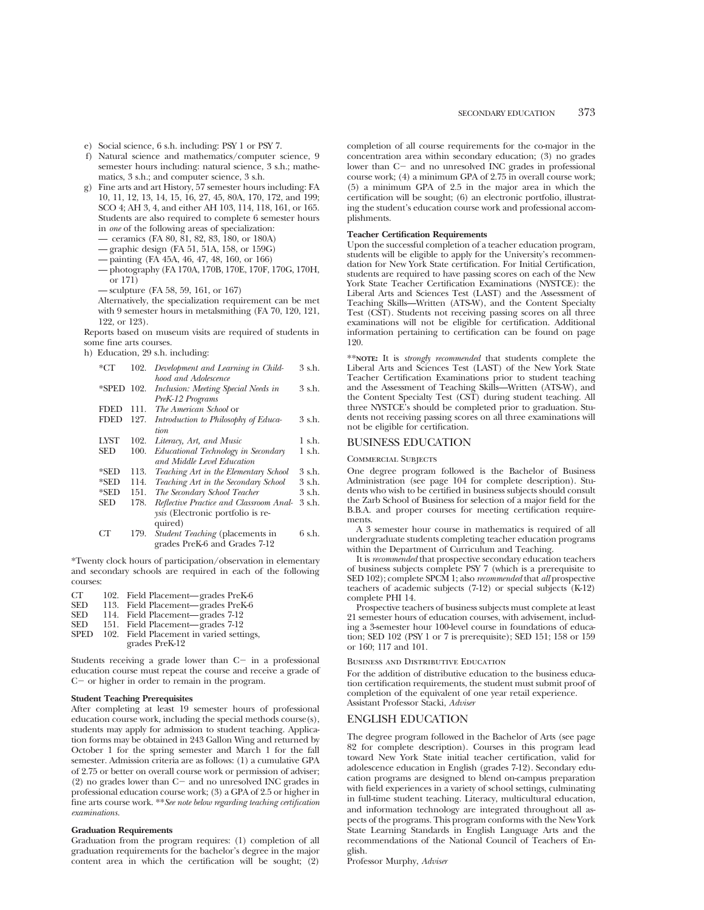e) Social science, 6 s.h. including: PSY 1 or PSY 7.

- f) Natural science and mathematics/computer science, 9 semester hours including: natural science, 3 s.h.; mathematics, 3 s.h.; and computer science, 3 s.h.
- g) Fine arts and art History, 57 semester hours including: FA 10, 11, 12, 13, 14, 15, 16, 27, 45, 80A, 170, 172, and 199; SCO 4; AH 3, 4, and either AH 103, 114, 118, 161, or 165. Students are also required to complete 6 semester hours in *one* of the following areas of specialization:
	- ceramics (FA 80, 81, 82, 83, 180, or 180A)
	- graphic design (FA 51, 51A, 158, or 159G)
	- painting (FA 45A, 46, 47, 48, 160, or 166)
	- photography (FA 170A, 170B, 170E, 170F, 170G, 170H, or 171)
	- sculpture (FA 58, 59, 161, or 167)

Alternatively, the specialization requirement can be met with 9 semester hours in metalsmithing (FA 70, 120, 121, 122, or 123).

Reports based on museum visits are required of students in some fine arts courses.

h) Education, 29 s.h. including:

| *CT         | 102. | Development and Learning in Child-       | 3 s.h. |
|-------------|------|------------------------------------------|--------|
|             |      | hood and Adolescence                     |        |
| *SPED 102.  |      | Inclusion: Meeting Special Needs in      | 3 s.h. |
|             |      | PreK-12 Programs                         |        |
| FDED        | 111. | The American School or                   |        |
| <b>FDED</b> | 127. | Introduction to Philosophy of Educa-     | 3 s.h. |
|             |      | tion                                     |        |
| LYST        | 102. | Literacy, Art, and Music                 | 1 s.h. |
| SED         | 100. | Educational Technology in Secondary      | 1 s.h. |
|             |      | and Middle Level Education               |        |
| *SED        | 113. | Teaching Art in the Elementary School    | 3 s.h. |
| *SED        | 114. | Teaching Art in the Secondary School     | 3 s.h. |
| *SED        | 151. | The Secondary School Teacher             | 3 s.h. |
| SED         | 178. | Reflective Practice and Classroom Anal-  | 3 s.h. |
|             |      | <i>ysis</i> (Electronic portfolio is re- |        |
|             |      | quired)                                  |        |
| CТ          | 179. | <i>Student Teaching</i> (placements in   | 6 s.h. |
|             |      | grades PreK-6 and Grades 7-12            |        |

\*Twenty clock hours of participation/observation in elementary and secondary schools are required in each of the following courses:

CT 102. Field Placement—grades PreK-6 SED 113. Field Placement—grades PreK-6<br>SED 114. Field Placement—grades 7-12 SED 114. Field Placement—grades 7-12 SED 151. Field Placement—grades 7-12 SPED 102. Field Placement in varied settings, grades PreK-12

Students receiving a grade lower than  $C-$  in a professional education course must repeat the course and receive a grade of  $C-$  or higher in order to remain in the program.

#### **Student Teaching Prerequisites**

After completing at least 19 semester hours of professional education course work, including the special methods course(s), students may apply for admission to student teaching. Application forms may be obtained in 243 Gallon Wing and returned by October 1 for the spring semester and March 1 for the fall semester. Admission criteria are as follows: (1) a cumulative GPA of 2.75 or better on overall course work or permission of adviser;  $(2)$  no grades lower than  $C-$  and no unresolved INC grades in professional education course work; (3) a GPA of 2.5 or higher in fine arts course work. \*\**See note below regarding teaching certification examinations.*

#### **Graduation Requirements**

Graduation from the program requires: (1) completion of all graduation requirements for the bachelor's degree in the major content area in which the certification will be sought; (2) completion of all course requirements for the co-major in the concentration area within secondary education; (3) no grades lower than C- and no unresolved INC grades in professional course work; (4) a minimum GPA of 2.75 in overall course work; (5) a minimum GPA of 2.5 in the major area in which the certification will be sought; (6) an electronic portfolio, illustrating the student's education course work and professional accomplishments.

#### **Teacher Certification Requirements**

Upon the successful completion of a teacher education program, students will be eligible to apply for the University's recommendation for New York State certification. For Initial Certification, students are required to have passing scores on each of the New York State Teacher Certification Examinations (NYSTCE): the Liberal Arts and Sciences Test (LAST) and the Assessment of Teaching Skills—Written (ATS-W), and the Content Specialty Test (CST). Students not receiving passing scores on all three examinations will not be eligible for certification. Additional information pertaining to certification can be found on page 120.

\*\***NOTE:** It is *strongly recommended* that students complete the Liberal Arts and Sciences Test (LAST) of the New York State Teacher Certification Examinations prior to student teaching and the Assessment of Teaching Skills—Written (ATS-W), and the Content Specialty Test (CST) during student teaching. All three NYSTCE's should be completed prior to graduation. Students not receiving passing scores on all three examinations will not be eligible for certification.

## BUSINESS EDUCATION

#### Commercial Subjects

One degree program followed is the Bachelor of Business Administration (see page 104 for complete description). Students who wish to be certified in business subjects should consult the Zarb School of Business for selection of a major field for the B.B.A. and proper courses for meeting certification requirements.

A 3 semester hour course in mathematics is required of all undergraduate students completing teacher education programs within the Department of Curriculum and Teaching.

It is *recommended* that prospective secondary education teachers of business subjects complete PSY 7 (which is a prerequisite to SED 102); complete SPCM 1; also *recommended* that *all* prospective teachers of academic subjects (7-12) or special subjects (K-12) complete PHI 14.

Prospective teachers of business subjects must complete at least 21 semester hours of education courses, with advisement, including a 3-semester hour 100-level course in foundations of education; SED 102 (PSY 1 or 7 is prerequisite); SED 151; 158 or 159 or 160; 117 and 101.

#### Business and Distributive Education

For the addition of distributive education to the business education certification requirements, the student must submit proof of completion of the equivalent of one year retail experience. Assistant Professor Stacki, *Adviser*

## ENGLISH EDUCATION

The degree program followed in the Bachelor of Arts (see page 82 for complete description). Courses in this program lead toward New York State initial teacher certification, valid for adolescence education in English (grades 7-12). Secondary education programs are designed to blend on-campus preparation with field experiences in a variety of school settings, culminating in full-time student teaching. Literacy, multicultural education, and information technology are integrated throughout all aspects of the programs. This program conforms with the New York State Learning Standards in English Language Arts and the recommendations of the National Council of Teachers of English.

Professor Murphy, *Adviser*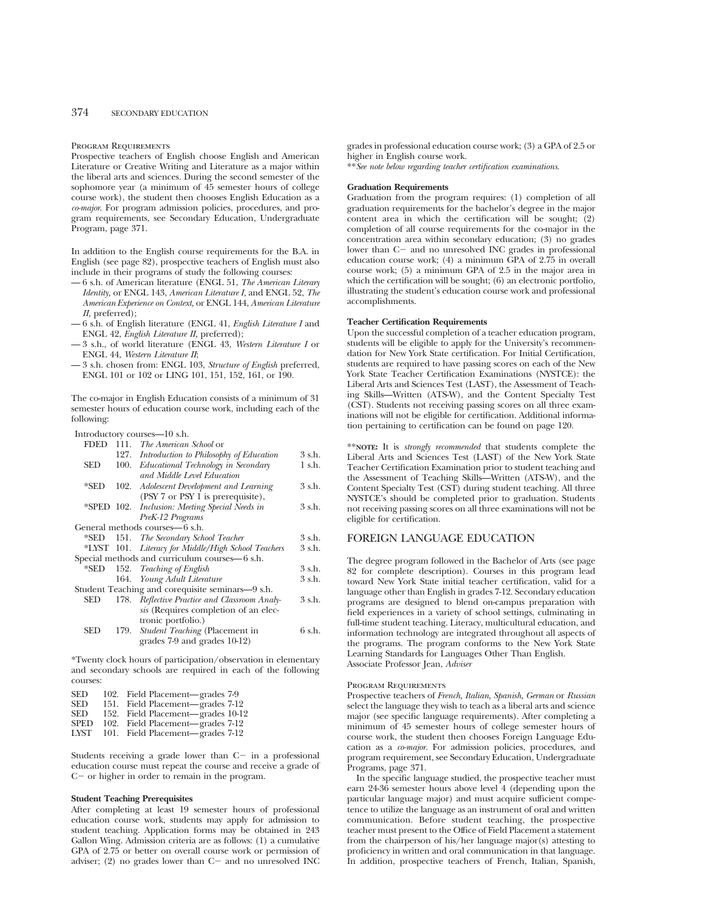#### Program Requirements

Prospective teachers of English choose English and American Literature or Creative Writing and Literature as a major within the liberal arts and sciences. During the second semester of the sophomore year (a minimum of 45 semester hours of college course work), the student then chooses English Education as a *co-major*. For program admission policies, procedures, and program requirements, see Secondary Education, Undergraduate Program, page 371.

In addition to the English course requirements for the B.A. in English (see page 82), prospective teachers of English must also include in their programs of study the following courses:

- 6 s.h. of American literature (ENGL 51, *The American Literary Identity,* or ENGL 143, *American Literature I,* and ENGL 52, *The American Experience on Context,* or ENGL 144, *American Literature II,* preferred);
- 6 s.h. of English literature (ENGL 41, *English Literature I* and ENGL 42, *English Literature II,* preferred);
- 3 s.h., of world literature (ENGL 43, *Western Literature I* or ENGL 44, *Western Literature II*;
- 3 s.h. chosen from: ENGL 103, *Structure of English* preferred, ENGL 101 or 102 or LING 101, 151, 152, 161, or 190.

The co-major in English Education consists of a minimum of 31 semester hours of education course work, including each of the following:

Introductory courses—10 s.h.

| <b>FDED</b> | 111. | <i>The American School</i> or                       |        |
|-------------|------|-----------------------------------------------------|--------|
|             | 127. | Introduction to Philosophy of Education             | 3 s.h. |
| SED         | 100. | Educational Technology in Secondary                 | 1 s.h. |
|             |      | and Middle Level Education                          |        |
| $*$ SED     | 102. | Adolescent Development and Learning                 | 3 s.h. |
|             |      | (PSY 7 or PSY 1 is prerequisite),                   |        |
| *SPED 102.  |      | Inclusion: Meeting Special Needs in                 | 3 s.h. |
|             |      | PreK-12 Programs                                    |        |
|             |      | General methods courses—6 s.h.                      |        |
|             |      | *SED 151. The Secondary School Teacher              | 3 s.h. |
|             |      | *LYST 101. Literacy for Middle/High School Teachers | 3 s.h. |
|             |      | Special methods and curriculum courses-6 s.h.       |        |
| *SED        |      | 152. Teaching of English                            | 3 s.h. |
|             |      | 164. Young Adult Literature                         | 3 s.h. |
|             |      | Student Teaching and corequisite seminars—9 s.h.    |        |
| SED         |      | 178. Reflective Practice and Classroom Analy-       | 3 s.h. |
|             |      | sis (Requires completion of an elec-                |        |
|             |      | tronic portfolio.)                                  |        |
| SED         | 179. | Student Teaching (Placement in                      | 6 s.h. |
|             |      | grades 7-9 and grades 10-12)                        |        |
|             |      |                                                     |        |

\*Twenty clock hours of participation/observation in elementary and secondary schools are required in each of the following courses:

| SED  | 102. Field Placement—grades 7-9   |  |
|------|-----------------------------------|--|
| SED  | 151. Field Placement—grades 7-12  |  |
| SED  | 152. Field Placement—grades 10-12 |  |
| SPED | 102. Field Placement—grades 7-12  |  |
| LYST | 101. Field Placement—grades 7-12  |  |

Students receiving a grade lower than  $C-$  in a professional education course must repeat the course and receive a grade of  $C-$  or higher in order to remain in the program.

#### **Student Teaching Prerequisites**

After completing at least 19 semester hours of professional education course work, students may apply for admission to student teaching. Application forms may be obtained in 243 Gallon Wing. Admission criteria are as follows: (1) a cumulative GPA of 2.75 or better on overall course work or permission of adviser;  $(2)$  no grades lower than  $C-$  and no unresolved INC

grades in professional education course work; (3) a GPA of 2.5 or higher in English course work.

\*\**See note below regarding teacher certification examinations.*

## **Graduation Requirements**

Graduation from the program requires: (1) completion of all graduation requirements for the bachelor's degree in the major content area in which the certification will be sought; (2) completion of all course requirements for the co-major in the concentration area within secondary education; (3) no grades lower than C- and no unresolved INC grades in professional education course work; (4) a minimum GPA of 2.75 in overall course work; (5) a minimum GPA of 2.5 in the major area in which the certification will be sought; (6) an electronic portfolio, illustrating the student's education course work and professional accomplishments.

#### **Teacher Certification Requirements**

Upon the successful completion of a teacher education program, students will be eligible to apply for the University's recommendation for New York State certification. For Initial Certification, students are required to have passing scores on each of the New York State Teacher Certification Examinations (NYSTCE): the Liberal Arts and Sciences Test (LAST), the Assessment of Teaching Skills—Written (ATS-W), and the Content Specialty Test (CST). Students not receiving passing scores on all three examinations will not be eligible for certification. Additional information pertaining to certification can be found on page 120.

\*\***NOTE:** It is *strongly recommended* that students complete the Liberal Arts and Sciences Test (LAST) of the New York State Teacher Certification Examination prior to student teaching and the Assessment of Teaching Skills—Written (ATS-W), and the Content Specialty Test (CST) during student teaching. All three NYSTCE's should be completed prior to graduation. Students not receiving passing scores on all three examinations will not be eligible for certification.

## FOREIGN LANGUAGE EDUCATION

The degree program followed in the Bachelor of Arts (see page 82 for complete description). Courses in this program lead toward New York State initial teacher certification, valid for a language other than English in grades 7-12. Secondary education programs are designed to blend on-campus preparation with field experiences in a variety of school settings, culminating in full-time student teaching. Literacy, multicultural education, and information technology are integrated throughout all aspects of the programs. The program conforms to the New York State Learning Standards for Languages Other Than English. Associate Professor Jean, *Adviser*

#### Program Requirements

Prospective teachers of *French, Italian, Spanish, German* or *Russian* select the language they wish to teach as a liberal arts and science major (see specific language requirements). After completing a minimum of 45 semester hours of college semester hours of course work, the student then chooses Foreign Language Education as a *co-major.* For admission policies, procedures, and program requirement, see Secondary Education, Undergraduate Programs, page 371.

In the specific language studied, the prospective teacher must earn 24-36 semester hours above level 4 (depending upon the particular language major) and must acquire sufficient competence to utilize the language as an instrument of oral and written communication. Before student teaching, the prospective teacher must present to the Office of Field Placement a statement from the chairperson of his/her language major(s) attesting to proficiency in written and oral communication in that language. In addition, prospective teachers of French, Italian, Spanish,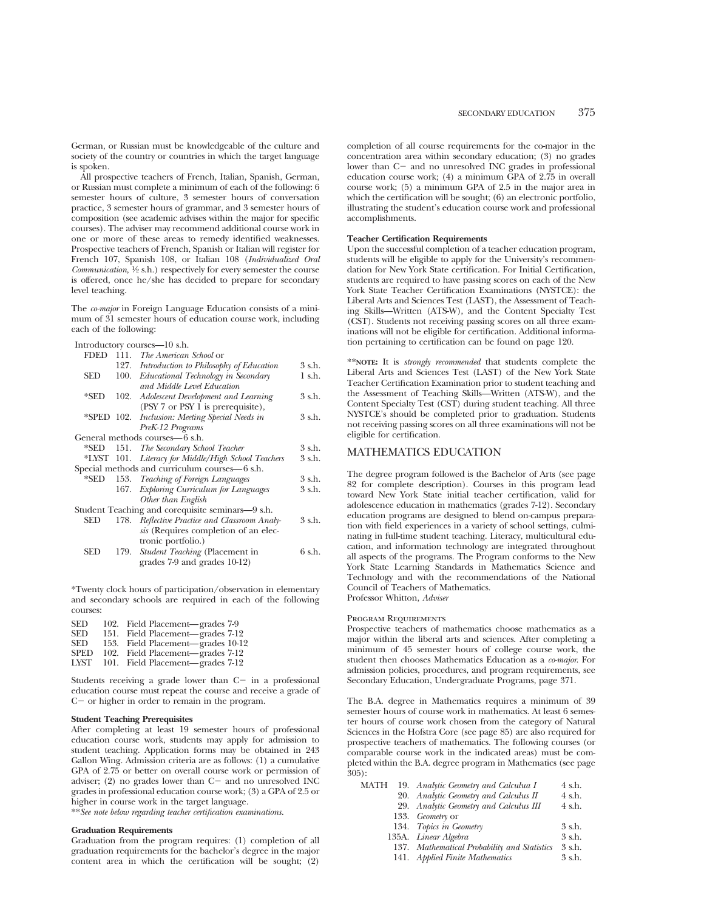German, or Russian must be knowledgeable of the culture and society of the country or countries in which the target language is spoken.

All prospective teachers of French, Italian, Spanish, German, or Russian must complete a minimum of each of the following: 6 semester hours of culture, 3 semester hours of conversation practice, 3 semester hours of grammar, and 3 semester hours of composition (see academic advises within the major for specific courses). The adviser may recommend additional course work in one or more of these areas to remedy identified weaknesses. Prospective teachers of French, Spanish or Italian will register for French 107, Spanish 108, or Italian 108 (*Individualized Oral Communication,*  $\frac{1}{2}$  s.h.) respectively for every semester the course is offered, once he/she has decided to prepare for secondary level teaching.

The *co-major* in Foreign Language Education consists of a minimum of 31 semester hours of education course work, including each of the following:

| <b>FDED</b> |      | 111. The American School or                         |        |
|-------------|------|-----------------------------------------------------|--------|
|             |      | 127. Introduction to Philosophy of Education        | 3 s.h. |
| SED         | 100. | Educational Technology in Secondary                 | 1 s.h. |
|             |      | and Middle Level Education                          |        |
| *SED        | 102. | Adolescent Development and Learning                 | 3 s.h. |
|             |      | (PSY 7 or PSY 1 is prerequisite),                   |        |
|             |      | *SPED 102. Inclusion: Meeting Special Needs in      | 3 s.h. |
|             |      | PreK-12 Programs                                    |        |
|             |      | General methods courses—6 s.h.                      |        |
| *SED        |      | 151. The Secondary School Teacher                   | 3 s.h. |
|             |      | *LYST 101. Literacy for Middle/High School Teachers | 3 s.h. |
|             |      | Special methods and curriculum courses—6 s.h.       |        |
| *SED        |      | 153. Teaching of Foreign Languages                  | 3 s.h. |
|             |      | 167. Exploring Curriculum for Languages             | 3 s.h. |
|             |      | Other than English                                  |        |
|             |      | Student Teaching and corequisite seminars—9 s.h.    |        |
| SED         |      | 178. Reflective Practice and Classroom Analy-       | 3 s.h. |
|             |      | sis (Requires completion of an elec-                |        |
|             |      | tronic portfolio.)                                  |        |
| SED         | 179. | Student Teaching (Placement in                      | 6 s.h. |
|             |      | grades 7-9 and grades 10-12)                        |        |
|             |      |                                                     |        |

\*Twenty clock hours of participation/observation in elementary and secondary schools are required in each of the following courses:

| 102. Field Placement—grades 7-9   |
|-----------------------------------|
| 151. Field Placement—grades 7-12  |
| 153. Field Placement—grades 10-12 |
| 102. Field Placement—grades 7-12  |
| 101. Field Placement—grades 7-12  |
|                                   |

Students receiving a grade lower than  $C-$  in a professional education course must repeat the course and receive a grade of  $C-$  or higher in order to remain in the program.

#### **Student Teaching Prerequisites**

After completing at least 19 semester hours of professional education course work, students may apply for admission to student teaching. Application forms may be obtained in 243 Gallon Wing. Admission criteria are as follows: (1) a cumulative GPA of 2.75 or better on overall course work or permission of adviser;  $(2)$  no grades lower than  $C-$  and no unresolved INC grades in professional education course work; (3) a GPA of 2.5 or higher in course work in the target language.

\*\**See note below regarding teacher certification examinations.*

## **Graduation Requirements**

Graduation from the program requires: (1) completion of all graduation requirements for the bachelor's degree in the major content area in which the certification will be sought; (2) completion of all course requirements for the co-major in the concentration area within secondary education; (3) no grades lower than  $C-$  and no unresolved INC grades in professional education course work; (4) a minimum GPA of  $2.75$  in overall course work; (5) a minimum GPA of 2.5 in the major area in which the certification will be sought; (6) an electronic portfolio, illustrating the student's education course work and professional accomplishments.

### **Teacher Certification Requirements**

Upon the successful completion of a teacher education program, students will be eligible to apply for the University's recommendation for New York State certification. For Initial Certification, students are required to have passing scores on each of the New York State Teacher Certification Examinations (NYSTCE): the Liberal Arts and Sciences Test (LAST), the Assessment of Teaching Skills—Written (ATS-W), and the Content Specialty Test (CST). Students not receiving passing scores on all three examinations will not be eligible for certification. Additional information pertaining to certification can be found on page 120.

\*\***NOTE:** It is *strongly recommended* that students complete the Liberal Arts and Sciences Test (LAST) of the New York State Teacher Certification Examination prior to student teaching and the Assessment of Teaching Skills—Written (ATS-W), and the Content Specialty Test (CST) during student teaching. All three NYSTCE's should be completed prior to graduation. Students not receiving passing scores on all three examinations will not be eligible for certification.

## MATHEMATICS EDUCATION

The degree program followed is the Bachelor of Arts (see page 82 for complete description). Courses in this program lead toward New York State initial teacher certification, valid for adolescence education in mathematics (grades 7-12). Secondary education programs are designed to blend on-campus preparation with field experiences in a variety of school settings, culminating in full-time student teaching. Literacy, multicultural education, and information technology are integrated throughout all aspects of the programs. The Program conforms to the New York State Learning Standards in Mathematics Science and Technology and with the recommendations of the National Council of Teachers of Mathematics. Professor Whitton, *Adviser*

## Program Requirements

Prospective teachers of mathematics choose mathematics as a major within the liberal arts and sciences. After completing a minimum of 45 semester hours of college course work, the student then chooses Mathematics Education as a *co-major*. For admission policies, procedures, and program requirements, see Secondary Education, Undergraduate Programs, page 371.

The B.A. degree in Mathematics requires a minimum of 39 semester hours of course work in mathematics. At least 6 semester hours of course work chosen from the category of Natural Sciences in the Hofstra Core (see page 85) are also required for prospective teachers of mathematics. The following courses (or comparable course work in the indicated areas) must be completed within the B.A. degree program in Mathematics (see page 305):

| MATH | 19. Analytic Geometry and Calculua I         | 4 s.h. |
|------|----------------------------------------------|--------|
|      | 20. Analytic Geometry and Calculus II        | 4 s.h. |
|      | 29. Analytic Geometry and Calculus III       | 4 s.h. |
|      | 133. Geometry or                             |        |
|      | 134. Topics in Geometry                      | 3 s.h. |
|      | 135A. Linear Algebra                         | 3 s.h. |
|      | 137. Mathematical Probability and Statistics | 3 s.h. |
|      | 141. Applied Finite Mathematics              | 3 s.h. |
|      |                                              |        |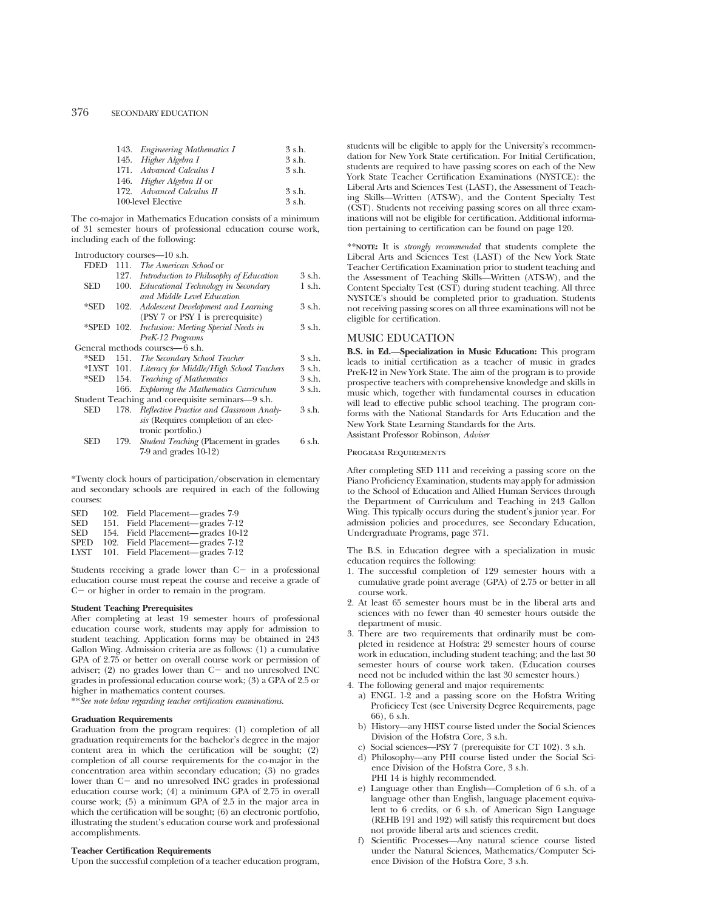| 143. Engineering Mathematics I   | 3 s.h.   |
|----------------------------------|----------|
| 145. Higher Algebra I            | 3 s.h.   |
| 171. Advanced Calculus I         | 3 s.h.   |
| 146. <i>Higher Algebra II</i> or |          |
| 172. Advanced Calculus II        | $3$ s.h. |
| 100-level Elective               | $3$ s.h. |

The co-major in Mathematics Education consists of a minimum of 31 semester hours of professional education course work, including each of the following:

|             |      | Introductory courses-10 s.h.                     |          |
|-------------|------|--------------------------------------------------|----------|
| <b>FDED</b> | 111. | <i>The American School</i> or                    |          |
|             | 127. | Introduction to Philosophy of Education          | 3 s.h.   |
| SED         | 100. | Educational Technology in Secondary              | $1$ s.h. |
|             |      | and Middle Level Education                       |          |
| $*$ SED     | 102. | Adolescent Development and Learning              | 3 s.h.   |
|             |      | (PSY 7 or PSY 1 is prerequisite)                 |          |
| *SPED 102.  |      | Inclusion: Meeting Special Needs in              | 3 s.h.   |
|             |      | PreK-12 Programs                                 |          |
|             |      | General methods courses—6 s.h.                   |          |
| *SED        |      | 151. The Secondary School Teacher                | 3 s.h.   |
| *LYST 101.  |      | Literacy for Middle/High School Teachers         | 3 s.h.   |
| *SED        |      | 154. Teaching of Mathematics                     | 3 s.h.   |
|             | 166. | Exploring the Mathematics Curriculum             | 3 s.h.   |
|             |      | Student Teaching and corequisite seminars—9 s.h. |          |
| SED         | 178. | Reflective Practice and Classroom Analy-         | 3 s.h.   |
|             |      | sis (Requires completion of an elec-             |          |
|             |      | tronic portfolio.)                               |          |
| SED         | 179. | Student Teaching (Placement in grades            | 6 s.h.   |
|             |      | $7-9$ and grades $10-12$ )                       |          |

\*Twenty clock hours of participation/observation in elementary and secondary schools are required in each of the following courses:

| <b>SED</b>  | 102. Field Placement—grades 7-9   |  |
|-------------|-----------------------------------|--|
| <b>SED</b>  | 151. Field Placement—grades 7-12  |  |
| <b>SED</b>  | 154. Field Placement—grades 10-12 |  |
| <b>SPED</b> | 102. Field Placement—grades 7-12  |  |
| LYST        | 101. Field Placement—grades 7-12  |  |

Students receiving a grade lower than  $C-$  in a professional education course must repeat the course and receive a grade of  $C-$  or higher in order to remain in the program.

#### **Student Teaching Prerequisites**

After completing at least 19 semester hours of professional education course work, students may apply for admission to student teaching. Application forms may be obtained in 243 Gallon Wing. Admission criteria are as follows: (1) a cumulative GPA of 2.75 or better on overall course work or permission of adviser;  $(2)$  no grades lower than  $C-$  and no unresolved INC grades in professional education course work; (3) a GPA of 2.5 or higher in mathematics content courses.

\*\**See note below regarding teacher certification examinations.*

## **Graduation Requirements**

Graduation from the program requires: (1) completion of all graduation requirements for the bachelor's degree in the major content area in which the certification will be sought; (2) completion of all course requirements for the co-major in the concentration area within secondary education; (3) no grades lower than  $C-$  and no unresolved INC grades in professional education course work; (4) a minimum GPA of 2.75 in overall course work; (5) a minimum GPA of 2.5 in the major area in which the certification will be sought; (6) an electronic portfolio, illustrating the student's education course work and professional accomplishments.

## **Teacher Certification Requirements**

Upon the successful completion of a teacher education program,

students will be eligible to apply for the University's recommendation for New York State certification. For Initial Certification, students are required to have passing scores on each of the New York State Teacher Certification Examinations (NYSTCE): the Liberal Arts and Sciences Test (LAST), the Assessment of Teaching Skills—Written (ATS-W), and the Content Specialty Test (CST). Students not receiving passing scores on all three examinations will not be eligible for certification. Additional information pertaining to certification can be found on page 120.

\*\***NOTE:** It is *strongly recommended* that students complete the Liberal Arts and Sciences Test (LAST) of the New York State Teacher Certification Examination prior to student teaching and the Assessment of Teaching Skills—Written (ATS-W), and the Content Specialty Test (CST) during student teaching. All three NYSTCE's should be completed prior to graduation. Students not receiving passing scores on all three examinations will not be eligible for certification.

## MUSIC EDUCATION

**B.S. in Ed.—Specialization in Music Education:** This program leads to initial certification as a teacher of music in grades PreK-12 in New York State. The aim of the program is to provide prospective teachers with comprehensive knowledge and skills in music which, together with fundamental courses in education will lead to effective public school teaching. The program conforms with the National Standards for Arts Education and the New York State Learning Standards for the Arts. Assistant Professor Robinson, *Adviser*

## Program Requirements

After completing SED 111 and receiving a passing score on the Piano Proficiency Examination, students may apply for admission to the School of Education and Allied Human Services through the Department of Curriculum and Teaching in 243 Gallon Wing. This typically occurs during the student's junior year. For admission policies and procedures, see Secondary Education, Undergraduate Programs, page 371.

The B.S. in Education degree with a specialization in music education requires the following:

- 1. The successful completion of 129 semester hours with a cumulative grade point average (GPA) of 2.75 or better in all course work.
- 2. At least 65 semester hours must be in the liberal arts and sciences with no fewer than 40 semester hours outside the department of music.
- 3. There are two requirements that ordinarily must be completed in residence at Hofstra: 29 semester hours of course work in education, including student teaching; and the last 30 semester hours of course work taken. (Education courses need not be included within the last 30 semester hours.)
- 4. The following general and major requirements:
	- a) ENGL 1-2 and a passing score on the Hofstra Writing Proficiecy Test (see University Degree Requirements, page 66), 6 s.h.
	- b) History—any HIST course listed under the Social Sciences Division of the Hofstra Core, 3 s.h.
	- c) Social sciences—PSY 7 (prerequisite for CT 102). 3 s.h.
	- d) Philosophy—any PHI course listed under the Social Science Division of the Hofstra Core, 3 s.h. PHI 14 is highly recommended.
	- e) Language other than English—Completion of 6 s.h. of a language other than English, language placement equivalent to 6 credits, or 6 s.h. of American Sign Language (REHB 191 and 192) will satisfy this requirement but does not provide liberal arts and sciences credit.
	- f) Scientific Processes—Any natural science course listed under the Natural Sciences, Mathematics/Computer Science Division of the Hofstra Core, 3 s.h.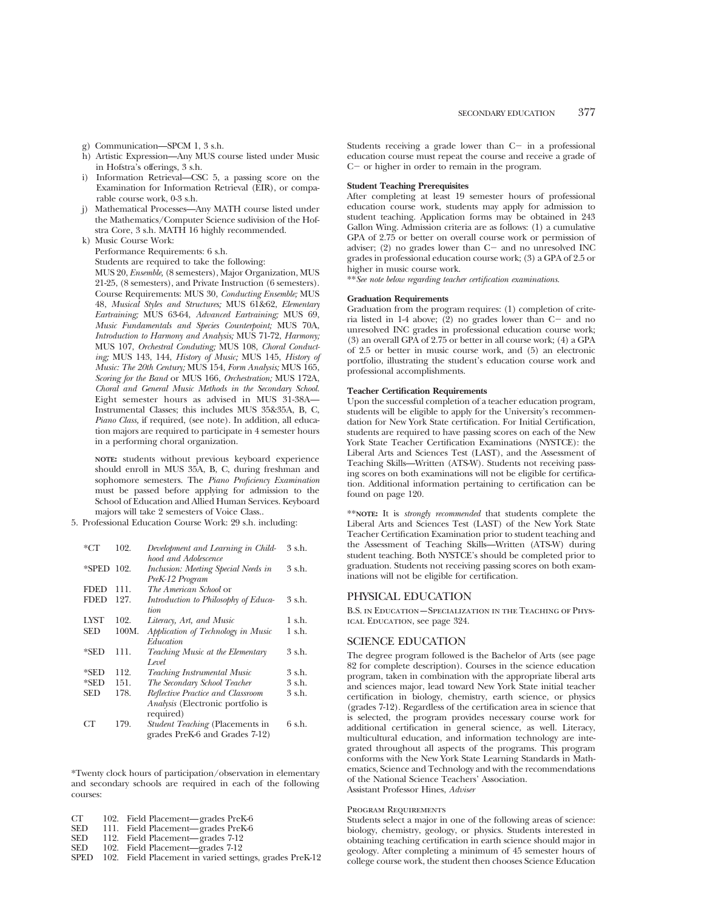- g) Communication—SPCM 1, 3 s.h.
- h) Artistic Expression—Any MUS course listed under Music in Hofstra's offerings, 3 s.h.
- Information Retrieval—CSC 5, a passing score on the Examination for Information Retrieval (EIR), or comparable course work, 0-3 s.h.
- j) Mathematical Processes—Any MATH course listed under the Mathematics/Computer Science sudivision of the Hofstra Core, 3 s.h. MATH 16 highly recommended.
- k) Music Course Work:

Performance Requirements: 6 s.h.

Students are required to take the following: MUS 20, *Ensemble,* (8 semesters), Major Organization, MUS 21-25, (8 semesters), and Private Instruction (6 semesters). Course Requirements: MUS 30, *Conducting Ensemble;* MUS 48, *Musical Styles and Structures;* MUS 61&62, *Elementary Eartraining;* MUS 63-64, *Advanced Eartraining;* MUS 69, *Music Fundamentals and Species Counterpoint;* MUS 70A, *Introduction to Harmony and Analysis;* MUS 71-72, *Harmony;* MUS 107, *Orchestral Conduting;* MUS 108, *Choral Conducting;* MUS 143, 144, *History of Music;* MUS 145, *History of Music: The 20th Century;* MUS 154, *Form Analysis;* MUS 165, *Scoring for the Band* or MUS 166, *Orchestration;* MUS 172A, *Choral and General Music Methods in the Secondary School.* Eight semester hours as advised in MUS 31-38A— Instrumental Classes; this includes MUS 35&35A, B, C, *Piano Class,* if required, (see note). In addition, all education majors are required to participate in 4 semester hours in a performing choral organization.

**NOTE:** students without previous keyboard experience should enroll in MUS 35A, B, C, during freshman and sophomore semesters. The *Piano Proficiency Examination* must be passed before applying for admission to the School of Education and Allied Human Services. Keyboard majors will take 2 semesters of Voice Class..

5. Professional Education Course Work: 29 s.h. including:

| *CT         | 102.  | Development and Learning in Child-     | 3 s.h. |
|-------------|-------|----------------------------------------|--------|
|             |       | hood and Adolescence                   |        |
| *SPED 102.  |       | Inclusion: Meeting Special Needs in    | 3 s.h. |
|             |       | PreK-12 Program                        |        |
| FDED        | 111.  | The American School or                 |        |
| <b>FDED</b> | 127.  | Introduction to Philosophy of Educa-   | 3 s.h. |
|             |       | tion.                                  |        |
| <b>LYST</b> | 102.  | Literacy, Art, and Music               | 1 s.h. |
| SED         | 100M. | Application of Technology in Music     | 1 s.h. |
|             |       | Education                              |        |
| *SED        | 111.  | Teaching Music at the Elementary       | 3 s.h. |
|             |       | Level                                  |        |
| *SED        | 112.  | <b>Teaching Instrumental Music</b>     | 3 s.h. |
| *SED        | 151.  | The Secondary School Teacher           | 3 s.h. |
| SED         | 178.  | Reflective Practice and Classroom      | 3 s.h. |
|             |       | Analysis (Electronic portfolio is      |        |
|             |       | required)                              |        |
| CТ          | 179.  | <i>Student Teaching</i> (Placements in | 6 s.h. |
|             |       | grades PreK-6 and Grades 7-12)         |        |

\*Twenty clock hours of participation/observation in elementary and secondary schools are required in each of the following courses:

- CT 102. Field Placement—grades PreK-6<br>SED 111. Field Placement—grades PreK-6
- SED 111. Field Placement—grades PreK-6<br>SED 112. Field Placement—grades 7-12
- SED 112. Field Placement—grades 7-12<br>SED 102. Field Placement—grades 7-12
- 102. Field Placement—grades 7-12
- SPED 102. Field Placement in varied settings, grades PreK-12

Students receiving a grade lower than  $C-$  in a professional education course must repeat the course and receive a grade of  $C-$  or higher in order to remain in the program.

### **Student Teaching Prerequisites**

After completing at least 19 semester hours of professional education course work, students may apply for admission to student teaching. Application forms may be obtained in 243 Gallon Wing. Admission criteria are as follows: (1) a cumulative GPA of 2.75 or better on overall course work or permission of adviser; (2) no grades lower than  $C-$  and no unresolved INC grades in professional education course work; (3) a GPA of 2.5 or higher in music course work.

\*\**See note below regarding teacher certification examinations.*

## **Graduation Requirements**

Graduation from the program requires: (1) completion of criteria listed in  $1-4$  above; (2) no grades lower than  $C-$  and no unresolved INC grades in professional education course work; (3) an overall GPA of 2.75 or better in all course work; (4) a GPA of 2.5 or better in music course work, and (5) an electronic portfolio, illustrating the student's education course work and professional accomplishments.

## **Teacher Certification Requirements**

Upon the successful completion of a teacher education program, students will be eligible to apply for the University's recommendation for New York State certification. For Initial Certification, students are required to have passing scores on each of the New York State Teacher Certification Examinations (NYSTCE): the Liberal Arts and Sciences Test (LAST), and the Assessment of Teaching Skills—Written (ATS-W). Students not receiving passing scores on both examinations will not be eligible for certification. Additional information pertaining to certification can be found on page 120.

\*\***NOTE:** It is *strongly recommended* that students complete the Liberal Arts and Sciences Test (LAST) of the New York State Teacher Certification Examination prior to student teaching and the Assessment of Teaching Skills—Written (ATS-W) during student teaching. Both NYSTCE's should be completed prior to graduation. Students not receiving passing scores on both examinations will not be eligible for certification.

## PHYSICAL EDUCATION

B.S. in Education—Specialization in the Teaching of Physical Education, see page 324.

## SCIENCE EDUCATION

The degree program followed is the Bachelor of Arts (see page 82 for complete description). Courses in the science education program, taken in combination with the appropriate liberal arts and sciences major, lead toward New York State initial teacher certification in biology, chemistry, earth science, or physics (grades 7-12). Regardless of the certification area in science that is selected, the program provides necessary course work for additional certification in general science, as well. Literacy, multicultural education, and information technology are integrated throughout all aspects of the programs. This program conforms with the New York State Learning Standards in Mathematics, Science and Technology and with the recommendations of the National Science Teachers' Association. Assistant Professor Hines, *Adviser*

#### Program Requirements

Students select a major in one of the following areas of science: biology, chemistry, geology, or physics. Students interested in obtaining teaching certification in earth science should major in geology. After completing a minimum of 45 semester hours of college course work, the student then chooses Science Education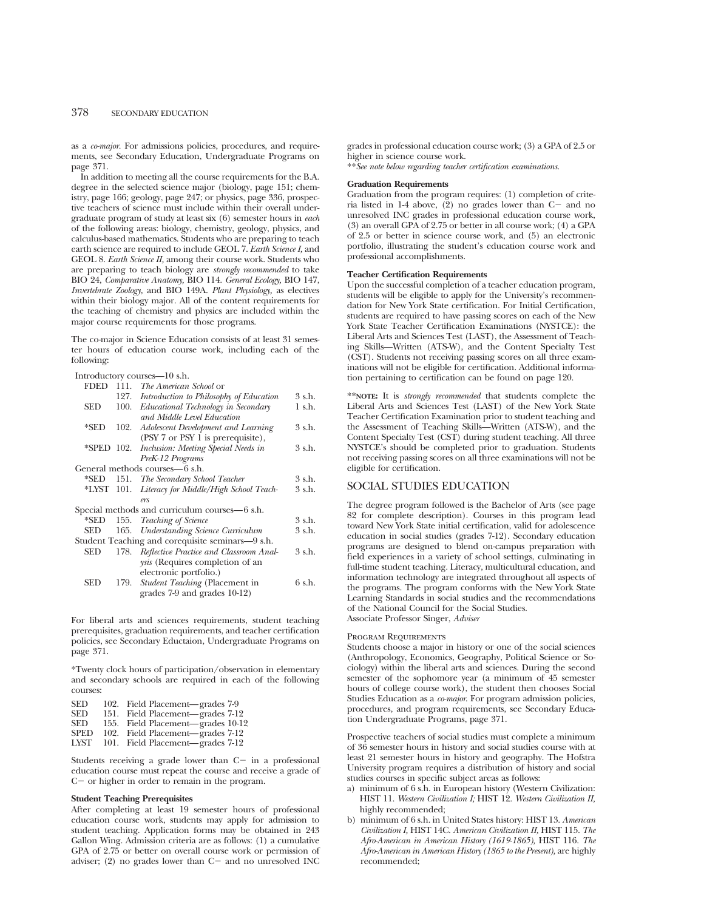as a *co-major.* For admissions policies, procedures, and requirements, see Secondary Education, Undergraduate Programs on page 371.

In addition to meeting all the course requirements for the B.A. degree in the selected science major (biology, page 151; chemistry, page 166; geology, page 247; or physics, page 336, prospective teachers of science must include within their overall undergraduate program of study at least six (6) semester hours in *each* of the following areas: biology, chemistry, geology, physics, and calculus-based mathematics. Students who are preparing to teach earth science are required to include GEOL 7. *Earth Science I,* and GEOL 8. *Earth Science II,* among their course work. Students who are preparing to teach biology are *strongly recommended* to take BIO 24, *Comparative Anatomy,* BIO 114. *General Ecology,* BIO 147, *Invertebrate Zoology,* and BIO 149A. *Plant Physiology,* as electives within their biology major. All of the content requirements for the teaching of chemistry and physics are included within the major course requirements for those programs.

The co-major in Science Education consists of at least 31 semester hours of education course work, including each of the following:

Introductory courses—10 s.h.

| <b>FDED</b> | 111. | <i>The American School</i> or                     |             |
|-------------|------|---------------------------------------------------|-------------|
|             |      | 127. Introduction to Philosophy of Education      | 3 s.h.      |
| SED         | 100. | Educational Technology in Secondary               | $1 \,$ s.h. |
|             |      | and Middle Level Education                        |             |
| *SED        | 102. | Adolescent Development and Learning               | 3 s.h.      |
|             |      | (PSY 7 or PSY 1 is prerequisite),                 |             |
| *SPED 102.  |      | Inclusion: Meeting Special Needs in               | 3 s.h.      |
|             |      | PreK-12 Programs                                  |             |
|             |      | General methods courses—6 s.h.                    |             |
| *SED        |      | 151. The Secondary School Teacher                 | 3 s.h.      |
|             |      | *LYST 101. Literacy for Middle/High School Teach- | 3 s.h.      |
|             |      | ers                                               |             |
|             |      | Special methods and curriculum courses—6 s.h.     |             |
| *SED        |      | 155. Teaching of Science                          | 3 s.h.      |
| SED         |      | 165. Understanding Science Curriculum             | 3 s.h.      |
|             |      | Student Teaching and corequisite seminars—9 s.h.  |             |
| SED         | 178. | Reflective Practice and Classroom Anal-           | 3 s.h.      |
|             |      | ysis (Requires completion of an                   |             |
|             |      | electronic portfolio.)                            |             |
| SED         | 179. | Student Teaching (Placement in                    | 6 s.h.      |
|             |      | grades 7-9 and grades 10-12)                      |             |
|             |      |                                                   |             |

For liberal arts and sciences requirements, student teaching prerequisites, graduation requirements, and teacher certification policies, see Secondary Eductaion, Undergraduate Programs on page 371.

\*Twenty clock hours of participation/observation in elementary and secondary schools are required in each of the following courses:

| <b>SED</b>  | 102. Field Placement—grades 7-9   |
|-------------|-----------------------------------|
| <b>SED</b>  | 151. Field Placement—grades 7-12  |
| <b>SED</b>  | 155. Field Placement—grades 10-12 |
| <b>SPED</b> | 102. Field Placement—grades 7-12  |
| LYST        | 101. Field Placement—grades 7-12  |

Students receiving a grade lower than  $C-$  in a professional education course must repeat the course and receive a grade of  $C-$  or higher in order to remain in the program.

#### **Student Teaching Prerequisites**

After completing at least 19 semester hours of professional education course work, students may apply for admission to student teaching. Application forms may be obtained in 243 Gallon Wing. Admission criteria are as follows: (1) a cumulative GPA of 2.75 or better on overall course work or permission of adviser;  $(2)$  no grades lower than  $C-$  and no unresolved INC grades in professional education course work; (3) a GPA of 2.5 or higher in science course work.

\*\**See note below regarding teacher certification examinations.*

## **Graduation Requirements**

Graduation from the program requires: (1) completion of criteria listed in 1-4 above,  $(2)$  no grades lower than C- and no unresolved INC grades in professional education course work, (3) an overall GPA of 2.75 or better in all course work; (4) a GPA of 2.5 or better in science course work, and (5) an electronic portfolio, illustrating the student's education course work and professional accomplishments.

#### **Teacher Certification Requirements**

Upon the successful completion of a teacher education program, students will be eligible to apply for the University's recommendation for New York State certification. For Initial Certification, students are required to have passing scores on each of the New York State Teacher Certification Examinations (NYSTCE): the Liberal Arts and Sciences Test (LAST), the Assessment of Teaching Skills—Written (ATS-W), and the Content Specialty Test (CST). Students not receiving passing scores on all three examinations will not be eligible for certification. Additional information pertaining to certification can be found on page 120.

\*\***NOTE:** It is *strongly recommended* that students complete the Liberal Arts and Sciences Test (LAST) of the New York State Teacher Certification Examination prior to student teaching and the Assessment of Teaching Skills—Written (ATS-W), and the Content Specialty Test (CST) during student teaching. All three NYSTCE's should be completed prior to graduation. Students not receiving passing scores on all three examinations will not be eligible for certification.

## SOCIAL STUDIES EDUCATION

The degree program followed is the Bachelor of Arts (see page 82 for complete description). Courses in this program lead toward New York State initial certification, valid for adolescence education in social studies (grades 7-12). Secondary education programs are designed to blend on-campus preparation with field experiences in a variety of school settings, culminating in full-time student teaching. Literacy, multicultural education, and information technology are integrated throughout all aspects of the programs. The program conforms with the New York State Learning Standards in social studies and the recommendations of the National Council for the Social Studies. Associate Professor Singer, *Adviser*

#### Program Requirements

Students choose a major in history or one of the social sciences (Anthropology, Economics, Geography, Political Science or Sociology) within the liberal arts and sciences. During the second semester of the sophomore year (a minimum of 45 semester hours of college course work), the student then chooses Social Studies Education as a *co-major*. For program admission policies, procedures, and program requirements, see Secondary Education Undergraduate Programs, page 371.

Prospective teachers of social studies must complete a minimum of 36 semester hours in history and social studies course with at least 21 semester hours in history and geography. The Hofstra University program requires a distribution of history and social studies courses in specific subject areas as follows:

- a) minimum of 6 s.h. in European history (Western Civilization: HIST 11. *Western Civilization I;* HIST 12. *Western Civilization II,* highly recommended;
- b) minimum of 6 s.h. in United States history: HIST 13. *American Civilization I,* HIST 14C. *American Civilization II,* HIST 115. *The Afro-American in American History (1619-1865),* HIST 116. *The Afro-American in American History (1865 to the Present),* are highly recommended;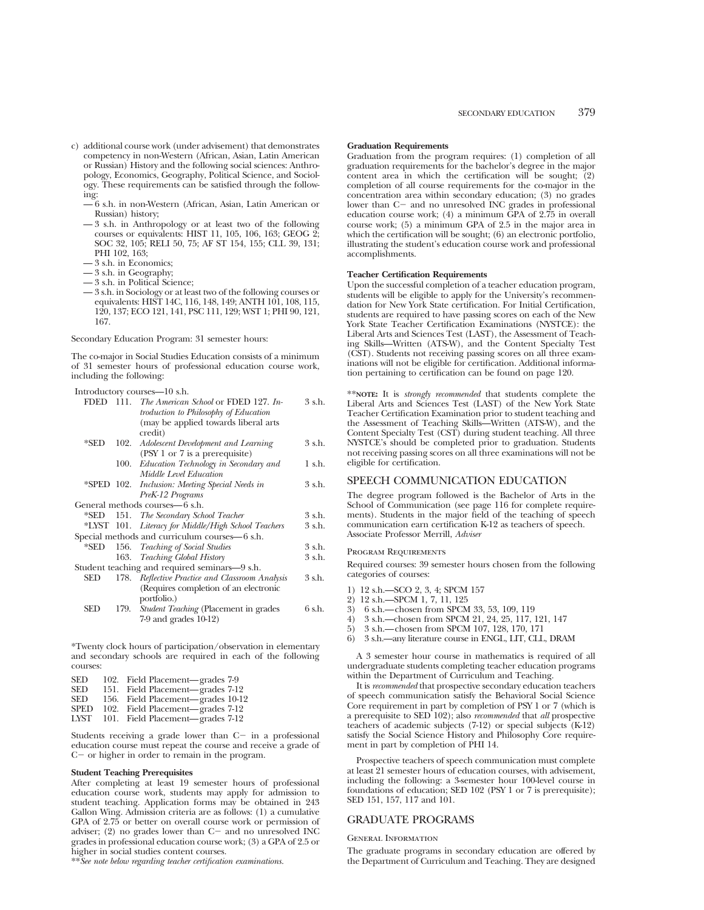- c) additional course work (under advisement) that demonstrates competency in non-Western (African, Asian, Latin American or Russian) History and the following social sciences: Anthropology, Economics, Geography, Political Science, and Sociology. These requirements can be satisfied through the following:
	- 6 s.h. in non-Western (African, Asian, Latin American or Russian) history;
	- 3 s.h. in Anthropology or at least two of the following courses or equivalents: HIST 11, 105, 106, 163; GEOG 2; SOC 32, 105; RELI 50, 75; AF ST 154, 155; CLL 39, 131; PHI 102, 163;
	- 3 s.h. in Economics;
	- 3 s.h. in Geography;
	- 3 s.h. in Political Science;
	- 3 s.h. in Sociology or at least two of the following courses or equivalents: HIST 14C, 116, 148, 149; ANTH 101, 108, 115, 120, 137; ECO 121, 141, PSC 111, 129; WST 1; PHI 90, 121, 167.

Secondary Education Program: 31 semester hours:

The co-major in Social Studies Education consists of a minimum of 31 semester hours of professional education course work, including the following:

Introductory courses—10 s.h.

| <b>FDED</b> | 111. The American School or FDED 127. In-           | 3 s.h. |
|-------------|-----------------------------------------------------|--------|
|             | troduction to Philosophy of Education               |        |
|             | (may be applied towards liberal arts                |        |
|             | credit)                                             |        |
| $*$ SED     | 102. Adolescent Development and Learning            | 3 s.h. |
|             | (PSY 1 or 7 is a prerequisite)                      |        |
|             | 100. Education Technology in Secondary and          | 1 s.h. |
|             | Middle Level Education                              |        |
|             | *SPED 102. Inclusion: Meeting Special Needs in      | 3 s.h. |
|             | PreK-12 Programs                                    |        |
|             | General methods courses—6 s.h.                      |        |
| $*$ SED     | 151. The Secondary School Teacher                   | 3 s.h. |
|             | *LYST 101. Literacy for Middle/High School Teachers | 3 s.h. |
|             | Special methods and curriculum courses—6 s.h.       |        |
| *SED        | 156. Teaching of Social Studies                     | 3 s.h. |
|             | 163. Teaching Global History                        | 3 s.h. |
|             | Student teaching and required seminars—9 s.h.       |        |
| SED         | 178. Reflective Practice and Classroom Analysis     | 3 s.h. |
|             | (Requires completion of an electronic               |        |
|             | portfolio.)                                         |        |
| SED         | 179. Student Teaching (Placement in grades          | 6 s.h. |
|             | $7-9$ and grades $10-12$ )                          |        |
|             |                                                     |        |

\*Twenty clock hours of participation/observation in elementary and secondary schools are required in each of the following courses:

| 102. Field Placement—grades 7-9   |
|-----------------------------------|
| 151. Field Placement—grades 7-12  |
| 156. Field Placement—grades 10-12 |
| 102. Field Placement—grades 7-12  |
| 101. Field Placement—grades 7-12  |
|                                   |

Students receiving a grade lower than  $C-$  in a professional education course must repeat the course and receive a grade of  $C-$  or higher in order to remain in the program.

#### **Student Teaching Prerequisites**

After completing at least 19 semester hours of professional education course work, students may apply for admission to student teaching. Application forms may be obtained in 243 Gallon Wing. Admission criteria are as follows: (1) a cumulative GPA of 2.75 or better on overall course work or permission of adviser;  $(2)$  no grades lower than  $C-$  and no unresolved INC grades in professional education course work; (3) a GPA of 2.5 or higher in social studies content courses.

\*\**See note below regarding teacher certification examinations.*

#### **Graduation Requirements**

Graduation from the program requires: (1) completion of all graduation requirements for the bachelor's degree in the major content area in which the certification will be sought;  $(2)$ completion of all course requirements for the co-major in the concentration area within secondary education; (3) no grades lower than C- and no unresolved INC grades in professional education course work; (4) a minimum GPA of 2.75 in overall course work; (5) a minimum GPA of 2.5 in the major area in which the certification will be sought; (6) an electronic portfolio, illustrating the student's education course work and professional accomplishments.

#### **Teacher Certification Requirements**

Upon the successful completion of a teacher education program, students will be eligible to apply for the University's recommendation for New York State certification. For Initial Certification, students are required to have passing scores on each of the New York State Teacher Certification Examinations (NYSTCE): the Liberal Arts and Sciences Test (LAST), the Assessment of Teaching Skills—Written (ATS-W), and the Content Specialty Test (CST). Students not receiving passing scores on all three examinations will not be eligible for certification. Additional information pertaining to certification can be found on page 120.

\*\***NOTE:** It is *strongly recommended* that students complete the Liberal Arts and Sciences Test (LAST) of the New York State Teacher Certification Examination prior to student teaching and the Assessment of Teaching Skills—Written (ATS-W), and the Content Specialty Test (CST) during student teaching. All three NYSTCE's should be completed prior to graduation. Students not receiving passing scores on all three examinations will not be eligible for certification.

## SPEECH COMMUNICATION EDUCATION

The degree program followed is the Bachelor of Arts in the School of Communication (see page 116 for complete requirements). Students in the major field of the teaching of speech communication earn certification K-12 as teachers of speech. Associate Professor Merrill, *Adviser*

#### Program Requirements

Required courses: 39 semester hours chosen from the following categories of courses:

- 1) 12 s.h.—SCO 2, 3, 4; SPCM 157
- 
- 2) 12 s.h.—SPCM 1, 7, 11, 125<br>3) 6 s.h.—chosen from SPCM
- 3) 6 s.h.—chosen from SPCM 33, 53, 109, 119<br>4) 3 s.h.—chosen from SPCM 21, 24, 25, 117 4) 3 s.h.—chosen from SPCM 21, 24, 25, 117, 121, 147
- 5) 3 s.h.—chosen from SPCM 107, 128, 170, 171
- 6) 3 s.h.—any literature course in ENGL, LIT, CLL, DRAM

A 3 semester hour course in mathematics is required of all undergraduate students completing teacher education programs within the Department of Curriculum and Teaching.

It is *recommended* that prospective secondary education teachers of speech communication satisfy the Behavioral Social Science Core requirement in part by completion of PSY 1 or 7 (which is a prerequisite to SED 102); also *recommended* that *all* prospective teachers of academic subjects (7-12) or special subjects (K-12) satisfy the Social Science History and Philosophy Core requirement in part by completion of PHI 14.

Prospective teachers of speech communication must complete at least 21 semester hours of education courses, with advisement, including the following: a 3-semester hour 100-level course in foundations of education; SED 102 (PSY 1 or 7 is prerequisite); SED 151, 157, 117 and 101.

## GRADUATE PROGRAMS

#### General Information

The graduate programs in secondary education are offered by the Department of Curriculum and Teaching. They are designed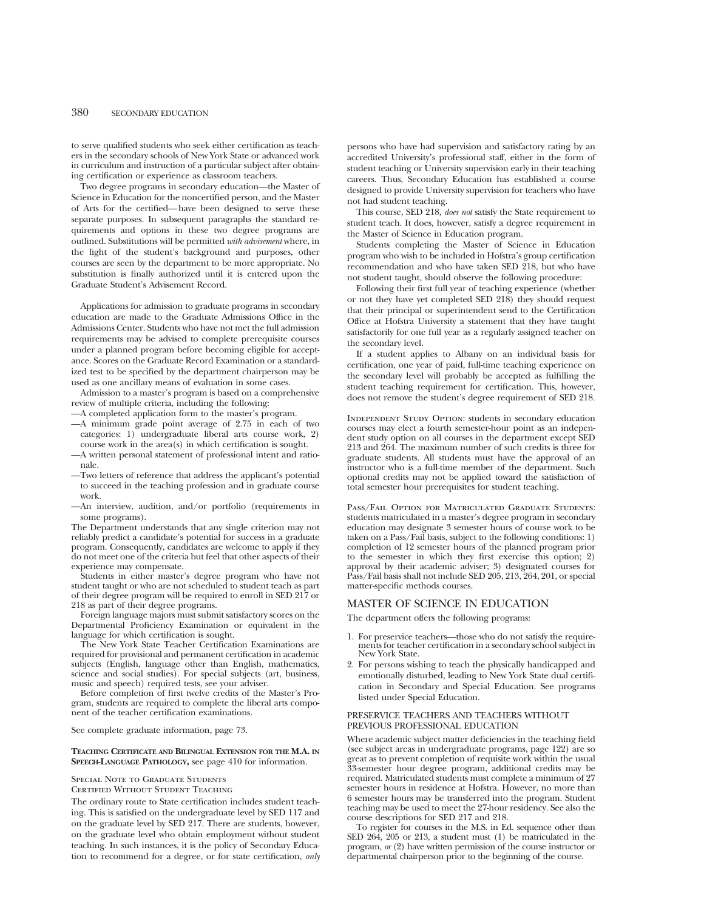to serve qualified students who seek either certification as teachers in the secondary schools of New York State or advanced work in curriculum and instruction of a particular subject after obtaining certification or experience as classroom teachers.

Two degree programs in secondary education—the Master of Science in Education for the noncertified person, and the Master of Arts for the certified—have been designed to serve these separate purposes. In subsequent paragraphs the standard requirements and options in these two degree programs are outlined. Substitutions will be permitted *with advisement* where, in the light of the student's background and purposes, other courses are seen by the department to be more appropriate. No substitution is finally authorized until it is entered upon the Graduate Student's Advisement Record.

Applications for admission to graduate programs in secondary education are made to the Graduate Admissions Office in the Admissions Center. Students who have not met the full admission requirements may be advised to complete prerequisite courses under a planned program before becoming eligible for acceptance. Scores on the Graduate Record Examination or a standardized test to be specified by the department chairperson may be used as one ancillary means of evaluation in some cases.

Admission to a master's program is based on a comprehensive review of multiple criteria, including the following:

- —A completed application form to the master's program.
- —A minimum grade point average of 2.75 in each of two categories: 1) undergraduate liberal arts course work, 2) course work in the area(s) in which certification is sought.
- —A written personal statement of professional intent and rationale.
- —Two letters of reference that address the applicant's potential to succeed in the teaching profession and in graduate course work.
- —An interview, audition, and/or portfolio (requirements in some programs).

The Department understands that any single criterion may not reliably predict a candidate's potential for success in a graduate program. Consequently, candidates are welcome to apply if they do not meet one of the criteria but feel that other aspects of their experience may compensate.

Students in either master's degree program who have not student taught or who are not scheduled to student teach as part of their degree program will be required to enroll in SED 217 or 218 as part of their degree programs.

Foreign language majors must submit satisfactory scores on the Departmental Proficiency Examination or equivalent in the language for which certification is sought.

The New York State Teacher Certification Examinations are required for provisional and permanent certification in academic subjects (English, language other than English, mathematics, science and social studies). For special subjects (art, business, music and speech) required tests, see your adviser.

Before completion of first twelve credits of the Master's Program, students are required to complete the liberal arts component of the teacher certification examinations.

See complete graduate information, page 73.

#### **TEACHING CERTIFICATE AND BILINGUAL EXTENSION FOR THE M.A. IN SPEECH-LANGUAGE PATHOLOGY,** see page 410 for information.

#### Special Note to Graduate Students

Certified Without Student Teaching

The ordinary route to State certification includes student teaching. This is satisfied on the undergraduate level by SED 117 and on the graduate level by SED 217. There are students, however, on the graduate level who obtain employment without student teaching. In such instances, it is the policy of Secondary Education to recommend for a degree, or for state certification, *only*

persons who have had supervision and satisfactory rating by an accredited University's professional staff, either in the form of student teaching or University supervision early in their teaching careers. Thus, Secondary Education has established a course designed to provide University supervision for teachers who have not had student teaching.

This course, SED 218, *does not* satisfy the State requirement to student teach. It does, however, satisfy a degree requirement in the Master of Science in Education program.

Students completing the Master of Science in Education program who wish to be included in Hofstra's group certification recommendation and who have taken SED 218, but who have not student taught, should observe the following procedure:

Following their first full year of teaching experience (whether or not they have yet completed SED 218) they should request that their principal or superintendent send to the Certification Office at Hofstra University a statement that they have taught satisfactorily for one full year as a regularly assigned teacher on the secondary level.

If a student applies to Albany on an individual basis for certification, one year of paid, full-time teaching experience on the secondary level will probably be accepted as fulfilling the student teaching requirement for certification. This, however, does not remove the student's degree requirement of SED 218.

Independent Study Option: students in secondary education courses may elect a fourth semester-hour point as an independent study option on all courses in the department except SED 213 and 264. The maximum number of such credits is three for graduate students. All students must have the approval of an instructor who is a full-time member of the department. Such optional credits may not be applied toward the satisfaction of total semester hour prerequisites for student teaching.

Pass/Fail Option for Matriculated Graduate Students: students matriculated in a master's degree program in secondary education may designate 3 semester hours of course work to be taken on a Pass/Fail basis, subject to the following conditions: 1) completion of 12 semester hours of the planned program prior to the semester in which they first exercise this option; 2) approval by their academic adviser; 3) designated courses for Pass/Fail basis shall not include SED 205, 213, 264, 201, or special matter-specific methods courses.

## MASTER OF SCIENCE IN EDUCATION

The department offers the following programs:

- 1. For preservice teachers—those who do not satisfy the require- ments for teacher certification in a secondary school subject in New York State.
- 2. For persons wishing to teach the physically handicapped and emotionally disturbed, leading to New York State dual certification in Secondary and Special Education. See programs listed under Special Education.

## PRESERVICE TEACHERS AND TEACHERS WITHOUT PREVIOUS PROFESSIONAL EDUCATION

Where academic subject matter deficiencies in the teaching field (see subject areas in undergraduate programs, page 122) are so great as to prevent completion of requisite work within the usual 33-semester hour degree program, additional credits may be required. Matriculated students must complete a minimum of 27 semester hours in residence at Hofstra. However, no more than 6 semester hours may be transferred into the program. Student teaching may be used to meet the 27-hour residency. See also the course descriptions for SED 217 and 218.

To register for courses in the M.S. in Ed. sequence other than SED 264, 205 or 213, a student must (1) be matriculated in the program, *or* (2) have written permission of the course instructor or departmental chairperson prior to the beginning of the course.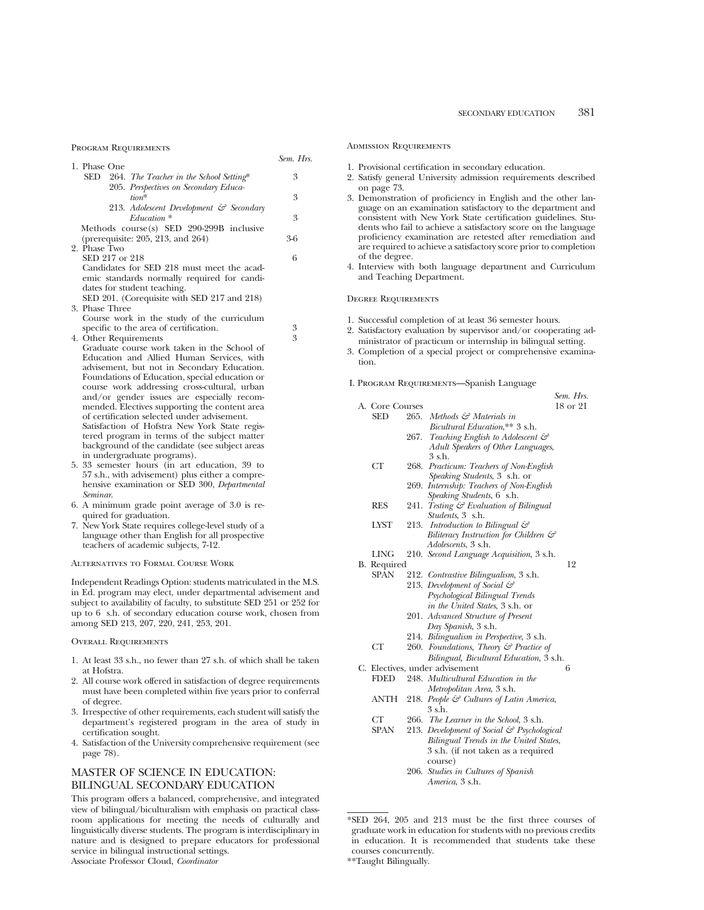Program Requirements

|                                                                                                                                                          | Sem. Hrs. |
|----------------------------------------------------------------------------------------------------------------------------------------------------------|-----------|
| 1. Phase One<br>SED<br>264. The Teacher in the School Setting*                                                                                           | 3         |
| 205. Perspectives on Secondary Educa-<br>tion*                                                                                                           | 3         |
| 213. Adolescent Development & Secondary<br>Education *<br>Methods course(s) SED 290-299B inclusive                                                       | 3         |
| (prerequisite: 205, 213, and 264)<br>2. Phase Two                                                                                                        | 3-6       |
| SED 217 or 218                                                                                                                                           | 6         |
| Candidates for SED 218 must meet the acad-<br>emic standards normally required for candi-<br>dates for student teaching.                                 |           |
| SED 201. (Corequisite with SED 217 and 218)<br>3. Phase Three                                                                                            |           |
| Course work in the study of the curriculum<br>specific to the area of certification.                                                                     | 3         |
| 4. Other Requirements                                                                                                                                    | 3         |
| Graduate course work taken in the School of                                                                                                              |           |
| Education and Allied Human Services, with<br>advisement, but not in Secondary Education.                                                                 |           |
| Foundations of Education, special education or                                                                                                           |           |
| course work addressing cross-cultural, urban                                                                                                             |           |
| and/or gender issues are especially recom-                                                                                                               |           |
| mended. Electives supporting the content area<br>of certification selected under advisement.                                                             |           |
| Satisfaction of Hofstra New York State regis-                                                                                                            |           |
| tered program in terms of the subject matter                                                                                                             |           |
| background of the candidate (see subject areas<br>in undergraduate programs).                                                                            |           |
| 5.33 semester hours (in art education, 39 to                                                                                                             |           |
| 57 s.h., with advisement) plus either a compre-                                                                                                          |           |
| hensive examination or SED 300, Departmental                                                                                                             |           |
| Seminar.<br>6. A minimum grade point average of 3.0 is re-                                                                                               |           |
| quired for graduation.                                                                                                                                   |           |
| 7. New York State requires college-level study of a                                                                                                      |           |
| language other than English for all prospective                                                                                                          |           |
| teachers of academic subjects, 7-12.                                                                                                                     |           |
| ALTERNATIVES TO FORMAL COURSE WORK                                                                                                                       |           |
| Independent Readings Option: students matriculated in the M.S.<br>in Ed. program may elect, under departmental advisement and                            |           |
| subject to availability of faculty, to substitute SED 251 or 252 for                                                                                     |           |
| up to 6 s.h. of secondary education course work, chosen from                                                                                             |           |
| among SED 213, 207, 220, 241, 253, 201.                                                                                                                  |           |
| <b>OVERALL REQUIREMENTS</b>                                                                                                                              |           |
| 1. At least 33 s.h., no fewer than 27 s.h. of which shall be taken<br>at Hofstra.                                                                        |           |
| 2. All course work offered in satisfaction of degree requirements<br>must have been completed within five years prior to conferral                       |           |
| of degree.                                                                                                                                               |           |
| 3. Irrespective of other requirements, each student will satisfy the<br>department's registered program in the area of study in<br>certification sought. |           |
| 4. Satisfaction of the University comprehensive requirement (see<br>page 78).                                                                            |           |
| <b>MASTER OF SCIENCE IN EDUCATION:</b>                                                                                                                   |           |
| <b>BILINGUAL SECONDARY EDUCATION</b>                                                                                                                     |           |
| This program offers a balanced, comprehensive, and integrated                                                                                            |           |
| view of bilingual/biculturalism with emphasis on practical class-                                                                                        |           |

room applications for meeting the needs of culturally and linguistically diverse students. The program is interdisciplinary in nature and is designed to prepare educators for professional service in bilingual instructional settings.

Associate Professor Cloud, *Coordinator*

#### Admission Requirements

- 1. Provisional certification in secondary education.
- 2. Satisfy general University admission requirements described on page 73.
- 3. Demonstration of proficiency in English and the other language on an examination satisfactory to the department and consistent with New York State certification guidelines. Students who fail to achieve a satisfactory score on the language proficiency examination are retested after remediation and are required to achieve a satisfactory score prior to completion of the degree.
- 4. Interview with both language department and Curriculum and Teaching Department.

#### Degree Requirements

- 1. Successful completion of at least 36 semester hours.
- 2. Satisfactory evaluation by supervisor and/or cooperating administrator of practicum or internship in bilingual setting.
- 3. Completion of a special project or comprehensive examination.

## I. Program Requirements—Spanish Language

|                 |      |                                                   | Sem. Hrs. |
|-----------------|------|---------------------------------------------------|-----------|
| A. Core Courses |      |                                                   | 18 or 21  |
| SED             | 265. | Methods & Materials in                            |           |
|                 |      | Bicultural Education,** 3 s.h.                    |           |
|                 | 267. | Teaching English to Adolescent $\mathcal{C}$      |           |
|                 |      | Adult Speakers of Other Languages,                |           |
|                 |      | 3 s.h.                                            |           |
| СT              | 268. | Practicum: Teachers of Non-English                |           |
|                 |      | <i>Speaking Students</i> , 3 s.h. or              |           |
|                 | 269. | Internship: Teachers of Non-English               |           |
|                 |      | <i>Speaking Students</i> , 6 s.h.                 |           |
| <b>RES</b>      | 241. | Testing & Evaluation of Bilingual                 |           |
|                 |      | <i>Students</i> , 3 s.h.                          |           |
| <b>LYST</b>     | 213. | Introduction to Bilingual &                       |           |
|                 |      | Biliteracy Instruction for Children $\mathcal{C}$ |           |
|                 |      | <i>Adolescents</i> , 3 s.h.                       |           |
| <b>LING</b>     |      | 210. Second Language Acquisition, 3 s.h.          |           |
| B. Required     |      |                                                   | 12        |
| <b>SPAN</b>     |      | 212. Contrastive Bilingualism, 3 s.h.             |           |
|                 |      | 213. Development of Social &                      |           |
|                 |      | Psychological Bilingual Trends                    |           |
|                 |      | in the United States, 3 s.h. or                   |           |
|                 |      | 201. Advanced Structure of Present                |           |
|                 |      | Day Spanish, 3 s.h.                               |           |
|                 |      | 214. Bilingualism in Perspective, 3 s.h.          |           |
| CT              |      | 260. Foundations, Theory & Practice of            |           |
|                 |      | Bilingual, Bicultural Education, 3 s.h.           |           |
|                 |      | C. Electives, under advisement                    | 6         |
| <b>FDED</b>     |      | 248. Multicultural Education in the               |           |
|                 |      | Metropolitan Area, 3 s.h.                         |           |
| <b>ANTH</b>     |      | 218. People & Cultures of Latin America,          |           |
|                 |      | $3$ s.h.                                          |           |
| СT              | 266. | The Learner in the School, 3 s.h.                 |           |
| <b>SPAN</b>     |      | 213. Development of Social & Psychological        |           |
|                 |      | Bilingual Trends in the United States,            |           |
|                 |      | 3 s.h. (if not taken as a required                |           |
|                 |      |                                                   |           |

course) 206. *Studies in Cultures of Spanish America*, 3 s.h.

<sup>\*</sup>SED 264, 205 and 213 must be the first three courses of graduate work in education for students with no previous credits in education. It is recommended that students take these courses concurrently.

<sup>\*\*</sup>Taught Bilingually.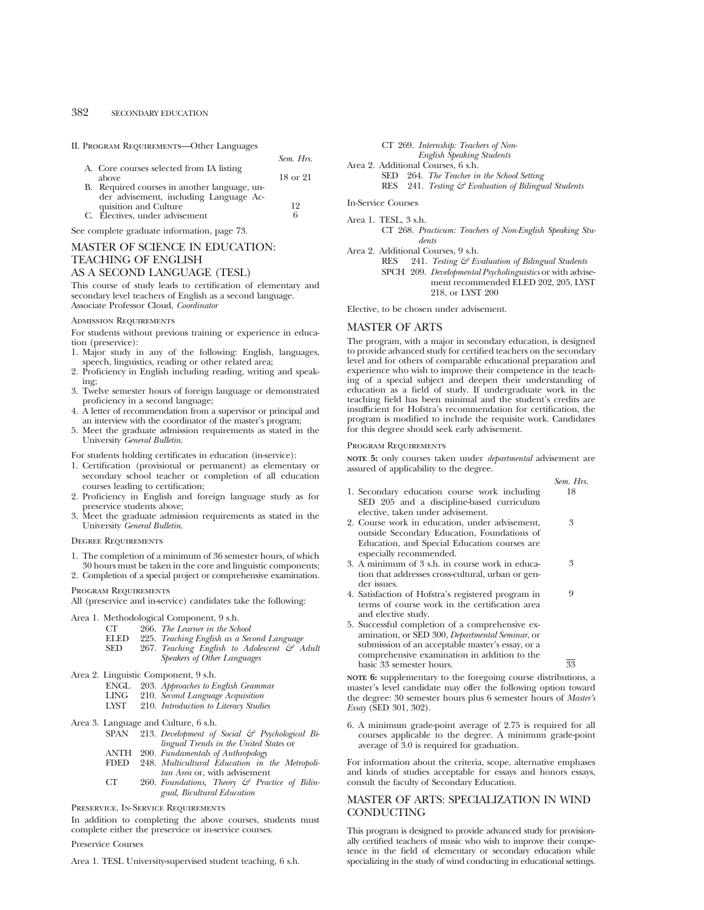II. Program Requirements—Other Languages

|                                              | Sem. Hrs. |
|----------------------------------------------|-----------|
| A. Core courses selected from IA listing     |           |
| above                                        | 18 or 21  |
| B. Required courses in another language, un- |           |
| der advisement, including Language Ac-       |           |
| quisition and Culture                        | 19        |
| C. Électives, under advisement               | 6         |

See complete graduate information, page 73.

## MASTER OF SCIENCE IN EDUCATION: TEACHING OF ENGLISH AS A SECOND LANGUAGE (TESL)

This course of study leads to certification of elementary and secondary level teachers of English as a second language. Associate Professor Cloud, *Coordinator*

#### Admission Requirements

For students without previous training or experience in education (preservice):

- 1. Major study in any of the following: English, languages, speech, linguistics, reading or other related area;
- 2. Proficiency in English including reading, writing and speaking;
- 3. Twelve semester hours of foreign language or demonstrated proficiency in a second language;
- 4. A letter of recommendation from a supervisor or principal and an interview with the coordinator of the master's program;
- 5. Meet the graduate admission requirements as stated in the University *General Bulletin*.

For students holding certificates in education (in-service):

- 1. Certification (provisional or permanent) as elementary or secondary school teacher or completion of all education courses leading to certification;
- 2. Proficiency in English and foreign language study as for preservice students above;
- 3. Meet the graduate admission requirements as stated in the University *General Bulletin*.

#### Degree Requirements

- 1. The completion of a minimum of 36 semester hours, of which 30 hours must be taken in the core and linguistic components;
- 2. Completion of a special project or comprehensive examination.

Program Requirements

All (preservice and in-service) candidates take the following:

- Area 1. Methodological Component, 9 s.h.
	- CT 266. *The Learner in the School*
	- ELED 225. *Teaching English as a Second Language*
	- SED 267. *Teaching English to Adolescent & Adult Speakers of Other Languages*
- Area 2. Linguistic Component, 9 s.h.
	-
	- ENGL 203. *Approaches to English Grammar*
	- LING 210. *Second Language Acquisition* LYST 210. *Introduction to Literacy Studies*
- Area 3. Language and Culture, 6 s.h.
	- SPAN 213. *Development of Social & Psychological Bilingual Trends in the United States* or
	- ANTH 200. *Fundamentals of Anthropology*
	- FDED 248. *Multicultural Education in the Metropolitan Area* or, with advisement
	- CT 260. *Foundations, Theory & Practice of Bilingual, Bicultural Education*

Preservice, In-Service Requirements

In addition to completing the above courses, students must complete either the preservice or in-service courses.

#### Preservice Courses

Area 1. TESL University-supervised student teaching, 6 s.h.



In-Service Courses

Area 1. TESL, 3 s.h. CT 268. *Practicum: Teachers of Non-English Speaking Students*

Area 2. Additional Courses, 9 s.h.

RES 241. *Testing & Evaluation of Bilingual Students* SPCH 209. *Developmental Psycholinguistics* or with advisement recommended ELED 202, 205, LYST 218, or LYST 200

Elective, to be chosen under advisement.

## MASTER OF ARTS

The program, with a major in secondary education, is designed to provide advanced study for certified teachers on the secondary level and for others of comparable educational preparation and experience who wish to improve their competence in the teaching of a special subject and deepen their understanding of education as a field of study. If undergraduate work in the teaching field has been minimal and the student's credits are insufficient for Hofstra's recommendation for certification, the program is modified to include the requisite work. Candidates for this degree should seek early advisement.

#### Program Requirements

**NOTE 5:** only courses taken under *departmental* advisement are assured of applicability to the degree.

|                                                                                                                | Sem. Hrs. |
|----------------------------------------------------------------------------------------------------------------|-----------|
| 1. Secondary education course work including                                                                   | 18        |
| SED 205 and a discipline-based curriculum                                                                      |           |
| elective, taken under advisement.                                                                              |           |
| 2. Course work in education, under advisement,                                                                 | 3         |
| outside Secondary Education, Foundations of                                                                    |           |
| Education, and Special Education courses are                                                                   |           |
| especially recommended.                                                                                        |           |
| 3. A minimum of 3 s.h. in course work in educa-                                                                | 3         |
| tion that addresses cross-cultural, urban or gen-                                                              |           |
| der issues.                                                                                                    |           |
| 4. Satisfaction of Hofstra's registered program in                                                             | 9         |
| terms of course work in the certification area                                                                 |           |
| and elective study.                                                                                            |           |
| 5. Successful completion of a comprehensive ex-                                                                |           |
| amination, or SED 300, Departmental Seminar, or                                                                |           |
| submission of an acceptable master's essay, or a                                                               |           |
| in a mandala da shekarar a shekarar ta tarin a shekarar ta kasar ta shekarar ta shekarar ta shekarar ta shekar |           |

comprehensive examination in addition to the basic 33 semester hours.  $\overline{33}$ 

**NOTE 6:** supplementary to the foregoing course distributions, a master's level candidate may offer the following option toward the degree: 30 semester hours plus 6 semester hours of *Master's Essay* (SED 301, 302).

6. A minimum grade-point average of 2.75 is required for all courses applicable to the degree. A minimum grade-point average of 3.0 is required for graduation.

For information about the criteria, scope, alternative emphases and kinds of studies acceptable for essays and honors essays, consult the faculty of Secondary Education.

## MASTER OF ARTS: SPECIALIZATION IN WIND **CONDUCTING**

This program is designed to provide advanced study for provisionally certified teachers of music who wish to improve their competence in the field of elementary or secondary education while specializing in the study of wind conducting in educational settings.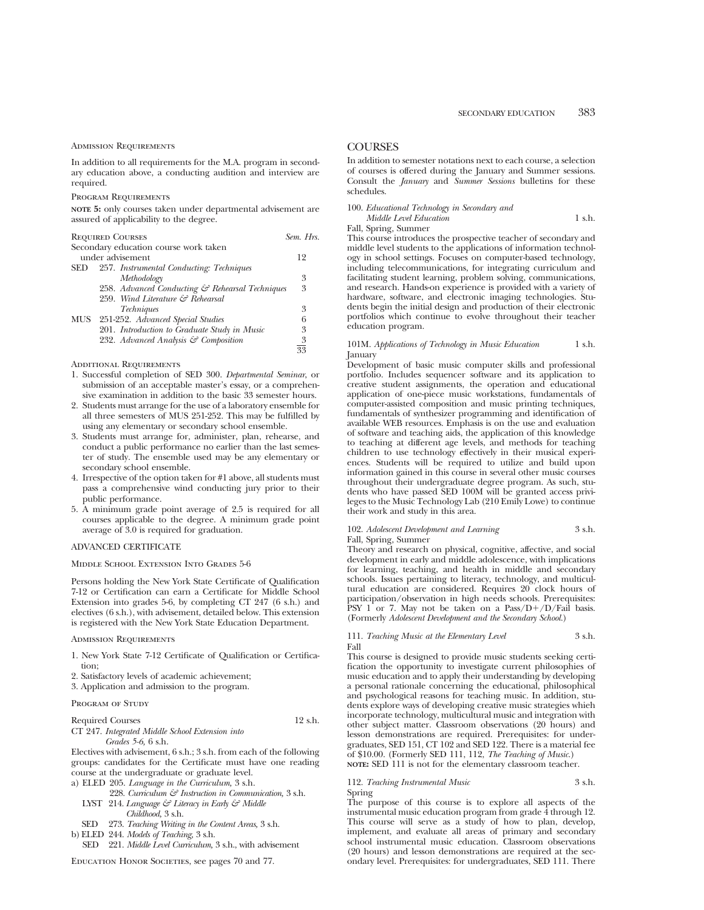#### ADMISSION REQUIREMENTS

In addition to all requirements for the M.A. program in secondary education above, a conducting audition and interview are required.

#### Program Requirements

**NOTE 5:** only courses taken under departmental advisement are assured of applicability to the degree.

| <b>REQUIRED COURSES</b><br>Sem. Hrs. |                                                 |                |  |
|--------------------------------------|-------------------------------------------------|----------------|--|
|                                      | Secondary education course work taken           |                |  |
|                                      | under advisement                                | 12             |  |
| SED                                  | 257. Instrumental Conducting: Techniques        |                |  |
|                                      | Methodology                                     | 3              |  |
|                                      | 258. Advanced Conducting & Rehearsal Techniques | 3              |  |
|                                      | 259. Wind Literature & Rehearsal                |                |  |
|                                      | <i>Techniques</i>                               | 3              |  |
| MUS                                  | 251-252. Advanced Special Studies               | 6              |  |
|                                      | 201. Introduction to Graduate Study in Music    | 3              |  |
|                                      | 232. Advanced Analysis & Composition            | $\overline{3}$ |  |
|                                      |                                                 | 33             |  |
|                                      |                                                 |                |  |

#### Additional Requirements

- 1. Successful completion of SED 300. *Departmental Seminar*, or submission of an acceptable master's essay, or a comprehensive examination in addition to the basic 33 semester hours.
- 2. Students must arrange for the use of a laboratory ensemble for all three semesters of MUS 251-252. This may be fulfilled by using any elementary or secondary school ensemble.
- 3. Students must arrange for, administer, plan, rehearse, and conduct a public performance no earlier than the last semester of study. The ensemble used may be any elementary or secondary school ensemble.
- 4. Irrespective of the option taken for #1 above, all students must pass a comprehensive wind conducting jury prior to their public performance.
- 5. A minimum grade point average of 2.5 is required for all courses applicable to the degree. A minimum grade point average of 3.0 is required for graduation.

## ADVANCED CERTIFICATE

#### Middle School Extension Into Grades 5-6

Persons holding the New York State Certificate of Qualification 7-12 or Certification can earn a Certificate for Middle School Extension into grades 5-6, by completing CT 247 (6 s.h.) and electives (6 s.h.), with advisement, detailed below. This extension is registered with the New York State Education Department.

#### Admission Requirements

- 1. New York State 7-12 Certificate of Qualification or Certification;
- 2. Satisfactory levels of academic achievement;
- 3. Application and admission to the program.

#### PROGRAM OF STUDY

| <b>Required Courses</b>                         | $12$ s.h. |
|-------------------------------------------------|-----------|
| CT 247. Integrated Middle School Extension into |           |
| <i>Grades</i> 5-6, 6 s.h.                       |           |

Electives with advisement, 6 s.h.; 3 s.h. from each of the following groups: candidates for the Certificate must have one reading course at the undergraduate or graduate level.

- a) ELED 205. *Language in the Curriculum,* 3 s.h.
	- 228. *Curriculum & Instruction in Communication,* 3 s.h. LYST 214. *Language & Literacy in Early & Middle Childhood,* 3 s.h.
- SED 273. *Teaching Writing in the Content Areas,* 3 s.h.
- b) ELED 244. *Models of Teaching,* 3 s.h.
	- SED 221. *Middle Level Curriculum,* 3 s.h., with advisement

#### EDUCATION HONOR SOCIETIES, see pages 70 and 77.

## **COURSES**

In addition to semester notations next to each course, a selection of courses is offered during the January and Summer sessions. Consult the *January* and *Summer Sessions* bulletins for these schedules.

|  |  |  | 100. Educational Technology in Secondary and |  |  |
|--|--|--|----------------------------------------------|--|--|
|--|--|--|----------------------------------------------|--|--|

*Middle Level Education* 1 s.h. Fall, Spring, Summer

This course introduces the prospective teacher of secondary and middle level students to the applications of information technology in school settings. Focuses on computer-based technology, including telecommunications, for integrating curriculum and facilitating student learning, problem solving, communications, and research. Hands-on experience is provided with a variety of hardware, software, and electronic imaging technologies. Students begin the initial design and production of their electronic portfolios which continue to evolve throughout their teacher education program.

#### 101M. *Applications of Technology in Music Education* 1 s.h. January

Development of basic music computer skills and professional portfolio. Includes sequencer software and its application to creative student assignments, the operation and educational application of one-piece music workstations, fundamentals of computer-assisted composition and music printing techniques, fundamentals of synthesizer programming and identification of available WEB resources. Emphasis is on the use and evaluation of software and teaching aids, the application of this knowledge to teaching at different age levels, and methods for teaching children to use technology effectively in their musical experiences. Students will be required to utilize and build upon information gained in this course in several other music courses throughout their undergraduate degree program. As such, students who have passed SED 100M will be granted access privileges to the Music Technology Lab (210 Emily Lowe) to continue their work and study in this area.

#### 102. *Adolescent Development and Learning* 3 s.h. Fall, Spring, Summer

Theory and research on physical, cognitive, affective, and social development in early and middle adolescence, with implications for learning, teaching, and health in middle and secondary schools. Issues pertaining to literacy, technology, and multicultural education are considered. Requires 20 clock hours of participation/observation in high needs schools. Prerequisites: PSY 1 or 7. May not be taken on a  $Pass/D+/D/Fail$  basis. (Formerly *Adolescent Development and the Secondary School.*)

#### 111. *Teaching Music at the Elementary Level* 3 s.h. Fall

This course is designed to provide music students seeking certification the opportunity to investigate current philosophies of music education and to apply their understanding by developing a personal rationale concerning the educational, philosophical and psychological reasons for teaching music. In addition, students explore ways of developing creative music strategies whieh incorporate technology, multicultural music and integration with other subject matter. Classroom observations (20 hours) and lesson demonstrations are required. Prerequisites: for undergraduates, SED 151, CT 102 and SED 122. There is a material fee of \$10.00. (Formerly SED 111, 112, *The Teaching of Music.*) **NOTE:** SED 111 is not for the elementary classroom teacher.

#### 112. *Teaching Instrumental Music* 3 s.h. Spring

The purpose of this course is to explore all aspects of the instrumental music education program from grade 4 through 12. This course will serve as a study of how to plan, develop, implement, and evaluate all areas of primary and secondary school instrumental music education. Classroom observations (20 hours) and lesson demonstrations are required at the secondary level. Prerequisites: for undergraduates, SED 111. There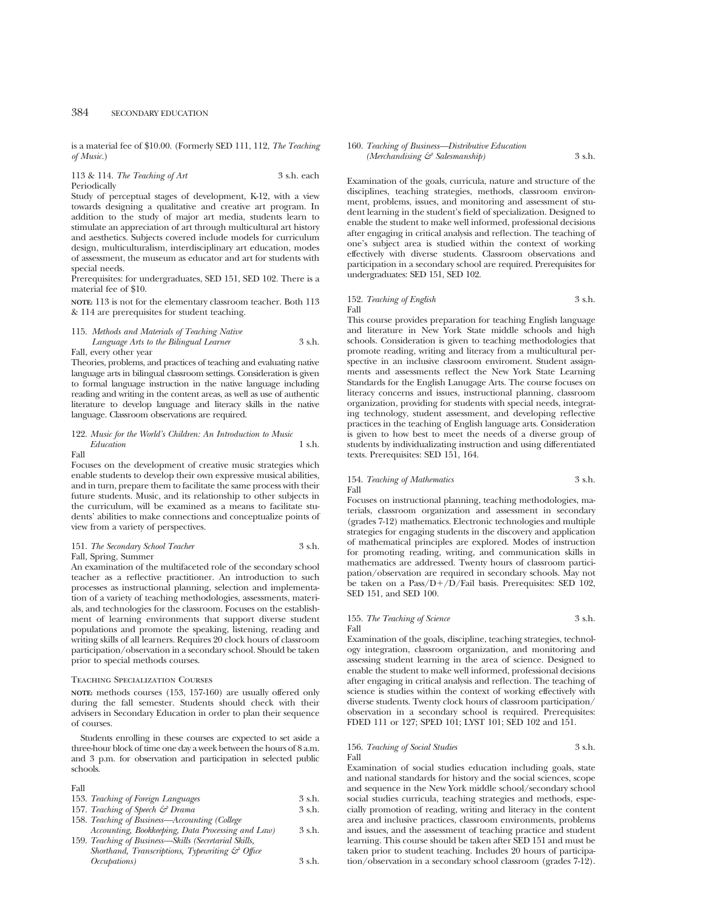is a material fee of \$10.00. (Formerly SED 111, 112, *The Teaching of Music.*)

## 113 & 114. *The Teaching of Art* 3 s.h. each Periodically

Study of perceptual stages of development, K-12, with a view towards designing a qualitative and creative art program. In addition to the study of major art media, students learn to stimulate an appreciation of art through multicultural art history and aesthetics. Subjects covered include models for curriculum design, multiculturalism, interdisciplinary art education, modes of assessment, the museum as educator and art for students with special needs.

Prerequisites: for undergraduates, SED 151, SED 102. There is a material fee of \$10.

**NOTE:** 113 is not for the elementary classroom teacher. Both 113 & 114 are prerequisites for student teaching.

### 115. *Methods and Materials of Teaching Native Language Arts to the Bilingual Learner* 3 s.h. Fall, every other year

Theories, problems, and practices of teaching and evaluating native language arts in bilingual classroom settings. Consideration is given to formal language instruction in the native language including reading and writing in the content areas, as well as use of authentic literature to develop language and literacy skills in the native language. Classroom observations are required.

## 122. *Music for the World's Children: An Introduction to Music Education* 1 s.h.

## Fall

Focuses on the development of creative music strategies which enable students to develop their own expressive musical abilities, and in turn, prepare them to facilitate the same process with their future students. Music, and its relationship to other subjects in the curriculum, will be examined as a means to facilitate students' abilities to make connections and conceptualize points of view from a variety of perspectives.

## 151. *The Secondary School Teacher* 3 s.h.

#### Fall, Spring, Summer

An examination of the multifaceted role of the secondary school teacher as a reflective practitioner. An introduction to such processes as instructional planning, selection and implementation of a variety of teaching methodologies, assessments, materials, and technologies for the classroom. Focuses on the establishment of learning environments that support diverse student populations and promote the speaking, listening, reading and writing skills of all learners. Requires 20 clock hours of classroom participation/observation in a secondary school. Should be taken prior to special methods courses.

### Teaching Specialization Courses

**NOTE:** methods courses (153, 157-160) are usually offered only during the fall semester. Students should check with their advisers in Secondary Education in order to plan their sequence of courses.

Students enrolling in these courses are expected to set aside a three-hour block of time one day a week between the hours of 8 a.m. and 3 p.m. for observation and participation in selected public schools.

#### Fall

| $\Gamma$ and                                                |          |
|-------------------------------------------------------------|----------|
| 153. Teaching of Foreign Languages                          | $3$ s.h. |
| 157. Teaching of Speech & Drama                             | 3 s.h.   |
| 158. Teaching of Business—Accounting (College               |          |
| Accounting, Bookkeeping, Data Processing and Law)           | 3 s.h.   |
| 159. Teaching of Business—Skills (Secretarial Skills,       |          |
| Shorthand, Transcriptions, Typewriting $\mathcal{C}$ Office |          |
| <i>Occupations</i> )                                        | $3$ s.h. |
|                                                             |          |

### 160. *Teaching of Business—Distributive Education (Merchandising & Salesmanship)* 3 s.h.

Examination of the goals, curricula, nature and structure of the disciplines, teaching strategies, methods, classroom environment, problems, issues, and monitoring and assessment of student learning in the student's field of specialization. Designed to enable the student to make well informed, professional decisions after engaging in critical analysis and reflection. The teaching of one's subject area is studied within the context of working effectively with diverse students. Classroom observations and participation in a secondary school are required. Prerequisites for undergraduates: SED 151, SED 102.

#### 152. *Teaching of English* 3 s.h. Fall

This course provides preparation for teaching English language and literature in New York State middle schools and high schools. Consideration is given to teaching methodologies that promote reading, writing and literacy from a multicultural perspective in an inclusive classroom enviroment. Student assignments and assessments reflect the New York State Learning Standards for the English Lanugage Arts. The course focuses on literacy concerns and issues, instructional planning, classroom organization, providing for students with special needs, integrating technology, student assessment, and developing reflective practices in the teaching of English language arts. Consideration is given to how best to meet the needs of a diverse group of students by individualizating instruction and using differentiated texts. Prerequisites: SED 151, 164.

#### 154. *Teaching of Mathematics* 3 s.h. Fall

Focuses on instructional planning, teaching methodologies, materials, classroom organization and assessment in secondary (grades 7-12) mathematics. Electronic technologies and multiple strategies for engaging students in the discovery and application of mathematical principles are explored. Modes of instruction for promoting reading, writing, and communication skills in mathematics are addressed. Twenty hours of classroom participation/observation are required in secondary schools. May not be taken on a Pass/ $D+/D/F$ ail basis. Prerequisites: SED 102, SED 151, and SED 100.

#### 155. *The Teaching of Science* 3 s.h. Fall

Examination of the goals, discipline, teaching strategies, technology integration, classroom organization, and monitoring and assessing student learning in the area of science. Designed to enable the student to make well informed, professional decisions after engaging in critical analysis and reflection. The teaching of science is studies within the context of working effectively with diverse students. Twenty clock hours of classroom participation/ observation in a secondary school is required. Prerequisites: FDED 111 or 127; SPED 101; LYST 101; SED 102 and 151.

#### 156. *Teaching of Social Studies* 3 s.h. Fall

Examination of social studies education including goals, state and national standards for history and the social sciences, scope and sequence in the New York middle school/secondary school social studies curricula, teaching strategies and methods, especially promotion of reading, writing and literacy in the content area and inclusive practices, classroom environments, problems and issues, and the assessment of teaching practice and student learning. This course should be taken after SED 151 and must be taken prior to student teaching. Includes 20 hours of participation/observation in a secondary school classroom (grades 7-12).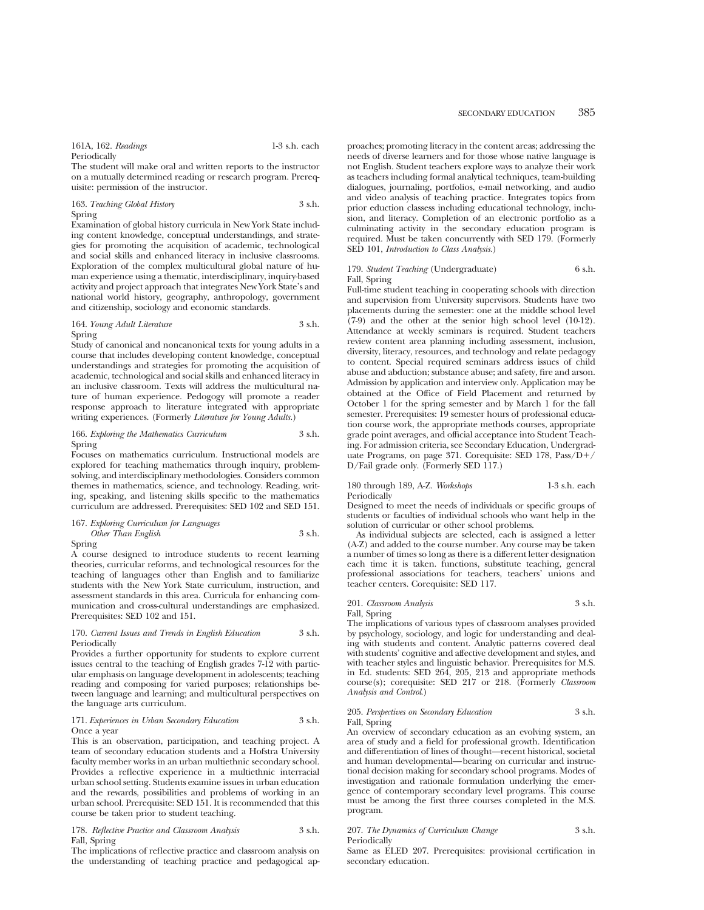The student will make oral and written reports to the instructor on a mutually determined reading or research program. Prerequisite: permission of the instructor.

#### 163. *Teaching Global History* 3 s.h. Spring

Examination of global history curricula in New York State including content knowledge, conceptual understandings, and strategies for promoting the acquisition of academic, technological and social skills and enhanced literacy in inclusive classrooms. Exploration of the complex multicultural global nature of human experience using a thematic, interdisciplinary, inquiry-based activity and project approach that integrates New York State's and national world history, geography, anthropology, government and citizenship, sociology and economic standards.

#### 164. *Young Adult Literature* 3 s.h. Spring

Study of canonical and noncanonical texts for young adults in a course that includes developing content knowledge, conceptual understandings and strategies for promoting the acquisition of academic, technological and social skills and enhanced literacy in an inclusive classroom. Texts will address the multicultural nature of human experience. Pedogogy will promote a reader response approach to literature integrated with appropriate writing experiences. (Formerly *Literature for Young Adults.*)

## 166. *Exploring the Mathematics Curriculum* 3 s.h. Spring

Focuses on mathematics curriculum. Instructional models are explored for teaching mathematics through inquiry, problemsolving, and interdisciplinary methodologies. Considers common themes in mathematics, science, and technology. Reading, writing, speaking, and listening skills specific to the mathematics curriculum are addressed. Prerequisites: SED 102 and SED 151.

#### 167. *Exploring Curriculum for Languages Other Than English* 3 s.h.

Spring

A course designed to introduce students to recent learning theories, curricular reforms, and technological resources for the teaching of languages other than English and to familiarize students with the New York State curriculum, instruction, and assessment standards in this area. Curricula for enhancing communication and cross-cultural understandings are emphasized. Prerequisites: SED 102 and 151.

#### 170. *Current Issues and Trends in English Education* 3 s.h. Periodically

Provides a further opportunity for students to explore current issues central to the teaching of English grades 7-12 with particular emphasis on language development in adolescents; teaching reading and composing for varied purposes; relationships between language and learning; and multicultural perspectives on the language arts curriculum.

#### 171. *Experiences in Urban Secondary Education* 3 s.h. Once a year

This is an observation, participation, and teaching project. A team of secondary education students and a Hofstra University faculty member works in an urban multiethnic secondary school. Provides a reflective experience in a multiethnic interracial urban school setting. Students examine issues in urban education and the rewards, possibilities and problems of working in an urban school. Prerequisite: SED 151. It is recommended that this course be taken prior to student teaching.

#### 178. *Reflective Practice and Classroom Analysis* 3 s.h. Fall, Spring

The implications of reflective practice and classroom analysis on the understanding of teaching practice and pedagogical approaches; promoting literacy in the content areas; addressing the needs of diverse learners and for those whose native language is not English. Student teachers explore ways to analyze their work as teachers including formal analytical techniques, team-building dialogues, journaling, portfolios, e-mail networking, and audio and video analysis of teaching practice. Integrates topics from prior eduction classess including educational technology, inclusion, and literacy. Completion of an electronic portfolio as a culminating activity in the secondary education program is required. Must be taken concurrently with SED 179. (Formerly SED 101, *Introduction to Class Analysis.*)

### 179. *Student Teaching* (Undergraduate) 6 s.h. Fall, Spring

Full-time student teaching in cooperating schools with direction and supervision from University supervisors. Students have two placements during the semester: one at the middle school level (7-9) and the other at the senior high school level (10-12). Attendance at weekly seminars is required. Student teachers review content area planning including assessment, inclusion, diversity, literacy, resources, and technology and relate pedagogy to content. Special required seminars address issues of child abuse and abduction; substance abuse; and safety, fire and arson. Admission by application and interview only. Application may be obtained at the Office of Field Placement and returned by October 1 for the spring semester and by March 1 for the fall semester. Prerequisites: 19 semester hours of professional education course work, the appropriate methods courses, appropriate grade point averages, and official acceptance into Student Teaching. For admission criteria, see Secondary Education, Undergraduate Programs, on page 371. Corequisite: SED 178, Pass/D+/ D/Fail grade only. (Formerly SED 117.)

## 180 through 189, A-Z. *Workshops* 1-3 s.h. each Periodically

Designed to meet the needs of individuals or specific groups of students or faculties of individual schools who want help in the solution of curricular or other school problems.

As individual subjects are selected, each is assigned a letter (A-Z) and added to the course number. Any course may be taken a number of times so long as there is a different letter designation each time it is taken. functions, substitute teaching, general professional associations for teachers, teachers' unions and teacher centers. Corequisite: SED 117.

## 201. *Classroom Analysis* 3 s.h.

Fall, Spring

The implications of various types of classroom analyses provided by psychology, sociology, and logic for understanding and dealing with students and content. Analytic patterns covered deal with students' cognitive and affective development and styles, and with teacher styles and linguistic behavior. Prerequisites for M.S. in Ed. students: SED 264, 205, 213 and appropriate methods course(s); corequisite: SED 217 or 218. (Formerly *Classroom Analysis and Control*.)

#### 205. *Perspectives on Secondary Education* 3 s.h. Fall, Spring

An overview of secondary education as an evolving system, an area of study and a field for professional growth. Identification and differentiation of lines of thought—recent historical, societal and human developmental—bearing on curricular and instructional decision making for secondary school programs. Modes of investigation and rationale formulation underlying the emergence of contemporary secondary level programs. This course must be among the first three courses completed in the M.S. program.

#### 207. *The Dynamics of Curriculum Change* 3 s.h. Periodically

Same as ELED 207. Prerequisites: provisional certification in secondary education.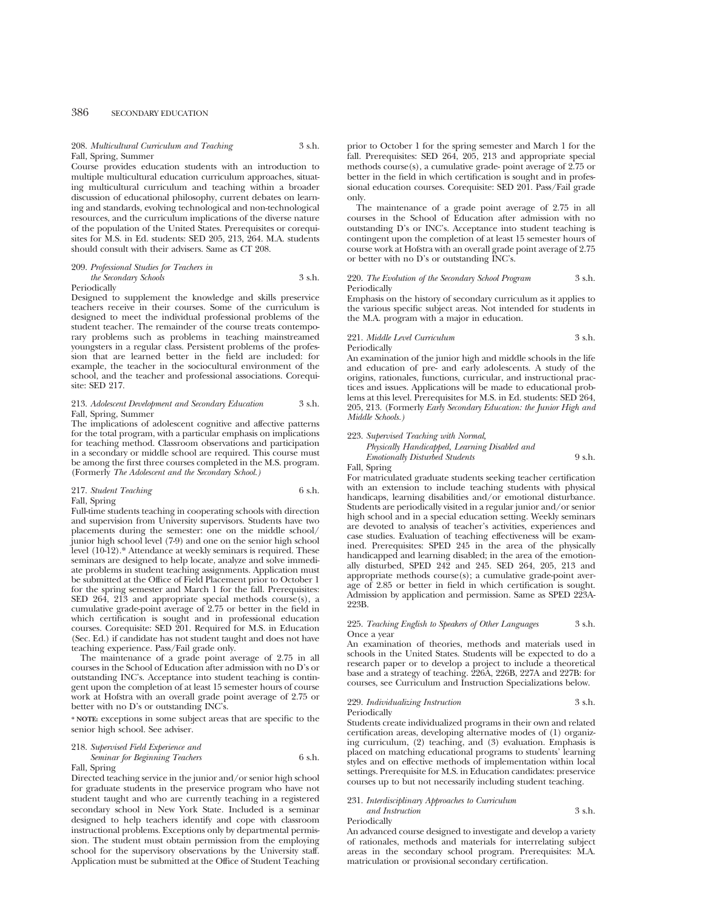#### 208. *Multicultural Curriculum and Teaching* 3 s.h. Fall, Spring, Summer

Course provides education students with an introduction to multiple multicultural education curriculum approaches, situating multicultural curriculum and teaching within a broader discussion of educational philosophy, current debates on learning and standards, evolving technological and non-technological resources, and the curriculum implications of the diverse nature of the population of the United States. Prerequisites or corequisites for M.S. in Ed. students: SED 205, 213, 264. M.A. students should consult with their advisers. Same as CT 208.

#### 209. *Professional Studies for Teachers in the Secondary Schools* 3 s.h. Periodically

Designed to supplement the knowledge and skills preservice teachers receive in their courses. Some of the curriculum is designed to meet the individual professional problems of the student teacher. The remainder of the course treats contemporary problems such as problems in teaching mainstreamed youngsters in a regular class. Persistent problems of the profession that are learned better in the field are included: for example, the teacher in the sociocultural environment of the school, and the teacher and professional associations. Corequisite: SED 217.

#### 213. *Adolescent Development and Secondary Education* 3 s.h. Fall, Spring, Summer

The implications of adolescent cognitive and affective patterns for the total program, with a particular emphasis on implications for teaching method. Classroom observations and participation in a secondary or middle school are required. This course must be among the first three courses completed in the M.S. program. (Formerly *The Adolescent and the Secondary School.)*

### 217. *Student Teaching* 6 s.h. Fall, Spring

Full-time students teaching in cooperating schools with direction and supervision from University supervisors. Students have two placements during the semester: one on the middle school/ junior high school level (7-9) and one on the senior high school level (10-12).\* Attendance at weekly seminars is required. These seminars are designed to help locate, analyze and solve immediate problems in student teaching assignments. Application must be submitted at the Office of Field Placement prior to October 1 for the spring semester and March 1 for the fall. Prerequisites: SED 264, 213 and appropriate special methods course(s), a cumulative grade-point average of 2.75 or better in the field in which certification is sought and in professional education courses. Corequisite: SED 201. Required for M.S. in Education (Sec. Ed.) if candidate has not student taught and does not have teaching experience. Pass/Fail grade only.

The maintenance of a grade point average of 2.75 in all courses in the School of Education after admission with no D's or outstanding INC's. Acceptance into student teaching is contingent upon the completion of at least 15 semester hours of course work at Hofstra with an overall grade point average of 2.75 or better with no D's or outstanding INC's.

**\* NOTE:** exceptions in some subject areas that are specific to the senior high school. See adviser.

### 218. *Supervised Field Experience and Seminar for Beginning Teachers* 6 s.h.

## Fall, Spring

Directed teaching service in the junior and/or senior high school for graduate students in the preservice program who have not student taught and who are currently teaching in a registered secondary school in New York State. Included is a seminar designed to help teachers identify and cope with classroom instructional problems. Exceptions only by departmental permission. The student must obtain permission from the employing school for the supervisory observations by the University staff. Application must be submitted at the Office of Student Teaching

prior to October 1 for the spring semester and March 1 for the fall. Prerequisites: SED 264, 205, 213 and appropriate special methods course(s), a cumulative grade- point average of 2.75 or better in the field in which certification is sought and in professional education courses. Corequisite: SED 201. Pass/Fail grade only.

The maintenance of a grade point average of 2.75 in all courses in the School of Education after admission with no outstanding D's or INC's. Acceptance into student teaching is contingent upon the completion of at least 15 semester hours of course work at Hofstra with an overall grade point average of 2.75 or better with no D's or outstanding INC's.

#### 220. *The Evolution of the Secondary School Program* 3 s.h. Periodically

Emphasis on the history of secondary curriculum as it applies to the various specific subject areas. Not intended for students in the M.A. program with a major in education.

#### 221. *Middle Level Curriculum* 3 s.h. Periodically

An examination of the junior high and middle schools in the life and education of pre- and early adolescents. A study of the origins, rationales, functions, curricular, and instructional practices and issues. Applications will be made to educational problems at this level. Prerequisites for M.S. in Ed. students: SED 264, 205, 213. (Formerly *Early Secondary Education: the Junior High and Middle Schools.)*

## 223. *Supervised Teaching with Normal,*

*Physically Handicapped, Learning Disabled and Emotionally Disturbed Students* 9 s.h.

Fall, Spring

For matriculated graduate students seeking teacher certification with an extension to include teaching students with physical handicaps, learning disabilities and/or emotional disturbance. Students are periodically visited in a regular junior and/or senior high school and in a special education setting. Weekly seminars are devoted to analysis of teacher's activities, experiences and case studies. Evaluation of teaching effectiveness will be examined. Prerequisites: SPED 245 in the area of the physically handicapped and learning disabled; in the area of the emotionally disturbed, SPED 242 and 245. SED 264, 205, 213 and appropriate methods course(s); a cumulative grade-point average of 2.85 or better in field in which certification is sought. Admission by application and permission. Same as SPED 223A-223B.

#### 225. *Teaching English to Speakers of Other Languages* 3 s.h. Once a year

An examination of theories, methods and materials used in schools in the United States. Students will be expected to do a research paper or to develop a project to include a theoretical base and a strategy of teaching. 226A, 226B, 227A and 227B: for courses, see Curriculum and Instruction Specializations below.

# 229. *Individualizing Instruction* 3 s.h.

Periodically

Students create individualized programs in their own and related certification areas, developing alternative modes of (1) organizing curriculum, (2) teaching, and (3) evaluation. Emphasis is placed on matching educational programs to students' learning styles and on effective methods of implementation within local settings. Prerequisite for M.S. in Education candidates: preservice courses up to but not necessarily including student teaching.

#### 231. *Interdisciplinary Approaches to Curriculum and Instruction* 3 s.h.

Periodically

An advanced course designed to investigate and develop a variety of rationales, methods and materials for interrelating subject areas in the secondary school program. Prerequisites: M.A. matriculation or provisional secondary certification.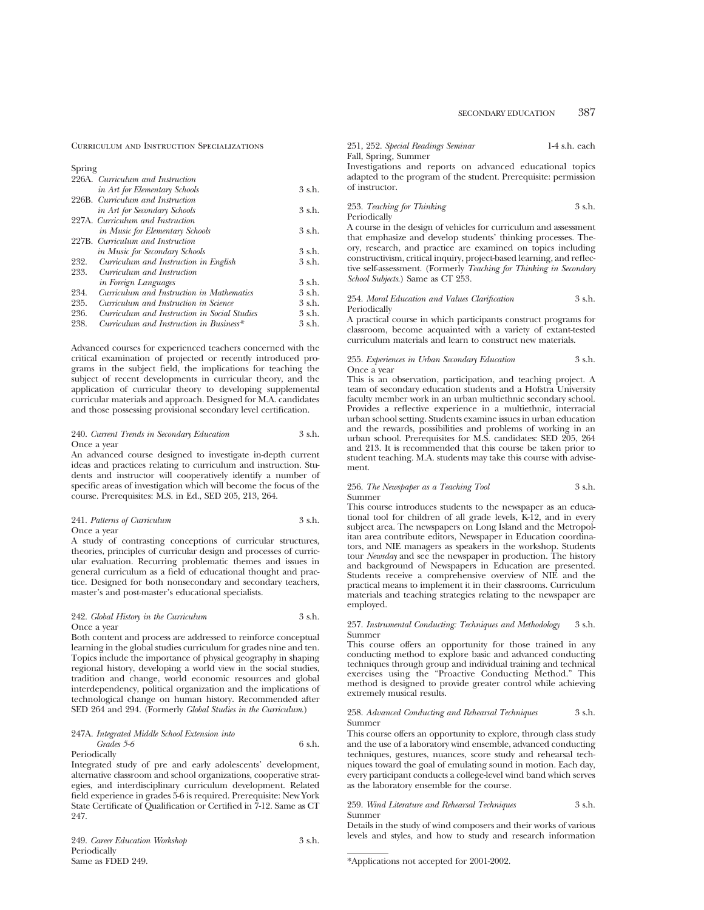Curriculum and Instruction Specializations

| Spring                                       |          |
|----------------------------------------------|----------|
| 226A. Curriculum and Instruction             |          |
| in Art for Elementary Schools                | 3 s.h.   |
| 226B. Curriculum and Instruction             |          |
| in Art for Secondary Schools                 | 3 s.h.   |
| 227A. Curriculum and Instruction             |          |
| in Music for Elementary Schools              | 3 s.h.   |
| 227B. Curriculum and Instruction             |          |
| in Music for Secondary Schools               | 3 s.h.   |
| Curriculum and Instruction in English        | 3 s.h.   |
| Curriculum and Instruction                   |          |
| <i>in Foreign Languages</i>                  | $3$ s.h. |
| Curriculum and Instruction in Mathematics    | $3$ s.h. |
| Curriculum and Instruction in Science        | $3$ s.h. |
| Curriculum and Instruction in Social Studies | $3$ s.h. |
| Curriculum and Instruction in Business*      | 3 s.h.   |
|                                              |          |

Advanced courses for experienced teachers concerned with the critical examination of projected or recently introduced programs in the subject field, the implications for teaching the subject of recent developments in curricular theory, and the application of curricular theory to developing supplemental curricular materials and approach. Designed for M.A. candidates and those possessing provisional secondary level certification.

#### 240. *Current Trends in Secondary Education* 3 s.h. Once a year

An advanced course designed to investigate in-depth current ideas and practices relating to curriculum and instruction. Students and instructor will cooperatively identify a number of specific areas of investigation which will become the focus of the course. Prerequisites: M.S. in Ed., SED 205, 213, 264.

## 241. *Patterns of Curriculum* 3 s.h. Once a year

A study of contrasting conceptions of curricular structures, theories, principles of curricular design and processes of curricular evaluation. Recurring problematic themes and issues in general curriculum as a field of educational thought and practice. Designed for both nonsecondary and secondary teachers, master's and post-master's educational specialists.

### 242. *Global History in the Curriculum* 3 s.h. Once a year

Both content and process are addressed to reinforce conceptual learning in the global studies curriculum for grades nine and ten. Topics include the importance of physical geography in shaping regional history, developing a world view in the social studies, tradition and change, world economic resources and global interdependency, political organization and the implications of technological change on human history. Recommended after SED 264 and 294. (Formerly *Global Studies in the Curriculum*.)

## 247A. *Integrated Middle School Extension into*

*Grades* 5-6 6 s.h. Periodically

Integrated study of pre and early adolescents' development, alternative classroom and school organizations, cooperative strategies, and interdisciplinary curriculum development. Related field experience in grades 5-6 is required. Prerequisite: New York State Certificate of Qualification or Certified in 7-12. Same as CT 247.

249. *Career Education Workshop* 3 s.h. Periodically Same as FDED 249.

251, 252. *Special Readings Seminar* 1-4 s.h. each Fall, Spring, Summer

Investigations and reports on advanced educational topics adapted to the program of the student. Prerequisite: permission of instructor.

#### 253. *Teaching for Thinking* 3 s.h. Periodically

A course in the design of vehicles for curriculum and assessment that emphasize and develop students' thinking processes. Theory, research, and practice are examined on topics including constructivism, critical inquiry, project-based learning, and reflective self-assessment. (Formerly *Teaching for Thinking in Secondary School Subjects*.) Same as CT 253.

#### 254. *Moral Education and Values Clarification* 3 s.h. Periodically

A practical course in which participants construct programs for classroom, become acquainted with a variety of extant-tested curriculum materials and learn to construct new materials.

#### 255. *Experiences in Urban Secondary Education* 3 s.h. Once a year

This is an observation, participation, and teaching project. A team of secondary education students and a Hofstra University faculty member work in an urban multiethnic secondary school. Provides a reflective experience in a multiethnic, interracial urban school setting. Students examine issues in urban education and the rewards, possibilities and problems of working in an urban school. Prerequisites for M.S. candidates: SED 205, 264 and 213. It is recommended that this course be taken prior to student teaching. M.A. students may take this course with advisement.

#### 256. *The Newspaper as a Teaching Tool* 3 s.h. Summer

This course introduces students to the newspaper as an educational tool for children of all grade levels, K-12, and in every subject area. The newspapers on Long Island and the Metropolitan area contribute editors, Newspaper in Education coordinators, and NIE managers as speakers in the workshop. Students tour *Newsday* and see the newspaper in production. The history and background of Newspapers in Education are presented. Students receive a comprehensive overview of NIE and the practical means to implement it in their classrooms. Curriculum materials and teaching strategies relating to the newspaper are employed.

#### 257. *Instrumental Conducting: Techniques and Methodology* 3 s.h. Summer

This course offers an opportunity for those trained in any conducting method to explore basic and advanced conducting techniques through group and individual training and technical exercises using the "Proactive Conducting Method." This method is designed to provide greater control while achieving extremely musical results.

#### 258. *Advanced Conducting and Rehearsal Techniques* 3 s.h. Summer

This course offers an opportunity to explore, through class study and the use of a laboratory wind ensemble, advanced conducting techniques, gestures, nuances, score study and rehearsal techniques toward the goal of emulating sound in motion. Each day, every participant conducts a college-level wind band which serves as the laboratory ensemble for the course.

#### 259. *Wind Literature and Rehearsal Techniques* 3 s.h. Summer

Details in the study of wind composers and their works of various levels and styles, and how to study and research information

<sup>\*</sup>Applications not accepted for 2001-2002.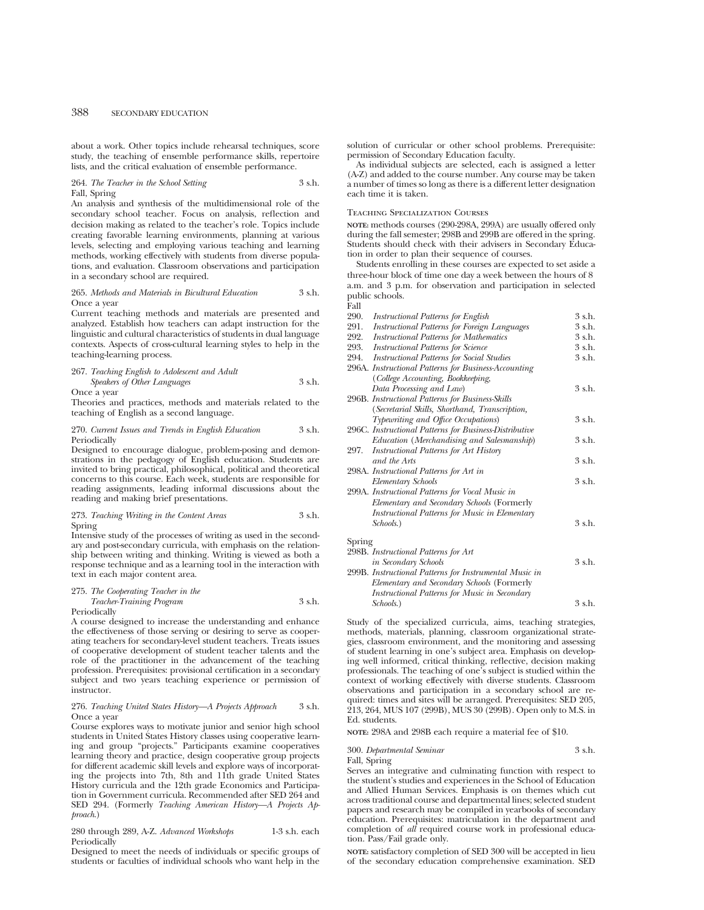about a work. Other topics include rehearsal techniques, score study, the teaching of ensemble performance skills, repertoire lists, and the critical evaluation of ensemble performance.

264. *The Teacher in the School Setting* 3 s.h. Fall, Spring

An analysis and synthesis of the multidimensional role of the secondary school teacher. Focus on analysis, reflection and decision making as related to the teacher's role. Topics include creating favorable learning environments, planning at various levels, selecting and employing various teaching and learning methods, working effectively with students from diverse populations, and evaluation. Classroom observations and participation in a secondary school are required.

#### 265. *Methods and Materials in Bicultural Education* 3 s.h. Once a year

Current teaching methods and materials are presented and analyzed. Establish how teachers can adapt instruction for the linguistic and cultural characteristics of students in dual language contexts. Aspects of cross-cultural learning styles to help in the teaching-learning process.

#### 267. *Teaching English to Adolescent and Adult Speakers of Other Languages* 3 s.h. Once a year

Theories and practices, methods and materials related to the teaching of English as a second language.

#### 270. *Current Issues and Trends in English Education* 3 s.h. Periodically

Designed to encourage dialogue, problem-posing and demonstrations in the pedagogy of English education. Students are invited to bring practical, philosophical, political and theoretical concerns to this course. Each week, students are responsible for reading assignments, leading informal discussions about the reading and making brief presentations.

273. *Teaching Writing in the Content Areas* 3 s.h. Spring

Intensive study of the processes of writing as used in the secondary and post-secondary curricula, with emphasis on the relationship between writing and thinking. Writing is viewed as both a response technique and as a learning tool in the interaction with text in each major content area.

#### 275. *The Cooperating Teacher in the*

*Teacher-Training Program* 3 s.h.

Periodically

A course designed to increase the understanding and enhance the effectiveness of those serving or desiring to serve as cooperating teachers for secondary-level student teachers. Treats issues of cooperative development of student teacher talents and the role of the practitioner in the advancement of the teaching profession. Prerequisites: provisional certification in a secondary subject and two years teaching experience or permission of instructor.

## 276. *Teaching United States History—A Projects Approach* 3 s.h. Once a year

Course explores ways to motivate junior and senior high school students in United States History classes using cooperative learning and group "projects." Participants examine cooperatives learning theory and practice, design cooperative group projects for different academic skill levels and explore ways of incorporating the projects into 7th, 8th and 11th grade United States History curricula and the 12th grade Economics and Participation in Government curricula. Recommended after SED 264 and SED 294. (Formerly *Teaching American History—A Projects Approach*.)

#### 280 through 289, A-Z. *Advanced Workshops* 1-3 s.h. each **Periodically**

Designed to meet the needs of individuals or specific groups of students or faculties of individual schools who want help in the solution of curricular or other school problems. Prerequisite: permission of Secondary Education faculty.

As individual subjects are selected, each is assigned a letter (A-Z) and added to the course number. Any course may be taken a number of times so long as there is a different letter designation each time it is taken.

#### Teaching Specialization Courses

**NOTE:** methods courses (290-298A, 299A) are usually offered only during the fall semester; 298B and 299B are offered in the spring. Students should check with their advisers in Secondary Education in order to plan their sequence of courses.

Students enrolling in these courses are expected to set aside a three-hour block of time one day a week between the hours of 8 a.m. and 3 p.m. for observation and participation in selected public schools.  $\sim 11$ 

| <b>Instructional Patterns for English</b>           | 3 s.h.                                                                                                                                                                                                                                                                                                                                                                                                                                                                                                                                                                                                                                                                                                                                                                                             |
|-----------------------------------------------------|----------------------------------------------------------------------------------------------------------------------------------------------------------------------------------------------------------------------------------------------------------------------------------------------------------------------------------------------------------------------------------------------------------------------------------------------------------------------------------------------------------------------------------------------------------------------------------------------------------------------------------------------------------------------------------------------------------------------------------------------------------------------------------------------------|
| <b>Instructional Patterns for Foreign Languages</b> | 3 s.h.                                                                                                                                                                                                                                                                                                                                                                                                                                                                                                                                                                                                                                                                                                                                                                                             |
| <b>Instructional Patterns for Mathematics</b>       | 3 s.h.                                                                                                                                                                                                                                                                                                                                                                                                                                                                                                                                                                                                                                                                                                                                                                                             |
| <b>Instructional Patterns for Science</b>           | 3 s.h.                                                                                                                                                                                                                                                                                                                                                                                                                                                                                                                                                                                                                                                                                                                                                                                             |
|                                                     | 3 s.h.                                                                                                                                                                                                                                                                                                                                                                                                                                                                                                                                                                                                                                                                                                                                                                                             |
|                                                     |                                                                                                                                                                                                                                                                                                                                                                                                                                                                                                                                                                                                                                                                                                                                                                                                    |
| (College Accounting, Bookkeeping,                   |                                                                                                                                                                                                                                                                                                                                                                                                                                                                                                                                                                                                                                                                                                                                                                                                    |
|                                                     | 3 s.h.                                                                                                                                                                                                                                                                                                                                                                                                                                                                                                                                                                                                                                                                                                                                                                                             |
|                                                     |                                                                                                                                                                                                                                                                                                                                                                                                                                                                                                                                                                                                                                                                                                                                                                                                    |
|                                                     |                                                                                                                                                                                                                                                                                                                                                                                                                                                                                                                                                                                                                                                                                                                                                                                                    |
|                                                     | 3 s.h.                                                                                                                                                                                                                                                                                                                                                                                                                                                                                                                                                                                                                                                                                                                                                                                             |
|                                                     |                                                                                                                                                                                                                                                                                                                                                                                                                                                                                                                                                                                                                                                                                                                                                                                                    |
|                                                     | 3 s.h.                                                                                                                                                                                                                                                                                                                                                                                                                                                                                                                                                                                                                                                                                                                                                                                             |
|                                                     |                                                                                                                                                                                                                                                                                                                                                                                                                                                                                                                                                                                                                                                                                                                                                                                                    |
| and the Arts                                        | 3 s.h.                                                                                                                                                                                                                                                                                                                                                                                                                                                                                                                                                                                                                                                                                                                                                                                             |
|                                                     |                                                                                                                                                                                                                                                                                                                                                                                                                                                                                                                                                                                                                                                                                                                                                                                                    |
|                                                     | 3 s.h.                                                                                                                                                                                                                                                                                                                                                                                                                                                                                                                                                                                                                                                                                                                                                                                             |
|                                                     |                                                                                                                                                                                                                                                                                                                                                                                                                                                                                                                                                                                                                                                                                                                                                                                                    |
|                                                     |                                                                                                                                                                                                                                                                                                                                                                                                                                                                                                                                                                                                                                                                                                                                                                                                    |
|                                                     |                                                                                                                                                                                                                                                                                                                                                                                                                                                                                                                                                                                                                                                                                                                                                                                                    |
| Schools.)                                           | 3 s.h.                                                                                                                                                                                                                                                                                                                                                                                                                                                                                                                                                                                                                                                                                                                                                                                             |
|                                                     |                                                                                                                                                                                                                                                                                                                                                                                                                                                                                                                                                                                                                                                                                                                                                                                                    |
|                                                     |                                                                                                                                                                                                                                                                                                                                                                                                                                                                                                                                                                                                                                                                                                                                                                                                    |
|                                                     | 3 s.h.                                                                                                                                                                                                                                                                                                                                                                                                                                                                                                                                                                                                                                                                                                                                                                                             |
|                                                     |                                                                                                                                                                                                                                                                                                                                                                                                                                                                                                                                                                                                                                                                                                                                                                                                    |
| Elementary and Secondary Schools (Formerly          |                                                                                                                                                                                                                                                                                                                                                                                                                                                                                                                                                                                                                                                                                                                                                                                                    |
| Instructional Patterns for Music in Secondary       |                                                                                                                                                                                                                                                                                                                                                                                                                                                                                                                                                                                                                                                                                                                                                                                                    |
|                                                     | <b>Instructional Patterns for Social Studies</b><br>296A. Instructional Patterns for Business-Accounting<br>Data Processing and Law)<br>296B. Instructional Patterns for Business-Skills<br>(Secretarial Skills, Shorthand, Transcription,<br>Typewriting and Office Occupations)<br>296C. Instructional Patterns for Business-Distributive<br>Education (Merchandising and Salesmanship)<br><i>Instructional Patterns for Art History</i><br>298A. Instructional Patterns for Art in<br>Elementary Schools<br>299A. Instructional Patterns for Vocal Music in<br>Elementary and Secondary Schools (Formerly<br>Instructional Patterns for Music in Elementary<br>Spring<br>298B. Instructional Patterns for Art<br>in Secondary Schools<br>299B. Instructional Patterns for Instrumental Music in |

Study of the specialized curricula, aims, teaching strategies, methods, materials, planning, classroom organizational strategies, classroom environment, and the monitoring and assessing of student learning in one's subject area. Emphasis on developing well informed, critical thinking, reflective, decision making professionals. The teaching of one's subject is studied within the context of working effectively with diverse students. Classroom observations and participation in a secondary school are required: times and sites will be arranged. Prerequisites: SED 205, 213, 264, MUS 107 (299B), MUS 30 (299B). Open only to M.S. in Ed. students.

*Schools*.) 3 s.h.

**NOTE:** 298A and 298B each require a material fee of \$10.

300. *Departmental Seminar* 3 s.h. Fall, Spring

Serves an integrative and culminating function with respect to the student's studies and experiences in the School of Education and Allied Human Services. Emphasis is on themes which cut across traditional course and departmental lines; selected student papers and research may be compiled in yearbooks of secondary education. Prerequisites: matriculation in the department and completion of *all* required course work in professional education. Pass/Fail grade only.

**NOTE:** satisfactory completion of SED 300 will be accepted in lieu of the secondary education comprehensive examination. SED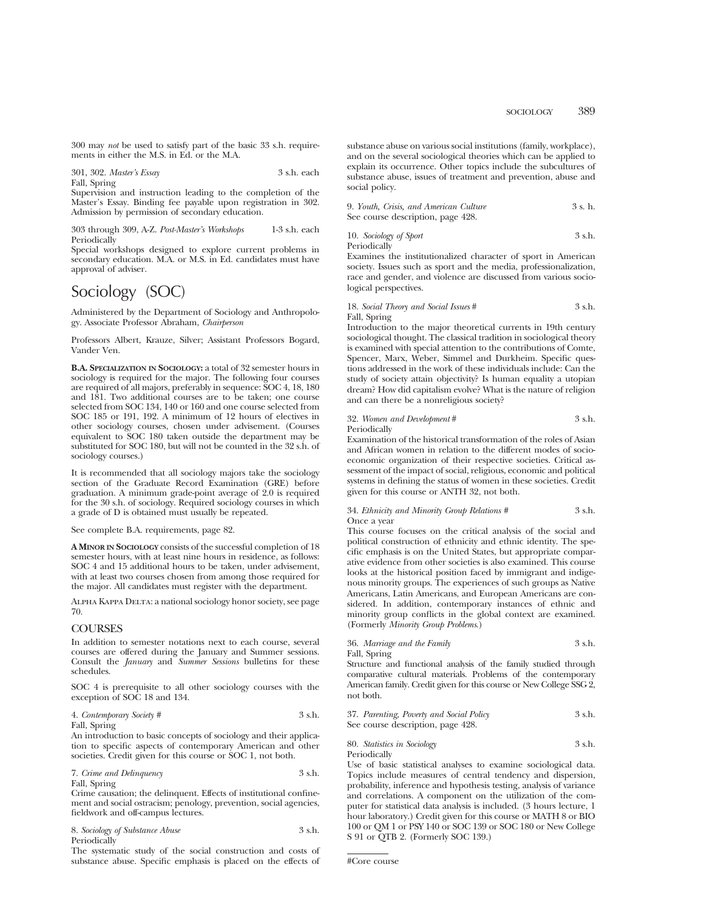300 may *not* be used to satisfy part of the basic 33 s.h. requirements in either the M.S. in Ed. or the M.A.

301, 302. *Master's Essay* 3 s.h. each

Fall, Spring

Supervision and instruction leading to the completion of the Master's Essay. Binding fee payable upon registration in 302. Admission by permission of secondary education.

303 through 309, A-Z. *Post-Master's Workshops* 1-3 s.h. each Periodically

Special workshops designed to explore current problems in secondary education. M.A. or M.S. in Ed. candidates must have approval of adviser.

# Sociology (SOC)

Administered by the Department of Sociology and Anthropology. Associate Professor Abraham, *Chairperson*

Professors Albert, Krauze, Silver; Assistant Professors Bogard, Vander Ven.

**B.A. SPECIALIZATION IN SOCIOLOGY:** a total of 32 semester hours in sociology is required for the major. The following four courses are required of all majors, preferably in sequence: SOC 4, 18, 180 and 181. Two additional courses are to be taken; one course selected from SOC 134, 140 or 160 and one course selected from SOC 185 or 191, 192. A minimum of 12 hours of electives in other sociology courses, chosen under advisement. (Courses equivalent to SOC 180 taken outside the department may be substituted for SOC 180, but will not be counted in the 32 s.h. of sociology courses.)

It is recommended that all sociology majors take the sociology section of the Graduate Record Examination (GRE) before graduation. A minimum grade-point average of 2.0 is required for the 30 s.h. of sociology. Required sociology courses in which a grade of D is obtained must usually be repeated.

See complete B.A. requirements, page 82.

**A MINOR IN SOCIOLOGY** consists of the successful completion of 18 semester hours, with at least nine hours in residence, as follows: SOC 4 and 15 additional hours to be taken, under advisement, with at least two courses chosen from among those required for the major. All candidates must register with the department.

Alpha Kappa Delta: a national sociology honor society, see page 70.

## **COURSES**

In addition to semester notations next to each course, several courses are offered during the January and Summer sessions. Consult the *January* and *Summer Sessions* bulletins for these schedules.

SOC 4 is prerequisite to all other sociology courses with the exception of SOC 18 and 134.

4. *Contemporary Society #* 3 s.h. Fall, Spring

An introduction to basic concepts of sociology and their application to specific aspects of contemporary American and other societies. Credit given for this course or SOC 1, not both.

7. *Crime and Delinquency* 3 s.h. Fall, Spring

Crime causation; the delinquent. Effects of institutional confinement and social ostracism; penology, prevention, social agencies, fieldwork and off-campus lectures.

8. *Sociology of Substance Abuse* 3 s.h. Periodically

The systematic study of the social construction and costs of substance abuse. Specific emphasis is placed on the effects of

substance abuse on various social institutions (family, workplace), and on the several sociological theories which can be applied to explain its occurrence. Other topics include the subcultures of substance abuse, issues of treatment and prevention, abuse and social policy.

9. *Youth, Crisis, and American Culture* 3 s. h. See course description, page 428.

10. *Sociology of Sport* 3 s.h. Periodically

Examines the institutionalized character of sport in American society. Issues such as sport and the media, professionalization, race and gender, and violence are discussed from various sociological perspectives.

18. *Social Theory and Social Issues* # 3 s.h. Fall, Spring

Introduction to the major theoretical currents in 19th century sociological thought. The classical tradition in sociological theory is examined with special attention to the contributions of Comte, Spencer, Marx, Weber, Simmel and Durkheim. Specific questions addressed in the work of these individuals include: Can the study of society attain objectivity? Is human equality a utopian dream? How did capitalism evolve? What is the nature of religion and can there be a nonreligious society?

## 32. *Women and Development* # 3 s.h.

Periodically

Examination of the historical transformation of the roles of Asian and African women in relation to the different modes of socioeconomic organization of their respective societies. Critical assessment of the impact of social, religious, economic and political systems in defining the status of women in these societies. Credit given for this course or ANTH 32, not both.

34. *Ethnicity and Minority Group Relations #* 3 s.h. Once a year

This course focuses on the critical analysis of the social and political construction of ethnicity and ethnic identity. The specific emphasis is on the United States, but appropriate comparative evidence from other societies is also examined. This course looks at the historical position faced by immigrant and indigenous minority groups. The experiences of such groups as Native Americans, Latin Americans, and European Americans are considered. In addition, contemporary instances of ethnic and minority group conflicts in the global context are examined. (Formerly *Minority Group Problems*.)

36. *Marriage and the Family* 3 s.h. Fall, Spring

Structure and functional analysis of the family studied through comparative cultural materials. Problems of the contemporary American family. Credit given for this course or New College SSG 2, not both.

| 37. Parenting, Poverty and Social Policy | 3 s.h. |
|------------------------------------------|--------|
| See course description, page 428.        |        |

80. *Statistics in Sociology* 3 s.h. Periodically

Use of basic statistical analyses to examine sociological data. Topics include measures of central tendency and dispersion, probability, inference and hypothesis testing, analysis of variance and correlations. A component on the utilization of the computer for statistical data analysis is included. (3 hours lecture, 1 hour laboratory.) Credit given for this course or MATH 8 or BIO 100 or QM 1 or PSY 140 or SOC 139 or SOC 180 or New College S 91 or QTB 2. (Formerly SOC 139.)

#Core course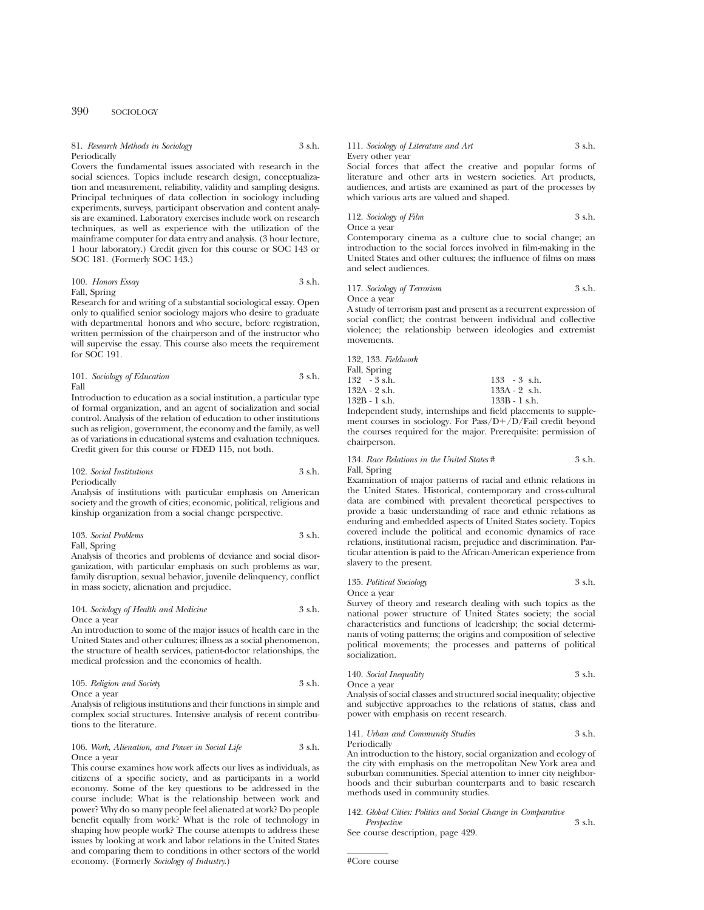| 81. Research Methods in Sociology | 3 s.h. |
|-----------------------------------|--------|
| Periodically                      |        |

Covers the fundamental issues associated with research in the social sciences. Topics include research design, conceptualization and measurement, reliability, validity and sampling designs. Principal techniques of data collection in sociology including experiments, surveys, participant observation and content analysis are examined. Laboratory exercises include work on research techniques, as well as experience with the utilization of the mainframe computer for data entry and analysis. (3 hour lecture, 1 hour laboratory.) Credit given for this course or SOC 143 or SOC 181. (Formerly SOC 143.)

100. *Honors Essay* 3 s.h. Fall, Spring

Research for and writing of a substantial sociological essay. Open only to qualified senior sociology majors who desire to graduate with departmental honors and who secure, before registration, written permission of the chairperson and of the instructor who will supervise the essay. This course also meets the requirement for SOC 191.

101. *Sociology of Education* 3 s.h. Fall

Introduction to education as a social institution, a particular type of formal organization, and an agent of socialization and social control. Analysis of the relation of education to other institutions such as religion, government, the economy and the family, as well as of variations in educational systems and evaluation techniques. Credit given for this course or FDED 115, not both.

#### 102. *Social Institutions* 3 s.h. Periodically

Analysis of institutions with particular emphasis on American society and the growth of cities; economic, political, religious and kinship organization from a social change perspective.

103. *Social Problems* 3 s.h. Fall, Spring

Analysis of theories and problems of deviance and social disorganization, with particular emphasis on such problems as war, family disruption, sexual behavior, juvenile delinquency, conflict in mass society, alienation and prejudice.

104. *Sociology of Health and Medicine* 3 s.h. Once a year

An introduction to some of the major issues of health care in the United States and other cultures; illness as a social phenomenon, the structure of health services, patient-doctor relationships, the medical profession and the economics of health.

105. *Religion and Society* 3 s.h. Once a year

Analysis of religious institutions and their functions in simple and complex social structures. Intensive analysis of recent contributions to the literature.

#### 106. *Work, Alienation, and Power in Social Life* 3 s.h. Once a year

This course examines how work affects our lives as individuals, as citizens of a specific society, and as participants in a world economy. Some of the key questions to be addressed in the course include: What is the relationship between work and power? Why do so many people feel alienated at work? Do people benefit equally from work? What is the role of technology in shaping how people work? The course attempts to address these issues by looking at work and labor relations in the United States and comparing them to conditions in other sectors of the world economy. (Formerly *Sociology of Industry*.)

111. *Sociology of Literature and Art* 3 s.h. Every other year

Social forces that affect the creative and popular forms of literature and other arts in western societies. Art products, audiences, and artists are examined as part of the processes by which various arts are valued and shaped.

112. *Sociology of Film* 3 s.h.

Once a year

Contemporary cinema as a culture clue to social change; an introduction to the social forces involved in film-making in the United States and other cultures; the influence of films on mass and select audiences.

#### 117. *Sociology of Terrorism* 3 s.h. Once a year

A study of terrorism past and present as a recurrent expression of social conflict; the contrast between individual and collective violence; the relationship between ideologies and extremist movements.

132, 133. *Fieldwork* Fall, Spring<br>132 - 3 s.h. 132 - 3 s.h. 133 - 3 s.h. 132A - 2 s.h. 133A - 2 s.h. 132A - 2 s.h. 133A - 2 s.h. 132B - 1 s.h.

Independent study, internships and field placements to supplement courses in sociology. For Pass/ $D+/D$ /Fail credit beyond the courses required for the major. Prerequisite: permission of chairperson.

| 134. Race Relations in the United States # | 3 s.h. |
|--------------------------------------------|--------|
| Fall, Spring                               |        |

Examination of major patterns of racial and ethnic relations in the United States. Historical, contemporary and cross-cultural data are combined with prevalent theoretical perspectives to provide a basic understanding of race and ethnic relations as enduring and embedded aspects of United States society. Topics covered include the political and economic dynamics of race relations, institutional racism, prejudice and discrimination. Particular attention is paid to the African-American experience from slavery to the present.

135. *Political Sociology* 3 s.h. Once a year

Survey of theory and research dealing with such topics as the national power structure of United States society; the social characteristics and functions of leadership; the social determinants of voting patterns; the origins and composition of selective political movements; the processes and patterns of political socialization.

| 140. Social Inequality | 3 s.h. |
|------------------------|--------|
|                        |        |

Once a year Analysis of social classes and structured social inequality; objective and subjective approaches to the relations of status, class and power with emphasis on recent research.

141. *Urban and Community Studies* 3 s.h. Periodically

An introduction to the history, social organization and ecology of the city with emphasis on the metropolitan New York area and suburban communities. Special attention to inner city neighborhoods and their suburban counterparts and to basic research methods used in community studies.

## 142. *Global Cities: Politics and Social Change in Comparative*

*Perspective* 3 s.h. See course description, page 429.

#Core course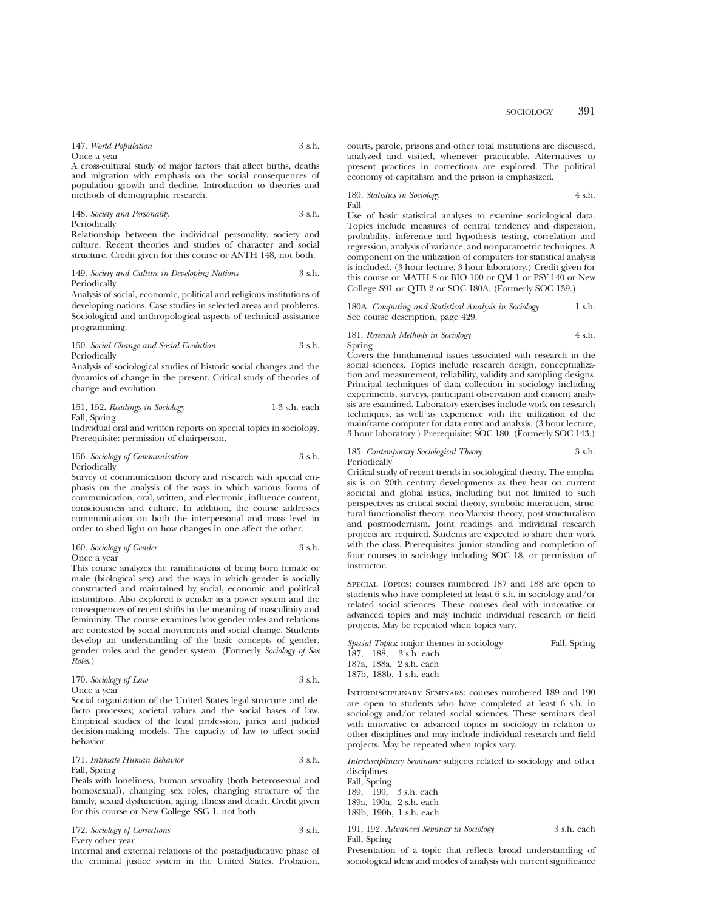| 147. World Population | 3 s.h. |
|-----------------------|--------|
| Once a year           |        |

A cross-cultural study of major factors that affect births, deaths and migration with emphasis on the social consequences of population growth and decline. Introduction to theories and methods of demographic research.

148. *Society and Personality* 3 s.h. Periodically

Relationship between the individual personality, society and culture. Recent theories and studies of character and social structure. Credit given for this course or ANTH 148, not both.

#### 149. *Society and Culture in Developing Nations* 3 s.h. Periodically

Analysis of social, economic, political and religious institutions of developing nations. Case studies in selected areas and problems. Sociological and anthropological aspects of technical assistance programming.

#### 150. *Social Change and Social Evolution* 3 s.h. Periodically

Analysis of sociological studies of historic social changes and the dynamics of change in the present. Critical study of theories of change and evolution.

| 151, 152. Readings in Sociology | $1-3$ s.h. each |
|---------------------------------|-----------------|
| Fall, Spring                    |                 |

Individual oral and written reports on special topics in sociology. Prerequisite: permission of chairperson.

## 156. *Sociology of Communication* 3 s.h. Periodically

Survey of communication theory and research with special emphasis on the analysis of the ways in which various forms of communication, oral, written, and electronic, influence content, consciousness and culture. In addition, the course addresses communication on both the interpersonal and mass level in order to shed light on how changes in one affect the other.

|        | 160. Sociology of Gender |  | 3 s.h. |
|--------|--------------------------|--|--------|
| $\sim$ |                          |  |        |

Once a year

This course analyzes the ramifications of being born female or male (biological sex) and the ways in which gender is socially constructed and maintained by social, economic and political institutions. Also explored is gender as a power system and the consequences of recent shifts in the meaning of masculinity and femininity. The course examines how gender roles and relations are contested by social movements and social change. Students develop an understanding of the basic concepts of gender, gender roles and the gender system. (Formerly *Sociology of Sex Roles*.)

| 170. Sociology of Law | 3 s.h. |
|-----------------------|--------|
| Once a vear           |        |

Social organization of the United States legal structure and defacto processes; societal values and the social bases of law. Empirical studies of the legal profession, juries and judicial decision-making models. The capacity of law to affect social behavior.

## 171. *Intimate Human Behavior* 3 s.h. Fall, Spring

Deals with loneliness, human sexuality (both heterosexual and homosexual), changing sex roles, changing structure of the family, sexual dysfunction, aging, illness and death. Credit given for this course or New College SSG 1, not both.

172. *Sociology of Corrections* 3 s.h. Every other year

Internal and external relations of the postadjudicative phase of the criminal justice system in the United States. Probation, courts, parole, prisons and other total institutions are discussed, analyzed and visited, whenever practicable. Alternatives to present practices in corrections are explored. The political economy of capitalism and the prison is emphasized.

180. *Statistics in Sociology* 4 s.h. Fall

Use of basic statistical analyses to examine sociological data. Topics include measures of central tendency and dispersion, probability, inference and hypothesis testing, correlation and regression, analysis of variance, and nonparametric techniques. A component on the utilization of computers for statistical analysis is included. (3 hour lecture, 3 hour laboratory.) Credit given for this course or MATH 8 or BIO 100 or QM 1 or PSY 140 or New College S91 or QTB 2 or SOC 180A. (Formerly SOC 139.)

180A. *Computing and Statistical Analysis in Sociology* 1 s.h. See course description, page 429.

181. *Research Methods in Sociology* 4 s.h. Spring

Covers the fundamental issues associated with research in the social sciences. Topics include research design, conceptualization and measurement, reliability, validity and sampling designs. Principal techniques of data collection in sociology including experiments, surveys, participant observation and content analysis are examined. Laboratory exercises include work on research techniques, as well as experience with the utilization of the mainframe computer for data entry and analysis. (3 hour lecture, 3 hour laboratory.) Prerequisite: SOC 180. (Formerly SOC 143.)

#### 185. *Contemporary Sociological Theory* 3 s.h. Periodically

Critical study of recent trends in sociological theory. The emphasis is on 20th century developments as they bear on current societal and global issues, including but not limited to such perspectives as critical social theory, symbolic interaction, structural functionalist theory, neo-Marxist theory, post-structuralism and postmodernism. Joint readings and individual research projects are required. Students are expected to share their work with the class. Prerequisites: junior standing and completion of four courses in sociology including SOC 18, or permission of instructor.

Special Topics: courses numbered 187 and 188 are open to students who have completed at least 6 s.h. in sociology and/or related social sciences. These courses deal with innovative or advanced topics and may include individual research or field projects. May be repeated when topics vary.

|  | <i>Special Topics</i> : major themes in sociology | Fall, Spring |
|--|---------------------------------------------------|--------------|
|  | 187. 188. 3 s.h. each                             |              |
|  | 187a. 188a. 2 s.h. each                           |              |
|  | 187b. 188b. 1 s.h. each                           |              |
|  |                                                   |              |

Interdisciplinary Seminars: courses numbered 189 and 190 are open to students who have completed at least 6 s.h. in sociology and/or related social sciences. These seminars deal with innovative or advanced topics in sociology in relation to other disciplines and may include individual research and field projects. May be repeated when topics vary.

*Interdisciplinary Seminars:* subjects related to sociology and other disciplines

Fall, Spring 189, 190, 3 s.h. each 189a, 190a, 2 s.h. each 189b, 190b, 1 s.h. each

191, 192. *Advanced Seminar in Sociology* 3 s.h. each Fall, Spring

Presentation of a topic that reflects broad understanding of sociological ideas and modes of analysis with current significance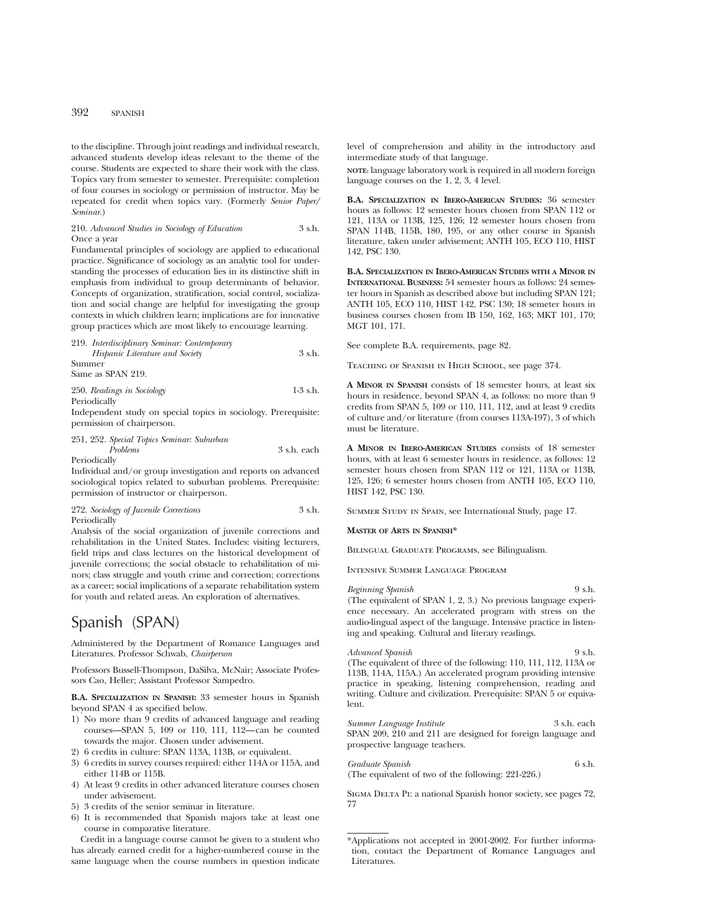to the discipline. Through joint readings and individual research, advanced students develop ideas relevant to the theme of the course. Students are expected to share their work with the class. Topics vary from semester to semester. Prerequisite: completion of four courses in sociology or permission of instructor. May be repeated for credit when topics vary. (Formerly *Senior Paper/ Seminar*.)

## 210. *Advanced Studies in Sociology of Education* 3 s.h. Once a year

Fundamental principles of sociology are applied to educational practice. Significance of sociology as an analytic tool for understanding the processes of education lies in its distinctive shift in emphasis from individual to group determinants of behavior. Concepts of organization, stratification, social control, socialization and social change are helpful for investigating the group contexts in which children learn; implications are for innovative group practices which are most likely to encourage learning.

## 219. *Interdisciplinary Seminar: Contemporary Hispanic Literature and Society* 3 s.h. Summer Same as SPAN 219.

250. *Readings in Sociology* 1-3 s.h. Periodically

Independent study on special topics in sociology. Prerequisite: permission of chairperson.

251, 252. *Special Topics Seminar: Suburban*

*Problems* 3 s.h. each Periodically

Individual and/or group investigation and reports on advanced sociological topics related to suburban problems. Prerequisite: permission of instructor or chairperson.

272. *Sociology of Juvenile Corrections* 3 s.h. Periodically

Analysis of the social organization of juvenile corrections and rehabilitation in the United States. Includes: visiting lecturers, field trips and class lectures on the historical development of juvenile corrections; the social obstacle to rehabilitation of minors; class struggle and youth crime and correction; corrections as a career; social implications of a separate rehabilitation system for youth and related areas. An exploration of alternatives.

# Spanish (SPAN)

Administered by the Department of Romance Languages and Literatures. Professor Schwab, *Chairperson*

Professors Bussell-Thompson, DaSilva, McNair; Associate Professors Cao, Heller; Assistant Professor Sampedro.

**B.A. SPECIALIZATION IN SPANISH:** 33 semester hours in Spanish beyond SPAN 4 as specified below.

- 1) No more than 9 credits of advanced language and reading courses—SPAN 5, 109 or 110, 111, 112—can be counted towards the major. Chosen under advisement.
- 2) 6 credits in culture: SPAN 113A, 113B, or equivalent.
- 3) 6 credits in survey courses required: either 114A or 115A, and either 114B or 115B.
- 4) At least 9 credits in other advanced literature courses chosen under advisement.
- 5) 3 credits of the senior seminar in literature.
- 6) It is recommended that Spanish majors take at least one course in comparative literature.

Credit in a language course cannot be given to a student who has already earned credit for a higher-numbered course in the same language when the course numbers in question indicate level of comprehension and ability in the introductory and intermediate study of that language.

**NOTE:** language laboratory work is required in all modern foreign language courses on the 1, 2, 3, 4 level.

**B.A. SPECIALIZATION IN IBERO-AMERICAN STUDIES:** 36 semester hours as follows: 12 semester hours chosen from SPAN 112 or 121, 113A or 113B, 125, 126; 12 semester hours chosen from SPAN 114B, 115B, 180, 195, or any other course in Spanish literature, taken under advisement; ANTH 105, ECO 110, HIST 142, PSC 130.

**B.A. SPECIALIZATION IN IBERO-AMERICAN STUDIES WITH A MINOR IN INTERNATIONAL BUSINESS:** 54 semester hours as follows: 24 semester hours in Spanish as described above but including SPAN 121; ANTH 105, ECO 110, HIST 142, PSC 130; 18 semeter hours in business courses chosen from IB 150, 162, 163; MKT 101, 170; MGT 101, 171.

See complete B.A. requirements, page 82.

Teaching of Spanish in High School, see page 374.

**A MINOR IN SPANISH** consists of 18 semester hours, at least six hours in residence, beyond SPAN 4, as follows: no more than 9 credits from SPAN 5, 109 or 110, 111, 112, and at least 9 credits of culture and/or literature (from courses 113A-197), 3 of which must be literature.

**A MINOR IN IBERO-AMERICAN STUDIES** consists of 18 semester hours, with at least 6 semester hours in residence, as follows: 12 semester hours chosen from SPAN 112 or 121, 113A or 113B, 125, 126; 6 semester hours chosen from ANTH 105, ECO 110, HIST 142, PSC 130.

Summer Study in Spain, see International Study, page 17.

#### **MASTER OF ARTS IN SPANISH\***

Bilingual Graduate Programs, see Bilingualism.

Intensive Summer Language Program

*Beginning Spanish* 9 s.h. (The equivalent of SPAN 1, 2, 3.) No previous language experience necessary. An accelerated program with stress on the audio-lingual aspect of the language. Intensive practice in listening and speaking. Cultural and literary readings.

*Advanced Spanish* 9 s.h. (The equivalent of three of the following: 110, 111, 112, 113A or 113B, 114A, 115A.) An accelerated program providing intensive practice in speaking, listening comprehension, reading and writing. Culture and civilization. Prerequisite: SPAN 5 or equivalent.

*Summer Language Institute* 3 s.h. each SPAN 209, 210 and 211 are designed for foreign language and prospective language teachers.

*Graduate Spanish* 6 s.h. (The equivalent of two of the following: 221-226.)

SIGMA DELTA PI: a national Spanish honor society, see pages 72, 77

<sup>\*</sup>Applications not accepted in 2001-2002. For further information, contact the Department of Romance Languages and Literatures.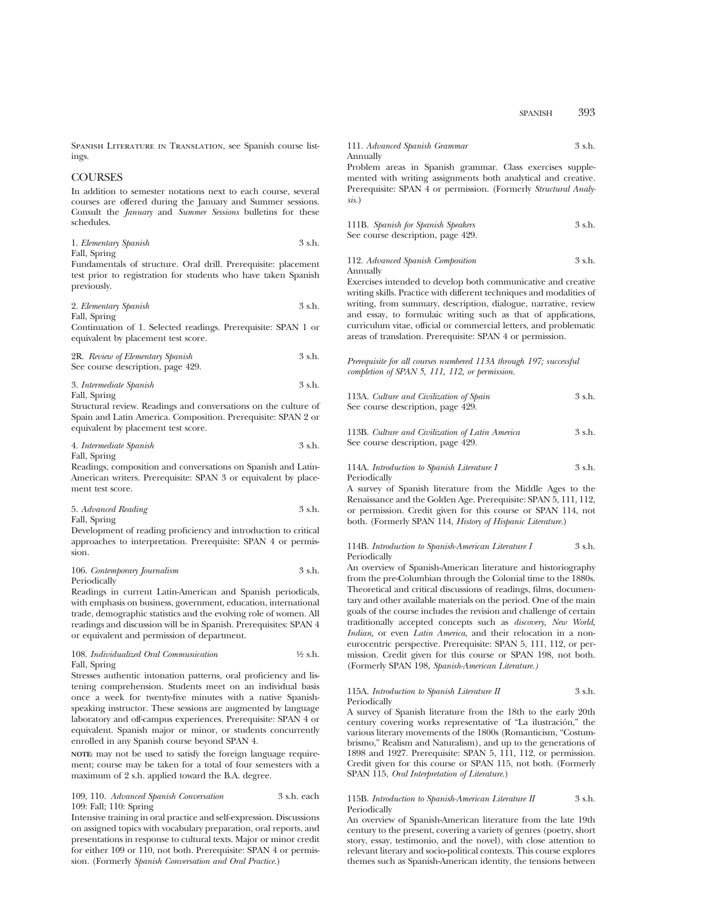Spanish Literature in Translation, see Spanish course listings.

## **COURSES**

In addition to semester notations next to each course, several courses are offered during the January and Summer sessions. Consult the *January* and *Summer Sessions* bulletins for these schedules.

1. *Elementary Spanish* 3 s.h. Fall, Spring

Fundamentals of structure. Oral drill. Prerequisite: placement test prior to registration for students who have taken Spanish previously.

2. *Elementary Spanish* 3 s.h. Fall, Spring

Continuation of 1. Selected readings. Prerequisite: SPAN 1 or equivalent by placement test score.

2R. *Review of Elementary Spanish* 3 s.h. See course description, page 429.

## 3. *Intermediate Spanish* 3 s.h. Fall, Spring

Structural review. Readings and conversations on the culture of Spain and Latin America. Composition. Prerequisite: SPAN 2 or equivalent by placement test score.

| 4. Intermediate Spanish | 3 s.h. |
|-------------------------|--------|
| Fall, Spring            |        |

Readings, composition and conversations on Spanish and Latin-American writers. Prerequisite: SPAN 3 or equivalent by placement test score.

| 5. Advanced Reading | 3 s.h. |
|---------------------|--------|
| Fall, Spring        |        |

Development of reading proficiency and introduction to critical approaches to interpretation. Prerequisite: SPAN 4 or permission.

## 106. *Contemporary Journalism* 3 s.h. Periodically

Readings in current Latin-American and Spanish periodicals, with emphasis on business, government, education, international trade, demographic statistics and the evolving role of women. All readings and discussion will be in Spanish. Prerequisites: SPAN 4 or equivalent and permission of department.

## 108. *Individualized Oral Communication* 1⁄2 s.h. Fall, Spring

Stresses authentic intonation patterns, oral proficiency and listening comprehension. Students meet on an individual basis once a week for twenty-five minutes with a native Spanishspeaking instructor. These sessions are augmented by language laboratory and off-campus experiences. Prerequisite: SPAN 4 or equivalent. Spanish major or minor, or students concurrently enrolled in any Spanish course beyond SPAN 4.

**NOTE:** may not be used to satisfy the foreign language requirement; course may be taken for a total of four semesters with a maximum of 2 s.h. applied toward the B.A. degree.

## 109, 110. *Advanced Spanish Conversation* 3 s.h. each 109: Fall; 110: Spring

Intensive training in oral practice and self-expression. Discussions on assigned topics with vocabulary preparation, oral reports, and presentations in response to cultural texts. Major or minor credit for either 109 or 110, not both. Prerequisite: SPAN 4 or permission. (Formerly *Spanish Conversation and Oral Practice.*)

111. *Advanced Spanish Grammar* 3 s.h. Annually

Problem areas in Spanish grammar. Class exercises supplemented with writing assignments both analytical and creative. Prerequisite: SPAN 4 or permission. (Formerly *Structural Analysis.*)

111B. *Spanish for Spanish Speakers* 3 s.h. See course description, page 429.

#### 112. *Advanced Spanish Composition* 3 s.h. Annually

Exercises intended to develop both communicative and creative writing skills. Practice with different techniques and modalities of writing, from summary, description, dialogue, narrative, review and essay, to formulaic writing such as that of applications, curriculum vitae, official or commercial letters, and problematic areas of translation. Prerequisite: SPAN 4 or permission.

*Prerequisite for all courses numbered 113A through 197; successful completion of SPAN 5, 111, 112, or permission.*

| 113A. Culture and Civilization of Spain | 3 s.h. |
|-----------------------------------------|--------|
| See course description, page 429.       |        |

113B. *Culture and Civilization of Latin America* 3 s.h. See course description, page 429.

## 114A. *Introduction to Spanish Literature I* 3 s.h. Periodically

A survey of Spanish literature from the Middle Ages to the Renaissance and the Golden Age. Prerequisite: SPAN 5, 111, 112, or permission. Credit given for this course or SPAN 114, not both. (Formerly SPAN 114, *History of Hispanic Literature.*)

#### 114B. *Introduction to Spanish-American Literature I* 3 s.h. Periodically

An overview of Spanish-American literature and historiography from the pre-Columbian through the Colonial time to the 1880s. Theoretical and critical discussions of readings, films, documentary and other available materials on the period. One of the main goals of the course includes the revision and challenge of certain traditionally accepted concepts such as *discovery, New World, Indian,* or even *Latin America,* and their relocation in a noneurocentric perspective. Prerequisite: SPAN 5, 111, 112, or permission. Credit given for this course or SPAN 198, not both. (Formerly SPAN 198, *Spanish-American Literature.)*

#### 115A. *Introduction to Spanish Literature II* 3 s.h. Periodically

A survey of Spanish literature from the 18th to the early 20th century covering works representative of "La ilustración," the various literary movements of the 1800s (Romanticism, "Costumbrismo," Realism and Naturalism), and up to the generations of 1898 and 1927. Prerequisite: SPAN 5, 111, 112, or permission. Credit given for this course or SPAN 115, not both. (Formerly SPAN 115, *Oral Interpretation of Literature.*)

## 115B. *Introduction to Spanish-American Literature II* 3 s.h. Periodically

An overview of Spanish-American literature from the late 19th century to the present, covering a variety of genres (poetry, short story, essay, testimonio, and the novel), with close attention to relevant literary and socio-political contexts. This course explores themes such as Spanish-American identity, the tensions between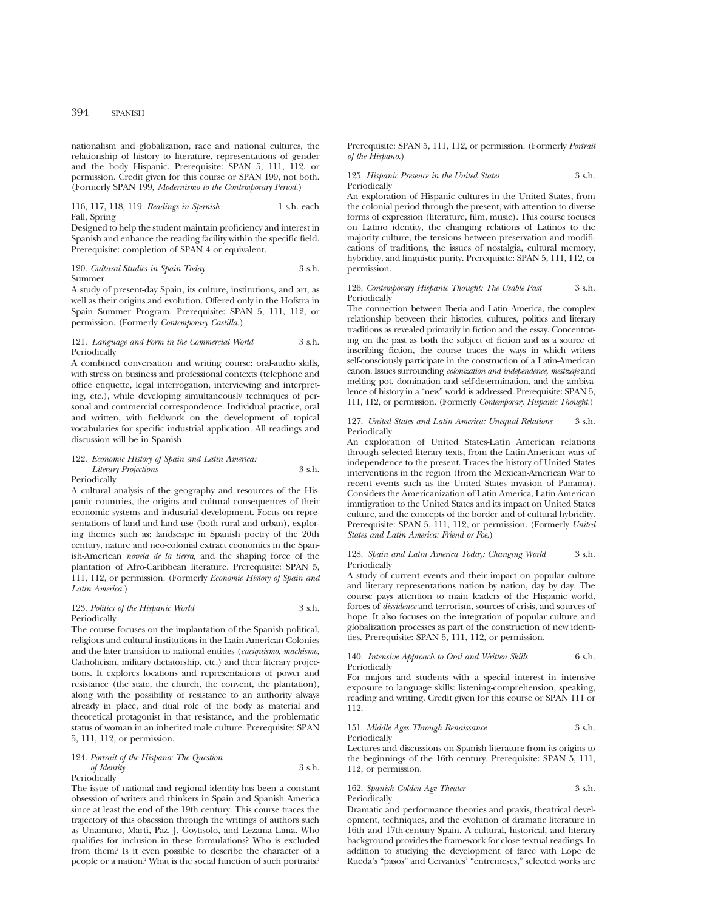nationalism and globalization, race and national cultures, the relationship of history to literature, representations of gender and the body Hispanic. Prerequisite: SPAN 5, 111, 112, or permission. Credit given for this course or SPAN 199, not both. (Formerly SPAN 199, *Modernismo to the Contemporary Period.*)

#### 116, 117, 118, 119. *Readings in Spanish* 1 s.h. each Fall, Spring

Designed to help the student maintain proficiency and interest in Spanish and enhance the reading facility within the specific field. Prerequisite: completion of SPAN 4 or equivalent.

120. *Cultural Studies in Spain Today* 3 s.h. Summer

A study of present-day Spain, its culture, institutions, and art, as well as their origins and evolution. Offered only in the Hofstra in Spain Summer Program. Prerequisite: SPAN 5, 111, 112, or permission. (Formerly *Contemporary Castilla.*)

#### 121. *Language and Form in the Commercial World* 3 s.h. Periodically

A combined conversation and writing course: oral-audio skills, with stress on business and professional contexts (telephone and office etiquette, legal interrogation, interviewing and interpreting, etc.), while developing simultaneously techniques of personal and commercial correspondence. Individual practice, oral and written, with fieldwork on the development of topical vocabularies for specific industrial application. All readings and discussion will be in Spanish.

#### 122. *Economic History of Spain and Latin America: Literary Projections* 3 s.h. Periodically

A cultural analysis of the geography and resources of the Hispanic countries, the origins and cultural consequences of their economic systems and industrial development. Focus on representations of land and land use (both rural and urban), exploring themes such as: landscape in Spanish poetry of the 20th century, nature and neo-colonial extract economies in the Spanish-American *novela de la tierra,* and the shaping force of the plantation of Afro-Caribbean literature. Prerequisite: SPAN 5, 111, 112, or permission. (Formerly *Economic History of Spain and Latin America.*)

#### 123. Politics of the Hispanic World 3 s.h. Periodically

The course focuses on the implantation of the Spanish political, religious and cultural institutions in the Latin-American Colonies and the later transition to national entities (*caciquismo, machismo,* Catholicism, military dictatorship, etc.) and their literary projections. It explores locations and representations of power and resistance (the state, the church, the convent, the plantation), along with the possibility of resistance to an authority always already in place, and dual role of the body as material and theoretical protagonist in that resistance, and the problematic status of woman in an inherited male culture. Prerequisite: SPAN 5, 111, 112, or permission.

#### 124. *Portrait of the Hispano: The Question of Identity* 3 s.h. Periodically

The issue of national and regional identity has been a constant obsession of writers and thinkers in Spain and Spanish America since at least the end of the 19th century. This course traces the trajectory of this obsession through the writings of authors such as Unamuno, Martı´, Paz, J. Goytisolo, and Lezama Lima. Who qualifies for inclusion in these formulations? Who is excluded from them? Is it even possible to describe the character of a people or a nation? What is the social function of such portraits? Prerequisite: SPAN 5, 111, 112, or permission. (Formerly *Portrait of the Hispano.*)

125. *Hispanic Presence in the United States* 3 s.h. Periodically

An exploration of Hispanic cultures in the United States, from the colonial period through the present, with attention to diverse forms of expression (literature, film, music). This course focuses on Latino identity, the changing relations of Latinos to the majority culture, the tensions between preservation and modifications of traditions, the issues of nostalgia, cultural memory, hybridity, and linguistic purity. Prerequisite: SPAN 5, 111, 112, or permission.

#### 126. *Contemporary Hispanic Thought: The Usable Past* 3 s.h. Periodically

The connection between Iberia and Latin America, the complex relationship between their histories, cultures, politics and literary traditions as revealed primarily in fiction and the essay. Concentrating on the past as both the subject of fiction and as a source of inscribing fiction, the course traces the ways in which writers self-consciously participate in the construction of a Latin-American canon. Issues surrounding *colonization and independence, mestizaje* and melting pot, domination and self-determination, and the ambivalence of history in a "new" world is addressed. Prerequisite: SPAN 5, 111, 112, or permission. (Formerly *Contemporary Hispanic Thought.*)

#### 127. *United States and Latin America: Unequal Relations* 3 s.h. Periodically

An exploration of United States-Latin American relations through selected literary texts, from the Latin-American wars of independence to the present. Traces the history of United States interventions in the region (from the Mexican-American War to recent events such as the United States invasion of Panama). Considers the Americanization of Latin America, Latin American immigration to the United States and its impact on United States culture, and the concepts of the border and of cultural hybridity. Prerequisite: SPAN 5, 111, 112, or permission. (Formerly *United States and Latin America: Friend or Foe.*)

#### 128. *Spain and Latin America Today: Changing World* 3 s.h. Periodically

A study of current events and their impact on popular culture and literary representations nation by nation, day by day. The course pays attention to main leaders of the Hispanic world, forces of *dissidence* and terrorism, sources of crisis, and sources of hope. It also focuses on the integration of popular culture and globalization processes as part of the construction of new identities. Prerequisite: SPAN 5, 111, 112, or permission.

## 140. *Intensive Approach to Oral and Written Skills* 6 s.h. Periodically

For majors and students with a special interest in intensive exposure to language skills: listening-comprehension, speaking, reading and writing. Credit given for this course or SPAN 111 or 112.

#### 151. *Middle Ages Through Renaissance* 3 s.h. Periodically

Lectures and discussions on Spanish literature from its origins to the beginnings of the 16th century. Prerequisite: SPAN 5, 111, 112, or permission.

#### 162. *Spanish Golden Age Theater* 3 s.h. Periodically

Dramatic and performance theories and praxis, theatrical development, techniques, and the evolution of dramatic literature in 16th and 17th-century Spain. A cultural, historical, and literary background provides the framework for close textual readings. In addition to studying the development of farce with Lope de Rueda's "pasos" and Cervantes' "entremeses," selected works are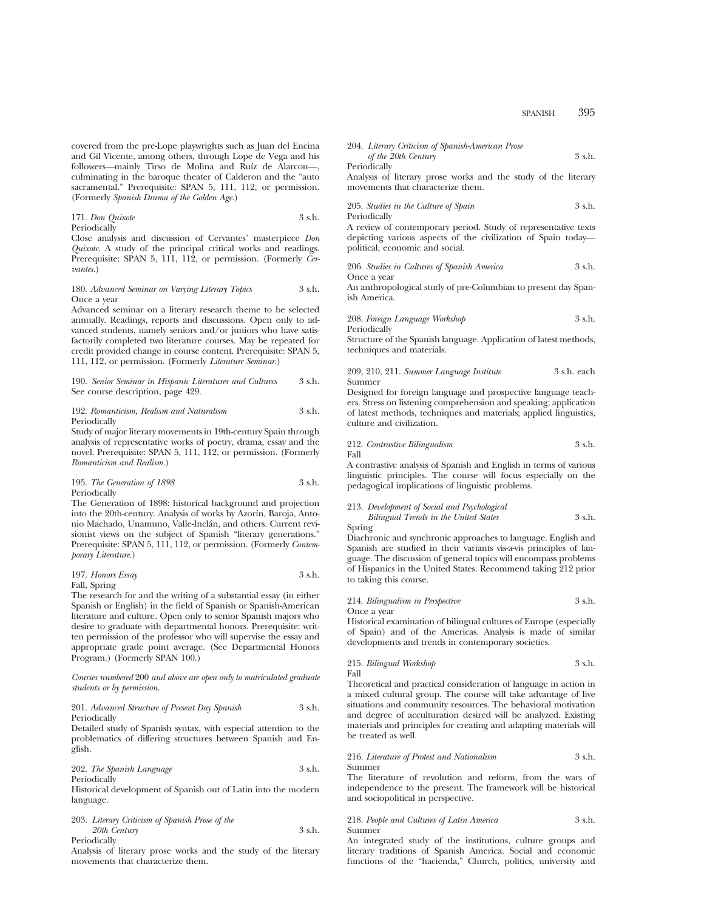covered from the pre-Lope playwrights such as Juan del Encina and Gil Vicente, among others, through Lope de Vega and his followers—mainly Tirso de Molina and Ruíz de Alarcon—, culminating in the baroque theater of Calderon and the "auto sacramental." Prerequisite: SPAN 5, 111, 112, or permission. (Formerly *Spanish Drama of the Golden Age.*)

171. *Don Quixote* 3 s.h. Periodically

Close analysis and discussion of Cervantes' masterpiece *Don Quixote.* A study of the principal critical works and readings. Prerequisite: SPAN 5, 111, 112, or permission. (Formerly *Cervantes.*)

#### 180. *Advanced Seminar on Varying Literary Topics* 3 s.h. Once a year

Advanced seminar on a literary research theme to be selected annually. Readings, reports and discussions. Open only to advanced students, namely seniors and/or juniors who have satisfactorily completed two literature courses. May be repeated for credit provided change in course content. Prerequisite: SPAN 5, 111, 112, or permission. (Formerly *Literature Seminar.*)

190. *Senior Seminar in Hispanic Literatures and Cultures* 3 s.h. See course description, page 429.

### 192. *Romanticism, Realism and Naturalism* 3 s.h. Periodically

Study of major literary movements in 19th-century Spain through analysis of representative works of poetry, drama, essay and the novel. Prerequisite: SPAN 5, 111, 112, or permission. (Formerly *Romanticism and Realism.*)

### 195. *The Generation of 1898* 3 s.h. Periodically

The Generation of 1898: historical background and projection into the 20th-century. Analysis of works by Azorín, Baroja, Antonio Machado, Unamuno, Valle-Inclán, and others. Current revisionist views on the subject of Spanish "literary generations." Prerequisite: SPAN 5, 111, 112, or permission. (Formerly *Contemporary Literature.*)

197. *Honors Essay* 3 s.h. Fall, Spring

The research for and the writing of a substantial essay (in either Spanish or English) in the field of Spanish or Spanish-American literature and culture. Open only to senior Spanish majors who desire to graduate with departmental honors. Prerequisite: written permission of the professor who will supervise the essay and appropriate grade point average. (See Departmental Honors Program.) (Formerly SPAN 100.)

*Courses numbered* 200 *and above are open only to matriculated graduate students or by permission*.

#### 201. *Advanced Structure of Present Day Spanish* 3 s.h. Periodically

Detailed study of Spanish syntax, with especial attention to the problematics of differing structures between Spanish and English.

202. *The Spanish Language* 3 s.h. Periodically

Historical development of Spanish out of Latin into the modern language.

203. *Literary Criticism of Spanish Prose of the 20th Century* 3 s.h. Periodically

Analysis of literary prose works and the study of the literary movements that characterize them.

| 204. Literary Criticism of Spanish-American Prose |        |
|---------------------------------------------------|--------|
| of the 20th Century                               | 3 s.h. |

Periodically

Analysis of literary prose works and the study of the literary movements that characterize them.

205. *Studies in the Culture of Spain* 3 s.h. Periodically

A review of contemporary period. Study of representative texts depicting various aspects of the civilization of Spain today political, economic and social.

206. *Studies in Cultures of Spanish America* 3 s.h. Once a year

An anthropological study of pre-Columbian to present day Spanish America.

208. *Foreign Language Workshop* 3 s.h. Periodically

Structure of the Spanish language. Application of latest methods, techniques and materials.

### 209, 210, 211. *Summer Language Institute* 3 s.h. each Summer

Designed for foreign language and prospective language teachers. Stress on listening comprehension and speaking; application of latest methods, techniques and materials; applied linguistics, culture and civilization.

#### 212. *Contrastive Bilingualism* 3 s.h. Fall

A contrastive analysis of Spanish and English in terms of various linguistic principles. The course will focus especially on the pedagogical implications of linguistic problems.

### 213. *Development of Social and Psychological Bilingual Trends in the United States* 3 s.h.

Spring Diachronic and synchronic approaches to language. English and Spanish are studied in their variants vis-a-vis principles of language. The discussion of general topics will encompass problems of Hispanics in the United States. Recommend taking 212 prior to taking this course.

214. *Bilingualism in Perspective* 3 s.h.

Once a year

Historical examination of bilingual cultures of Europe (especially of Spain) and of the Americas. Analysis is made of similar developments and trends in contemporary societies.

215. *Bilingual Workshop* 3 s.h. Fall

Theoretical and practical consideration of language in action in a mixed cultural group. The course will take advantage of live situations and community resources. The behavioral motivation and degree of acculturation desired will be analyzed. Existing materials and principles for creating and adapting materials will be treated as well.

216. *Literature of Protest and Nationalism* 3 s.h. Summer

The literature of revolution and reform, from the wars of independence to the present. The framework will be historical and sociopolitical in perspective.

### 218. *People and Cultures of Latin America* 3 s.h. Summer

An integrated study of the institutions, culture groups and literary traditions of Spanish America. Social and economic functions of the "hacienda," Church, politics, university and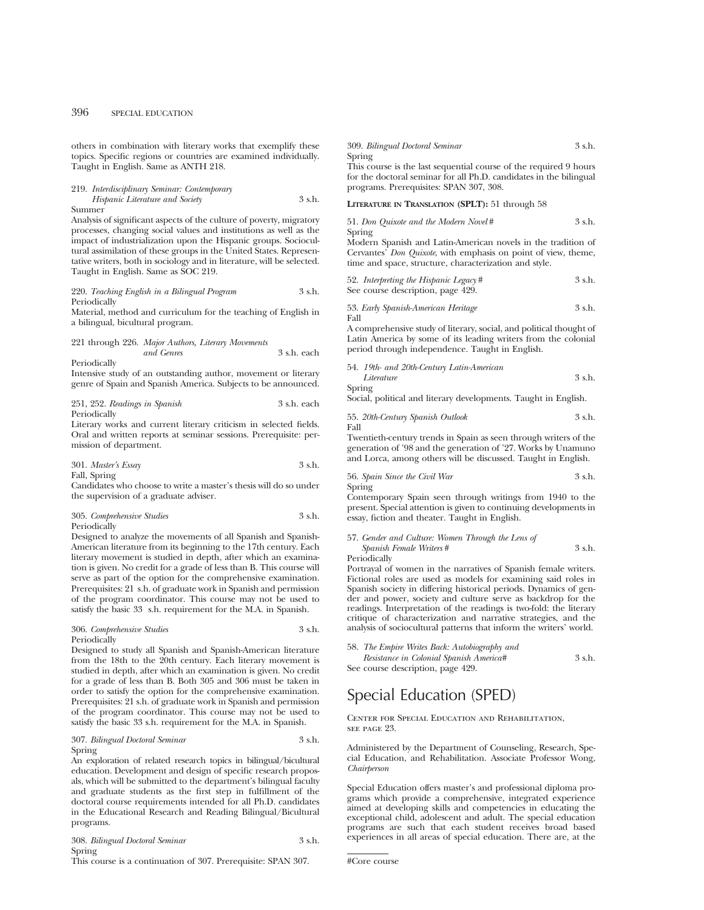others in combination with literary works that exemplify these topics. Specific regions or countries are examined individually. Taught in English. Same as ANTH 218.

### 219. *Interdisciplinary Seminar: Contemporary*

*Hispanic Literature and Society* 3 s.h. Summer

Analysis of significant aspects of the culture of poverty, migratory processes, changing social values and institutions as well as the impact of industrialization upon the Hispanic groups. Sociocultural assimilation of these groups in the United States. Representative writers, both in sociology and in literature, will be selected. Taught in English. Same as SOC 219.

#### 220. *Teaching English in a Bilingual Program* 3 s.h. Periodically

Material, method and curriculum for the teaching of English in a bilingual, bicultural program.

#### 221 through 226. *Major Authors, Literary Movements and Genres* 3 s.h. each

Periodically Intensive study of an outstanding author, movement or literary genre of Spain and Spanish America. Subjects to be announced.

251, 252. *Readings in Spanish* 3 s.h. each Periodically

Literary works and current literary criticism in selected fields. Oral and written reports at seminar sessions. Prerequisite: permission of department.

| 301. Master's Essay | 3 s.h. |
|---------------------|--------|
| Fall, Spring        |        |

Candidates who choose to write a master's thesis will do so under the supervision of a graduate adviser.

#### 305. *Comprehensive Studies* 3 s.h. Periodically

Designed to analyze the movements of all Spanish and Spanish-American literature from its beginning to the 17th century. Each literary movement is studied in depth, after which an examination is given. No credit for a grade of less than B. This course will serve as part of the option for the comprehensive examination. Prerequisites: 21 s.h. of graduate work in Spanish and permission of the program coordinator. This course may not be used to satisfy the basic 33 s.h. requirement for the M.A. in Spanish.

### 306. *Comprehensive Studies* 3 s.h. Periodically

Designed to study all Spanish and Spanish-American literature from the 18th to the 20th century. Each literary movement is studied in depth, after which an examination is given. No credit for a grade of less than B. Both 305 and 306 must be taken in order to satisfy the option for the comprehensive examination. Prerequisites: 21 s.h. of graduate work in Spanish and permission of the program coordinator. This course may not be used to satisfy the basic 33 s.h. requirement for the M.A. in Spanish.

### 307. *Bilingual Doctoral Seminar* 3 s.h. Spring

An exploration of related research topics in bilingual/bicultural education. Development and design of specific research proposals, which will be submitted to the department's bilingual faculty and graduate students as the first step in fulfillment of the doctoral course requirements intended for all Ph.D. candidates in the Educational Research and Reading Bilingual/Bicultural programs.

308. *Bilingual Doctoral Seminar* 3 s.h. Spring

This course is a continuation of 307. Prerequisite: SPAN 307.

#### 309. *Bilingual Doctoral Seminar* 3 s.h. Spring

This course is the last sequential course of the required 9 hours for the doctoral seminar for all Ph.D. candidates in the bilingual programs. Prerequisites: SPAN 307, 308.

**LITERATURE IN TRANSLATION (SPLT):** 51 through 58

|        | 51. Don Quixote and the Modern Novel# | 3 s.h. |
|--------|---------------------------------------|--------|
| Spring |                                       |        |

Modern Spanish and Latin-American novels in the tradition of Cervantes' *Don Quixote*, with emphasis on point of view, theme, time and space, structure, characterization and style.

| 52. Interpreting the Hispanic Legacy# | 3 s.h. |
|---------------------------------------|--------|
| See course description, page 429.     |        |

53. *Early Spanish-American Heritage* 3 s.h. Fall

A comprehensive study of literary, social, and political thought of Latin America by some of its leading writers from the colonial period through independence. Taught in English.

| 54. 19th- and 20th-Century Latin-American |        |
|-------------------------------------------|--------|
| Literature                                | 3 s.h. |

Spring

Social, political and literary developments. Taught in English.

55. *20th-Century Spanish Outlook* 3 s.h. Fall

Twentieth-century trends in Spain as seen through writers of the generation of '98 and the generation of '27. Works by Unamuno and Lorca, among others will be discussed. Taught in English.

| 56. Spain Since the Civil War | 3 s.h. |
|-------------------------------|--------|
| Spring                        |        |

Contemporary Spain seen through writings from 1940 to the present. Special attention is given to continuing developments in essay, fiction and theater. Taught in English.

| 57. Gender and Culture: Women Through the Lens of |        |
|---------------------------------------------------|--------|
| <i>Spanish Female Writers</i> #                   | 3 s.h. |

Periodically

Portrayal of women in the narratives of Spanish female writers. Fictional roles are used as models for examining said roles in Spanish society in differing historical periods. Dynamics of gender and power, society and culture serve as backdrop for the readings. Interpretation of the readings is two-fold: the literary critique of characterization and narrative strategies, and the analysis of sociocultural patterns that inform the writers' world.

| 58. The Empire Writes Back: Autobiography and |        |
|-----------------------------------------------|--------|
| Resistance in Colonial Spanish America#       | 3 s.h. |
| See course description, page 429.             |        |

## Special Education (SPED)

### Center for Special Education and Rehabilitation, see page 23.

Administered by the Department of Counseling, Research, Special Education, and Rehabilitation. Associate Professor Wong, *Chairperson*

Special Education offers master's and professional diploma programs which provide a comprehensive, integrated experience aimed at developing skills and competencies in educating the exceptional child, adolescent and adult. The special education programs are such that each student receives broad based experiences in all areas of special education. There are, at the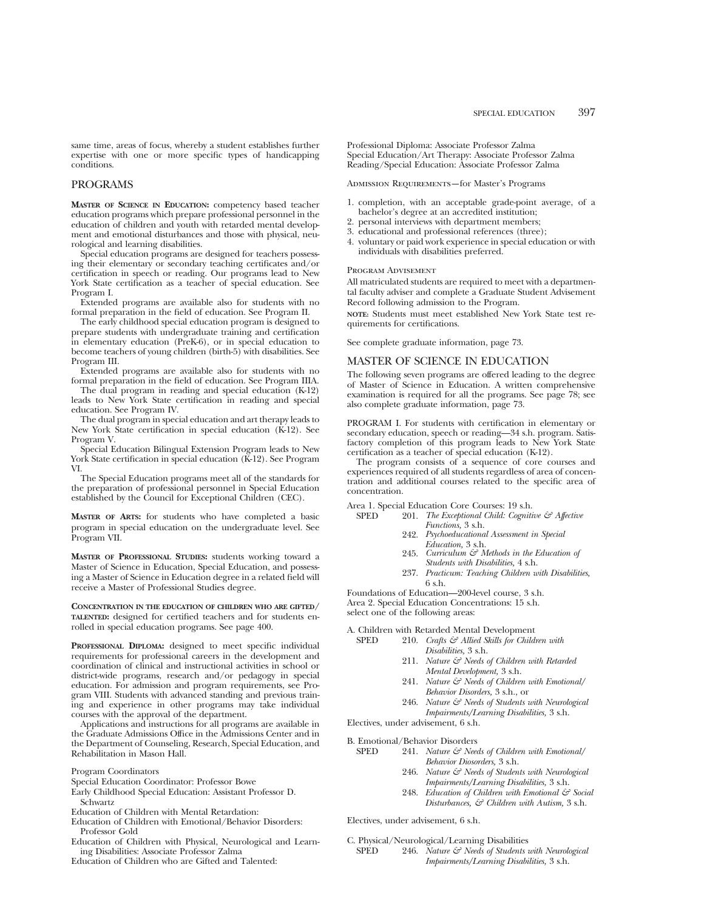same time, areas of focus, whereby a student establishes further expertise with one or more specific types of handicapping conditions.

### PROGRAMS

**MASTER OF SCIENCE IN EDUCATION:** competency based teacher education programs which prepare professional personnel in the education of children and youth with retarded mental development and emotional disturbances and those with physical, neurological and learning disabilities.

Special education programs are designed for teachers possessing their elementary or secondary teaching certificates and/or certification in speech or reading. Our programs lead to New York State certification as a teacher of special education. See Program I.

Extended programs are available also for students with no formal preparation in the field of education. See Program II.

The early childhood special education program is designed to prepare students with undergraduate training and certification in elementary education (PreK-6), or in special education to become teachers of young children (birth-5) with disabilities. See Program III.

Extended programs are available also for students with no formal preparation in the field of education. See Program IIIA.

The dual program in reading and special education (K-12) leads to New York State certification in reading and special education. See Program IV.

The dual program in special education and art therapy leads to New York State certification in special education (K-12). See Program V.

Special Education Bilingual Extension Program leads to New York State certification in special education (K-12). See Program VI.

The Special Education programs meet all of the standards for the preparation of professional personnel in Special Education established by the Council for Exceptional Children (CEC).

**MASTER OF ARTS:** for students who have completed a basic program in special education on the undergraduate level. See Program VII.

**MASTER OF PROFESSIONAL STUDIES:** students working toward a Master of Science in Education, Special Education, and possessing a Master of Science in Education degree in a related field will receive a Master of Professional Studies degree.

**CONCENTRATION IN THE EDUCATION OF CHILDREN WHO ARE GIFTED/ TALENTED:** designed for certified teachers and for students enrolled in special education programs. See page 400.

**PROFESSIONAL DIPLOMA:** designed to meet specific individual requirements for professional careers in the development and coordination of clinical and instructional activities in school or district-wide programs, research and/or pedagogy in special education. For admission and program requirements, see Program VIII. Students with advanced standing and previous training and experience in other programs may take individual courses with the approval of the department.

Applications and instructions for all programs are available in the Graduate Admissions Office in the Admissions Center and in the Department of Counseling, Research, Special Education, and Rehabilitation in Mason Hall.

Program Coordinators

- Early Childhood Special Education: Assistant Professor D. Schwartz
- Education of Children with Mental Retardation:
- Education of Children with Emotional/Behavior Disorders: Professor Gold
- Education of Children with Physical, Neurological and Learning Disabilities: Associate Professor Zalma
- Education of Children who are Gifted and Talented:

Professional Diploma: Associate Professor Zalma Special Education/Art Therapy: Associate Professor Zalma Reading/Special Education: Associate Professor Zalma

Admission Requirements—for Master's Programs

- 1. completion, with an acceptable grade-point average, of a bachelor's degree at an accredited institution;
- 2. personal interviews with department members;
- 3. educational and professional references (three);
- 4. voluntary or paid work experience in special education or with individuals with disabilities preferred.

#### Program Advisement

All matriculated students are required to meet with a departmental faculty adviser and complete a Graduate Student Advisement Record following admission to the Program.

**NOTE:** Students must meet established New York State test requirements for certifications.

See complete graduate information, page 73.

### MASTER OF SCIENCE IN EDUCATION

The following seven programs are offered leading to the degree of Master of Science in Education. A written comprehensive examination is required for all the programs. See page 78; see also complete graduate information, page 73.

PROGRAM I. For students with certification in elementary or secondary education, speech or reading—34 s.h. program. Satisfactory completion of this program leads to New York State certification as a teacher of special education (K-12).

The program consists of a sequence of core courses and experiences required of all students regardless of area of concentration and additional courses related to the specific area of concentration.

Area 1. Special Education Core Courses: 19 s.h.<br>SPED 201 The Exceptional Child: Cogniti

- 201. *The Exceptional Child: Cognitive & Affective Functions,* 3 s.h.
- 242. *Psychoeducational Assessment in Special Education,* 3 s.h.
- 245. *Curriculum & Methods in the Education of Students with Disabilities,* 4 s.h.
- 237. *Practicum: Teaching Children with Disabilities,* 6 s.h.

Foundations of Education—200-level course, 3 s.h. Area 2. Special Education Concentrations: 15 s.h. select one of the following areas:

A. Children with Retarded Mental Development<br>SPED 210 Crafts  $\mathcal{E}\bar{\tau}$  Allied Skills for Child

- 210. *Crafts & Allied Skills for Children with Disabilities,* 3 s.h.
	- 211. *Nature & Needs of Children with Retarded Mental Development,* 3 s.h.
	- 241. *Nature & Needs of Children with Emotional/ Behavior Disorders,* 3 s.h., or
	- 246. *Nature & Needs of Students with Neurological Impairments/Learning Disabilities,* 3 s.h.

Electives, under advisement, 6 s.h.

B. Emotional/Behavior Disorders<br>SPED 241. Nature  $\mathcal{F}$  Need

- 241. *Nature & Needs of Children with Emotional*/ *Behavior Diosorders,* 3 s.h.
	- 246. *Nature & Needs of Students with Neurological Impairments/Learning Disabilities,* 3 s.h.
	- 248. *Education of Children with Emotional & Social Disturbances, & Children with Autism,* 3 s.h.

Electives, under advisement, 6 s.h.

C. Physical/Neurological/Learning Disabilities

SPED 246. *Nature & Needs of Students with Neurological Impairments/Learning Disabilities,* 3 s.h.

Special Education Coordinator: Professor Bowe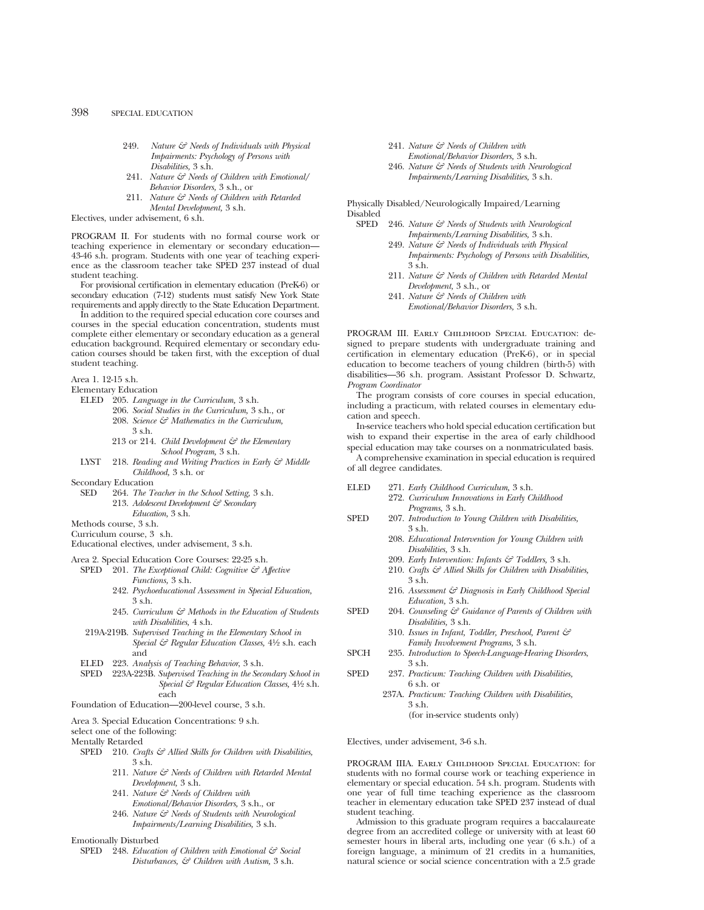- 249. *Nature & Needs of Individuals with Physical Impairments: Psychology of Persons with Disabilities,* 3 s.h.
- 241. *Nature & Needs of Children with Emotional/ Behavior Disorders,* 3 s.h., or
- 211. *Nature & Needs of Children with Retarded Mental Development,* 3 s.h.

Electives, under advisement, 6 s.h.

PROGRAM II. For students with no formal course work or teaching experience in elementary or secondary education— 43-46 s.h. program. Students with one year of teaching experience as the classroom teacher take SPED 237 instead of dual student teaching.

For provisional certification in elementary education (PreK-6) or secondary education (7-12) students must satisfy New York State requirements and apply directly to the State Education Department.

In addition to the required special education core courses and courses in the special education concentration, students must complete either elementary or secondary education as a general education background. Required elementary or secondary education courses should be taken first, with the exception of dual student teaching.

Area 1. 12-15 s.h.

Elementary Education

- ELED 205. *Language in the Curriculum,* 3 s.h.
	- 206. *Social Studies in the Curriculum,* 3 s.h., or
		- 208. *Science & Mathematics in the Curriculum,* 3 s.h.
		- 213 or 214. *Child Development & the Elementary School Program,* 3 s.h.
- LYST 218. *Reading and Writing Practices in Early & Middle Childhood,* 3 s.h. or
- Secondary Education
	- SED 264. *The Teacher in the School Setting,* 3 s.h. 213. Adolescent Development & Secondary *Education,* 3 s.h.
- Methods course, 3 s.h.

Curriculum course, 3 s.h.

Educational electives, under advisement, 3 s.h.

- Area 2. Special Education Core Courses: 22-25 s.h.
	- SPED 201. *The Exceptional Child: Cognitive & Affective Functions,* 3 s.h.
		- 242. *Psychoeducational Assessment in Special Education,* 3 s.h.
		- 245. *Curriculum & Methods in the Education of Students with Disabilities,* 4 s.h.
	- 219A-219B. *Supervised Teaching in the Elementary School in Special & Regular Education Classes,* 41⁄2 s.h. each and
	- ELED 223. *Analysis of Teaching Behavior*, 3 s.h.
	- SPED 223A-223B. *Supervised Teaching in the Secondary School in Special & Regular Education Classes,* 41⁄2 s.h. each

Foundation of Education—200-level course, 3 s.h.

Area 3. Special Education Concentrations: 9 s.h.

select one of the following:

Mentally Retarded

- SPED 210. *Crafts*  $\mathcal{C}$  Allied Skills for Children with Disabilities, 3 s.h.
	- 211. *Nature & Needs of Children with Retarded Mental Development,* 3 s.h.
	- 241. *Nature & Needs of Children with Emotional/Behavior Disorders,* 3 s.h., or
	- 246. *Nature & Needs of Students with Neurological Impairments/Learning Disabilities,* 3 s.h.
- Emotionally Disturbed
- SPED 248. *Education of Children with Emotional & Social Disturbances, & Children with Autism,* 3 s.h.
- 241. *Nature & Needs of Children with Emotional/Behavior Disorders,* 3 s.h.
- 246. *Nature & Needs of Students with Neurological Impairments/Learning Disabilities,* 3 s.h.

Physically Disabled/Neurologically Impaired/Learning Disabled<br>SPED

- 246. *Nature & Needs of Students with Neurological Impairments/Learning Disabilities,* 3 s.h.
	- 249. *Nature & Needs of Individuals with Physical Impairments: Psychology of Persons with Disabilities,* 3 s.h.
	- 211. *Nature & Needs of Children with Retarded Mental Development,* 3 s.h., or
	- 241. *Nature & Needs of Children with Emotional/Behavior Disorders,* 3 s.h.

PROGRAM III. Early Childhood Special Education: designed to prepare students with undergraduate training and certification in elementary education (PreK-6), or in special education to become teachers of young children (birth-5) with disabilities—36 s.h. program. Assistant Professor D. Schwartz, *Program Coordinator*

The program consists of core courses in special education, including a practicum, with related courses in elementary education and speech.

In-service teachers who hold special education certification but wish to expand their expertise in the area of early childhood special education may take courses on a nonmatriculated basis.

A comprehensive examination in special education is required of all degree candidates.

- ELED 271. *Early Childhood Curriculum,* 3 s.h.
	- 272. *Curriculum Innovations in Early Childhood Programs,* 3 s.h.
- SPED 207. *Introduction to Young Children with Disabilities,* 3 s.h.
	- 208. *Educational Intervention for Young Children with Disabilities,* 3 s.h.
		- 209. *Early Intervention: Infants & Toddlers,* 3 s.h.
		- 210. *Crafts & Allied Skills for Children with Disabilities,* 3 s.h.
	- 216. *Assessment & Diagnosis in Early Childhood Special Education,* 3 s.h.
- SPED 204. *Counseling & Guidance of Parents of Children with Disabilities,* 3 s.h.
	- 310. *Issues in Infant, Toddler, Preschool, Parent & Family Involvement Programs,* 3 s.h.
- SPCH 235. *Introduction to Speech-Language-Hearing Disorders*, 3 s.h.
- SPED 237. *Practicum: Teaching Children with Disabilities,* 6 s.h. or
	- 237A. *Practicum: Teaching Children with Disabilities,* 3 s.h.

(for in-service students only)

Electives, under advisement, 3-6 s.h.

PROGRAM IIIA. Early Childhood Special Education: for students with no formal course work or teaching experience in elementary or special education. 54 s.h. program. Students with one year of full time teaching experience as the classroom teacher in elementary education take SPED 237 instead of dual student teaching.

Admission to this graduate program requires a baccalaureate degree from an accredited college or university with at least 60 semester hours in liberal arts, including one year (6 s.h.) of a foreign language, a minimum of 21 credits in a humanities, natural science or social science concentration with a 2.5 grade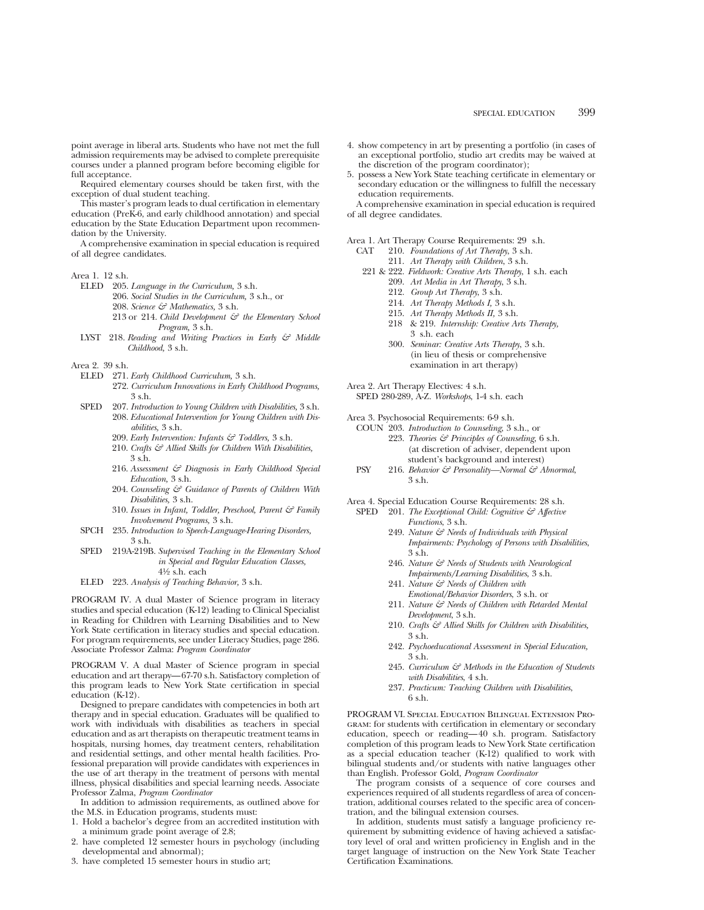point average in liberal arts. Students who have not met the full admission requirements may be advised to complete prerequisite courses under a planned program before becoming eligible for full acceptance.

Required elementary courses should be taken first, with the exception of dual student teaching.

This master's program leads to dual certification in elementary education (PreK-6, and early childhood annotation) and special education by the State Education Department upon recommendation by the University.

A comprehensive examination in special education is required of all degree candidates.

- ELED 205. *Language in the Curriculum,* 3 s.h.
	- 206. *Social Studies in the Curriculum,* 3 s.h., or
	- 208. *Science & Mathematics,* 3 s.h.
	- 213 or 214. *Child Development & the Elementary School Program,* 3 s.h.
- LYST 218. *Reading and Writing Practices in Early & Middle Childhood,* 3 s.h.

Area 2. 39 s.h.

- ELED 271. *Early Childhood Curriculum,* 3 s.h.
	- 272. *Curriculum Innovations in Early Childhood Programs,* 3 s.h.
- SPED 207. *Introduction to Young Children with Disabilities,* 3 s.h. 208. *Educational Intervention for Young Children with Disabilities,* 3 s.h.
	- 209. *Early Intervention: Infants & Toddlers,* 3 s.h.
	- 210. *Crafts & Allied Skills for Children With Disabilities,* 3 s.h.
	- 216. *Assessment & Diagnosis in Early Childhood Special Education,* 3 s.h.
	- 204. *Counseling & Guidance of Parents of Children With Disabilities,* 3 s.h.
	- 310. *Issues in Infant, Toddler, Preschool, Parent & Family Involvement Programs,* 3 s.h.
- SPCH 235. *Introduction to Speech-Language-Hearing Disorders,* 3 s.h.
- SPED 219A-219B. *Supervised Teaching in the Elementary School in Special and Regular Education Classes,* 41⁄2 s.h. each
- ELED 223. *Analysis of Teaching Behavior,* 3 s.h.

PROGRAM IV. A dual Master of Science program in literacy studies and special education (K-12) leading to Clinical Specialist in Reading for Children with Learning Disabilities and to New York State certification in literacy studies and special education. For program requirements, see under Literacy Studies, page 286. Associate Professor Zalma: *Program Coordinator*

PROGRAM V. A dual Master of Science program in special education and art therapy—67-70 s.h. Satisfactory completion of this program leads to New York State certification in special education (K-12).

Designed to prepare candidates with competencies in both art therapy and in special education. Graduates will be qualified to work with individuals with disabilities as teachers in special education and as art therapists on therapeutic treatment teams in hospitals, nursing homes, day treatment centers, rehabilitation and residential settings, and other mental health facilities. Professional preparation will provide candidates with experiences in the use of art therapy in the treatment of persons with mental illness, physical disabilities and special learning needs. Associate Professor Zalma, *Program Coordinator*

In addition to admission requirements, as outlined above for the M.S. in Education programs, students must:

- 1. Hold a bachelor's degree from an accredited institution with a minimum grade point average of 2.8;
- have completed 12 semester hours in psychology (including developmental and abnormal);
- 3. have completed 15 semester hours in studio art;
- 4. show competency in art by presenting a portfolio (in cases of an exceptional portfolio, studio art credits may be waived at the discretion of the program coordinator);
- 5. possess a New York State teaching certificate in elementary or secondary education or the willingness to fulfill the necessary education requirements.

A comprehensive examination in special education is required of all degree candidates.

Area 1. Art Therapy Course Requirements: 29 s.h.

- CAT 210. *Foundations of Art Therapy*, 3 s.h.
	- 211. *Art Therapy with Children*, 3 s.h. 221 & 222. *Fieldwork: Creative Arts Therapy*, 1 s.h. each 209. *Art Media in Art Therapy*, 3 s.h.
		- 212. *Group Art Therapy*, 3 s.h.
		-
		- 214. *Art Therapy Methods I,* 3 s.h.
		- 215. *Art Therapy Methods II,* 3 s.h.
		- 218 & 219. *Internship: Creative Arts Therapy,* 3 s.h. each
		- 300. *Seminar: Creative Arts Therapy*, 3 s.h. (in lieu of thesis or comprehensive examination in art therapy)

Area 2. Art Therapy Electives: 4 s.h.

SPED 280-289, A-Z. *Workshops*, 1-4 s.h. each

Area 3. Psychosocial Requirements: 6-9 s.h.

- COUN 203. *Introduction to Counseling*, 3 s.h., or 223. *Theories & Principles of Counseling*, 6 s.h. (at discretion of adviser, dependent upon student's background and interest)
- PSY 216. *Behavior & Personality—Normal & Abnormal*, 3 s.h.

Area 4. Special Education Course Requirements: 28 s.h.

- SPED 201. *The Exceptional Child: Cognitive & Affective Functions*, 3 s.h.
	- 249. *Nature & Needs of Individuals with Physical Impairments: Psychology of Persons with Disabilities*, 3 s.h.
	- 246. *Nature & Needs of Students with Neurological Impairments/Learning Disabilities*, 3 s.h.
	- 241. *Nature & Needs of Children with Emotional/Behavior Disorders*, 3 s.h. or
	- 211. *Nature & Needs of Children with Retarded Mental Development*, 3 s.h.
	- 210. *Crafts & Allied Skills for Children with Disabilities,* 3 s.h.
	- 242. *Psychoeducational Assessment in Special Education,* 3 s.h.
	- 245. *Curriculum & Methods in the Education of Students with Disabilities*, 4 s.h.
	- 237. *Practicum: Teaching Children with Disabilities*, 6 s.h.

PROGRAM VI. Special Education Bilingual Extension Program: for students with certification in elementary or secondary education, speech or reading—40 s.h. program. Satisfactory completion of this program leads to New York State certification as a special education teacher (K-12) qualified to work with bilingual students and/or students with native languages other than English. Professor Gold, *Program Coordinator*

The program consists of a sequence of core courses and experiences required of all students regardless of area of concentration, additional courses related to the specific area of concentration, and the bilingual extension courses.

In addition, students must satisfy a language proficiency requirement by submitting evidence of having achieved a satisfactory level of oral and written proficiency in English and in the target language of instruction on the New York State Teacher Certification Examinations.

Area 1. 12 s.h.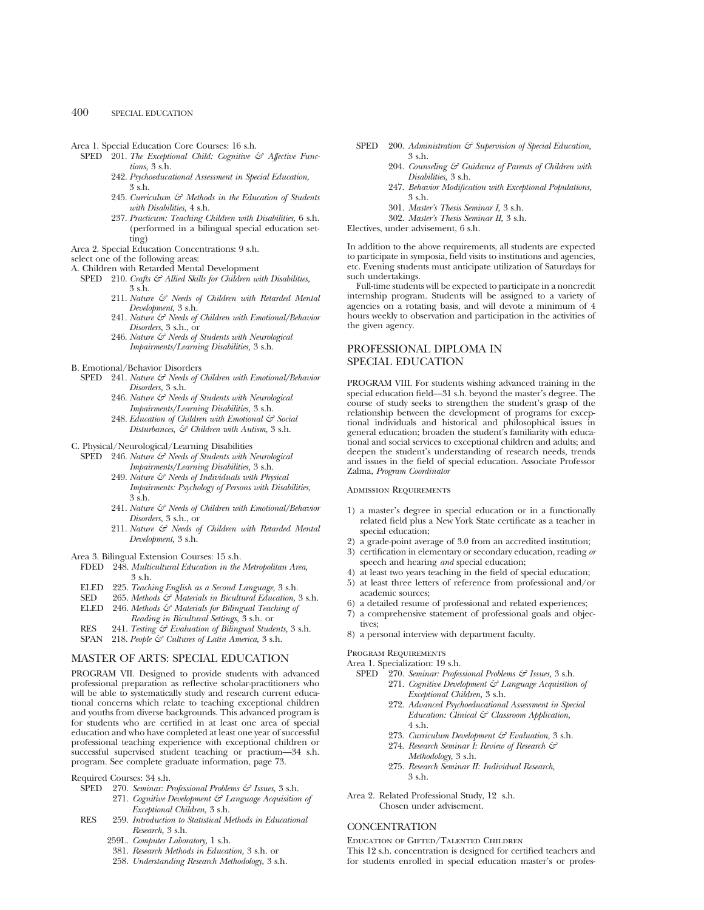- Area 1. Special Education Core Courses: 16 s.h.
	- SPED <sup>201</sup>. *The Exceptional Child: Cognitive*  $\mathcal{E}$  *Affective Functions,* 3 s.h.
		- 242. *Psychoeducational Assessment in Special Education,* 3 s.h.
		- 245. *Curriculum & Methods in the Education of Students with Disabilities,* 4 s.h.
		- 237. *Practicum: Teaching Children with Disabilities,* 6 s.h. (performed in a bilingual special education setting)
- Area 2. Special Education Concentrations: 9 s.h.
- select one of the following areas:
- A. Children with Retarded Mental Development
	- SPED 210. *Crafts*  $G^2$  Allied Skills for Children with Disabilities, 3 s.h.
		- 211. *Nature & Needs of Children with Retarded Mental Development,* 3 s.h.
		- 241. *Nature & Needs of Children with Emotional/Behavior Disorders,* 3 s.h., or
		- 246. *Nature & Needs of Students with Neurological Impairments/Learning Disabilities,* 3 s.h.
- B. Emotional/Behavior Disorders
	- SPED 241. *Nature & Needs of Children with Emotional/Behavior Disorders,* 3 s.h.
		- 246. *Nature & Needs of Students with Neurological Impairments/Learning Disabilities,* 3 s.h.
		- 248. *Education of Children with Emotional & Social Disturbances, & Children with Autism,* 3 s.h.
- C. Physical/Neurological/Learning Disabilities
	- SPED 246. *Nature & Needs of Students with Neurological Impairments/Learning Disabilities,* 3 s.h.
		- 249. *Nature & Needs of Individuals with Physical Impairments: Psychology of Persons with Disabilities,* 3 s.h.
		- 241. *Nature & Needs of Children with Emotional/Behavior Disorders,* 3 s.h., or
		- 211. *Nature & Needs of Children with Retarded Mental Development,* 3 s.h.
- Area 3. Bilingual Extension Courses: 15 s.h.
- FDED 248. *Multicultural Education in the Metropolitan Area,* 3 s.h.
- ELED 225. *Teaching English as a Second Language,* 3 s.h.
- SED 265. *Methods & Materials in Bicultural Education,* 3 s.h. ELED 246. *Methods & Materials for Bilingual Teaching of*
- *Reading in Bicultural Settings,* 3 s.h. or RES 241. *Testing & Evaluation of Bilingual Students,* 3 s.h.
- SPAN 218. *People & Cultures of Latin America,* 3 s.h.

### MASTER OF ARTS: SPECIAL EDUCATION

PROGRAM VII. Designed to provide students with advanced professional preparation as reflective scholar-practitioners who will be able to systematically study and research current educational concerns which relate to teaching exceptional children and youths from diverse backgrounds. This advanced program is for students who are certified in at least one area of special education and who have completed at least one year of successful professional teaching experience with exceptional children or successful supervised student teaching or practium—34 s.h. program. See complete graduate information, page 73.

Required Courses: 34 s.h.

- SPED 270. *Seminar: Professional Problems & Issues,* 3 s.h.
	- 271. *Cognitive Development & Language Acquisition of Exceptional Children,* 3 s.h.
- RES 259. *Introduction to Statistical Methods in Educational Research,* 3 s.h.
	- 259L. *Computer Laboratory,* 1 s.h.
	- 381. *Research Methods in Education,* 3 s.h. or
	- 258. *Understanding Research Methodology,* 3 s.h.
- SPED 200. *Administration*  $\mathcal{F}$  Supervision of Special Education, 3 s.h.
	- 204. *Counseling & Guidance of Parents of Children with Disabilities,* 3 s.h.
	- 247. *Behavior Modification with Exceptional Populations,* 3 s.h.
	- 301. *Master's Thesis Seminar I,* 3 s.h.
	- 302. *Master's Thesis Seminar II,* 3 s.h.

Electives, under advisement, 6 s.h.

In addition to the above requirements, all students are expected to participate in symposia, field visits to institutions and agencies, etc. Evening students must anticipate utilization of Saturdays for such undertakings.

Full-time students will be expected to participate in a noncredit internship program. Students will be assigned to a variety of agencies on a rotating basis, and will devote a minimum of 4 hours weekly to observation and participation in the activities of the given agency.

### PROFESSIONAL DIPLOMA IN SPECIAL EDUCATION

PROGRAM VIII. For students wishing advanced training in the special education field—31 s.h. beyond the master's degree. The course of study seeks to strengthen the student's grasp of the relationship between the development of programs for exceptional individuals and historical and philosophical issues in general education; broaden the student's familiarity with educational and social services to exceptional children and adults; and deepen the student's understanding of research needs, trends and issues in the field of special education. Associate Professor Zalma, *Program Coordinator*

### Admission Requirements

- 1) a master's degree in special education or in a functionally related field plus a New York State certificate as a teacher in special education;
- 2) a grade-point average of 3.0 from an accredited institution;
- 3) certification in elementary or secondary education, reading *or* speech and hearing *and* special education;
- 4) at least two years teaching in the field of special education;
- 5) at least three letters of reference from professional and/or academic sources;
- 6) a detailed resume of professional and related experiences;
- 7) a comprehensive statement of professional goals and objectives;
- 8) a personal interview with department faculty.

### Program Requirements

Area 1. Specialization: 19 s.h.<br>SPED 270. Seminar: Profes

- 270. *Seminar: Professional Problems & Issues*, 3 s.h.
	- 271. *Cognitive Development & Language Acquisition of Exceptional Children,* 3 s.h.
	- 272. *Advanced Psychoeducational Assessment in Special Education: Clinical & Classroom Application,* 4 s.h.
	- 273. *Curriculum Development & Evaluation,* 3 s.h.
	- 274. *Research Seminar I: Review of Research & Methodology,* 3 s.h.
	- 275. *Research Seminar II: Individual Research,* 3 s.h.
- Area 2. Related Professional Study, 12 s.h. Chosen under advisement.

### **CONCENTRATION**

Education of Gifted/Talented Children

This 12 s.h. concentration is designed for certified teachers and for students enrolled in special education master's or profes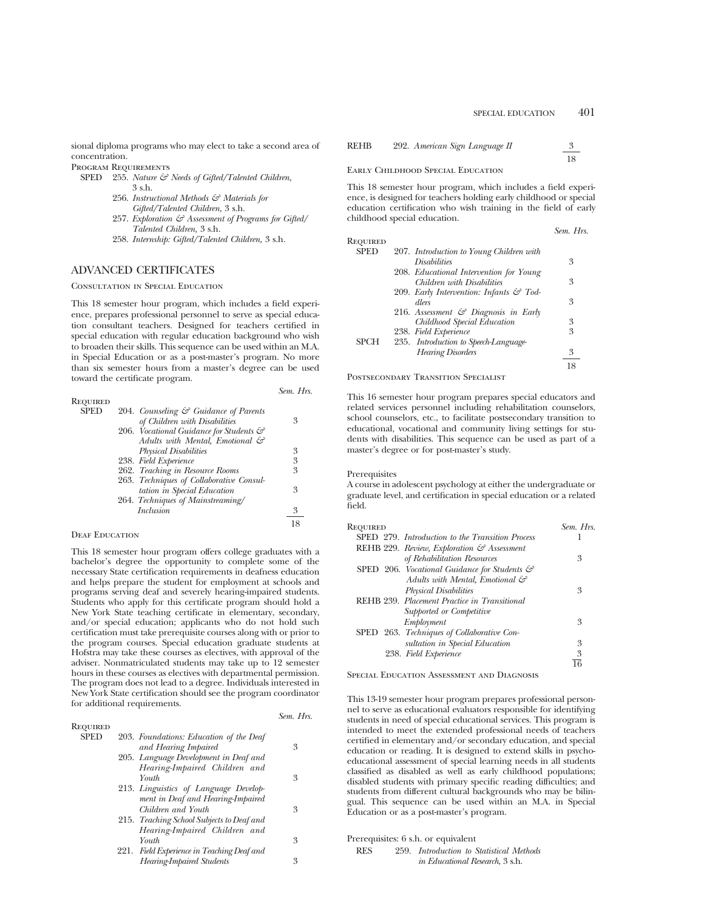sional diploma programs who may elect to take a second area of concentration.

Program Requirements

- SPED 255. *Nature & Needs of Gifted/Talented Children,* 3 s.h.
	- 256. *Instructional Methods & Materials for Gifted/Talented Children,* 3 s.h.
	- 257. *Exploration & Assessment of Programs for Gifted/ Talented Children,* 3 s.h.
	- 258. *Internship: Gifted/Talented Children,* 3 s.h.

### ADVANCED CERTIFICATES

### Consultation in Special Education

This 18 semester hour program, which includes a field experience, prepares professional personnel to serve as special education consultant teachers. Designed for teachers certified in special education with regular education background who wish to broaden their skills. This sequence can be used within an M.A. in Special Education or as a post-master's program. No more than six semester hours from a master's degree can be used toward the certificate program.

|                 |                                                   | Sem. Hrs. |
|-----------------|---------------------------------------------------|-----------|
| <b>REQUIRED</b> |                                                   |           |
| <b>SPED</b>     | 204. Counseling $\mathcal{C}$ Guidance of Parents |           |
|                 | of Children with Disabilities                     | 3         |
|                 | 206. Vocational Guidance for Students &           |           |
|                 | Adults with Mental, Emotional &                   |           |
|                 | <b>Physical Disabilities</b>                      | 3         |
|                 | 238. Field Experience                             | 3         |
|                 | 262. Teaching in Resource Rooms                   | 3         |
|                 | 263. Techniques of Collaborative Consul-          |           |
|                 | tation in Special Education                       | 3         |
|                 | 264. Techniques of Mainstreaming/                 |           |
|                 | <i>Inclusion</i>                                  | 3         |
|                 |                                                   |           |

### DEAF EDUCATION

This 18 semester hour program offers college graduates with a bachelor's degree the opportunity to complete some of the necessary State certification requirements in deafness education and helps prepare the student for employment at schools and programs serving deaf and severely hearing-impaired students. Students who apply for this certificate program should hold a New York State teaching certificate in elementary, secondary, and/or special education; applicants who do not hold such certification must take prerequisite courses along with or prior to the program courses. Special education graduate students at Hofstra may take these courses as electives, with approval of the adviser. Nonmatriculated students may take up to 12 semester hours in these courses as electives with departmental permission. The program does not lead to a degree. Individuals interested in New York State certification should see the program coordinator for additional requirements.

|             |                                            | Sem. Hrs. |
|-------------|--------------------------------------------|-----------|
| Required    |                                            |           |
| <b>SPED</b> | 203. Foundations: Education of the Deaf    |           |
|             | and Hearing Impaired                       | 3         |
|             | 205. Language Development in Deaf and      |           |
|             | Hearing-Impaired Children and              |           |
|             | Youth                                      | 3         |
|             | 213. Linguistics of Language Develop-      |           |
|             | ment in Deaf and Hearing-Impaired          |           |
|             | Children and Youth                         | 3         |
|             | 215. Teaching School Subjects to Deaf and  |           |
|             | Hearing-Impaired Children and              |           |
|             | Youth                                      | 3         |
|             | 221. Field Experience in Teaching Deaf and |           |
|             | <b>Hearing-Impaired Students</b>           | 3         |
|             |                                            |           |

| REHB | 292. American Sign Language II |  |
|------|--------------------------------|--|
|      |                                |  |

### Early Childhood Special Education

This 18 semester hour program, which includes a field experience, is designed for teachers holding early childhood or special education certification who wish training in the field of early childhood special education.

|             |                                                     | Sem. Hrs. |
|-------------|-----------------------------------------------------|-----------|
| Required    |                                                     |           |
| <b>SPED</b> | 207. Introduction to Young Children with            |           |
|             | <i>Disabilities</i>                                 | 3         |
|             | 208. Educational Intervention for Young             |           |
|             | Children with Disabilities                          | 3         |
|             | 209. Early Intervention: Infants $\mathcal{C}$ Tod- |           |
|             | dlers                                               | 3         |
|             | 216. Assessment $\mathcal{C}$ Diagnosis in Early    |           |
|             | Childhood Special Education                         | 3         |
|             | 238. Field Experience                               | 3         |
| <b>SPCH</b> | 235. Introduction to Speech-Language-               |           |
|             | <b>Hearing Disorders</b>                            | 3         |
|             |                                                     | 18        |
|             |                                                     |           |

Postsecondary Transition Specialist

This 16 semester hour program prepares special educators and related services personnel including rehabilitation counselors, school counselors, etc., to facilitate postsecondary transition to educational, vocational and community living settings for students with disabilities. This sequence can be used as part of a master's degree or for post-master's study.

#### Prerequisites

A course in adolescent psychology at either the undergraduate or graduate level, and certification in special education or a related field.

| Required                                                 | Sem Hrs |
|----------------------------------------------------------|---------|
| SPED 279. Introduction to the Transition Process         |         |
| REHB 229. Review, Exploration & Assessment               |         |
| of Rehabilitation Resources                              | 3       |
| SPED 206. Vocational Guidance for Students $\mathcal{C}$ |         |
| Adults with Mental, Emotional $\mathcal{C}$              |         |
| <b>Physical Disabilities</b>                             | 3       |
| REHB 239. Placement Practice in Transitional             |         |
| Supported or Competitive                                 |         |
| Employment                                               | 3       |
| SPED 263. Techniques of Collaborative Con-               |         |
| sultation in Special Education                           | 3       |
| 238. Field Experience                                    | 3       |
|                                                          |         |

Special Education Assessment and Diagnosis

This 13-19 semester hour program prepares professional personnel to serve as educational evaluators responsible for identifying students in need of special educational services. This program is intended to meet the extended professional needs of teachers certified in elementary and/or secondary education, and special education or reading. It is designed to extend skills in psychoeducational assessment of special learning needs in all students classified as disabled as well as early childhood populations; disabled students with primary specific reading difficulties; and students from different cultural backgrounds who may be bilingual. This sequence can be used within an M.A. in Special Education or as a post-master's program.

Prerequisites: 6 s.h. or equivalent

| RES | 259. Introduction to Statistical Methods |
|-----|------------------------------------------|
|     | <i>in Educational Research</i> , 3 s.h.  |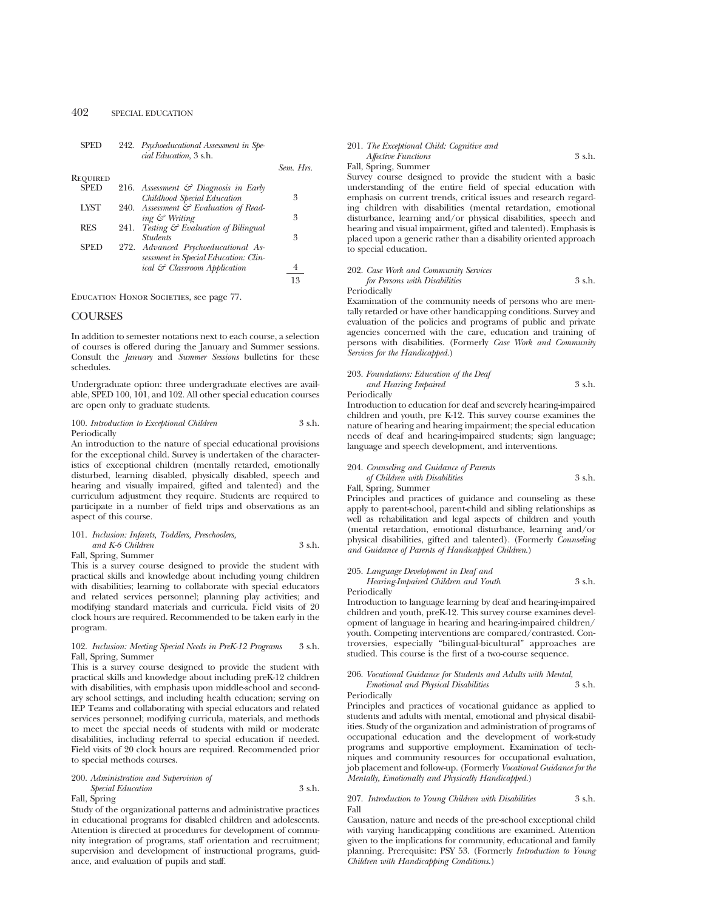|             |      | cial Education, 3 s.h.                          |           |
|-------------|------|-------------------------------------------------|-----------|
|             |      |                                                 | Sem. Hrs. |
| REQUIRED    |      |                                                 |           |
| <b>SPED</b> |      | 216. Assessment $\mathcal G$ Diagnosis in Early |           |
|             |      | Childhood Special Education                     | 3         |
| <b>LYST</b> |      | 240. Assessment & Evaluation of Read-           |           |
|             |      | ing & Writing                                   | 3         |
| <b>RES</b>  | 241. | Testing & Evaluation of Bilingual               |           |
|             |      | <b>Students</b>                                 | 3         |
| SPED        |      | 272. Advanced Psychoeducational As-             |           |
|             |      | sessment in Special Education: Clin-            |           |
|             |      | ical & Classroom Application                    |           |
|             |      |                                                 | 13        |
|             |      |                                                 |           |

SPED 242. *Psychoeducational Assessment in Spe-*

EDUCATION HONOR SOCIETIES, see page 77.

### **COURSES**

In addition to semester notations next to each course, a selection of courses is offered during the January and Summer sessions. Consult the *January* and *Summer Sessions* bulletins for these schedules.

Undergraduate option: three undergraduate electives are available, SPED 100, 101, and 102. All other special education courses are open only to graduate students.

### 100. *Introduction to Exceptional Children* 3 s.h. Periodically

An introduction to the nature of special educational provisions for the exceptional child. Survey is undertaken of the characteristics of exceptional children (mentally retarded, emotionally disturbed, learning disabled, physically disabled, speech and hearing and visually impaired, gifted and talented) and the curriculum adjustment they require. Students are required to participate in a number of field trips and observations as an aspect of this course.

### 101. *Inclusion: Infants, Toddlers, Preschoolers, and K-6 Children* 3 s.h.

Fall, Spring, Summer

This is a survey course designed to provide the student with practical skills and knowledge about including young children with disabilities; learning to collaborate with special educators and related services personnel; planning play activities; and modifying standard materials and curricula. Field visits of 20 clock hours are required. Recommended to be taken early in the program.

### 102. *Inclusion: Meeting Special Needs in PreK-12 Programs* 3 s.h. Fall, Spring, Summer

This is a survey course designed to provide the student with practical skills and knowledge about including preK-12 children with disabilities, with emphasis upon middle-school and secondary school settings, and including health education; serving on IEP Teams and collaborating with special educators and related services personnel; modifying curricula, materials, and methods to meet the special needs of students with mild or moderate disabilities, including referral to special education if needed. Field visits of 20 clock hours are required. Recommended prior to special methods courses.

### 200. *Administration and Supervision of*

*Special Education* 3 s.h. Fall, Spring

Study of the organizational patterns and administrative practices in educational programs for disabled children and adolescents. Attention is directed at procedures for development of community integration of programs, staff orientation and recruitment; supervision and development of instructional programs, guidance, and evaluation of pupils and staff.

### 201. *The Exceptional Child: Cognitive and Affective Functions* 3 s.h.

### Fall, Spring, Summer

Survey course designed to provide the student with a basic understanding of the entire field of special education with emphasis on current trends, critical issues and research regarding children with disabilities (mental retardation, emotional disturbance, learning and/or physical disabilities, speech and hearing and visual impairment, gifted and talented). Emphasis is placed upon a generic rather than a disability oriented approach to special education.

#### 202. *Case Work and Community Services for Persons with Disabilities* 3 s.h. Periodically

Examination of the community needs of persons who are mentally retarded or have other handicapping conditions. Survey and evaluation of the policies and programs of public and private agencies concerned with the care, education and training of persons with disabilities. (Formerly *Case Work and Community Services for the Handicapped.*)

### 203. *Foundations: Education of the Deaf and Hearing Impaired* 3 s.h. Periodically

Introduction to education for deaf and severely hearing-impaired children and youth, pre K-12. This survey course examines the nature of hearing and hearing impairment; the special education needs of deaf and hearing-impaired students; sign language; language and speech development, and interventions.

### 204. *Counseling and Guidance of Parents of Children with Disabilities* 3 s.h.

Fall, Spring, Summer

Principles and practices of guidance and counseling as these apply to parent-school, parent-child and sibling relationships as well as rehabilitation and legal aspects of children and youth (mental retardation, emotional disturbance, learning and/or physical disabilities, gifted and talented). (Formerly *Counseling and Guidance of Parents of Handicapped Children*.)

### 205. *Language Development in Deaf and Hearing-Impaired Children and Youth* 3 s.h.

Periodically

Introduction to language learning by deaf and hearing-impaired children and youth, preK-12. This survey course examines development of language in hearing and hearing-impaired children/ youth. Competing interventions are compared/contrasted. Controversies, especially "bilingual-bicultural" approaches are studied. This course is the first of a two-course sequence.

### 206. *Vocational Guidance for Students and Adults with Mental, Emotional and Physical Disabilities* Periodically

Principles and practices of vocational guidance as applied to students and adults with mental, emotional and physical disabilities. Study of the organization and administration of programs of occupational education and the development of work-study programs and supportive employment. Examination of techniques and community resources for occupational evaluation, job placement and follow-up. (Formerly *Vocational Guidance for the Mentally, Emotionally and Physically Handicapped.*)

### 207. *Introduction to Young Children with Disabilities* 3 s.h. Fall

Causation, nature and needs of the pre-school exceptional child with varying handicapping conditions are examined. Attention given to the implications for community, educational and family planning. Prerequisite: PSY 53. (Formerly *Introduction to Young Children with Handicapping Conditions.*)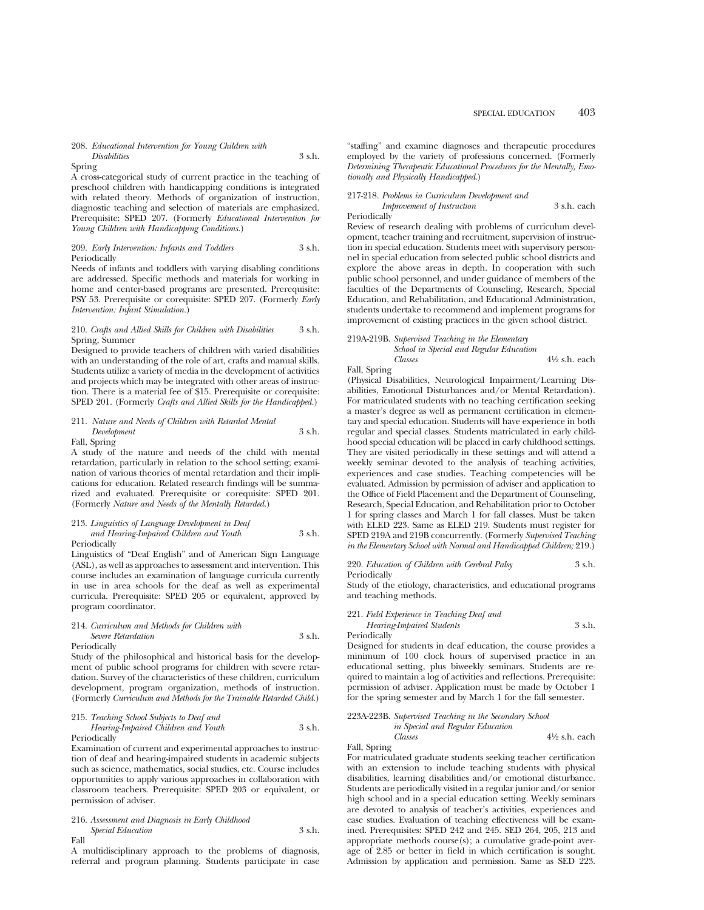#### 208. *Educational Intervention for Young Children with Disabilities* 3 s.h.

#### Spring

A cross-categorical study of current practice in the teaching of preschool children with handicapping conditions is integrated with related theory. Methods of organization of instruction, diagnostic teaching and selection of materials are emphasized. Prerequisite: SPED 207. (Formerly *Educational Intervention for Young Children with Handicapping Conditions.*)

#### 209. *Early Intervention: Infants and Toddlers* 3 s.h. Periodically

Needs of infants and toddlers with varying disabling conditions are addressed. Specific methods and materials for working in home and center-based programs are presented. Prerequisite: PSY 53. Prerequisite or corequisite: SPED 207. (Formerly *Early Intervention: Infant Stimulation.*)

### 210. *Crafts and Allied Skills for Children with Disabilities* 3 s.h. Spring, Summer

Designed to provide teachers of children with varied disabilities with an understanding of the role of art, crafts and manual skills. Students utilize a variety of media in the development of activities and projects which may be integrated with other areas of instruction. There is a material fee of \$15. Prerequisite or corequisite: SPED 201. (Formerly *Crafts and Allied Skills for the Handicapped.*)

### 211. *Nature and Needs of Children with Retarded Mental Development* 3 s.h.

Fall, Spring

A study of the nature and needs of the child with mental retardation, particularly in relation to the school setting; examination of various theories of mental retardation and their implications for education. Related research findings will be summarized and evaluated. Prerequisite or corequisite: SPED 201. (Formerly *Nature and Needs of the Mentally Retarded.*)

### 213. *Linguistics of Language Development in Deaf*

*and Hearing-Impaired Children and Youth* 3 s.h. Periodically

Linguistics of "Deaf English" and of American Sign Language (ASL), as well as approaches to assessment and intervention. This course includes an examination of language curricula currently in use in area schools for the deaf as well as experimental curricula. Prerequisite: SPED 205 or equivalent, approved by program coordinator.

#### 214. *Curriculum and Methods for Children with*

**Severe Retardation** 3 s.h. Periodically

Study of the philosophical and historical basis for the development of public school programs for children with severe retardation. Survey of the characteristics of these children, curriculum development, program organization, methods of instruction. (Formerly *Curriculum and Methods for the Trainable Retarded Child.*)

#### 215. *Teaching School Subjects to Deaf and*

*Hearing-Impaired Children and Youth* 3 s.h. Periodically

Examination of current and experimental approaches to instruction of deaf and hearing-impaired students in academic subjects such as science, mathematics, social studies, etc. Course includes opportunities to apply various approaches in collaboration with classroom teachers. Prerequisite: SPED 203 or equivalent, or permission of adviser.

#### 216. *Assessment and Diagnosis in Early Childhood Special Education* 3 s.h. Fall

A multidisciplinary approach to the problems of diagnosis, referral and program planning. Students participate in case "staffing" and examine diagnoses and therapeutic procedures employed by the variety of professions concerned. (Formerly *Determining Therapeutic Educational Procedures for the Mentally, Emotionally and Physically Handicapped*.)

### 217-218. *Problems in Curriculum Development and*

*Improvement of Instruction* 3 s.h. each **Periodically** 

Review of research dealing with problems of curriculum development, teacher training and recruitment, supervision of instruction in special education. Students meet with supervisory personnel in special education from selected public school districts and explore the above areas in depth. In cooperation with such public school personnel, and under guidance of members of the faculties of the Departments of Counseling, Research, Special Education, and Rehabilitation, and Educational Administration, students undertake to recommend and implement programs for improvement of existing practices in the given school district.

### 219A-219B. *Supervised Teaching in the Elementary*

*School in Special and Regular Education Classes* 41⁄2 s.h. each Fall, Spring

(Physical Disabilities, Neurological Impairment/Learning Disabilities, Emotional Disturbances and/or Mental Retardation). For matriculated students with no teaching certification seeking a master's degree as well as permanent certification in elementary and special education. Students will have experience in both regular and special classes. Students matriculated in early childhood special education will be placed in early childhood settings. They are visited periodically in these settings and will attend a weekly seminar devoted to the analysis of teaching activities, experiences and case studies. Teaching competencies will be evaluated. Admission by permission of adviser and application to the Office of Field Placement and the Department of Counseling, Research, Special Education, and Rehabilitation prior to October 1 for spring classes and March 1 for fall classes. Must be taken with ELED 223. Same as ELED 219. Students must register for SPED 219A and 219B concurrently. (Formerly *Supervised Teaching in the Elementary School with Normal and Handicapped Children;* 219.)

220. *Education of Children with Cerebral Palsy* 3 s.h.

Periodically

Study of the etiology, characteristics, and educational programs and teaching methods.

221. *Field Experience in Teaching Deaf and Hearing-Impaired Students* 3 s.h.

Periodically

Designed for students in deaf education, the course provides a minimum of 100 clock hours of supervised practice in an educational setting, plus biweekly seminars. Students are required to maintain a log of activities and reflections. Prerequisite: permission of adviser. Application must be made by October 1 for the spring semester and by March 1 for the fall semester.

|       |                                  | 223A-223B. Supervised Teaching in the Secondary School |                          |
|-------|----------------------------------|--------------------------------------------------------|--------------------------|
|       | in Special and Regular Education |                                                        |                          |
|       | Classes                          |                                                        | $4\frac{1}{2}$ s.h. each |
| $-11$ |                                  |                                                        |                          |

Fall, Spring

For matriculated graduate students seeking teacher certification with an extension to include teaching students with physical disabilities, learning disabilities and/or emotional disturbance. Students are periodically visited in a regular junior and/or senior high school and in a special education setting. Weekly seminars are devoted to analysis of teacher's activities, experiences and case studies. Evaluation of teaching effectiveness will be examined. Prerequisites: SPED 242 and 245. SED 264, 205, 213 and appropriate methods course(s); a cumulative grade-point average of 2.85 or better in field in which certification is sought. Admission by application and permission. Same as SED 223.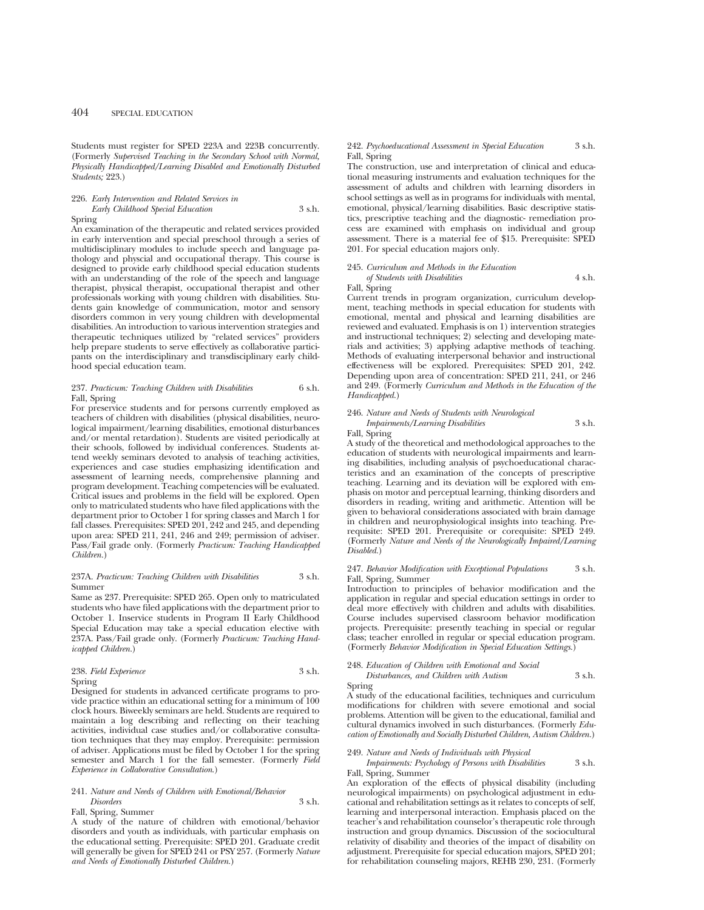Students must register for SPED 223A and 223B concurrently. (Formerly *Supervised Teaching in the Secondary School with Normal, Physically Handicapped/Learning Disabled and Emotionally Disturbed Students;* 223.)

### 226. *Early Intervention and Related Services in Early Childhood Special Education* 3 s.h. Spring

An examination of the therapeutic and related services provided in early intervention and special preschool through a series of multidisciplinary modules to include speech and language pathology and physcial and occupational therapy. This course is designed to provide early childhood special education students with an understanding of the role of the speech and language therapist, physical therapist, occupational therapist and other professionals working with young children with disabilities. Students gain knowledge of communication, motor and sensory disorders common in very young children with developmental disabilities. An introduction to various intervention strategies and therapeutic techniques utilized by "related services" providers help prepare students to serve effectively as collaborative participants on the interdisciplinary and transdisciplinary early childhood special education team.

#### 237. *Practicum: Teaching Children with Disabilities* 6 s.h. Fall, Spring

For preservice students and for persons currently employed as teachers of children with disabilities (physical disabilities, neurological impairment/learning disabilities, emotional disturbances and/or mental retardation). Students are visited periodically at their schools, followed by individual conferences. Students attend weekly seminars devoted to analysis of teaching activities, experiences and case studies emphasizing identification and assessment of learning needs, comprehensive planning and program development. Teaching competencies will be evaluated. Critical issues and problems in the field will be explored. Open only to matriculated students who have filed applications with the department prior to October 1 for spring classes and March 1 for fall classes. Prerequisites: SPED 201, 242 and 245, and depending upon area: SPED 211, 241, 246 and 249; permission of adviser. Pass/Fail grade only. (Formerly *Practicum: Teaching Handicapped Children.*)

#### 237A. *Practicum: Teaching Children with Disabilities* 3 s.h. Summer

Same as 237. Prerequisite: SPED 265. Open only to matriculated students who have filed applications with the department prior to October 1. Inservice students in Program II Early Childhood Special Education may take a special education elective with 237A. Pass/Fail grade only. (Formerly *Practicum: Teaching Handicapped Children.*)

### 238. *Field Experience* 3 s.h. Spring

Designed for students in advanced certificate programs to provide practice within an educational setting for a minimum of 100 clock hours. Biweekly seminars are held. Students are required to maintain a log describing and reflecting on their teaching activities, individual case studies and/or collaborative consultation techniques that they may employ. Prerequisite: permission of adviser. Applications must be filed by October 1 for the spring semester and March 1 for the fall semester. (Formerly *Field Experience in Collaborative Consultation*.)

### 241. *Nature and Needs of Children with Emotional/Behavior Disorders* 3 s.h.

Fall, Spring, Summer

A study of the nature of children with emotional/behavior disorders and youth as individuals, with particular emphasis on the educational setting. Prerequisite: SPED 201. Graduate credit will generally be given for SPED 241 or PSY 257. (Formerly *Nature and Needs of Emotionally Disturbed Children.*)

### 242. *Psychoeducational Assessment in Special Education* 3 s.h. Fall, Spring

The construction, use and interpretation of clinical and educational measuring instruments and evaluation techniques for the assessment of adults and children with learning disorders in school settings as well as in programs for individuals with mental, emotional, physical/learning disabilities. Basic descriptive statistics, prescriptive teaching and the diagnostic- remediation process are examined with emphasis on individual and group assessment. There is a material fee of \$15. Prerequisite: SPED 201. For special education majors only.

### 245. *Curriculum and Methods in the Education of Students with Disabilities* 4 s.h.

### Fall, Spring

Current trends in program organization, curriculum development, teaching methods in special education for students with emotional, mental and physical and learning disabilities are reviewed and evaluated. Emphasis is on 1) intervention strategies and instructional techniques; 2) selecting and developing materials and activities; 3) applying adaptive methods of teaching. Methods of evaluating interpersonal behavior and instructional effectiveness will be explored. Prerequisites: SPED 201, 242. Depending upon area of concentration: SPED 211, 241, or 246 and 249. (Formerly *Curriculum and Methods in the Education of the Handicapped.*)

### 246. *Nature and Needs of Students with Neurological Impairments/Learning Disabilities* 3 s.h.

### Fall, Spring

A study of the theoretical and methodological approaches to the education of students with neurological impairments and learning disabilities, including analysis of psychoeducational characteristics and an examination of the concepts of prescriptive teaching. Learning and its deviation will be explored with emphasis on motor and perceptual learning, thinking disorders and disorders in reading, writing and arithmetic. Attention will be given to behavioral considerations associated with brain damage in children and neurophysiological insights into teaching. Prerequisite: SPED 201. Prerequisite or corequisite: SPED 249. (Formerly *Nature and Needs of the Neurologically Impaired/Learning Disabled.*)

#### 247. *Behavior Modification with Exceptional Populations* 3 s.h. Fall, Spring, Summer

Introduction to principles of behavior modification and the application in regular and special education settings in order to deal more effectively with children and adults with disabilities. Course includes supervised classroom behavior modification projects. Prerequisite: presently teaching in special or regular class; teacher enrolled in regular or special education program. (Formerly *Behavior Modification in Special Education Settings.*)

| 248. Education of Children with Emotional and Social |        |
|------------------------------------------------------|--------|
| Disturbances, and Children with Autism               | 3 s.h. |
| Spring                                               |        |

A study of the educational facilities, techniques and curriculum modifications for children with severe emotional and social problems. Attention will be given to the educational, familial and cultural dynamics involved in such disturbances. (Formerly *Education of Emotionally and Socially Disturbed Children, Autism Children.*)

### 249. *Nature and Needs of Individuals with Physical*

*Impairments: Psychology of Persons with Disabilities* 3 s.h. Fall, Spring, Summer

An exploration of the effects of physical disability (including neurological impairments) on psychological adjustment in educational and rehabilitation settings as it relates to concepts of self, learning and interpersonal interaction. Emphasis placed on the teacher's and rehabilitation counselor's therapeutic role through instruction and group dynamics. Discussion of the sociocultural relativity of disability and theories of the impact of disability on adjustment. Prerequisite for special education majors, SPED 201; for rehabilitation counseling majors, REHB 230, 231. (Formerly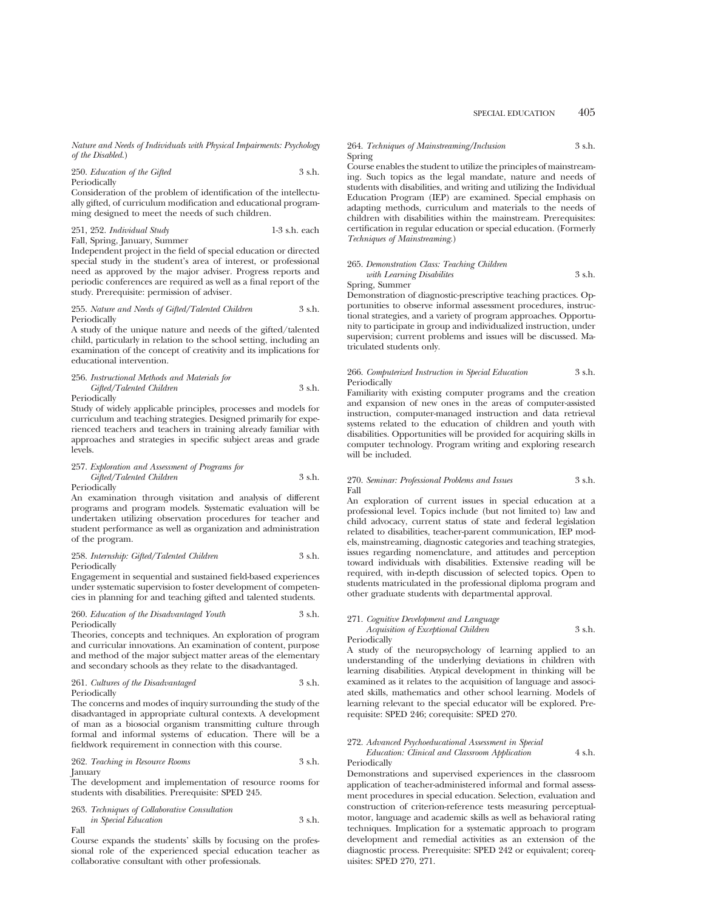*Nature and Needs of Individuals with Physical Impairments: Psychology of the Disabled.*)

### 250. *Education of the Gifted* 3 s.h. Periodically

Consideration of the problem of identification of the intellectually gifted, of curriculum modification and educational programming designed to meet the needs of such children.

251, 252. *Individual Study* 1-3 s.h. each Fall, Spring, January, Summer

Independent project in the field of special education or directed special study in the student's area of interest, or professional need as approved by the major adviser. Progress reports and periodic conferences are required as well as a final report of the study. Prerequisite: permission of adviser.

#### 255. *Nature and Needs of Gifted/Talented Children* 3 s.h. Periodically

A study of the unique nature and needs of the gifted/talented child, particularly in relation to the school setting, including an examination of the concept of creativity and its implications for educational intervention.

#### 256. *Instructional Methods and Materials for Gifted/Talented Children* 3 s.h.

Periodically

Study of widely applicable principles, processes and models for curriculum and teaching strategies. Designed primarily for experienced teachers and teachers in training already familiar with approaches and strategies in specific subject areas and grade levels.

#### 257. *Exploration and Assessment of Programs for Gifted/Talented Children* 3 s.h. Periodically

An examination through visitation and analysis of different programs and program models. Systematic evaluation will be undertaken utilizing observation procedures for teacher and student performance as well as organization and administration of the program.

### 258. *Internship: Gifted/Talented Children* 3 s.h. Periodically

Engagement in sequential and sustained field-based experiences under systematic supervision to foster development of competencies in planning for and teaching gifted and talented students.

#### 260. *Education of the Disadvantaged Youth* 3 s.h. Periodically

Theories, concepts and techniques. An exploration of program and curricular innovations. An examination of content, purpose and method of the major subject matter areas of the elementary and secondary schools as they relate to the disadvantaged.

261. *Cultures of the Disadvantaged* 3 s.h. Periodically

The concerns and modes of inquiry surrounding the study of the disadvantaged in appropriate cultural contexts. A development of man as a biosocial organism transmitting culture through formal and informal systems of education. There will be a fieldwork requirement in connection with this course.

262. *Teaching in Resource Rooms* 3 s.h. January

The development and implementation of resource rooms for students with disabilities. Prerequisite: SPED 245.

#### 263. *Techniques of Collaborative Consultation*

*in Special Education* 3 s.h. Fall

Course expands the students' skills by focusing on the professional role of the experienced special education teacher as collaborative consultant with other professionals.

### 264. *Techniques of Mainstreaming/Inclusion* 3 s.h. Spring

Course enables the student to utilize the principles of mainstreaming. Such topics as the legal mandate, nature and needs of students with disabilities, and writing and utilizing the Individual Education Program (IEP) are examined. Special emphasis on adapting methods, curriculum and materials to the needs of children with disabilities within the mainstream. Prerequisites: certification in regular education or special education. (Formerly *Techniques of Mainstreaming.*)

### 265. *Demonstration Class: Teaching Children with Learning Disabilites* 3 s.h.

#### Spring, Summer

Demonstration of diagnostic-prescriptive teaching practices. Opportunities to observe informal assessment procedures, instructional strategies, and a variety of program approaches. Opportunity to participate in group and individualized instruction, under supervision; current problems and issues will be discussed. Matriculated students only.

#### 266. *Computerized Instruction in Special Education* 3 s.h. Periodically

Familiarity with existing computer programs and the creation and expansion of new ones in the areas of computer-assisted instruction, computer-managed instruction and data retrieval systems related to the education of children and youth with disabilities. Opportunities will be provided for acquiring skills in computer technology. Program writing and exploring research will be included.

### 270. *Seminar: Professional Problems and Issues* 3 s.h. Fall

An exploration of current issues in special education at a professional level. Topics include (but not limited to) law and child advocacy, current status of state and federal legislation related to disabilities, teacher-parent communication, IEP models, mainstreaming, diagnostic categories and teaching strategies, issues regarding nomenclature, and attitudes and perception toward individuals with disabilities. Extensive reading will be required, with in-depth discussion of selected topics. Open to students matriculated in the professional diploma program and other graduate students with departmental approval.

#### 271. *Cognitive Development and Language*

*Acquisition of Exceptional Children* 3 s.h. Periodically

A study of the neuropsychology of learning applied to an understanding of the underlying deviations in children with learning disabilities. Atypical development in thinking will be examined as it relates to the acquisition of language and associated skills, mathematics and other school learning. Models of learning relevant to the special educator will be explored. Prerequisite: SPED 246; corequisite: SPED 270.

### 272. *Advanced Psychoeducational Assessment in Special*

*Education: Clinical and Classroom Application* 4 s.h. Periodically

Demonstrations and supervised experiences in the classroom application of teacher-administered informal and formal assessment procedures in special education. Selection, evaluation and construction of criterion-reference tests measuring perceptualmotor, language and academic skills as well as behavioral rating techniques. Implication for a systematic approach to program development and remedial activities as an extension of the diagnostic process. Prerequisite: SPED 242 or equivalent; corequisites: SPED 270, 271.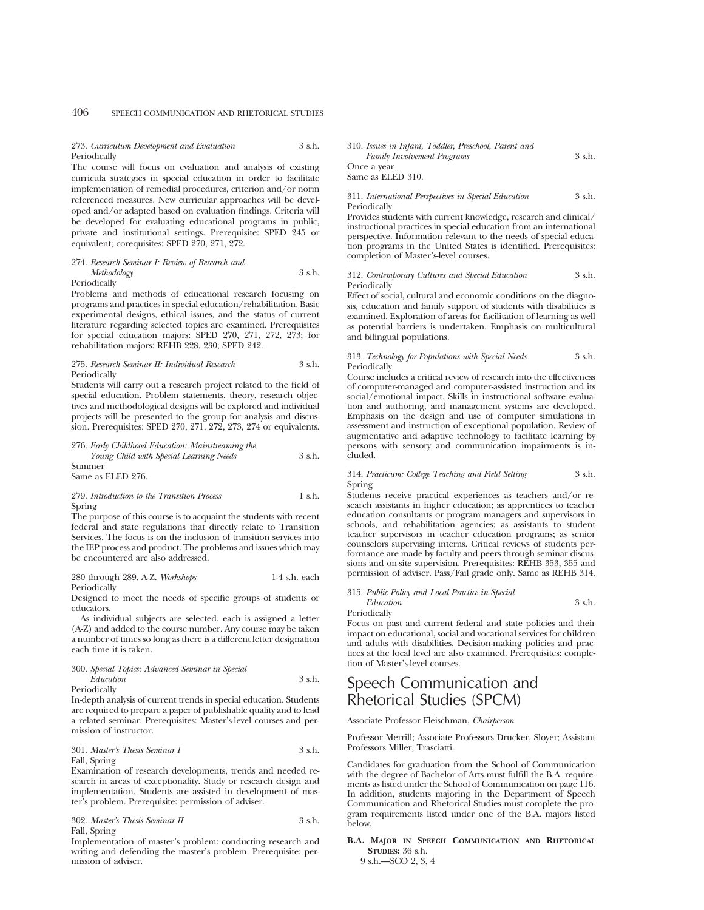### 273. *Curriculum Development and Evaluation* 3 s.h. Periodically

The course will focus on evaluation and analysis of existing curricula strategies in special education in order to facilitate implementation of remedial procedures, criterion and/or norm referenced measures. New curricular approaches will be developed and/or adapted based on evaluation findings. Criteria will be developed for evaluating educational programs in public, private and institutional settings. Prerequisite: SPED 245 or equivalent; corequisites: SPED 270, 271, 272.

#### 274. *Research Seminar I: Review of Research and Methodology* 3 s.h. Periodically

Problems and methods of educational research focusing on programs and practices in special education/rehabilitation. Basic experimental designs, ethical issues, and the status of current literature regarding selected topics are examined. Prerequisites for special education majors: SPED 270, 271, 272, 273; for rehabilitation majors: REHB 228, 230; SPED 242.

#### 275. *Research Seminar II: Individual Research* 3 s.h. Periodically

Students will carry out a research project related to the field of special education. Problem statements, theory, research objectives and methodological designs will be explored and individual projects will be presented to the group for analysis and discussion. Prerequisites: SPED 270, 271, 272, 273, 274 or equivalents.

276. *Early Childhood Education: Mainstreaming the Young Child with Special Learning Needs* 3 s.h. Summer

Same as ELED 276.

### 279. *Introduction to the Transition Process* 1 s.h. Spring

The purpose of this course is to acquaint the students with recent federal and state regulations that directly relate to Transition Services. The focus is on the inclusion of transition services into the IEP process and product. The problems and issues which may be encountered are also addressed.

280 through 289, A-Z. *Workshops* 1-4 s.h. each Periodically

Designed to meet the needs of specific groups of students or educators.

As individual subjects are selected, each is assigned a letter (A-Z) and added to the course number. Any course may be taken a number of times so long as there is a different letter designation each time it is taken.

### 300. *Special Topics: Advanced Seminar in Special Education* 3 s.h.

Periodically

In-depth analysis of current trends in special education. Students are required to prepare a paper of publishable quality and to lead a related seminar. Prerequisites: Master's-level courses and permission of instructor.

301. *Master's Thesis Seminar I* 3 s.h. Fall, Spring

Examination of research developments, trends and needed research in areas of exceptionality. Study or research design and implementation. Students are assisted in development of master's problem. Prerequisite: permission of adviser.

302. *Master's Thesis Seminar II* 3 s.h. Fall, Spring

Implementation of master's problem: conducting research and writing and defending the master's problem. Prerequisite: permission of adviser.

### 310. *Issues in Infant, Toddler, Preschool, Parent and Family Involvement Programs* 3 s.h. Once a year Same as ELED 310.

### 311. *International Perspectives in Special Education* 3 s.h. Periodically

Provides students with current knowledge, research and clinical/ instructional practices in special education from an international perspective. Information relevant to the needs of special education programs in the United States is identified. Prerequisites: completion of Master's-level courses.

#### 312. *Contemporary Cultures and Special Education* 3 s.h. Periodically

Effect of social, cultural and economic conditions on the diagnosis, education and family support of students with disabilities is examined. Exploration of areas for facilitation of learning as well as potential barriers is undertaken. Emphasis on multicultural and bilingual populations.

### 313. *Technology for Populations with Special Needs* 3 s.h. Periodically

Course includes a critical review of research into the effectiveness of computer-managed and computer-assisted instruction and its social/emotional impact. Skills in instructional software evaluation and authoring, and management systems are developed. Emphasis on the design and use of computer simulations in assessment and instruction of exceptional population. Review of augmentative and adaptive technology to facilitate learning by persons with sensory and communication impairments is included.

### 314. *Practicum: College Teaching and Field Setting* 3 s.h. Spring

Students receive practical experiences as teachers and/or research assistants in higher education; as apprentices to teacher education consultants or program managers and supervisors in schools, and rehabilitation agencies; as assistants to student teacher supervisors in teacher education programs; as senior counselors supervising interns. Critical reviews of students performance are made by faculty and peers through seminar discussions and on-site supervision. Prerequisites: REHB 353, 355 and permission of adviser. Pass/Fail grade only. Same as REHB 314.

#### 315. *Public Policy and Local Practice in Special Education* 3 s.h.

Periodically

Focus on past and current federal and state policies and their impact on educational, social and vocational services for children and adults with disabilities. Decision-making policies and practices at the local level are also examined. Prerequisites: completion of Master's-level courses.

## Speech Communication and Rhetorical Studies (SPCM)

Associate Professor Fleischman, *Chairperson*

Professor Merrill; Associate Professors Drucker, Sloyer; Assistant Professors Miller, Trasciatti.

Candidates for graduation from the School of Communication with the degree of Bachelor of Arts must fulfill the B.A. requirements as listed under the School of Communication on page 116. In addition, students majoring in the Department of Speech Communication and Rhetorical Studies must complete the program requirements listed under one of the B.A. majors listed below.

**B.A. MAJOR IN SPEECH COMMUNICATION AND RHETORICAL STUDIES:** 36 s.h. 9 s.h.—SCO 2, 3, 4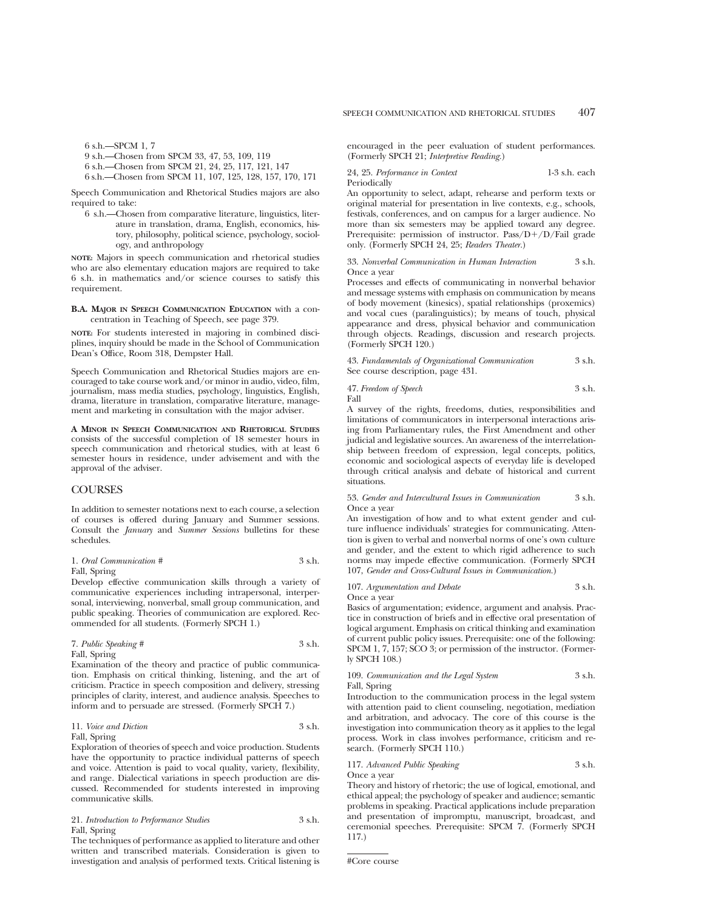6 s.h.—SPCM 1, 7

- 9 s.h.—Chosen from SPCM 33, 47, 53, 109, 119
- 6 s.h.—Chosen from SPCM 21, 24, 25, 117, 121, 147
- 6 s.h.—Chosen from SPCM 11, 107, 125, 128, 157, 170, 171

Speech Communication and Rhetorical Studies majors are also required to take:

6 s.h.—Chosen from comparative literature, linguistics, literature in translation, drama, English, economics, history, philosophy, political science, psychology, sociology, and anthropology

**NOTE:** Majors in speech communication and rhetorical studies who are also elementary education majors are required to take 6 s.h. in mathematics and/or science courses to satisfy this requirement.

### **B.A. MAJOR IN SPEECH COMMUNICATION EDUCATION** with a concentration in Teaching of Speech, see page 379.

**NOTE:** For students interested in majoring in combined disciplines, inquiry should be made in the School of Communication Dean's Office, Room 318, Dempster Hall.

Speech Communication and Rhetorical Studies majors are encouraged to take course work and/or minor in audio, video, film, journalism, mass media studies, psychology, linguistics, English, drama, literature in translation, comparative literature, management and marketing in consultation with the major adviser.

**A MINOR IN SPEECH COMMUNICATION AND RHETORICAL STUDIES** consists of the successful completion of 18 semester hours in speech communication and rhetorical studies, with at least 6 semester hours in residence, under advisement and with the approval of the adviser.

### COURSES

In addition to semester notations next to each course, a selection of courses is offered during January and Summer sessions. Consult the *January* and *Summer Sessions* bulletins for these schedules.

#### 1. *Oral Communication #* 3 s.h. Fall, Spring

Develop effective communication skills through a variety of communicative experiences including intrapersonal, interpersonal, interviewing, nonverbal, small group communication, and public speaking. Theories of communication are explored. Recommended for all students. (Formerly SPCH 1.)

7. *Public Speaking #* 3 s.h. Fall, Spring

Examination of the theory and practice of public communication. Emphasis on critical thinking, listening, and the art of criticism. Practice in speech composition and delivery, stressing principles of clarity, interest, and audience analysis. Speeches to inform and to persuade are stressed. (Formerly SPCH 7.)

### 11. *Voice and Diction* 3 s.h. Fall, Spring

Exploration of theories of speech and voice production. Students have the opportunity to practice individual patterns of speech and voice. Attention is paid to vocal quality, variety, flexibility, and range. Dialectical variations in speech production are discussed. Recommended for students interested in improving communicative skills.

21. *Introduction to Performance Studies* 3 s.h. Fall, Spring

The techniques of performance as applied to literature and other written and transcribed materials. Consideration is given to investigation and analysis of performed texts. Critical listening is encouraged in the peer evaluation of student performances. (Formerly SPCH 21; *Interpretive Reading.*)

24, 25. *Performance in Context* 1-3 s.h. each Periodically

An opportunity to select, adapt, rehearse and perform texts or original material for presentation in live contexts, e.g., schools, festivals, conferences, and on campus for a larger audience. No more than six semesters may be applied toward any degree. Prerequisite: permission of instructor.  $Pass/D+/D/Fall\ grad$ only. (Formerly SPCH 24, 25; *Readers Theater.*)

33. *Nonverbal Communication in Human Interaction* 3 s.h. Once a year

Processes and effects of communicating in nonverbal behavior and message systems with emphasis on communication by means of body movement (kinesics), spatial relationships (proxemics) and vocal cues (paralinguistics); by means of touch, physical appearance and dress, physical behavior and communication through objects. Readings, discussion and research projects. (Formerly SPCH 120.)

43. *Fundamentals of Organizational Communication* 3 s.h. See course description, page 431.

47. *Freedom of Speech* 3 s.h. Fall

A survey of the rights, freedoms, duties, responsibilities and limitations of communicators in interpersonal interactions arising from Parliamentary rules, the First Amendment and other judicial and legislative sources. An awareness of the interrelationship between freedom of expression, legal concepts, politics, economic and sociological aspects of everyday life is developed through critical analysis and debate of historical and current situations.

53. *Gender and Intercultural Issues in Communication* 3 s.h. Once a year

An investigation of how and to what extent gender and culture influence individuals' strategies for communicating. Attention is given to verbal and nonverbal norms of one's own culture and gender, and the extent to which rigid adherence to such norms may impede effective communication. (Formerly SPCH 107, *Gender and Cross-Cultural Issues in Communication.*)

#### 107. *Argumentation and Debate* 3 s.h. Once a year

Basics of argumentation; evidence, argument and analysis. Practice in construction of briefs and in effective oral presentation of logical argument. Emphasis on critical thinking and examination of current public policy issues. Prerequisite: one of the following: SPCM 1, 7, 157; SCO 3; or permission of the instructor. (Formerly SPCH 108.)

109. Communication and the Legal System 3 s.h. Fall, Spring

Introduction to the communication process in the legal system with attention paid to client counseling, negotiation, mediation and arbitration, and advocacy. The core of this course is the investigation into communication theory as it applies to the legal process. Work in class involves performance, criticism and research. (Formerly SPCH 110.)

117. *Advanced Public Speaking* 3 s.h.

Once a year

Theory and history of rhetoric; the use of logical, emotional, and ethical appeal; the psychology of speaker and audience; semantic problems in speaking. Practical applications include preparation and presentation of impromptu, manuscript, broadcast, and ceremonial speeches. Prerequisite: SPCM 7. (Formerly SPCH 117.)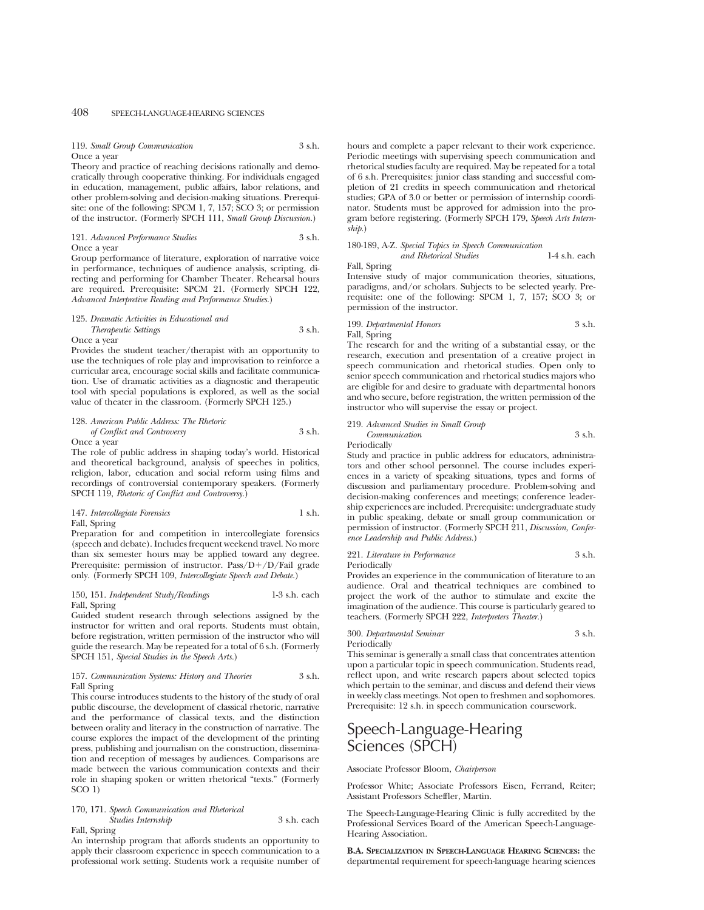119. *Small Group Communication* 3 s.h. Once a year

Theory and practice of reaching decisions rationally and democratically through cooperative thinking. For individuals engaged in education, management, public affairs, labor relations, and other problem-solving and decision-making situations. Prerequisite: one of the following: SPCM 1, 7, 157; SCO 3; or permission of the instructor. (Formerly SPCH 111, *Small Group Discussion.*)

121. *Advanced Performance Studies* 3 s.h. Once a year

Group performance of literature, exploration of narrative voice in performance, techniques of audience analysis, scripting, directing and performing for Chamber Theater. Rehearsal hours are required. Prerequisite: SPCM 21. (Formerly SPCH 122, *Advanced Interpretive Reading and Performance Studies.*)

### 125. *Dramatic Activities in Educational and Therapeutic Settings* 3 s.h. Once a year

Provides the student teacher/therapist with an opportunity to use the techniques of role play and improvisation to reinforce a curricular area, encourage social skills and facilitate communication. Use of dramatic activities as a diagnostic and therapeutic tool with special populations is explored, as well as the social value of theater in the classroom. (Formerly SPCH 125.)

128. *American Public Address: The Rhetoric of Conflict and Controversy* 3 s.h. Once a year

The role of public address in shaping today's world. Historical and theoretical background, analysis of speeches in politics, religion, labor, education and social reform using films and recordings of controversial contemporary speakers. (Formerly SPCH 119, *Rhetoric of Conflict and Controversy.*)

147. *Intercollegiate Forensics* 1 s.h. Fall, Spring

Preparation for and competition in intercollegiate forensics (speech and debate). Includes frequent weekend travel. No more than six semester hours may be applied toward any degree. Prerequisite: permission of instructor. Pass/D+/D/Fail grade only. (Formerly SPCH 109, *Intercollegiate Speech and Debate.*)

### 150, 151. *Independent Study/Readings* 1-3 s.h. each Fall, Spring

Guided student research through selections assigned by the instructor for written and oral reports. Students must obtain, before registration, written permission of the instructor who will guide the research. May be repeated for a total of 6 s.h. (Formerly SPCH 151, *Special Studies in the Speech Arts.*)

#### 157. *Communication Systems: History and Theories* 3 s.h. Fall Spring

This course introduces students to the history of the study of oral public discourse, the development of classical rhetoric, narrative and the performance of classical texts, and the distinction between orality and literacy in the construction of narrative. The course explores the impact of the development of the printing press, publishing and journalism on the construction, dissemination and reception of messages by audiences. Comparisons are made between the various communication contexts and their role in shaping spoken or written rhetorical "texts." (Formerly SCO 1)

#### 170, 171. *Speech Communication and Rhetorical*

*Studies Internship* 3 s.h. each Fall, Spring

An internship program that affords students an opportunity to apply their classroom experience in speech communication to a professional work setting. Students work a requisite number of

hours and complete a paper relevant to their work experience. Periodic meetings with supervising speech communication and rhetorical studies faculty are required. May be repeated for a total of 6 s.h. Prerequisites: junior class standing and successful completion of 21 credits in speech communication and rhetorical studies; GPA of 3.0 or better or permission of internship coordinator. Students must be approved for admission into the program before registering. (Formerly SPCH 179, *Speech Arts Internship.*)

### 180-189, A-Z. *Special Topics in Speech Communication*

*and Rhetorical Studies* 1-4 s.h. each Fall, Spring

Intensive study of major communication theories, situations, paradigms, and/or scholars. Subjects to be selected yearly. Prerequisite: one of the following: SPCM 1, 7, 157; SCO 3; or permission of the instructor.

199. *Departmental Honors* 3 s.h. Fall, Spring

The research for and the writing of a substantial essay, or the research, execution and presentation of a creative project in speech communication and rhetorical studies. Open only to senior speech communication and rhetorical studies majors who are eligible for and desire to graduate with departmental honors and who secure, before registration, the written permission of the instructor who will supervise the essay or project.

### 219. *Advanced Studies in Small Group Communication* 3 s.h.

Periodically

Study and practice in public address for educators, administrators and other school personnel. The course includes experiences in a variety of speaking situations, types and forms of discussion and parliamentary procedure. Problem-solving and decision-making conferences and meetings; conference leadership experiences are included. Prerequisite: undergraduate study in public speaking, debate or small group communication or permission of instructor. (Formerly SPCH 211, *Discussion, Conference Leadership and Public Address.*)

221. *Literature in Performance* 3 s.h. Periodically

Provides an experience in the communication of literature to an audience. Oral and theatrical techniques are combined to project the work of the author to stimulate and excite the imagination of the audience. This course is particularly geared to teachers. (Formerly SPCH 222, *Interpreters Theater.*)

## 300. *Departmental Seminar* 3 s.h.

Periodically

This seminar is generally a small class that concentrates attention upon a particular topic in speech communication. Students read, reflect upon, and write research papers about selected topics which pertain to the seminar, and discuss and defend their views in weekly class meetings. Not open to freshmen and sophomores. Prerequisite: 12 s.h. in speech communication coursework.

## Speech-Language-Hearing Sciences (SPCH)

Associate Professor Bloom, *Chairperson*

Professor White; Associate Professors Eisen, Ferrand, Reiter; Assistant Professors Scheffler, Martin.

The Speech-Language-Hearing Clinic is fully accredited by the Professional Services Board of the American Speech-Language-Hearing Association.

**B.A. SPECIALIZATION IN SPEECH-LANGUAGE HEARING SCIENCES:** the departmental requirement for speech-language hearing sciences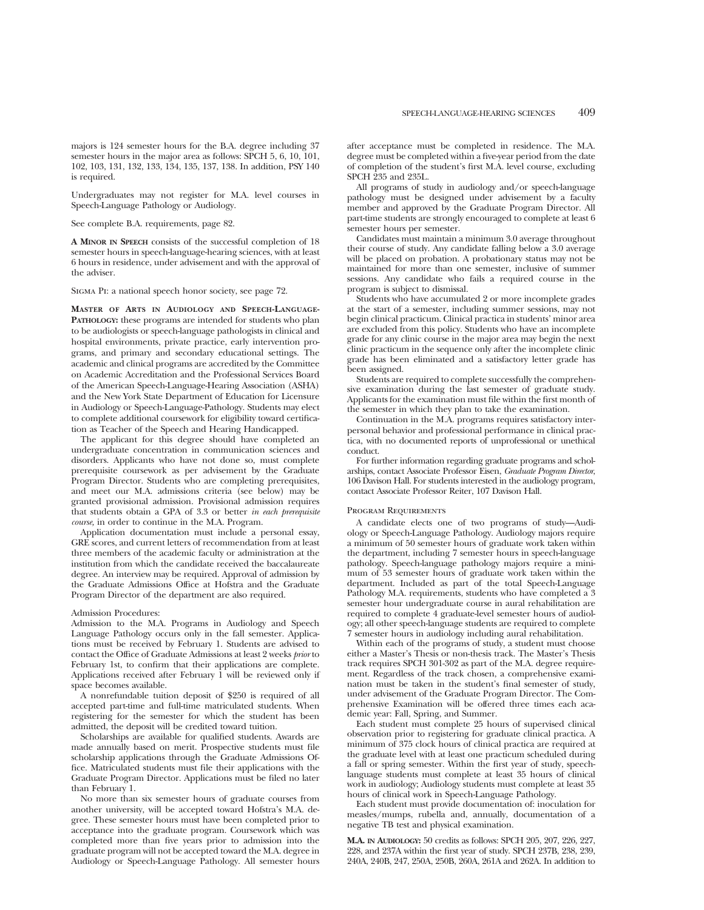majors is 124 semester hours for the B.A. degree including 37 semester hours in the major area as follows:  $\overrightarrow{SPCH}$  5, 6, 10, 101, 102, 103, 131, 132, 133, 134, 135, 137, 138. In addition, PSY 140 is required.

Undergraduates may not register for M.A. level courses in Speech-Language Pathology or Audiology.

See complete B.A. requirements, page 82.

**A MINOR IN SPEECH** consists of the successful completion of 18 semester hours in speech-language-hearing sciences, with at least 6 hours in residence, under advisement and with the approval of the adviser.

Sigma Pi: a national speech honor society, see page 72.

**MASTER OF ARTS IN AUDIOLOGY AND SPEECH-LANGUAGE-PATHOLOGY:** these programs are intended for students who plan to be audiologists or speech-language pathologists in clinical and hospital environments, private practice, early intervention programs, and primary and secondary educational settings. The academic and clinical programs are accredited by the Committee on Academic Accreditation and the Professional Services Board of the American Speech-Language-Hearing Association (ASHA) and the New York State Department of Education for Licensure in Audiology or Speech-Language-Pathology. Students may elect to complete additional coursework for eligibility toward certification as Teacher of the Speech and Hearing Handicapped.

The applicant for this degree should have completed an undergraduate concentration in communication sciences and disorders. Applicants who have not done so, must complete prerequisite coursework as per advisement by the Graduate Program Director. Students who are completing prerequisites, and meet our M.A. admissions criteria (see below) may be granted provisional admission. Provisional admission requires that students obtain a GPA of 3.3 or better *in each prerequisite course,* in order to continue in the M.A. Program.

Application documentation must include a personal essay, GRE scores, and current letters of recommendation from at least three members of the academic faculty or administration at the institution from which the candidate received the baccalaureate degree. An interview may be required. Approval of admission by the Graduate Admissions Office at Hofstra and the Graduate Program Director of the department are also required.

#### Admission Procedures:

Admission to the M.A. Programs in Audiology and Speech Language Pathology occurs only in the fall semester. Applications must be received by February 1. Students are advised to contact the Office of Graduate Admissions at least 2 weeks *prior* to February 1st, to confirm that their applications are complete. Applications received after February 1 will be reviewed only if space becomes available.

A nonrefundable tuition deposit of \$250 is required of all accepted part-time and full-time matriculated students. When registering for the semester for which the student has been admitted, the deposit will be credited toward tuition.

Scholarships are available for qualified students. Awards are made annually based on merit. Prospective students must file scholarship applications through the Graduate Admissions Office. Matriculated students must file their applications with the Graduate Program Director. Applications must be filed no later than February 1.

No more than six semester hours of graduate courses from another university, will be accepted toward Hofstra's M.A. degree. These semester hours must have been completed prior to acceptance into the graduate program. Coursework which was completed more than five years prior to admission into the graduate program will not be accepted toward the M.A. degree in Audiology or Speech-Language Pathology. All semester hours

after acceptance must be completed in residence. The M.A. degree must be completed within a five-year period from the date of completion of the student's first M.A. level course, excluding SPCH 235 and 235L.

All programs of study in audiology and/or speech-language pathology must be designed under advisement by a faculty member and approved by the Graduate Program Director. All part-time students are strongly encouraged to complete at least 6 semester hours per semester.

Candidates must maintain a minimum 3.0 average throughout their course of study. Any candidate falling below a 3.0 average will be placed on probation. A probationary status may not be maintained for more than one semester, inclusive of summer sessions. Any candidate who fails a required course in the program is subject to dismissal.

Students who have accumulated 2 or more incomplete grades at the start of a semester, including summer sessions, may not begin clinical practicum. Clinical practica in students' minor area are excluded from this policy. Students who have an incomplete grade for any clinic course in the major area may begin the next clinic practicum in the sequence only after the incomplete clinic grade has been eliminated and a satisfactory letter grade has been assigned.

Students are required to complete successfully the comprehensive examination during the last semester of graduate study. Applicants for the examination must file within the first month of the semester in which they plan to take the examination.

Continuation in the M.A. programs requires satisfactory interpersonal behavior and professional performance in clinical practica, with no documented reports of unprofessional or unethical conduct.

For further information regarding graduate programs and scholarships, contact Associate Professor Eisen, *Graduate Program Director*, 106 Davison Hall. For students interested in the audiology program, contact Associate Professor Reiter, 107 Davison Hall.

#### Program Requirements

A candidate elects one of two programs of study—Audiology or Speech-Language Pathology. Audiology majors require a minimum of 50 semester hours of graduate work taken within the department, including 7 semester hours in speech-language pathology. Speech-language pathology majors require a minimum of 53 semester hours of graduate work taken within the department. Included as part of the total Speech-Language Pathology M.A. requirements, students who have completed a 3 semester hour undergraduate course in aural rehabilitation are required to complete 4 graduate-level semester hours of audiology; all other speech-language students are required to complete 7 semester hours in audiology including aural rehabilitation.

Within each of the programs of study, a student must choose either a Master's Thesis or non-thesis track. The Master's Thesis track requires SPCH 301-302 as part of the M.A. degree requirement. Regardless of the track chosen, a comprehensive examination must be taken in the student's final semester of study, under advisement of the Graduate Program Director. The Comprehensive Examination will be offered three times each academic year: Fall, Spring, and Summer.

Each student must complete 25 hours of supervised clinical observation prior to registering for graduate clinical practica. A minimum of 375 clock hours of clinical practica are required at the graduate level with at least one practicum scheduled during a fall or spring semester. Within the first year of study, speechlanguage students must complete at least 35 hours of clinical work in audiology; Audiology students must complete at least 35 hours of clinical work in Speech-Language Pathology.

Each student must provide documentation of: inoculation for measles/mumps, rubella and, annually, documentation of a negative TB test and physical examination.

**M.A. IN AUDIOLOGY:** 50 credits as follows: SPCH 205, 207, 226, 227, 228, and 237A within the first year of study. SPCH 237B, 238, 239, 240A, 240B, 247, 250A, 250B, 260A, 261A and 262A. In addition to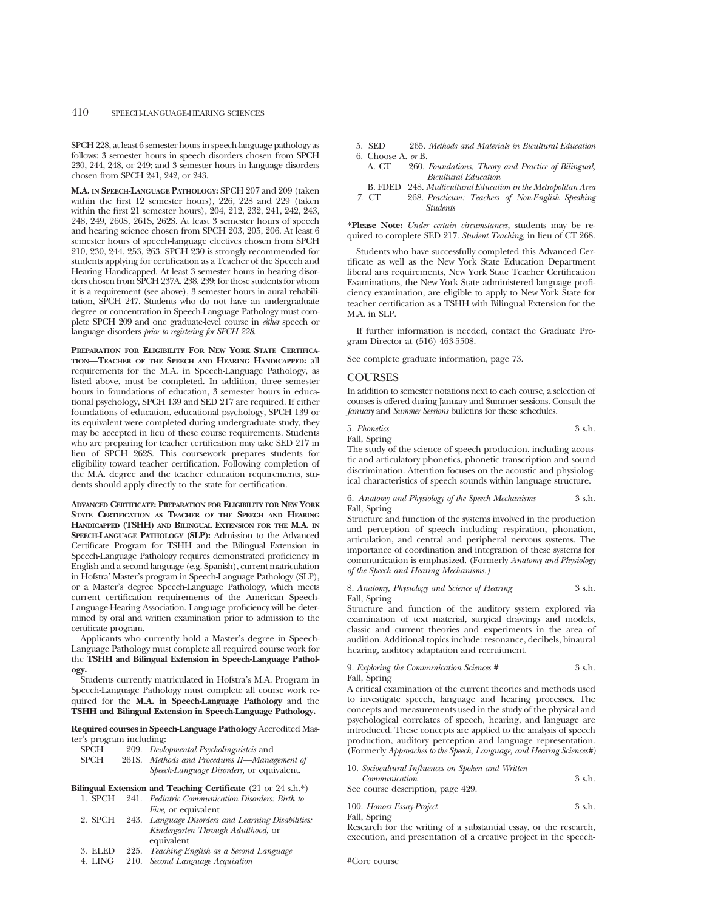SPCH 228, at least 6 semester hours in speech-language pathology as follows: 3 semester hours in speech disorders chosen from SPCH 230, 244, 248, or 249; and 3 semester hours in language disorders chosen from SPCH 241, 242, or 243.

**M.A. IN SPEECH-LANGUAGE PATHOLOGY:** SPCH 207 and 209 (taken within the first 12 semester hours), 226, 228 and 229 (taken within the first 21 semester hours), 204, 212, 232, 241, 242, 243, 248, 249, 260S, 261S, 262S. At least 3 semester hours of speech and hearing science chosen from SPCH 203, 205, 206. At least 6 semester hours of speech-language electives chosen from SPCH 210, 230, 244, 253, 263. SPCH 230 is strongly recommended for students applying for certification as a Teacher of the Speech and Hearing Handicapped. At least 3 semester hours in hearing disorders chosen from SPCH 237A, 238, 239; for those students for whom it is a requirement (see above), 3 semester hours in aural rehabilitation, SPCH 247. Students who do not have an undergraduate degree or concentration in Speech-Language Pathology must complete SPCH 209 and one graduate-level course in *either* speech or language disorders *prior to registering for SPCH 228*.

**PREPARATION FOR ELIGIBILITY FOR NEW YORK STATE CERTIFICA-TION—TEACHER OF THE SPEECH AND HEARING HANDICAPPED:** all requirements for the M.A. in Speech-Language Pathology, as listed above, must be completed. In addition, three semester hours in foundations of education, 3 semester hours in educational psychology, SPCH 139 and SED 217 are required. If either foundations of education, educational psychology, SPCH 139 or its equivalent were completed during undergraduate study, they may be accepted in lieu of these course requirements. Students who are preparing for teacher certification may take SED 217 in lieu of SPCH 262S. This coursework prepares students for eligibility toward teacher certification. Following completion of the M.A. degree and the teacher education requirements, students should apply directly to the state for certification.

**ADVANCED CERTIFICATE: PREPARATION FOR ELIGIBILITY FOR NEW YORK STATE CERTIFICATION AS TEACHER OF THE SPEECH AND HEARING HANDICAPPED (TSHH) AND BILINGUAL EXTENSION FOR THE M.A. IN SPEECH-LANGUAGE PATHOLOGY (SLP):** Admission to the Advanced Certificate Program for TSHH and the Bilingual Extension in Speech-Language Pathology requires demonstrated proficiency in English and a second language (e.g. Spanish), current matriculation in Hofstra' Master's program in Speech-Language Pathology (SLP), or a Master's degree Speech-Language Pathology, which meets current certification requirements of the American Speech-Language-Hearing Association. Language proficiency will be determined by oral and written examination prior to admission to the certificate program.

Applicants who currently hold a Master's degree in Speech-Language Pathology must complete all required course work for the **TSHH and Bilingual Extension in Speech-Language Pathology.**

Students currently matriculated in Hofstra's M.A. Program in Speech-Language Pathology must complete all course work required for the **M.A. in Speech-Language Pathology** and the **TSHH and Bilingual Extension in Speech-Language Pathology.**

**Required courses in Speech-Language Pathology** Accredited Master's program including:

| <b>SPCH</b> |      | 209. Devlopmental Psycholinguistics and                                            |
|-------------|------|------------------------------------------------------------------------------------|
| CDCTT       | 0c1c | $M_{\nu}L_{\nu}L_{\nu}$ and $D_{\nu}L_{\nu}L_{\nu}L_{\nu}$<br>$M$ and a management |

| SPCH | 261S. Methods and Procedures II—Management of |
|------|-----------------------------------------------|
|      | Speech-Language Disorders, or equivalent.     |

**Bilingual Extension and Teaching Certificate** (21 or 24 s.h.\*)

| 1. SPCH | 241. Pediatric Communication Disorders: Birth to           |
|---------|------------------------------------------------------------|
|         | <i>Five</i> , or equivalent                                |
|         | 2. SPCH 243. Language Disorders and Learning Disabilities: |

- *Kindergarten Through Adulthood,* or equivalent 3. ELED 225. *Teaching English as a Second Language*
- 
- 4. LING 210. *Second Language Acquisition*
- 5. SED 265. *Methods and Materials in Bicultural Education* 6. Choose A. *or* B.
	- A. CT 260. *Foundations, Theory and Practice of Bilingual, Bicultural Education*
- B. FDED 248. *Multicultural Education in the Metropolitan Area 7.* CT 268. *Practicum: Teachers of Non-English Speaking Students*

**\*Please Note:** *Under certain circumstances,* students may be required to complete SED 217. *Student Teaching,* in lieu of CT 268.

Students who have successfully completed this Advanced Certificate as well as the New York State Education Department liberal arts requirements, New York State Teacher Certification Examinations, the New York State administered language proficiency examination, are eligible to apply to New York State for teacher certification as a TSHH with Bilingual Extension for the M.A. in SLP.

If further information is needed, contact the Graduate Program Director at (516) 463-5508.

See complete graduate information, page 73.

### **COURSES**

In addition to semester notations next to each course, a selection of courses is offered during January and Summer sessions. Consult the *January* and *Summer Sessions* bulletins for these schedules.

5. *Phonetics* 3 s.h. Fall, Spring

The study of the science of speech production, including acoustic and articulatory phonetics, phonetic transcription and sound discrimination. Attention focuses on the acoustic and physiological characteristics of speech sounds within language structure.

6. *Anatomy and Physiology of the Speech Mechanisms* 3 s.h. Fall, Spring

Structure and function of the systems involved in the production and perception of speech including respiration, phonation, articulation, and central and peripheral nervous systems. The importance of coordination and integration of these systems for communication is emphasized. (Formerly *Anatomy and Physiology of the Speech and Hearing Mechanisms.)*

8. *Anatomy, Physiology and Science of Hearing* 3 s.h. Fall, Spring

Structure and function of the auditory system explored via examination of text material, surgical drawings and models, classic and current theories and experiments in the area of audition. Additional topics include: resonance, decibels, binaural hearing, auditory adaptation and recruitment.

9. *Exploring the Communication Sciences #* 3 s.h. Fall, Spring

A critical examination of the current theories and methods used to investigate speech, language and hearing processes. The concepts and measurements used in the study of the physical and psychological correlates of speech, hearing, and language are introduced. These concepts are applied to the analysis of speech production, auditory perception and language representation. (Formerly *Approaches to the Speech, Language, and Hearing Sciences#)*

| 10. Sociocultural Influences on Spoken and Written |          |
|----------------------------------------------------|----------|
| Communication                                      | $3$ s.h. |
| See course description, page 429.                  |          |

| 100. Honors Essay-Project | 3 s.h. |
|---------------------------|--------|
| Fall, Spring              |        |

Research for the writing of a substantial essay, or the research, execution, and presentation of a creative project in the speech-

<sup>#</sup>Core course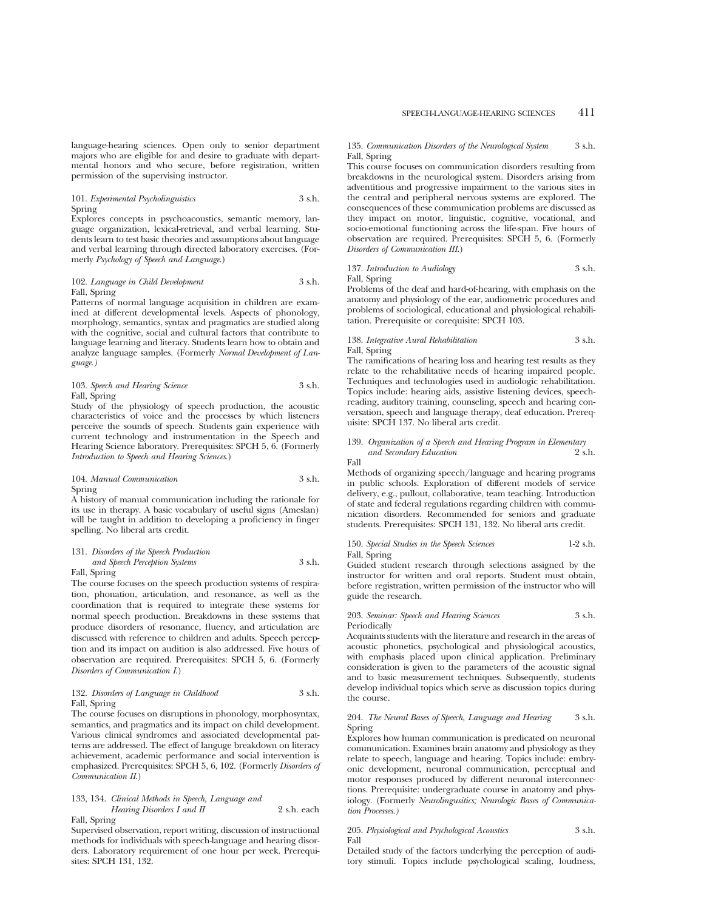101. *Experimental Psycholinguistics* 3 s.h. Spring

Explores concepts in psychoacoustics, semantic memory, language organization, lexical-retrieval, and verbal learning. Students learn to test basic theories and assumptions about language and verbal learning through directed laboratory exercises. (Formerly *Psychology of Speech and Language*.)

### 102. *Language in Child Development* 3 s.h. Fall, Spring

Patterns of normal language acquisition in children are examined at different developmental levels. Aspects of phonology, morphology, semantics, syntax and pragmatics are studied along with the cognitive, social and cultural factors that contribute to language learning and literacy. Students learn how to obtain and analyze language samples. (Formerly *Normal Development of Language.)*

103. *Speech and Hearing Science* 3 s.h. Fall, Spring

Study of the physiology of speech production, the acoustic characteristics of voice and the processes by which listeners perceive the sounds of speech. Students gain experience with current technology and instrumentation in the Speech and Hearing Science laboratory. Prerequisites: SPCH 5, 6. (Formerly *Introduction to Speech and Hearing Sciences*.)

### 104. *Manual Communication* 3 s.h. Spring

A history of manual communication including the rationale for its use in therapy. A basic vocabulary of useful signs (Ameslan) will be taught in addition to developing a proficiency in finger spelling. No liberal arts credit.

### 131. *Disorders of the Speech Production and Speech Perception Systems* 3 s.h.

Fall, Spring

The course focuses on the speech production systems of respiration, phonation, articulation, and resonance, as well as the coordination that is required to integrate these systems for normal speech production. Breakdowns in these systems that produce disorders of resonance, fluency, and articulation are discussed with reference to children and adults. Speech perception and its impact on audition is also addressed. Five hours of observation are required. Prerequisites: SPCH 5, 6. (Formerly *Disorders of Communication I*.)

### 132. *Disorders of Language in Childhood* 3 s.h. Fall, Spring

The course focuses on disruptions in phonology, morphosyntax, semantics, and pragmatics and its impact on child development. Various clinical syndromes and associated developmental patterns are addressed. The effect of languge breakdown on literacy achievement, academic performance and social intervention is emphasized. Prerequisites: SPCH 5, 6, 102. (Formerly *Disorders of Communication II*.)

### 133, 134. *Clinical Methods in Speech, Language and Hearing Disorders I and II* 2 s.h. each Fall, Spring

Supervised observation, report writing, discussion of instructional methods for individuals with speech-language and hearing disorders. Laboratory requirement of one hour per week. Prerequisites: SPCH 131, 132.

### 135. *Communication Disorders of the Neurological System* 3 s.h. Fall, Spring

This course focuses on communication disorders resulting from breakdowns in the neurological system. Disorders arising from adventitious and progressive impairment to the various sites in the central and peripheral nervous systems are explored. The consequences of these communication problems are discussed as they impact on motor, linguistic, cognitive, vocational, and socio-emotional functioning across the life-span. Five hours of observation are required. Prerequisites: SPCH 5, 6. (Formerly *Disorders of Communication III*.)

137. *Introduction to Audiology* 3 s.h. Fall, Spring

Problems of the deaf and hard-of-hearing, with emphasis on the anatomy and physiology of the ear, audiometric procedures and problems of sociological, educational and physiological rehabilitation. Prerequisite or corequisite: SPCH 103.

138. *Integrative Aural Rehabilitation* 3 s.h. Fall, Spring

The ramifications of hearing loss and hearing test results as they relate to the rehabilitative needs of hearing impaired people. Techniques and technologies used in audiologic rehabilitation. Topics include: hearing aids, assistive listening devices, speechreading, auditory training, counseling, speech and hearing conversation, speech and language therapy, deaf education. Prerequisite: SPCH 137. No liberal arts credit.

### 139. *Organization of a Speech and Hearing Program in Elementary and Secondary Education* 2 s.h.

Fall Methods of organizing speech/language and hearing programs in public schools. Exploration of different models of service delivery, e.g., pullout, collaborative, team teaching. Introduction of state and federal regulations regarding children with communication disorders. Recommended for seniors and graduate students. Prerequisites: SPCH 131, 132. No liberal arts credit.

#### 150. *Special Studies in the Speech Sciences* 1-2 s.h. Fall, Spring

Guided student research through selections assigned by the instructor for written and oral reports. Student must obtain, before registration, written permission of the instructor who will guide the research.

### 203. *Seminar: Speech and Hearing Sciences* 3 s.h. Periodically

Acquaints students with the literature and research in the areas of acoustic phonetics, psychological and physiological acoustics, with emphasis placed upon clinical application. Preliminary consideration is given to the parameters of the acoustic signal and to basic measurement techniques. Subsequently, students develop individual topics which serve as discussion topics during the course.

#### 204. *The Neural Bases of Speech, Language and Hearing* 3 s.h. Spring

Explores how human communication is predicated on neuronal communication. Examines brain anatomy and physiology as they relate to speech, language and hearing. Topics include: embryonic development, neuronal communication, perceptual and motor responses produced by different neuronal interconnections. Prerequisite: undergraduate course in anatomy and physiology. (Formerly *Neurolingusitics; Neurologic Bases of Communication Processes.)*

### 205. *Physiological and Psychological Acoustics* 3 s.h. Fall

Detailed study of the factors underlying the perception of auditory stimuli. Topics include psychological scaling, loudness,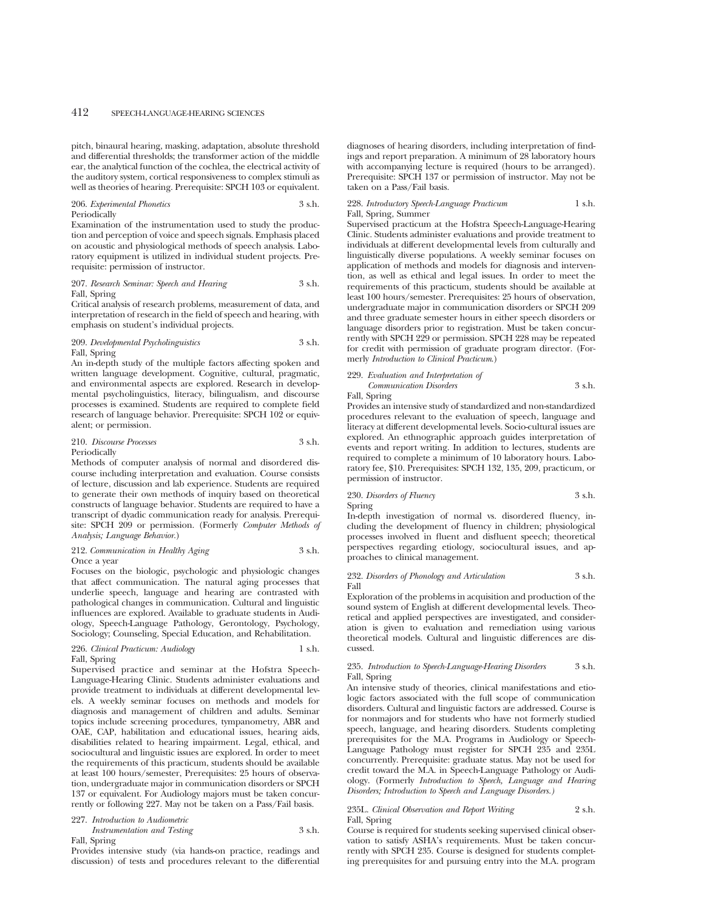pitch, binaural hearing, masking, adaptation, absolute threshold and differential thresholds; the transformer action of the middle ear, the analytical function of the cochlea, the electrical activity of the auditory system, cortical responsiveness to complex stimuli as well as theories of hearing. Prerequisite: SPCH 103 or equivalent.

### 206. *Experimental Phonetics* 3 s.h. Periodically

Examination of the instrumentation used to study the production and perception of voice and speech signals. Emphasis placed on acoustic and physiological methods of speech analysis. Laboratory equipment is utilized in individual student projects. Prerequisite: permission of instructor.

207. *Research Seminar: Speech and Hearing* 3 s.h. Fall, Spring

Critical analysis of research problems, measurement of data, and interpretation of research in the field of speech and hearing, with emphasis on student's individual projects.

#### 209. *Developmental Psycholinguistics* 3 s.h. Fall, Spring

An in-depth study of the multiple factors affecting spoken and written language development. Cognitive, cultural, pragmatic, and environmental aspects are explored. Research in developmental psycholinguistics, literacy, bilingualism, and discourse processes is examined. Students are required to complete field research of language behavior. Prerequisite: SPCH 102 or equivalent; or permission.

#### 210. *Discourse Processes* 3 s.h. Periodically

Methods of computer analysis of normal and disordered discourse including interpretation and evaluation. Course consists of lecture, discussion and lab experience. Students are required to generate their own methods of inquiry based on theoretical constructs of language behavior. Students are required to have a transcript of dyadic communication ready for analysis. Prerequi-

*Analysis; Language Behavior.*)

### 212. *Communication in Healthy Aging* 3 s.h. Once a year

site: SPCH 209 or permission. (Formerly *Computer Methods of*

Focuses on the biologic, psychologic and physiologic changes that affect communication. The natural aging processes that underlie speech, language and hearing are contrasted with pathological changes in communication. Cultural and linguistic influences are explored. Available to graduate students in Audiology, Speech-Language Pathology, Gerontology, Psychology, Sociology; Counseling, Special Education, and Rehabilitation.

### 226. *Clinical Practicum: Audiology* 1 s.h. Fall, Spring

Supervised practice and seminar at the Hofstra Speech-Language-Hearing Clinic. Students administer evaluations and provide treatment to individuals at different developmental levels. A weekly seminar focuses on methods and models for diagnosis and management of children and adults. Seminar topics include screening procedures, tympanometry, ABR and OAE, CAP, habilitation and educational issues, hearing aids, disabilities related to hearing impairment. Legal, ethical, and sociocultural and linguistic issues are explored. In order to meet the requirements of this practicum, students should be available at least 100 hours/semester, Prerequisites: 25 hours of observation, undergraduate major in communication disorders or SPCH 137 or equivalent. For Audiology majors must be taken concurrently or following 227. May not be taken on a Pass/Fail basis.

#### 227. *Introduction to Audiometric Instrumentation and Testing* 3 s.h.

Fall, Spring

Provides intensive study (via hands-on practice, readings and discussion) of tests and procedures relevant to the differential diagnoses of hearing disorders, including interpretation of findings and report preparation. A minimum of 28 laboratory hours with accompanying lecture is required (hours to be arranged). Prerequisite: SPCH 137 or permission of instructor. May not be taken on a Pass/Fail basis.

### 228. *Introductory Speech-Language Practicum* 1 s.h. Fall, Spring, Summer

Supervised practicum at the Hofstra Speech-Language-Hearing Clinic. Students administer evaluations and provide treatment to individuals at different developmental levels from culturally and linguistically diverse populations. A weekly seminar focuses on application of methods and models for diagnosis and intervention, as well as ethical and legal issues. In order to meet the requirements of this practicum, students should be available at least 100 hours/semester. Prerequisites: 25 hours of observation, undergraduate major in communication disorders or SPCH 209 and three graduate semester hours in either speech disorders or language disorders prior to registration. Must be taken concurrently with SPCH 229 or permission. SPCH 228 may be repeated for credit with permission of graduate program director. (Formerly *Introduction to Clinical Practicum*.)

229. *Evaluation and Interpretation of Communication Disorders* 3 s.h.

Fall, Spring

Provides an intensive study of standardized and non-standardized procedures relevant to the evaluation of speech, language and literacy at different developmental levels. Socio-cultural issues are explored. An ethnographic approach guides interpretation of events and report writing. In addition to lectures, students are required to complete a minimum of 10 laboratory hours. Laboratory fee, \$10. Prerequisites: SPCH 132, 135, 209, practicum, or permission of instructor.

### 230. *Disorders of Fluency* 3 s.h. Spring

In-depth investigation of normal vs. disordered fluency, including the development of fluency in children; physiological processes involved in fluent and disfluent speech; theoretical perspectives regarding etiology, sociocultural issues, and approaches to clinical management.

#### 232. *Disorders of Phonology and Articulation* 3 s.h. Fall

Exploration of the problems in acquisition and production of the sound system of English at different developmental levels. Theoretical and applied perspectives are investigated, and consideration is given to evaluation and remediation using various theoretical models. Cultural and linguistic differences are discussed.

### 235. *Introduction to Speech-Language-Hearing Disorders* 3 s.h. Fall, Spring

An intensive study of theories, clinical manifestations and etiologic factors associated with the full scope of communication disorders. Cultural and linguistic factors are addressed. Course is for nonmajors and for students who have not formerly studied speech, language, and hearing disorders. Students completing prerequisites for the M.A. Programs in Audiology or Speech-Language Pathology must register for SPCH 235 and 235L concurrently. Prerequisite: graduate status. May not be used for credit toward the M.A. in Speech-Language Pathology or Audiology. (Formerly *Introduction to Speech, Language and Hearing Disorders; Introduction to Speech and Language Disorders.)*

### 235L. *Clinical Observation and Report Writing* 2 s.h. Fall, Spring

Course is required for students seeking supervised clinical observation to satisfy ASHA's requirements. Must be taken concurrently with SPCH 235. Course is designed for students completing prerequisites for and pursuing entry into the M.A. program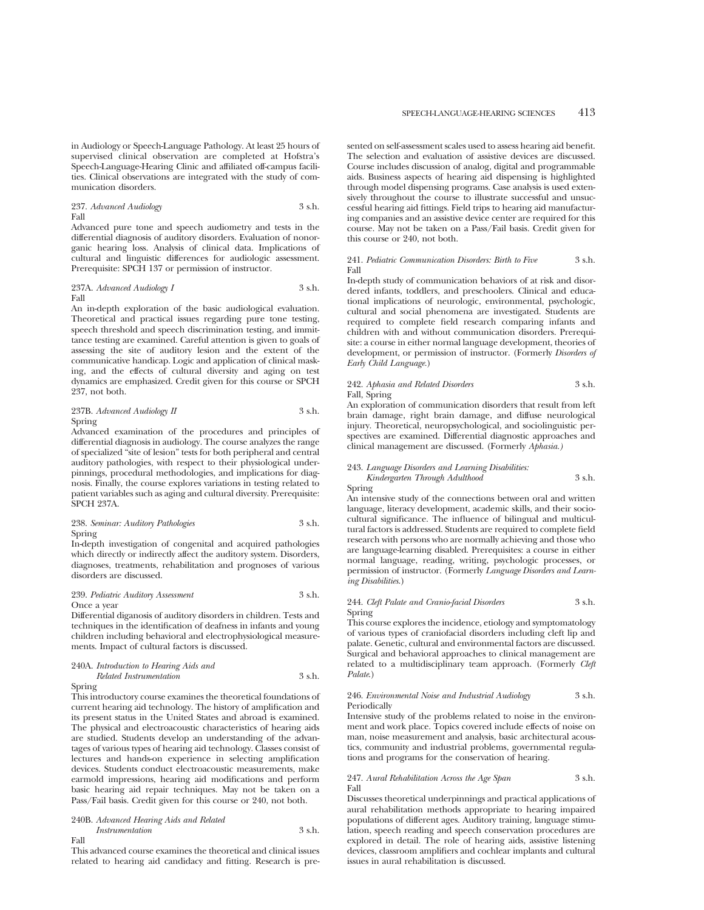in Audiology or Speech-Language Pathology. At least 25 hours of supervised clinical observation are completed at Hofstra's Speech-Language-Hearing Clinic and affiliated off-campus facilities. Clinical observations are integrated with the study of communication disorders.

237. *Advanced Audiology* 3 s.h. Fall

Advanced pure tone and speech audiometry and tests in the differential diagnosis of auditory disorders. Evaluation of nonorganic hearing loss. Analysis of clinical data. Implications of cultural and linguistic differences for audiologic assessment. Prerequisite: SPCH 137 or permission of instructor.

237A. *Advanced Audiology I* 3 s.h. Fall

An in-depth exploration of the basic audiological evaluation. Theoretical and practical issues regarding pure tone testing, speech threshold and speech discrimination testing, and immittance testing are examined. Careful attention is given to goals of assessing the site of auditory lesion and the extent of the communicative handicap. Logic and application of clinical masking, and the effects of cultural diversity and aging on test dynamics are emphasized. Credit given for this course or SPCH 237, not both.

237B. *Advanced Audiology II* 3 s.h. Spring

Advanced examination of the procedures and principles of differential diagnosis in audiology. The course analyzes the range of specialized "site of lesion" tests for both peripheral and central auditory pathologies, with respect to their physiological underpinnings, procedural methodologies, and implications for diagnosis. Finally, the course explores variations in testing related to patient variables such as aging and cultural diversity. Prerequisite: SPCH 237A.

238. *Seminar: Auditory Pathologies* 3 s.h. Spring

In-depth investigation of congenital and acquired pathologies which directly or indirectly affect the auditory system. Disorders, diagnoses, treatments, rehabilitation and prognoses of various disorders are discussed.

239. *Pediatric Auditory Assessment* 3 s.h. Once a year

Differential diganosis of auditory disorders in children. Tests and techniques in the identification of deafness in infants and young children including behavioral and electrophysiological measurements. Impact of cultural factors is discussed.

### 240A. *Introduction to Hearing Aids and*

### *Related Instrumentation* 3 s.h. Spring

This introductory course examines the theoretical foundations of current hearing aid technology. The history of amplification and its present status in the United States and abroad is examined. The physical and electroacoustic characteristics of hearing aids are studied. Students develop an understanding of the advantages of various types of hearing aid technology. Classes consist of lectures and hands-on experience in selecting amplification devices. Students conduct electroacoustic measurements, make earmold impressions, hearing aid modifications and perform basic hearing aid repair techniques. May not be taken on a Pass/Fail basis. Credit given for this course or 240, not both.

240B. *Advanced Hearing Aids and Related Instrumentation* 3 s.h. Fall

This advanced course examines the theoretical and clinical issues related to hearing aid candidacy and fitting. Research is presented on self-assessment scales used to assess hearing aid benefit. The selection and evaluation of assistive devices are discussed. Course includes discussion of analog, digital and programmable aids. Business aspects of hearing aid dispensing is highlighted through model dispensing programs. Case analysis is used extensively throughout the course to illustrate successful and unsuccessful hearing aid fittings. Field trips to hearing aid manufacturing companies and an assistive device center are required for this course. May not be taken on a Pass/Fail basis. Credit given for this course or 240, not both.

### 241. *Pediatric Communication Disorders: Birth to Five* 3 s.h. Fall

In-depth study of communication behaviors of at risk and disordered infants, toddlers, and preschoolers. Clinical and educational implications of neurologic, environmental, psychologic, cultural and social phenomena are investigated. Students are required to complete field research comparing infants and children with and without communication disorders. Prerequisite: a course in either normal language development, theories of development, or permission of instructor. (Formerly *Disorders of Early Child Language.*)

### 242. *Aphasia and Related Disorders* 3 s.h. Fall, Spring

An exploration of communication disorders that result from left brain damage, right brain damage, and diffuse neurological injury. Theoretical, neuropsychological, and sociolinguistic perspectives are examined. Differential diagnostic approaches and clinical management are discussed. (Formerly *Aphasia.)*

243. *Language Disorders and Learning Disabilities: Kindergarten Through Adulthood* 3 s.h.

Spring An intensive study of the connections between oral and written language, literacy development, academic skills, and their sociocultural significance. The influence of bilingual and multicultural factors is addressed. Students are required to complete field research with persons who are normally achieving and those who are language-learning disabled. Prerequisites: a course in either normal language, reading, writing, psychologic processes, or

*ing Disabilities.*)

### 244. *Cleft Palate and Cranio-facial Disorders* 3 s.h. Spring

permission of instructor. (Formerly *Language Disorders and Learn-*

This course explores the incidence, etiology and symptomatology of various types of craniofacial disorders including cleft lip and palate. Genetic, cultural and environmental factors are discussed. Surgical and behavioral approaches to clinical management are related to a multidisciplinary team approach. (Formerly *Cleft Palate*.)

### 246. *Environmental Noise and Industrial Audiology* 3 s.h. Periodically

Intensive study of the problems related to noise in the environment and work place. Topics covered include effects of noise on man, noise measurement and analysis, basic architectural acoustics, community and industrial problems, governmental regulations and programs for the conservation of hearing.

### 247. *Aural Rehabilitation Across the Age Span* 3 s.h. Fall

Discusses theoretical underpinnings and practical applications of aural rehabilitation methods appropriate to hearing impaired populations of different ages. Auditory training, language stimulation, speech reading and speech conservation procedures are explored in detail. The role of hearing aids, assistive listening devices, classroom amplifiers and cochlear implants and cultural issues in aural rehabilitation is discussed.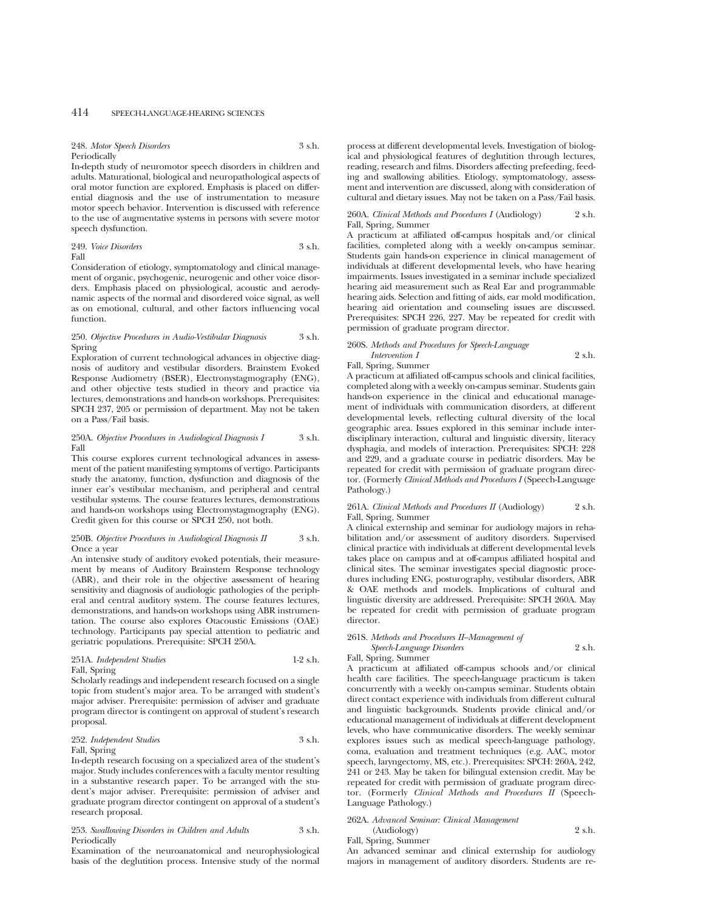248. *Motor Speech Disorders* 3 s.h. Periodically

In-depth study of neuromotor speech disorders in children and adults. Maturational, biological and neuropathological aspects of oral motor function are explored. Emphasis is placed on differential diagnosis and the use of instrumentation to measure motor speech behavior. Intervention is discussed with reference to the use of augmentative systems in persons with severe motor speech dysfunction.

249. *Voice Disorders* 3 s.h. Fall

Consideration of etiology, symptomatology and clinical management of organic, psychogenic, neurogenic and other voice disorders. Emphasis placed on physiological, acoustic and aerodynamic aspects of the normal and disordered voice signal, as well as on emotional, cultural, and other factors influencing vocal function.

### 250. *Objective Procedures in Audio-Vestibular Diagnosis* 3 s.h. Spring

Exploration of current technological advances in objective diagnosis of auditory and vestibular disorders. Brainstem Evoked Response Audiometry (BSER), Electronystagmography (ENG), and other objective tests studied in theory and practice via lectures, demonstrations and hands-on workshops. Prerequisites: SPCH 237, 205 or permission of department. May not be taken on a Pass/Fail basis.

### 250A. *Objective Procedures in Audiological Diagnosis I* 3 s.h. Fall

This course explores current technological advances in assessment of the patient manifesting symptoms of vertigo. Participants study the anatomy, function, dysfunction and diagnosis of the inner ear's vestibular mechanism, and peripheral and central vestibular systems. The course features lectures, demonstrations and hands-on workshops using Electronystagmography (ENG). Credit given for this course or SPCH 250, not both.

#### 250B. *Objective Procedures in Audiological Diagnosis II* 3 s.h. Once a year

An intensive study of auditory evoked potentials, their measurement by means of Auditory Brainstem Response technology (ABR), and their role in the objective assessment of hearing sensitivity and diagnosis of audiologic pathologies of the peripheral and central auditory system. The course features lectures, demonstrations, and hands-on workshops using ABR instrumentation. The course also explores Otacoustic Emissions (OAE) technology. Participants pay special attention to pediatric and geriatric populations. Prerequisite: SPCH 250A.

### 251A. *Independent Studies* 1-2 s.h. Fall, Spring

Scholarly readings and independent research focused on a single topic from student's major area. To be arranged with student's major adviser. Prerequisite: permission of adviser and graduate program director is contingent on approval of student's research proposal.

### 252. *Independent Studies* 3 s.h.

### Fall, Spring

In-depth research focusing on a specialized area of the student's major. Study includes conferences with a faculty mentor resulting in a substantive research paper. To be arranged with the student's major adviser. Prerequisite: permission of adviser and graduate program director contingent on approval of a student's research proposal.

### 253. *Swallowing Disorders in Children and Adults* 3 s.h. Periodically

Examination of the neuroanatomical and neurophysiological basis of the deglutition process. Intensive study of the normal process at different developmental levels. Investigation of biological and physiological features of deglutition through lectures, reading, research and films. Disorders affecting prefeeding, feeding and swallowing abilities. Etiology, symptomatology, assessment and intervention are discussed, along with consideration of cultural and dietary issues. May not be taken on a Pass/Fail basis.

#### 260A. *Clinical Methods and Procedures I* (Audiology) 2 s.h. Fall, Spring, Summer

A practicum at affiliated off-campus hospitals and/or clinical facilities, completed along with a weekly on-campus seminar. Students gain hands-on experience in clinical management of individuals at different developmental levels, who have hearing impairments. Issues investigated in a seminar include specialized hearing aid measurement such as Real Ear and programmable hearing aids. Selection and fitting of aids, ear mold modification, hearing aid orientation and counseling issues are discussed. Prerequisites: SPCH 226, 227. May be repeated for credit with permission of graduate program director.

### 260S. *Methods and Procedures for Speech-Language Intervention I* 2 s.h. Fall, Spring, Summer

A practicum at affiliated off-campus schools and clinical facilities, completed along with a weekly on-campus seminar. Students gain hands-on experience in the clinical and educational management of individuals with communication disorders, at different developmental levels, reflecting cultural diversity of the local geographic area. Issues explored in this seminar include interdisciplinary interaction, cultural and linguistic diversity, literacy dysphagia, and models of interaction. Prerequisites: SPCH: 228 and 229, and a graduate course in pediatric disorders. May be repeated for credit with permission of graduate program director. (Formerly *Clinical Methods and Procedures I* (Speech-Language Pathology.)

261A. *Clinical Methods and Procedures II* (Audiology) 2 s.h. Fall, Spring, Summer

A clinical externship and seminar for audiology majors in rehabilitation and/or assessment of auditory disorders. Supervised clinical practice with individuals at different developmental levels takes place on campus and at off-campus affiliated hospital and clinical sites. The seminar investigates special diagnostic procedures including ENG, posturography, vestibular disorders, ABR & OAE methods and models. Implications of cultural and linguistic diversity are addressed. Prerequisite: SPCH 260A. May be repeated for credit with permission of graduate program director.

### 261S. *Methods and Procedures II–Management of*

*Speech-Language Disorders* 2 s.h.

Fall, Spring, Summer

A practicum at affiliated off-campus schools and/or clinical health care facilities. The speech-language practicum is taken concurrently with a weekly on-campus seminar. Students obtain direct contact experience with individuals from different cultural and linguistic backgrounds. Students provide clinical and/or educational management of individuals at different development levels, who have communicative disorders. The weekly seminar explores issues such as medical speech-language pathology, coma, evaluation and treatment techniques (e.g. AAC, motor speech, laryngectomy, MS, etc.). Prerequisites: SPCH: 260A, 242, 241 or 243. May be taken for bilingual extension credit. May be repeated for credit with permission of graduate program director. (Formerly *Clinical Methods and Procedures II* (Speech-Language Pathology.)

#### 262A. *Advanced Seminar: Clinical Management* (Audiology) 2 s.h.

Fall, Spring, Summer

An advanced seminar and clinical externship for audiology majors in management of auditory disorders. Students are re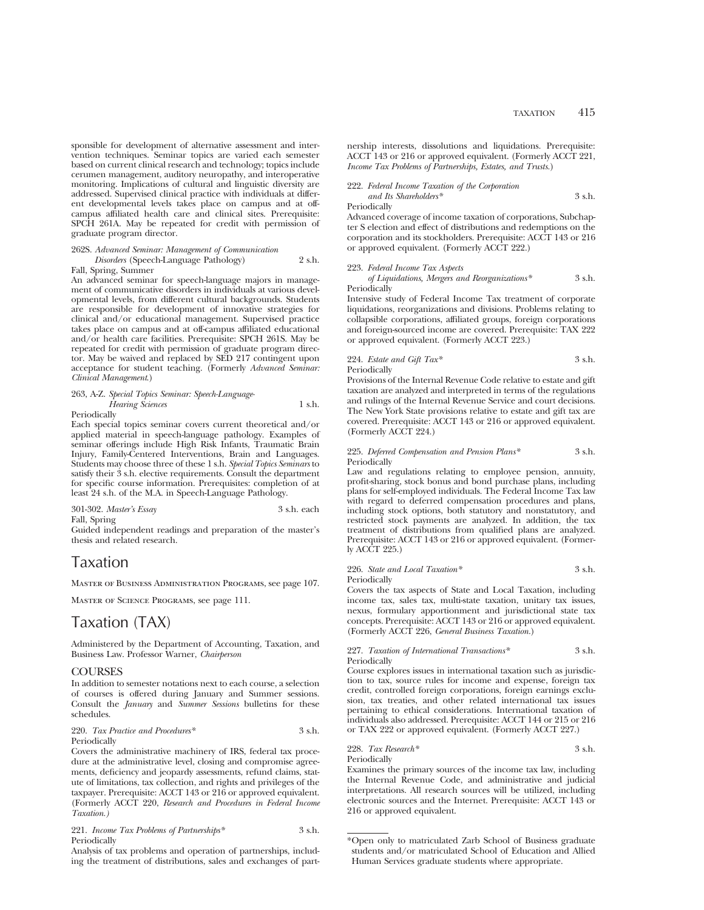sponsible for development of alternative assessment and intervention techniques. Seminar topics are varied each semester based on current clinical research and technology; topics include cerumen management, auditory neuropathy, and interoperative monitoring. Implications of cultural and linguistic diversity are addressed. Supervised clinical practice with individuals at different developmental levels takes place on campus and at offcampus affiliated health care and clinical sites. Prerequisite: SPCH 261A. May be repeated for credit with permission of graduate program director.

### 262S. *Advanced Seminar: Management of Communication Disorders* (Speech-Language Pathology) 2 s.h.

Fall, Spring, Summer

An advanced seminar for speech-language majors in management of communicative disorders in individuals at various developmental levels, from different cultural backgrounds. Students are responsible for development of innovative strategies for clinical and/or educational management. Supervised practice takes place on campus and at off-campus affiliated educational and/or health care facilities. Prerequisite: SPCH 261S. May be repeated for credit with permission of graduate program director. May be waived and replaced by SED 217 contingent upon acceptance for student teaching. (Formerly *Advanced Seminar: Clinical Management*.)

### 263, A-Z. *Special Topics Seminar: Speech-Language-Hearing Sciences* 1 s.h.

Periodically

Each special topics seminar covers current theoretical and/or applied material in speech-language pathology. Examples of seminar offerings include High Risk Infants, Traumatic Brain Injury, Family-Centered Interventions, Brain and Languages. Students may choose three of these 1 s.h. *Special Topics Seminars* to satisfy their 3 s.h. elective requirements. Consult the department for specific course information. Prerequisites: completion of at least 24 s.h. of the M.A. in Speech-Language Pathology.

301-302. *Master's Essay* 3 s.h. each

Fall, Spring

Guided independent readings and preparation of the master's thesis and related research.

## Taxation

Master of Business Administration Programs, see page 107.

Master of Science Programs, see page 111.

## Taxation (TAX)

Administered by the Department of Accounting, Taxation, and Business Law. Professor Warner, *Chairperson*

### COURSES

In addition to semester notations next to each course, a selection of courses is offered during January and Summer sessions. Consult the *January* and *Summer Sessions* bulletins for these schedules.

### 220. *Tax Practice and Procedures\** 3 s.h. Periodically

Covers the administrative machinery of IRS, federal tax procedure at the administrative level, closing and compromise agreements, deficiency and jeopardy assessments, refund claims, statute of limitations, tax collection, and rights and privileges of the taxpayer. Prerequisite: ACCT 143 or 216 or approved equivalent. (Formerly ACCT 220, *Research and Procedures in Federal Income Taxation.)*

|              | 221. Income Tax Problems of Partnerships* | 3 s.h. |
|--------------|-------------------------------------------|--------|
| Periodically |                                           |        |

Analysis of tax problems and operation of partnerships, including the treatment of distributions, sales and exchanges of partnership interests, dissolutions and liquidations. Prerequisite: ACCT 143 or 216 or approved equivalent. (Formerly ACCT 221, *Income Tax Problems of Partnerships, Estates, and Trusts.*)

222. *Federal Income Taxation of the Corporation and Its Shareholders\** 3 s.h.

Periodically

Advanced coverage of income taxation of corporations, Subchapter S election and effect of distributions and redemptions on the corporation and its stockholders. Prerequisite: ACCT 143 or 216 or approved equivalent. (Formerly ACCT 222.)

### 223. *Federal Income Tax Aspects*

*of Liquidations, Mergers and Reorganizations\** 3 s.h. Periodically

Intensive study of Federal Income Tax treatment of corporate liquidations, reorganizations and divisions. Problems relating to collapsible corporations, affiliated groups, foreign corporations and foreign-sourced income are covered. Prerequisite: TAX 222 or approved equivalent. (Formerly ACCT 223.)

224. *Estate and Gift Tax\** 3 s.h. Periodically

Provisions of the Internal Revenue Code relative to estate and gift taxation are analyzed and interpreted in terms of the regulations and rulings of the Internal Revenue Service and court decisions. The New York State provisions relative to estate and gift tax are covered. Prerequisite: ACCT 143 or 216 or approved equivalent. (Formerly ACCT 224.)

#### 225. *Deferred Compensation and Pension Plans\** 3 s.h. **Periodically**

Law and regulations relating to employee pension, annuity, profit-sharing, stock bonus and bond purchase plans, including plans for self-employed individuals. The Federal Income Tax law with regard to deferred compensation procedures and plans, including stock options, both statutory and nonstatutory, and restricted stock payments are analyzed. In addition, the tax treatment of distributions from qualified plans are analyzed. Prerequisite: ACCT 143 or 216 or approved equivalent. (Formerly ACCT 225.)

#### 226. *State and Local Taxation\** 3 s.h. Periodically

Covers the tax aspects of State and Local Taxation, including income tax, sales tax, multi-state taxation, unitary tax issues, nexus, formulary apportionment and jurisdictional state tax concepts. Prerequisite: ACCT 143 or 216 or approved equivalent. (Formerly ACCT 226, *General Business Taxation.*)

#### 227. *Taxation of International Transactions\** 3 s.h. Periodically

Course explores issues in international taxation such as jurisdiction to tax, source rules for income and expense, foreign tax credit, controlled foreign corporations, foreign earnings exclusion, tax treaties, and other related international tax issues pertaining to ethical considerations. International taxation of individuals also addressed. Prerequisite: ACCT 144 or 215 or 216 or TAX 222 or approved equivalent. (Formerly ACCT 227.)

228. *Tax Research\** 3 s.h. Periodically

Examines the primary sources of the income tax law, including the Internal Revenue Code, and administrative and judicial interpretations. All research sources will be utilized, including electronic sources and the Internet. Prerequisite: ACCT 143 or 216 or approved equivalent.

<sup>\*</sup>Open only to matriculated Zarb School of Business graduate students and/or matriculated School of Education and Allied Human Services graduate students where appropriate.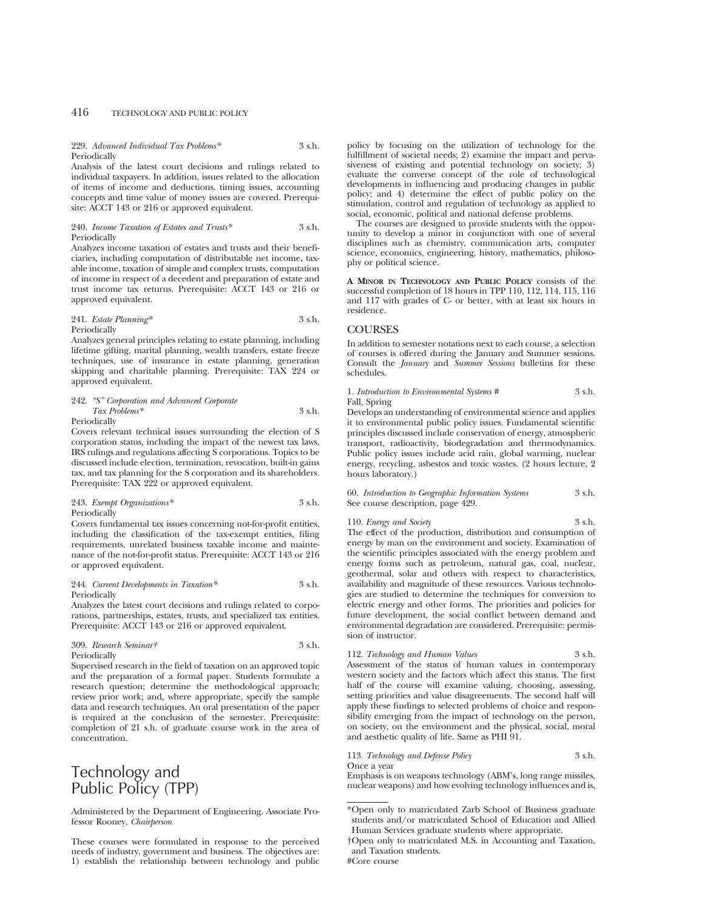229. *Advanced Individual Tax Problems\** 3 s.h. Periodically

Analysis of the latest court decisions and rulings related to individual taxpayers. In addition, issues related to the allocation of items of income and deductions, timing issues, accounting concepts and time value of money issues are covered. Prerequisite: ACCT 143 or 216 or approved equivalent.

#### 240. *Income Taxation of Estates and Trusts\** 3 s.h. Periodically

Analyzes income taxation of estates and trusts and their beneficiaries, including computation of distributable net income, taxable income, taxation of simple and complex trusts, computation of income in respect of a decedent and preparation of estate and trust income tax returns. Prerequisite: ACCT 143 or 216 or approved equivalent.

### 241. *Estate Planning\** 3 s.h. Periodically

Analyzes general principles relating to estate planning, including lifetime gifting, marital planning, wealth transfers, estate freeze techniques, use of insurance in estate planning, generation skipping and charitable planning. Prerequisite: TAX 224 or approved equivalent.

#### 242. *"S" Corporation and Advanced Corporate Tax Problems\** 3 s.h. Periodically

Covers relevant technical issues surrounding the election of S corporation status, including the impact of the newest tax laws, IRS rulings and regulations affecting S corporations. Topics to be discussed include election, termination, revocation, built-in gains tax, and tax planning for the S corporation and its shareholders. Prerequisite: TAX 222 or approved equivalent.

243. *Exempt Organizations\** 3 s.h. Periodically

Covers fundamental tax issues concerning not-for-profit entities, including the classification of the tax-exempt entities, filing requirements, unrelated business taxable income and maintenance of the not-for-profit status. Prerequisite: ACCT 143 or 216 or approved equivalent.

#### 244. *Current Developments in Taxation\** 3 s.h. Periodically

Analyzes the latest court decisions and rulings related to corporations, partnerships, estates, trusts, and specialized tax entities. Prerequisite: ACCT 143 or 216 or approved equivalent.

### 309. *Research Seminar†* 3 s.h. Periodically

Supervised research in the field of taxation on an approved topic and the preparation of a formal paper. Students formulate a research question; determine the methodological approach; review prior work; and, where appropriate, specify the sample data and research techniques. An oral presentation of the paper is required at the conclusion of the semester. Prerequisite: completion of 21 s.h. of graduate course work in the area of concentration.

## Technology and Public Policy (TPP)

Administered by the Department of Engineering. Associate Professor Rooney, *Chairperson*

These courses were formulated in response to the perceived needs of industry, government and business. The objectives are: 1) establish the relationship between technology and public policy by focusing on the utilization of technology for the fulfillment of societal needs; 2) examine the impact and pervasiveness of existing and potential technology on society; 3) evaluate the converse concept of the role of technological developments in influencing and producing changes in public policy; and 4) determine the effect of public policy on the stimulation, control and regulation of technology as applied to social, economic, political and national defense problems.

The courses are designed to provide students with the opportunity to develop a minor in conjunction with one of several disciplines such as chemistry, communication arts, computer science, economics, engineering, history, mathematics, philosophy or political science.

**A MINOR IN TECHNOLOGY AND PUBLIC POLICY** consists of the successful completion of 18 hours in TPP 110, 112, 114, 115, 116 and 117 with grades of C- or better, with at least six hours in residence.

### **COURSES**

In addition to semester notations next to each course, a selection of courses is offered during the January and Summer sessions. Consult the *January* and *Summer Sessions* bulletins for these schedules.

1. *Introduction to Environmental Systems* # 3 s.h. Fall, Spring

Develops an understanding of environmental science and applies it to environmental public policy issues. Fundamental scientific principles discussed include conservation of energy, atmospheric transport, radioactivity, biodegradation and thermodynamics. Public policy issues include acid rain, global warming, nuclear energy, recycling, asbestos and toxic wastes. (2 hours lecture, 2 hours laboratory.)

60. *Introduction to Geographic Information Systems* 3 s.h. See course description, page 429.

110. *Energy and Society* 3 s.h. The effect of the production, distribution and consumption of energy by man on the environment and society. Examination of the scientific principles associated with the energy problem and energy forms such as petroleum, natural gas, coal, nuclear, geothermal, solar and others with respect to characteristics, availability and magnitude of these resources. Various technologies are studied to determine the techniques for conversion to electric energy and other forms. The priorities and policies for future development, the social conflict between demand and environmental degradation are considered. Prerequisite: permission of instructor.

112. *Technology and Human Values* 3 s.h. Assessment of the status of human values in contemporary western society and the factors which affect this status. The first half of the course will examine valuing, choosing, assessing, setting priorities and value disagreements. The second half will apply these findings to selected problems of choice and respon-

113. *Technology and Defense Policy* 3 s.h. Once a year

sibility emerging from the impact of technology on the person, on society, on the environment and the physical, social, moral

and aesthetic quality of life. Same as PHI 91.

Emphasis is on weapons technology (ABM's, long range missiles, nuclear weapons) and how evolving technology influences and is,

<sup>\*</sup>Open only to matriculated Zarb School of Business graduate students and/or matriculated School of Education and Allied Human Services graduate students where appropriate.

<sup>†</sup>Open only to matriculated M.S. in Accounting and Taxation, and Taxation students.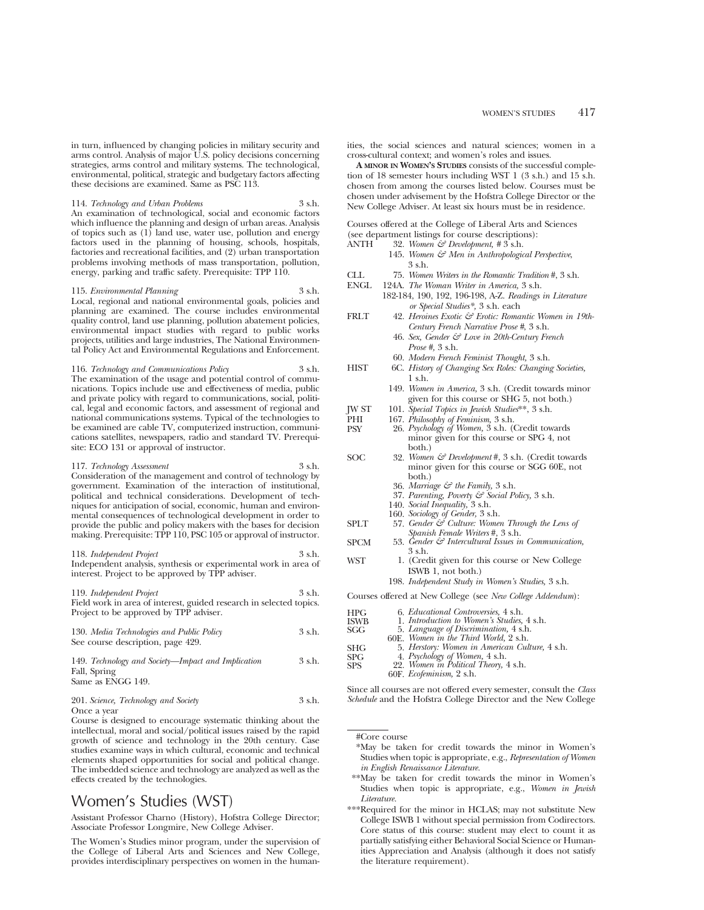in turn, influenced by changing policies in military security and arms control. Analysis of major U.S. policy decisions concerning strategies, arms control and military systems. The technological, environmental, political, strategic and budgetary factors affecting these decisions are examined. Same as PSC 113.

114. *Technology and Urban Problems* 3 s.h. An examination of technological, social and economic factors which influence the planning and design of urban areas. Analysis of topics such as  $(1)$  land use, water use, pollution and energy factors used in the planning of housing, schools, hospitals, factories and recreational facilities, and (2) urban transportation problems involving methods of mass transportation, pollution, energy, parking and traffic safety. Prerequisite: TPP 110.

115. *Environmental Planning* 3 s.h. Local, regional and national environmental goals, policies and planning are examined. The course includes environmental quality control, land use planning, pollution abatement policies, environmental impact studies with regard to public works projects, utilities and large industries, The National Environmental Policy Act and Environmental Regulations and Enforcement.

116. *Technology and Communications Policy* 3 s.h. The examination of the usage and potential control of communications. Topics include use and effectiveness of media, public and private policy with regard to communications, social, political, legal and economic factors, and assessment of regional and national communications systems. Typical of the technologies to be examined are cable TV, computerized instruction, communications satellites, newspapers, radio and standard TV. Prerequisite: ECO 131 or approval of instructor.

117. *Technology Assessment* 3 s.h. Consideration of the management and control of technology by government. Examination of the interaction of institutional, political and technical considerations. Development of techniques for anticipation of social, economic, human and environmental consequences of technological development in order to provide the public and policy makers with the bases for decision making. Prerequisite: TPP 110, PSC 105 or approval of instructor.

118. *Independent Project* 3 s.h. Independent analysis, synthesis or experimental work in area of interest. Project to be approved by TPP adviser.

119. *Independent Project* 3 s.h. Field work in area of interest, guided research in selected topics. Project to be approved by TPP adviser.

| 130. Media Technologies and Public Policy | 3 s.h. |
|-------------------------------------------|--------|
| See course description, page 429.         |        |

149. *Technology and Society—Impact and Implication* 3 s.h. Fall, Spring Same as ENGG 149.

201. *Science, Technology and Society* 3 s.h. Once a year

Course is designed to encourage systematic thinking about the intellectual, moral and social/political issues raised by the rapid growth of science and technology in the 20th century. Case studies examine ways in which cultural, economic and technical elements shaped opportunities for social and political change. The imbedded science and technology are analyzed as well as the effects created by the technologies.

## Women's Studies (WST)

Assistant Professor Charno (History), Hofstra College Director; Associate Professor Longmire, New College Adviser.

The Women's Studies minor program, under the supervision of the College of Liberal Arts and Sciences and New College, provides interdisciplinary perspectives on women in the humanities, the social sciences and natural sciences; women in a cross-cultural context; and women's roles and issues.

**A MINOR IN WOMEN'S STUDIES** consists of the successful completion of 18 semester hours including WST 1 (3 s.h.) and 15 s.h. chosen from among the courses listed below. Courses must be chosen under advisement by the Hofstra College Director or the New College Adviser. At least six hours must be in residence.

Courses offered at the College of Liberal Arts and Sciences (see department listings for course descriptions):<br>ANTH 32. Women  $\mathcal{F}$  Development. #3 s.h.

- ANTH 32. *Women & Development, #* 3 s.h.
	- 145. *Women & Men in Anthropological Perspective*, 3 s.h.
- CLL 75. *Women Writers in the Romantic Tradition* #, 3 s.h.
- ENGL 124A. *The Woman Writer in America,* 3 s.h. 182-184, 190, 192, 196-198, A-Z. *Readings in Literature or Special Studies\*,* 3 s.h. each
- FRLT 42. *Heroines Exotic & Erotic: Romantic Women in 19th-Century French Narrative Prose #*, 3 s.h.
	- 46. *Sex, Gender & Love in 20th-Century French Prose #,* 3 s.h.
	- 60. *Modern French Feminist Thought,* 3 s.h.
- HIST 6C. *History of Changing Sex Roles: Changing Societies,*  $1$  sh.
	- 149. *Women in America,* 3 s.h. (Credit towards minor given for this course or SHG 5, not both.)
- JW ST 101. *Special Topics in Jewish Studies*\*\*, 3 s.h.
- PHI 167. *Philosophy of Feminism*, 3 s.h.<br>PSY 26. *Psychology of Women*, 3 s.h. (
- PSY 26. *Psychology of Women,* 3 s.h. (Credit towards minor given for this course or SPG 4, not both.)
- SOC 32. *Women & Development* #, 3 s.h. (Credit towards minor given for this course or SGG 60E, not both.)
	- 36. *Marriage & the Family,* 3 s.h.
	- 37. *Parenting, Poverty & Social Policy,* 3 s.h.
	- 140. *Social Inequality,* 3 s.h.
	- 160. *Sociology of Gender,* 3 s.h.
- SPLT 57. *Gender & Culture: Women Through the Lens of Spanish Female Writers* #, 3 s.h.
- SPCM 53. *Gender & Intercultural Issues in Communication,* 3 s.h.
- WST 1. (Credit given for this course or New College ISWB 1, not both.)
	- 198. *Independent Study in Women's Studies,* 3 s.h.

Courses offered at New College (see *New College Addendum*):

| HPG         | 6. <i>Educational Controversies</i> , 4 s.h.                            |
|-------------|-------------------------------------------------------------------------|
| <b>ISWB</b> | 1. Introduction to Women's Studies, 4 s.h.                              |
|             |                                                                         |
| SGG         | 5. Language of Discrimination, 4 s.h.                                   |
|             | 60E. Women in the Third World, 2 s.h.                                   |
| <b>SHG</b>  | 5. Herstory: Women in American Culture, 4 s.h.                          |
| <b>SPG</b>  | 4. Psychology of Women, 4 s.h.<br>22. Women in Political Theory, 4 s.h. |
| <b>SPS</b>  |                                                                         |
|             | 60F. Ecofeminism, 2 s.h.                                                |

Since all courses are not offered every semester, consult the *Class Schedule* and the Hofstra College Director and the New College

- \*May be taken for credit towards the minor in Women's Studies when topic is appropriate, e.g., *Representation of Women in English Renaissance Literature.*
- \*\*May be taken for credit towards the minor in Women's Studies when topic is appropriate, e.g., *Women in Jewish Literature.*
- \*\*\*Required for the minor in HCLAS; may not substitute New College ISWB 1 without special permission from Codirectors. Core status of this course: student may elect to count it as partially satisfying either Behavioral Social Science or Humanities Appreciation and Analysis (although it does not satisfy the literature requirement).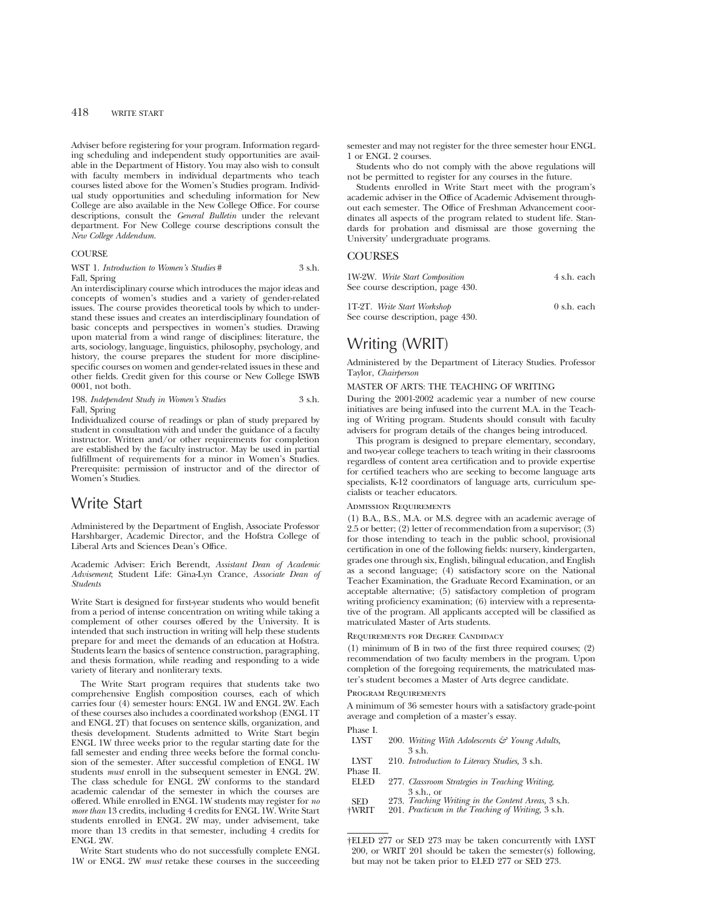Adviser before registering for your program. Information regarding scheduling and independent study opportunities are available in the Department of History. You may also wish to consult with faculty members in individual departments who teach courses listed above for the Women's Studies program. Individual study opportunities and scheduling information for New College are also available in the New College Office. For course descriptions, consult the *General Bulletin* under the relevant department. For New College course descriptions consult the *New College Addendum.*

### **COURSE**

|              | WST 1. Introduction to Women's Studies # | $3$ s.h. |
|--------------|------------------------------------------|----------|
| Fall, Spring |                                          |          |

An interdisciplinary course which introduces the major ideas and concepts of women's studies and a variety of gender-related issues. The course provides theoretical tools by which to understand these issues and creates an interdisciplinary foundation of basic concepts and perspectives in women's studies. Drawing upon material from a wind range of disciplines: literature, the arts, sociology, language, linguistics, philosophy, psychology, and history, the course prepares the student for more disciplinespecific courses on women and gender-related issues in these and other fields. Credit given for this course or New College ISWB 0001, not both.

198. *Independent Study in Women's Studies* 3 s.h. Fall, Spring

Individualized course of readings or plan of study prepared by student in consultation with and under the guidance of a faculty instructor. Written and/or other requirements for completion are established by the faculty instructor. May be used in partial fulfillment of requirements for a minor in Women's Studies. Prerequisite: permission of instructor and of the director of Women's Studies.

## Write Start

Administered by the Department of English, Associate Professor Harshbarger, Academic Director, and the Hofstra College of Liberal Arts and Sciences Dean's Office.

Academic Adviser: Erich Berendt, *Assistant Dean of Academic Advisement*; Student Life: Gina-Lyn Crance, *Associate Dean of Students*

Write Start is designed for first-year students who would benefit from a period of intense concentration on writing while taking a complement of other courses offered by the University. It is intended that such instruction in writing will help these students prepare for and meet the demands of an education at Hofstra. Students learn the basics of sentence construction, paragraphing, and thesis formation, while reading and responding to a wide variety of literary and nonliterary texts.

The Write Start program requires that students take two comprehensive English composition courses, each of which carries four (4) semester hours: ENGL 1W and ENGL 2W. Each of these courses also includes a coordinated workshop (ENGL 1T and ENGL 2T) that focuses on sentence skills, organization, and thesis development. Students admitted to Write Start begin ENGL 1W three weeks prior to the regular starting date for the fall semester and ending three weeks before the formal conclusion of the semester. After successful completion of ENGL 1W students *must* enroll in the subsequent semester in ENGL 2W. The class schedule for ENGL 2W conforms to the standard academic calendar of the semester in which the courses are offered. While enrolled in ENGL 1W students may register for *no more than* 13 credits, including 4 credits for ENGL 1W. Write Start students enrolled in ENGL 2W may, under advisement, take more than 13 credits in that semester, including 4 credits for ENGL 2W.

Write Start students who do not successfully complete ENGL 1W or ENGL 2W *must* retake these courses in the succeeding semester and may not register for the three semester hour ENGL 1 or ENGL 2 courses.

Students who do not comply with the above regulations will not be permitted to register for any courses in the future.

Students enrolled in Write Start meet with the program's academic adviser in the Office of Academic Advisement throughout each semester. The Office of Freshman Advancement coordinates all aspects of the program related to student life. Standards for probation and dismissal are those governing the University' undergraduate programs.

### **COURSES**

| 1W-2W. Write Start Composition<br>See course description, page 430. | 4 s.h. each           |
|---------------------------------------------------------------------|-----------------------|
| 1T-2T. Write Start Workshop<br>See course description, page 430.    | $0 \text{ s.h.}$ each |

## Writing (WRIT)

Administered by the Department of Literacy Studies. Professor Taylor, *Chairperson*

### MASTER OF ARTS: THE TEACHING OF WRITING

During the 2001-2002 academic year a number of new course initiatives are being infused into the current M.A. in the Teaching of Writing program. Students should consult with faculty advisers for program details of the changes being introduced.

This program is designed to prepare elementary, secondary, and two-year college teachers to teach writing in their classrooms regardless of content area certification and to provide expertise for certified teachers who are seeking to become language arts specialists, K-12 coordinators of language arts, curriculum specialists or teacher educators.

### Admission Requirements

(1) B.A., B.S., M.A. or M.S. degree with an academic average of 2.5 or better; (2) letter of recommendation from a supervisor; (3) for those intending to teach in the public school, provisional certification in one of the following fields: nursery, kindergarten, grades one through six, English, bilingual education, and English as a second language; (4) satisfactory score on the National Teacher Examination, the Graduate Record Examination, or an acceptable alternative; (5) satisfactory completion of program writing proficiency examination; (6) interview with a representative of the program. All applicants accepted will be classified as matriculated Master of Arts students.

#### Requirements for Degree Candidacy

(1) minimum of B in two of the first three required courses; (2) recommendation of two faculty members in the program. Upon completion of the foregoing requirements, the matriculated master's student becomes a Master of Arts degree candidate.

#### Program Requirements

A minimum of 36 semester hours with a satisfactory grade-point average and completion of a master's essay.

| Phase I.     |                                                    |
|--------------|----------------------------------------------------|
| <b>LYST</b>  | 200. Writing With Adolescents & Young Adults,      |
|              | 3 s.h.                                             |
| <b>LYST</b>  | 210. Introduction to Literacy Studies, 3 s.h.      |
| Phase II.    |                                                    |
| <b>ELED</b>  | 277. Classroom Strategies in Teaching Writing,     |
|              | $3 \,$ s.h., or                                    |
| <b>SED</b>   | 273. Teaching Writing in the Content Areas, 3 s.h. |
| <b>†WRIT</b> | 201. Practicum in the Teaching of Writing, 3 s.h.  |
|              |                                                    |

†ELED 277 or SED 273 may be taken concurrently with LYST 200, or WRIT 201 should be taken the semester(s) following, but may not be taken prior to ELED 277 or SED 273.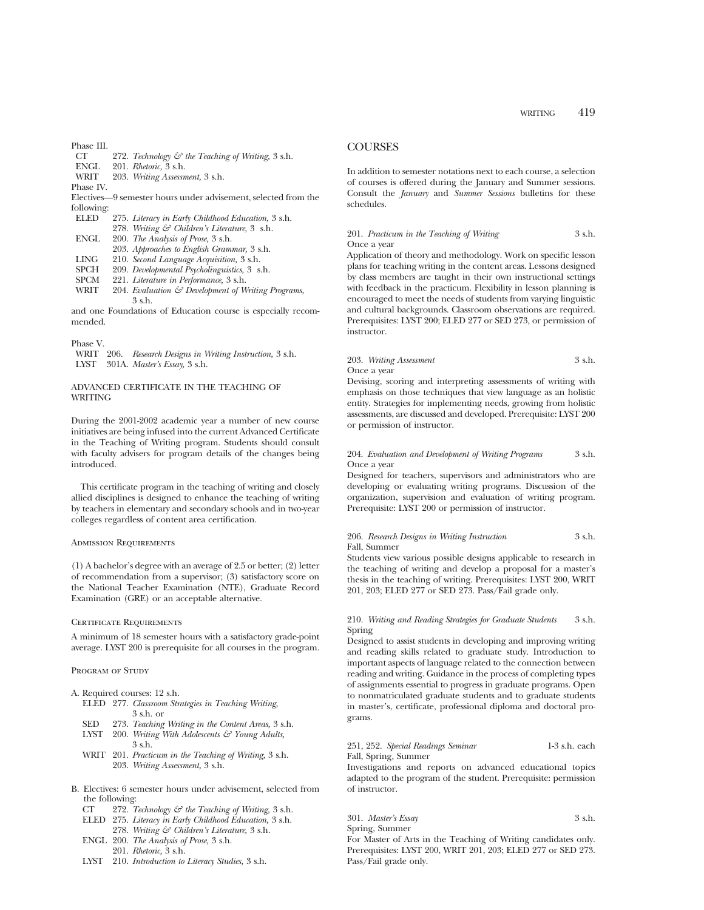### Phase III.

| CT |  | 272. Technology & the Teaching of Writing, 3 s.h. |  |  |  |  |
|----|--|---------------------------------------------------|--|--|--|--|
|----|--|---------------------------------------------------|--|--|--|--|

- ENGL 201. *Rhetoric,* 3 s.h.
- WRIT 203. *Writing Assessment,* 3 s.h.

Phase IV.

Electives—9 semester hours under advisement, selected from the following: ELED 275. *Literacy in Early Childhood Education,* 3 s.h.

| <b>LLLD</b>    | 215. Lueracy in Early Chuanooa Eaucation, 5 s.n.                                 |
|----------------|----------------------------------------------------------------------------------|
|                | 278. Writing & Children's Literature, 3 s.h.                                     |
| ENGL           | 200. The Analysis of Prose, 3 s.h.                                               |
|                | 203. Approaches to English Grammar, 3 s.h.                                       |
| LING-          | 210. Second Language Acquisition, 3 s.h.                                         |
| <b>SPCH</b>    | 209. Developmental Psycholinguistics, 3 s.h.                                     |
| <b>SPCM</b>    | 221. Literature in Performance, 3 s.h.                                           |
| <b>TATD TT</b> | $0.04$ $E_{\odot}$ $1 \ldots t \ldots 52$ $D_{\odot}$ $1 \ldots 1$ $0.01$ $1.01$ |

WRIT 204. *Evaluation & Development of Writing Programs,* 3 s.h.

and one Foundations of Education course is especially recommended.

### Phase V.

WRIT 206. *Research Designs in Writing Instruction,* 3 s.h. LYST 301A. *Master's Essay,* 3 s.h.

### ADVANCED CERTIFICATE IN THE TEACHING OF WRITING

During the 2001-2002 academic year a number of new course initiatives are being infused into the current Advanced Certificate in the Teaching of Writing program. Students should consult with faculty advisers for program details of the changes being introduced.

This certificate program in the teaching of writing and closely allied disciplines is designed to enhance the teaching of writing by teachers in elementary and secondary schools and in two-year colleges regardless of content area certification.

### Admission Requirements

(1) A bachelor's degree with an average of 2.5 or better; (2) letter of recommendation from a supervisor; (3) satisfactory score on the National Teacher Examination (NTE), Graduate Record Examination (GRE) or an acceptable alternative.

#### Certificate Requirements

A minimum of 18 semester hours with a satisfactory grade-point average. LYST 200 is prerequisite for all courses in the program.

#### PROGRAM OF STUDY

- A. Required courses: 12 s.h.
	- ELED 277. *Classroom Strategies in Teaching Writing,* 3 s.h. or
	- SED 273. *Teaching Writing in the Content Areas,* 3 s.h.
	- LYST 200. *Writing With Adolescents & Young Adults,* 3 s.h.
	- WRIT 201. *Practicum in the Teaching of Writing,* 3 s.h. 203. *Writing Assessment,* 3 s.h.
- B. Electives: 6 semester hours under advisement, selected from the following:
	- CT 272. *Technology & the Teaching of Writing,* 3 s.h.
	- ELED 275. *Literacy in Early Childhood Education,* 3 s.h.
	- 278. *Writing & Children's Literature,* 3 s.h.
	- ENGL 200. *The Analysis of Prose,* 3 s.h.
	- 201. *Rhetoric,* 3 s.h.
	- LYST 210. *Introduction to Literacy Studies,* 3 s.h.

### **COURSES**

In addition to semester notations next to each course, a selection of courses is offered during the January and Summer sessions. Consult the *January* and *Summer Sessions* bulletins for these schedules.

### 201. *Practicum in the Teaching of Writing* 3 s.h. Once a year

Application of theory and methodology. Work on specific lesson plans for teaching writing in the content areas. Lessons designed by class members are taught in their own instructional settings with feedback in the practicum. Flexibility in lesson planning is encouraged to meet the needs of students from varying linguistic and cultural backgrounds. Classroom observations are required. Prerequisites: LYST 200; ELED 277 or SED 273, or permission of instructor.

### 203. *Writing Assessment* 3 s.h. Once a year

Devising, scoring and interpreting assessments of writing with emphasis on those techniques that view language as an holistic entity. Strategies for implementing needs, growing from holistic assessments, are discussed and developed. Prerequisite: LYST 200 or permission of instructor.

### 204. *Evaluation and Development of Writing Programs* 3 s.h. Once a year

Designed for teachers, supervisors and administrators who are developing or evaluating writing programs. Discussion of the organization, supervision and evaluation of writing program. Prerequisite: LYST 200 or permission of instructor.

### 206. *Research Designs in Writing Instruction* 3 s.h. Fall, Summer

Students view various possible designs applicable to research in the teaching of writing and develop a proposal for a master's thesis in the teaching of writing. Prerequisites: LYST 200, WRIT 201, 203; ELED 277 or SED 273. Pass/Fail grade only.

### 210. *Writing and Reading Strategies for Graduate Students* 3 s.h. Spring

Designed to assist students in developing and improving writing and reading skills related to graduate study. Introduction to important aspects of language related to the connection between reading and writing. Guidance in the process of completing types of assignments essential to progress in graduate programs. Open to nonmatriculated graduate students and to graduate students in master's, certificate, professional diploma and doctoral programs.

### 251, 252. *Special Readings Seminar* 1-3 s.h. each Fall, Spring, Summer

Investigations and reports on advanced educational topics adapted to the program of the student. Prerequisite: permission of instructor.

301. *Master's Essay* 3 s.h. Spring, Summer

For Master of Arts in the Teaching of Writing candidates only. Prerequisites: LYST 200, WRIT 201, 203; ELED 277 or SED 273. Pass/Fail grade only.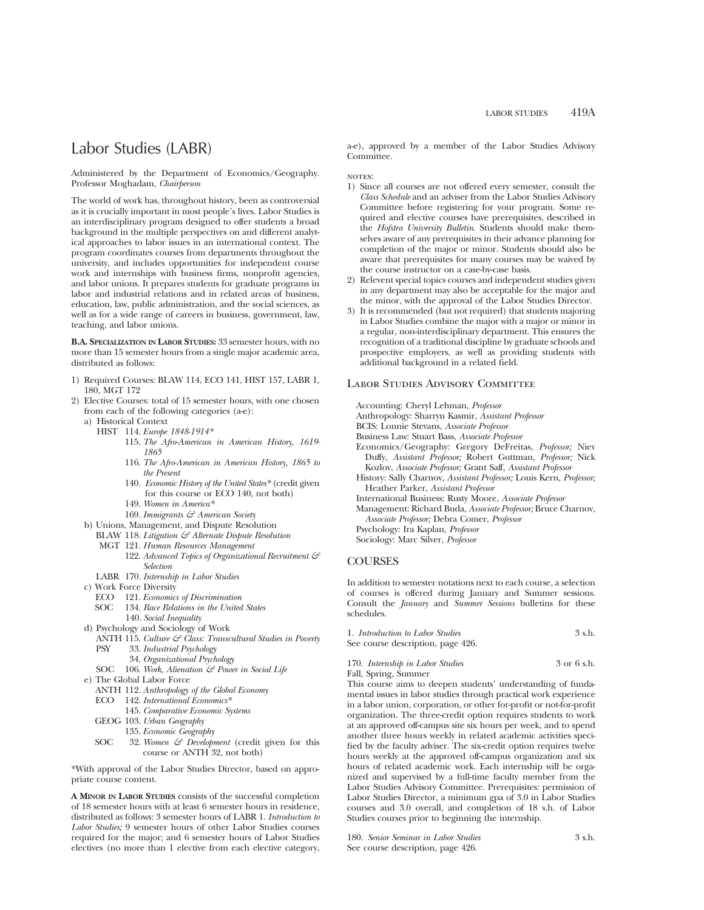## Labor Studies (LABR)

Administered by the Department of Economics/Geography. Professor Moghadam, *Chairperson*

The world of work has, throughout history, been as controversial as it is crucially important in most people's lives. Labor Studies is an interdisciplinary program designed to offer students a broad background in the multiple perspectives on and different analytical approaches to labor issues in an international context. The program coordinates courses from departments throughout the university, and includes opportunities for independent course work and internships with business firms, nonprofit agencies, and labor unions. It prepares students for graduate programs in labor and industrial relations and in related areas of business, education, law, public administration, and the social sciences, as well as for a wide range of careers in business, government, law, teaching, and labor unions.

**B.A. SPECIALIZATION IN LABOR STUDIES:** 33 semester hours, with no more than 15 semester hours from a single major academic area, distributed as follows:

- 1) Required Courses: BLAW 114, ECO 141, HIST 157, LABR 1, 180, MGT 172
- 2) Elective Courses: total of 15 semester hours, with one chosen from each of the following categories (a-e):
	- a) Historical Context
		- HIST 114. *Europe 1848-1914\**
			- 115. *The Afro-American in American History, 1619- 1865*
			- 116. *The Afro-American in American History, 1865 to the Present*
			- 140. *Economic History of the United States\** (credit given for this course or ECO 140, not both)
			- 149. *Women in America\**
			- 169. *Immigrants & American Society*
	- b) Unions, Management, and Dispute Resolution
	- BLAW 118. *Litigation & Alternate Dispute Resolution*
		- MGT 121. *Human Resources Management*
			- 122. *Advanced Topics of Organizational Recruitment & Selection*
	- LABR 170. *Internship in Labor Studies*
	- c) Work Force Diversity
		- ECO 121. *Economics of Discrimination*
			- 134. *Race Relations in the United States* 140. *Social Inequality*
	- d) Psychology and Sociology of Work
	- ANTH 115. *Culture & Class: Transcultural Studies in Poverty* 33. *Industrial Psychology* 
		- 34. *Organizational Psychology*
		- SOC 106. Work, Alienation & Power in Social Life
	- e) The Global Labor Force
		- ANTH 112. *Anthropology of the Global Economy*
		- ECO 142. *International Economics\**
			- 145. *Comparative Economic Systems*
		- GEOG 103. *Urban Geography*
			- 135. *Economic Geography*
		- SOC 32. *Women & Development* (credit given for this course or ANTH 32, not both)

\*With approval of the Labor Studies Director, based on appropriate course content.

**A MINOR IN LABOR STUDIES** consists of the successful completion of 18 semester hours with at least 6 semester hours in residence, distributed as follows: 3 semester hours of LABR 1. *Introduction to Labor Studies;* 9 semester hours of other Labor Studies courses required for the major; and 6 semester hours of Labor Studies electives (no more than 1 elective from each elective category,

a-e), approved by a member of the Labor Studies Advisory Committee.

NOTES:

- 1) Since all courses are not offered every semester, consult the *Class Schedule* and an adviser from the Labor Studies Advisory Committee before registering for your program. Some required and elective courses have prerequisites, described in the *Hofstra University Bulletin*. Students should make themselves aware of any prerequisites in their advance planning for completion of the major or minor. Students should also be aware that prerequisites for many courses may be waived by the course instructor on a case-by-case basis.
- 2) Relevent special topics courses and independent studies given in any department may also be acceptable for the major and the minor, with the approval of the Labor Studies Director.
- 3) It is recommended (but not required) that students majoring in Labor Studies combine the major with a major or minor in a regular, non-interdisciplinary department. This ensures the recognition of a traditional discipline by graduate schools and prospective employers, as well as providing students with additional background in a related field.

### Labor Studies Advisory Committee

Accounting: Cheryl Lehman, *Professor*

Anthropology: Sharryn Kasmir, *Assistant Professor*

- BCIS: Lonnie Stevans, *Associate Professor*
- Business Law: Stuart Bass, *Associate Professor*
- Economics/Geography: Gregory DeFreitas, *Professor;* Niev Duffy, *Assistant Professor;* Robert Guttman, *Professor;* Nick Kozlov, *Associate Professor;* Grant Saff, *Assistant Professor*
- History: Sally Charnov, *Assistant Professor;* Louis Kern, *Professor;* Heather Parker, *Assistant Professor*
- International Business: Rusty Moore, *Associate Professor*
- Management: Richard Buda, *Associate Professor;* Bruce Charnov, *Associate Professor;* Debra Comer, *Professor*

Psychology: Ira Kaplan, *Professor*

Sociology: Marc Silver, *Professor*

### **COURSES**

In addition to semester notations next to each course, a selection of courses is offered during January and Summer sessions. Consult the *January* and *Summer Sessions* bulletins for these schedules.

| 1. Introduction to Labor Studies  | 3 s.h. |
|-----------------------------------|--------|
| See course description, page 426. |        |

170. *Internship in Labor Studies* 3 or 6 s.h. Fall, Spring, Summer

This course aims to deepen students' understanding of fundamental issues in labor studies through practical work experience in a labor union, corporation, or other for-profit or not-for-profit organization. The three-credit option requires students to work at an approved off-campus site six hours per week, and to spend another three hours weekly in related academic activities specified by the faculty adviser. The six-credit option requires twelve hours weekly at the approved off-campus organization and six hours of related academic work. Each internship will be organized and supervised by a full-time faculty member from the Labor Studies Advisory Committee. Prerequisites: permission of Labor Studies Director, a minimum gpa of 3.0 in Labor Studies courses and 3.0 overall, and completion of 18 s.h. of Labor Studies courses prior to beginning the internship.

180. *Senior Seminar in Labor Studies* 3 s.h. See course description, page 426.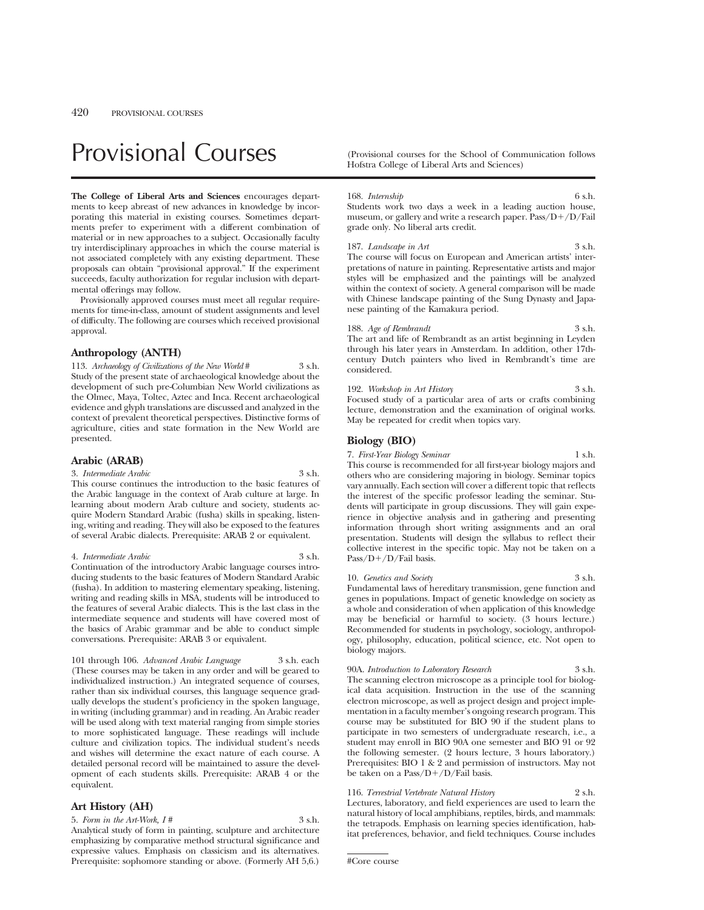# Provisional Courses (Provisional courses for the School of Communication follows

**The College of Liberal Arts and Sciences** encourages departments to keep abreast of new advances in knowledge by incorporating this material in existing courses. Sometimes departments prefer to experiment with a different combination of material or in new approaches to a subject. Occasionally faculty try interdisciplinary approaches in which the course material is not associated completely with any existing department. These proposals can obtain "provisional approval." If the experiment succeeds, faculty authorization for regular inclusion with departmental offerings may follow.

Provisionally approved courses must meet all regular requirements for time-in-class, amount of student assignments and level of difficulty. The following are courses which received provisional approval.

### **Anthropology (ANTH)**

113. *Archaeology of Civilizations of the New World* # 3 s.h. Study of the present state of archaeological knowledge about the development of such pre-Columbian New World civilizations as the Olmec, Maya, Toltec, Aztec and Inca. Recent archaeological evidence and glyph translations are discussed and analyzed in the context of prevalent theoretical perspectives. Distinctive forms of agriculture, cities and state formation in the New World are presented.

### **Arabic (ARAB)**

3. *Intermediate Arabic* 3 s.h.

This course continues the introduction to the basic features of the Arabic language in the context of Arab culture at large. In learning about modern Arab culture and society, students acquire Modern Standard Arabic (fusha) skills in speaking, listening, writing and reading. They will also be exposed to the features of several Arabic dialects. Prerequisite: ARAB 2 or equivalent.

### 4. *Intermediate Arabic* 3 s.h.

Continuation of the introductory Arabic language courses introducing students to the basic features of Modern Standard Arabic (fusha). In addition to mastering elementary speaking, listening, writing and reading skills in MSA, students will be introduced to the features of several Arabic dialects. This is the last class in the intermediate sequence and students will have covered most of the basics of Arabic grammar and be able to conduct simple conversations. Prerequisite: ARAB 3 or equivalent.

101 through 106. *Advanced Arabic Language* 3 s.h. each (These courses may be taken in any order and will be geared to individualized instruction.) An integrated sequence of courses, rather than six individual courses, this language sequence gradually develops the student's proficiency in the spoken language, in writing (including grammar) and in reading. An Arabic reader will be used along with text material ranging from simple stories to more sophisticated language. These readings will include culture and civilization topics. The individual student's needs and wishes will determine the exact nature of each course. A detailed personal record will be maintained to assure the development of each students skills. Prerequisite: ARAB 4 or the equivalent.

### **Art History (AH)**

5. *Form in the Art-Work, I #* 3 s.h. Analytical study of form in painting, sculpture and architecture emphasizing by comparative method structural significance and expressive values. Emphasis on classicism and its alternatives. Prerequisite: sophomore standing or above. (Formerly AH 5,6.) Hofstra College of Liberal Arts and Sciences)

#### 168. *Internship* 6 s.h.

Students work two days a week in a leading auction house, museum, or gallery and write a research paper. Pass/D+/D/Fail grade only. No liberal arts credit.

### 187. *Landscape in Art* 3 s.h.

The course will focus on European and American artists' interpretations of nature in painting. Representative artists and major styles will be emphasized and the paintings will be analyzed within the context of society. A general comparison will be made with Chinese landscape painting of the Sung Dynasty and Japanese painting of the Kamakura period.

188. *Age of Rembrandt* 3 s.h. The art and life of Rembrandt as an artist beginning in Leyden through his later years in Amsterdam. In addition, other 17thcentury Dutch painters who lived in Rembrandt's time are considered.

192. *Workshop in Art History* 3 s.h. Focused study of a particular area of arts or crafts combining lecture, demonstration and the examination of original works. May be repeated for credit when topics vary.

### **Biology (BIO)**

7. *First-Year Biology Seminar* 1 s.h. This course is recommended for all first-year biology majors and others who are considering majoring in biology. Seminar topics vary annually. Each section will cover a different topic that reflects the interest of the specific professor leading the seminar. Students will participate in group discussions. They will gain experience in objective analysis and in gathering and presenting information through short writing assignments and an oral presentation. Students will design the syllabus to reflect their collective interest in the specific topic. May not be taken on a  $Pass/D+/D/Fail basis.$ 

10. *Genetics and Society* Fundamental laws of hereditary transmission, gene function and genes in populations. Impact of genetic knowledge on society as a whole and consideration of when application of this knowledge may be beneficial or harmful to society. (3 hours lecture.) Recommended for students in psychology, sociology, anthropology, philosophy, education, political science, etc. Not open to biology majors.

90A. *Introduction to Laboratory Research* 3 s.h. The scanning electron microscope as a principle tool for biological data acquisition. Instruction in the use of the scanning electron microscope, as well as project design and project imple-

mentation in a faculty member's ongoing research program. This course may be substituted for BIO 90 if the student plans to participate in two semesters of undergraduate research, i.e., a student may enroll in BIO 90A one semester and BIO 91 or 92 the following semester. (2 hours lecture, 3 hours laboratory.) Prerequisites: BIO 1 & 2 and permission of instructors. May not be taken on a  $Pass/D+/D/Fall$  basis.

116. *Terrestrial Vertebrate Natural History* 2 s.h. Lectures, laboratory, and field experiences are used to learn the natural history of local amphibians, reptiles, birds, and mammals: the tetrapods. Emphasis on learning species identification, habitat preferences, behavior, and field techniques. Course includes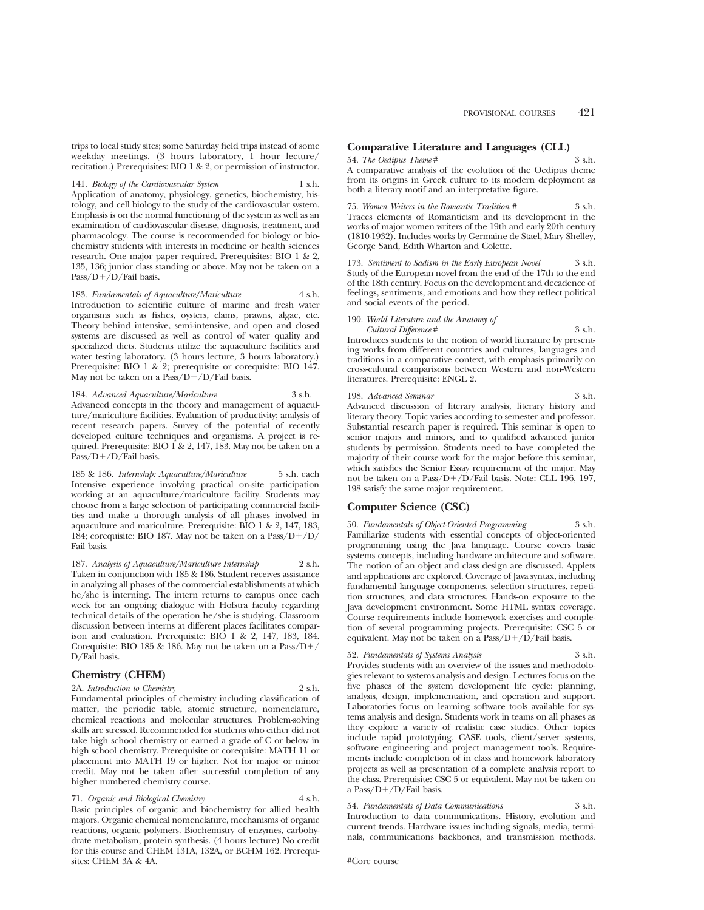trips to local study sites; some Saturday field trips instead of some weekday meetings. (3 hours laboratory, 1 hour lecture/ recitation.) Prerequisites: BIO 1 & 2, or permission of instructor.

141. *Biology of the Cardiovascular System* 1 s.h. Application of anatomy, physiology, genetics, biochemistry, histology, and cell biology to the study of the cardiovascular system. Emphasis is on the normal functioning of the system as well as an examination of cardiovascular disease, diagnosis, treatment, and pharmacology. The course is recommended for biology or biochemistry students with interests in medicine or health sciences research. One major paper required. Prerequisites: BIO 1 & 2, 135, 136; junior class standing or above. May not be taken on a Pass/D+/D/Fail basis.

183. *Fundamentals of Aquaculture/Mariculture* 4 s.h. Introduction to scientific culture of marine and fresh water organisms such as fishes, oysters, clams, prawns, algae, etc. Theory behind intensive, semi-intensive, and open and closed systems are discussed as well as control of water quality and specialized diets. Students utilize the aquaculture facilities and water testing laboratory. (3 hours lecture, 3 hours laboratory.) Prerequisite: BIO 1 & 2; prerequisite or corequisite: BIO 147. May not be taken on a  $Pass/D+/D$  Fail basis.

184. *Advanced Aquaculture/Mariculture* 3 s.h. Advanced concepts in the theory and management of aquaculture/mariculture facilities. Evaluation of productivity; analysis of recent research papers. Survey of the potential of recently developed culture techniques and organisms. A project is required. Prerequisite: BIO 1 & 2, 147, 183. May not be taken on a  $Pass/D+/D/Fail basis.$ 

185 & 186. *Internship: Aquaculture/Mariculture* 5 s.h. each Intensive experience involving practical on-site participation working at an aquaculture/mariculture facility. Students may choose from a large selection of participating commercial facilities and make a thorough analysis of all phases involved in aquaculture and mariculture. Prerequisite: BIO 1 & 2, 147, 183, 184; corequisite: BIO 187. May not be taken on a Pass/D+/D/ Fail basis.

187. *Analysis of Aquaculture/Mariculture Internship* 2 s.h. Taken in conjunction with 185 & 186. Student receives assistance in analyzing all phases of the commercial establishments at which he/she is interning. The intern returns to campus once each week for an ongoing dialogue with Hofstra faculty regarding technical details of the operation he/she is studying. Classroom discussion between interns at different places facilitates comparison and evaluation. Prerequisite: BIO 1 & 2, 147, 183, 184. Corequisite: BIO 185 & 186. May not be taken on a  $Pass/D+$ D/Fail basis.

### **Chemistry (CHEM)**

sites: CHEM 3A & 4A.

2A. *Introduction to Chemistry* 2 s.h. Fundamental principles of chemistry including classification of matter, the periodic table, atomic structure, nomenclature, chemical reactions and molecular structures. Problem-solving skills are stressed. Recommended for students who either did not take high school chemistry or earned a grade of C or below in

high school chemistry. Prerequisite or corequisite: MATH 11 or placement into MATH 19 or higher. Not for major or minor credit. May not be taken after successful completion of any higher numbered chemistry course.

71. *Organic and Biological Chemistry* 4 s.h. Basic principles of organic and biochemistry for allied health majors. Organic chemical nomenclature, mechanisms of organic reactions, organic polymers. Biochemistry of enzymes, carbohydrate metabolism, protein synthesis. (4 hours lecture) No credit for this course and CHEM 131A, 132A, or BCHM 162. Prerequi-

### **Comparative Literature and Languages (CLL)**

### 54. *The Oedipus Theme* # 3 s.h.

A comparative analysis of the evolution of the Oedipus theme from its origins in Greek culture to its modern deployment as both a literary motif and an interpretative figure.

75. *Women Writers in the Romantic Tradition #* 3 s.h. Traces elements of Romanticism and its development in the works of major women writers of the 19th and early 20th century (1810-1932). Includes works by Germaine de Stael, Mary Shelley, George Sand, Edith Wharton and Colette.

173. *Sentiment to Sadism in the Early European Novel* 3 s.h. Study of the European novel from the end of the 17th to the end of the 18th century. Focus on the development and decadence of feelings, sentiments, and emotions and how they reflect political and social events of the period.

190. *World Literature and the Anatomy of Cultural Difference* # 3 s.h. Introduces students to the notion of world literature by presenting works from different countries and cultures, languages and

traditions in a comparative context, with emphasis primarily on cross-cultural comparisons between Western and non-Western literatures. Prerequisite: ENGL 2.

### 198. *Advanced Seminar* 3 s.h. Advanced discussion of literary analysis, literary history and literary theory. Topic varies according to semester and professor.

Substantial research paper is required. This seminar is open to senior majors and minors, and to qualified advanced junior students by permission. Students need to have completed the majority of their course work for the major before this seminar, which satisfies the Senior Essay requirement of the major. May not be taken on a Pass/D+/D/Fail basis. Note: CLL 196, 197, 198 satisfy the same major requirement.

### **Computer Science (CSC)**

50. *Fundamentals of Object-Oriented Programming* 3 s.h. Familiarize students with essential concepts of object-oriented programming using the Java language. Course covers basic systems concepts, including hardware architecture and software. The notion of an object and class design are discussed. Applets and applications are explored. Coverage of Java syntax, including fundamental language components, selection structures, repetition structures, and data structures. Hands-on exposure to the Java development environment. Some HTML syntax coverage. Course requirements include homework exercises and completion of several programming projects. Prerequisite: CSC 5 or equivalent. May not be taken on a  $Pass/D+/D/Fall$  basis.

### 52. *Fundamentals of Systems Analysis* 3 s.h.

Provides students with an overview of the issues and methodologies relevant to systems analysis and design. Lectures focus on the five phases of the system development life cycle: planning, analysis, design, implementation, and operation and support. Laboratories focus on learning software tools available for systems analysis and design. Students work in teams on all phases as they explore a variety of realistic case studies. Other topics include rapid prototyping, CASE tools, client/server systems, software engineering and project management tools. Requirements include completion of in class and homework laboratory projects as well as presentation of a complete analysis report to the class. Prerequisite: CSC 5 or equivalent. May not be taken on a Pass/ $D+/D/F$ ail basis.

54. *Fundamentals of Data Communications* 3 s.h. Introduction to data communications. History, evolution and current trends. Hardware issues including signals, media, terminals, communications backbones, and transmission methods.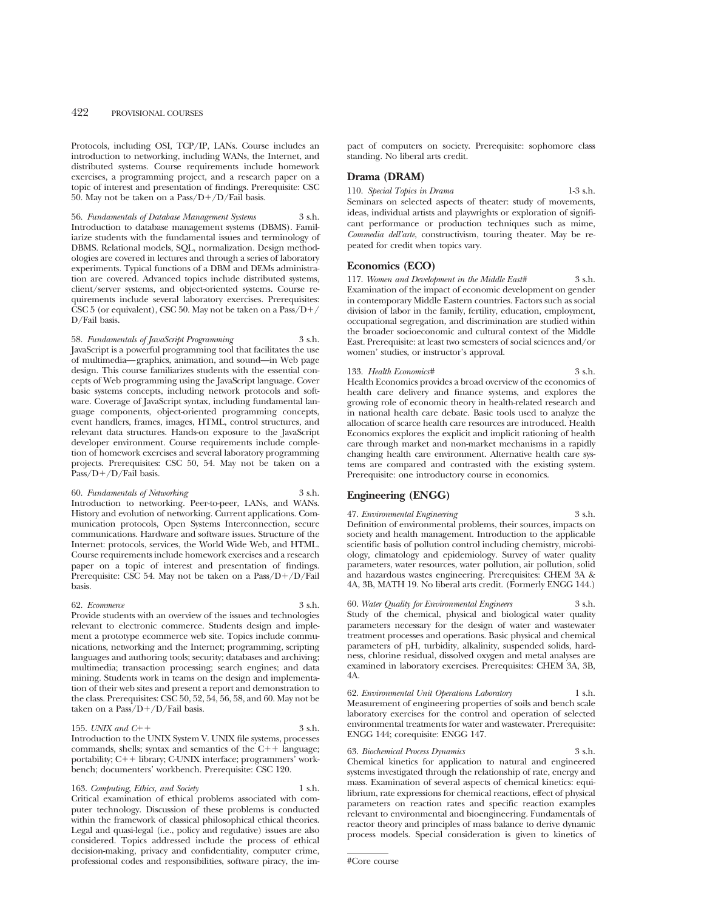Protocols, including OSI, TCP/IP, LANs. Course includes an introduction to networking, including WANs, the Internet, and distributed systems. Course requirements include homework exercises, a programming project, and a research paper on a topic of interest and presentation of findings. Prerequisite: CSC 50. May not be taken on a Pass/ $D+/D$ /Fail basis.

56. *Fundamentals of Database Management Systems* 3 s.h. Introduction to database management systems (DBMS). Familiarize students with the fundamental issues and terminology of DBMS. Relational models, SQL, normalization. Design methodologies are covered in lectures and through a series of laboratory experiments. Typical functions of a DBM and DEMs administration are covered. Advanced topics include distributed systems, client/server systems, and object-oriented systems. Course requirements include several laboratory exercises. Prerequisites: CSC 5 (or equivalent), CSC 50. May not be taken on a Pass/ $D+/$ D/Fail basis.

58. *Fundamentals of JavaScript Programming* 3 s.h. JavaScript is a powerful programming tool that facilitates the use of multimedia—graphics, animation, and sound—in Web page design. This course familiarizes students with the essential concepts of Web programming using the JavaScript language. Cover basic systems concepts, including network protocols and software. Coverage of JavaScript syntax, including fundamental language components, object-oriented programming concepts, event handlers, frames, images, HTML, control structures, and relevant data structures. Hands-on exposure to the JavaScript developer environment. Course requirements include completion of homework exercises and several laboratory programming projects. Prerequisites: CSC 50, 54. May not be taken on a Pass/D+/D/Fail basis.

### 60. *Fundamentals of Networking* 3 s.h.

Introduction to networking. Peer-to-peer, LANs, and WANs. History and evolution of networking. Current applications. Communication protocols, Open Systems Interconnection, secure communications. Hardware and software issues. Structure of the Internet: protocols, services, the World Wide Web, and HTML. Course requirements include homework exercises and a research paper on a topic of interest and presentation of findings. Prerequisite: CSC 54. May not be taken on a Pass/D+/D/Fail basis.

#### 62. *Ecommerce* 3 s.h.

Provide students with an overview of the issues and technologies relevant to electronic commerce. Students design and implement a prototype ecommerce web site. Topics include communications, networking and the Internet; programming, scripting languages and authoring tools; security; databases and archiving; multimedia; transaction processing; search engines; and data mining. Students work in teams on the design and implementation of their web sites and present a report and demonstration to the class. Prerequisites: CSC 50, 52, 54, 56, 58, and 60. May not be taken on a Pass/ $D+/D$ /Fail basis.

### 155. *UNIX and C*++  $\frac{3 \text{ s.h.}}{2}$

Introduction to the UNIX System V. UNIX file systems, processes commands, shells; syntax and semantics of the  $C_{1}$ + language; portability;  $C++$  library; C-UNIX interface; programmers' workbench; documenters' workbench. Prerequisite: CSC 120.

163. *Computing, Ethics, and Society* 1 s.h.

Critical examination of ethical problems associated with computer technology. Discussion of these problems is conducted within the framework of classical philosophical ethical theories. Legal and quasi-legal (i.e., policy and regulative) issues are also considered. Topics addressed include the process of ethical decision-making, privacy and confidentiality, computer crime, professional codes and responsibilities, software piracy, the impact of computers on society. Prerequisite: sophomore class standing. No liberal arts credit.

### **Drama (DRAM)**

110. *Special Topics in Drama* 1-3 s.h. Seminars on selected aspects of theater: study of movements, ideas, individual artists and playwrights or exploration of significant performance or production techniques such as mime, *Commedia dell'arte*, constructivism, touring theater. May be repeated for credit when topics vary.

### **Economics (ECO)**

117. *Women and Development in the Middle East#* 3 s.h. Examination of the impact of economic development on gender in contemporary Middle Eastern countries. Factors such as social division of labor in the family, fertility, education, employment, occupational segregation, and discrimination are studied within the broader socioeconomic and cultural context of the Middle East. Prerequisite: at least two semesters of social sciences and/or women' studies, or instructor's approval.

133. *Health Economics#* 3 s.h. Health Economics provides a broad overview of the economics of health care delivery and finance systems, and explores the growing role of economic theory in health-related research and in national health care debate. Basic tools used to analyze the allocation of scarce health care resources are introduced. Health Economics explores the explicit and implicit rationing of health care through market and non-market mechanisms in a rapidly changing health care environment. Alternative health care systems are compared and contrasted with the existing system. Prerequisite: one introductory course in economics.

### **Engineering (ENGG)**

47. *Environmental Engineering* 3 s.h. Definition of environmental problems, their sources, impacts on society and health management. Introduction to the applicable scientific basis of pollution control including chemistry, microbiology, climatology and epidemiology. Survey of water quality parameters, water resources, water pollution, air pollution, solid and hazardous wastes engineering. Prerequisites: CHEM 3A & 4A, 3B, MATH 19. No liberal arts credit. (Formerly ENGG 144.)

60. *Water Quality for Environmental Engineers* 3 s.h. Study of the chemical, physical and biological water quality parameters necessary for the design of water and wastewater treatment processes and operations. Basic physical and chemical parameters of pH, turbidity, alkalinity, suspended solids, hardness, chlorine residual, dissolved oxygen and metal analyses are examined in laboratory exercises. Prerequisites: CHEM 3A, 3B, 4A.

62. *Environmental Unit Operations Laboratory* 1 s.h. Measurement of engineering properties of soils and bench scale laboratory exercises for the control and operation of selected environmental treatments for water and wastewater. Prerequisite: ENGG 144; corequisite: ENGG 147.

63. *Biochemical Process Dynamics* 3 s.h. Chemical kinetics for application to natural and engineered systems investigated through the relationship of rate, energy and mass. Examination of several aspects of chemical kinetics: equilibrium, rate expressions for chemical reactions, effect of physical parameters on reaction rates and specific reaction examples relevant to environmental and bioengineering. Fundamentals of reactor theory and principles of mass balance to derive dynamic process models. Special consideration is given to kinetics of

<sup>#</sup>Core course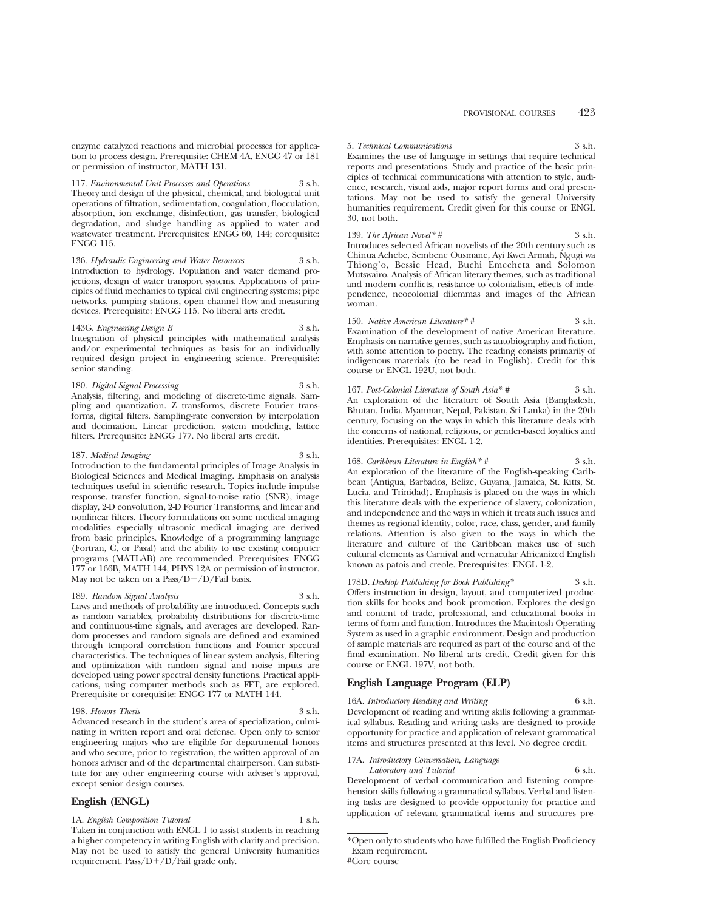117. *Environmental Unit Processes and Operations* 3 s.h. Theory and design of the physical, chemical, and biological unit operations of filtration, sedimentation, coagulation, flocculation, absorption, ion exchange, disinfection, gas transfer, biological degradation, and sludge handling as applied to water and wastewater treatment. Prerequisites: ENGG 60, 144; corequisite: ENGG 115.

136. *Hydraulic Engineering and Water Resources* 3 s.h. Introduction to hydrology. Population and water demand projections, design of water transport systems. Applications of principles of fluid mechanics to typical civil engineering systems; pipe networks, pumping stations, open channel flow and measuring devices. Prerequisite: ENGG 115. No liberal arts credit.

143G. *Engineering Design B* 3 s.h. Integration of physical principles with mathematical analysis and/or experimental techniques as basis for an individually required design project in engineering science. Prerequisite: senior standing.

180. *Digital Signal Processing* 3 s.h. Analysis, filtering, and modeling of discrete-time signals. Sampling and quantization. Z transforms, discrete Fourier transforms, digital filters. Sampling-rate conversion by interpolation and decimation. Linear prediction, system modeling, lattice filters. Prerequisite: ENGG 177. No liberal arts credit.

187. *Medical Imaging* 3 s.h.

Introduction to the fundamental principles of Image Analysis in Biological Sciences and Medical Imaging. Emphasis on analysis techniques useful in scientific research. Topics include impulse response, transfer function, signal-to-noise ratio (SNR), image display, 2-D convolution, 2-D Fourier Transforms, and linear and nonlinear filters. Theory formulations on some medical imaging modalities especially ultrasonic medical imaging are derived from basic principles. Knowledge of a programming language (Fortran, C, or Pasal) and the ability to use existing computer programs (MATLAB) are recommended. Prerequisites: ENGG 177 or 166B, MATH 144, PHYS 12A or permission of instructor. May not be taken on a Pass/ $D+/D/F$ ail basis.

189. *Random Signal Analysis* 3 s.h.

Laws and methods of probability are introduced. Concepts such as random variables, probability distributions for discrete-time and continuous-time signals, and averages are developed. Random processes and random signals are defined and examined through temporal correlation functions and Fourier spectral characteristics. The techniques of linear system analysis, filtering and optimization with random signal and noise inputs are developed using power spectral density functions. Practical applications, using computer methods such as FFT, are explored. Prerequisite or corequisite: ENGG 177 or MATH 144.

#### 198. *Honors Thesis* 3 s.h.

Advanced research in the student's area of specialization, culminating in written report and oral defense. Open only to senior engineering majors who are eligible for departmental honors and who secure, prior to registration, the written approval of an honors adviser and of the departmental chairperson. Can substitute for any other engineering course with adviser's approval, except senior design courses.

### **English (ENGL)**

1A. *English Composition Tutorial* 1 s.h. Taken in conjunction with ENGL 1 to assist students in reaching a higher competency in writing English with clarity and precision. May not be used to satisfy the general University humanities requirement. Pass/ $D+/D/Fail$  grade only.

5. *Technical Communications* 3 s.h. Examines the use of language in settings that require technical reports and presentations. Study and practice of the basic principles of technical communications with attention to style, audience, research, visual aids, major report forms and oral presentations. May not be used to satisfy the general University humanities requirement. Credit given for this course or ENGL 30, not both.

139. *The African Novel\* #* 3 s.h. Introduces selected African novelists of the 20th century such as Chinua Achebe, Sembene Ousmane, Ayi Kwei Armah, Ngugi wa Thiong'o, Bessie Head, Buchi Emecheta and Solomon Mutswairo. Analysis of African literary themes, such as traditional and modern conflicts, resistance to colonialism, effects of independence, neocolonial dilemmas and images of the African woman.

150. *Native American Literature\* #* 3 s.h. Examination of the development of native American literature. Emphasis on narrative genres, such as autobiography and fiction, with some attention to poetry. The reading consists primarily of indigenous materials (to be read in English). Credit for this course or ENGL 192U, not both.

167. *Post-Colonial Literature of South Asia*\* # 3 s.h. An exploration of the literature of South Asia (Bangladesh, Bhutan, India, Myanmar, Nepal, Pakistan, Sri Lanka) in the 20th century, focusing on the ways in which this literature deals with the concerns of national, religious, or gender-based loyalties and identities. Prerequisites: ENGL 1-2.

168. *Caribbean Literature in English*<sup>\*</sup> # 3 s.h. An exploration of the literature of the English-speaking Caribbean (Antigua, Barbados, Belize, Guyana, Jamaica, St. Kitts, St. Lucia, and Trinidad). Emphasis is placed on the ways in which this literature deals with the experience of slavery, colonization, and independence and the ways in which it treats such issues and themes as regional identity, color, race, class, gender, and family relations. Attention is also given to the ways in which the literature and culture of the Caribbean makes use of such cultural elements as Carnival and vernacular Africanized English known as patois and creole. Prerequisites: ENGL 1-2.

178D. *Desktop Publishing for Book Publishing\** 3 s.h. Offers instruction in design, layout, and computerized production skills for books and book promotion. Explores the design and content of trade, professional, and educational books in terms of form and function. Introduces the Macintosh Operating System as used in a graphic environment. Design and production of sample materials are required as part of the course and of the final examination. No liberal arts credit. Credit given for this course or ENGL 197V, not both.

## **English Language Program (ELP)**

16A. *Introductory Reading and Writing* 6 s.h. Development of reading and writing skills following a grammatical syllabus. Reading and writing tasks are designed to provide opportunity for practice and application of relevant grammatical items and structures presented at this level. No degree credit.

17A. *Introductory Conversation, Language*

*Laboratory and Tutorial* 6 s.h. Development of verbal communication and listening comprehension skills following a grammatical syllabus. Verbal and listening tasks are designed to provide opportunity for practice and application of relevant grammatical items and structures pre-

<sup>\*</sup>Open only to students who have fulfilled the English Proficiency Exam requirement. #Core course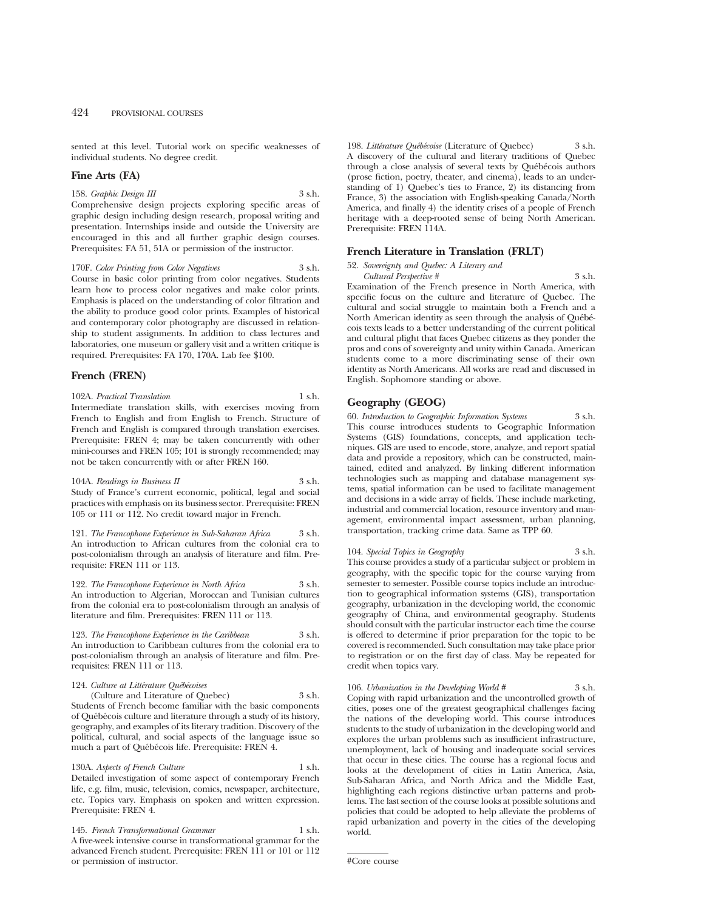sented at this level. Tutorial work on specific weaknesses of individual students. No degree credit.

### **Fine Arts (FA)**

### 158. *Graphic Design III* 3 s.h.

Comprehensive design projects exploring specific areas of graphic design including design research, proposal writing and presentation. Internships inside and outside the University are encouraged in this and all further graphic design courses. Prerequisites: FA 51, 51A or permission of the instructor.

170F. *Color Printing from Color Negatives* 3 s.h. Course in basic color printing from color negatives. Students learn how to process color negatives and make color prints. Emphasis is placed on the understanding of color filtration and the ability to produce good color prints. Examples of historical and contemporary color photography are discussed in relationship to student assignments. In addition to class lectures and laboratories, one museum or gallery visit and a written critique is required. Prerequisites: FA 170, 170A. Lab fee \$100.

### **French (FREN)**

102A. *Practical Translation* 1 s.h. Intermediate translation skills, with exercises moving from French to English and from English to French. Structure of French and English is compared through translation exercises. Prerequisite: FREN 4; may be taken concurrently with other mini-courses and FREN 105; 101 is strongly recommended; may not be taken concurrently with or after FREN 160.

104A. *Readings in Business II* 3 s.h. Study of France's current economic, political, legal and social practices with emphasis on its business sector. Prerequisite: FREN 105 or 111 or 112. No credit toward major in French.

121. *The Francophone Experience in Sub-Saharan Africa* 3 s.h. An introduction to African cultures from the colonial era to post-colonialism through an analysis of literature and film. Prerequisite: FREN 111 or 113.

122. *The Francophone Experience in North Africa* 3 s.h. An introduction to Algerian, Moroccan and Tunisian cultures from the colonial era to post-colonialism through an analysis of literature and film. Prerequisites: FREN 111 or 113.

123. *The Francophone Experience in the Caribbean* 3 s.h. An introduction to Caribbean cultures from the colonial era to post-colonialism through an analysis of literature and film. Prerequisites: FREN 111 or 113.

### 124. Culture at Littérature Québécoises

(Culture and Literature of Quebec) 3 s.h. Students of French become familiar with the basic components of Québécois culture and literature through a study of its history, geography, and examples of its literary tradition. Discovery of the political, cultural, and social aspects of the language issue so much a part of Québécois life. Prerequisite: FREN 4.

130A. *Aspects of French Culture* 1 s.h. Detailed investigation of some aspect of contemporary French life, e.g. film, music, television, comics, newspaper, architecture, etc. Topics vary. Emphasis on spoken and written expression. Prerequisite: FREN 4.

145. *French Transformational Grammar* 1 s.h. A five-week intensive course in transformational grammar for the advanced French student. Prerequisite: FREN 111 or 101 or 112 or permission of instructor.

198. *Littérature Québécoise* (Literature of Quebec) 3 s.h. A discovery of the cultural and literary traditions of Quebec through a close analysis of several texts by Québécois authors (prose fiction, poetry, theater, and cinema), leads to an understanding of 1) Quebec's ties to France, 2) its distancing from France, 3) the association with English-speaking Canada/North America, and finally 4) the identity crises of a people of French heritage with a deep-rooted sense of being North American. Prerequisite: FREN 114A.

### **French Literature in Translation (FRLT)**

52. *Sovereignty and Quebec: A Literary and Cultural Perspective #* 3 s.h. Examination of the French presence in North America, with specific focus on the culture and literature of Quebec. The cultural and social struggle to maintain both a French and a North American identity as seen through the analysis of Québécois texts leads to a better understanding of the current political and cultural plight that faces Quebec citizens as they ponder the pros and cons of sovereignty and unity within Canada. American students come to a more discriminating sense of their own identity as North Americans. All works are read and discussed in English. Sophomore standing or above.

### **Geography (GEOG)**

60. *Introduction to Geographic Information Systems* 3 s.h. This course introduces students to Geographic Information Systems (GIS) foundations, concepts, and application techniques. GIS are used to encode, store, analyze, and report spatial data and provide a repository, which can be constructed, maintained, edited and analyzed. By linking different information technologies such as mapping and database management systems, spatial information can be used to facilitate management and decisions in a wide array of fields. These include marketing, industrial and commercial location, resource inventory and management, environmental impact assessment, urban planning, transportation, tracking crime data. Same as TPP 60.

### 104. *Special Topics in Geography* 3 s.h.

This course provides a study of a particular subject or problem in geography, with the specific topic for the course varying from semester to semester. Possible course topics include an introduction to geographical information systems (GIS), transportation geography, urbanization in the developing world, the economic geography of China, and environmental geography. Students should consult with the particular instructor each time the course is offered to determine if prior preparation for the topic to be covered is recommended. Such consultation may take place prior to registration or on the first day of class. May be repeated for credit when topics vary.

106. *Urbanization in the Developing World #* 3 s.h.

Coping with rapid urbanization and the uncontrolled growth of cities, poses one of the greatest geographical challenges facing the nations of the developing world. This course introduces students to the study of urbanization in the developing world and explores the urban problems such as insufficient infrastructure, unemployment, lack of housing and inadequate social services that occur in these cities. The course has a regional focus and looks at the development of cities in Latin America, Asia, Sub-Saharan Africa, and North Africa and the Middle East, highlighting each regions distinctive urban patterns and problems. The last section of the course looks at possible solutions and policies that could be adopted to help alleviate the problems of rapid urbanization and poverty in the cities of the developing world.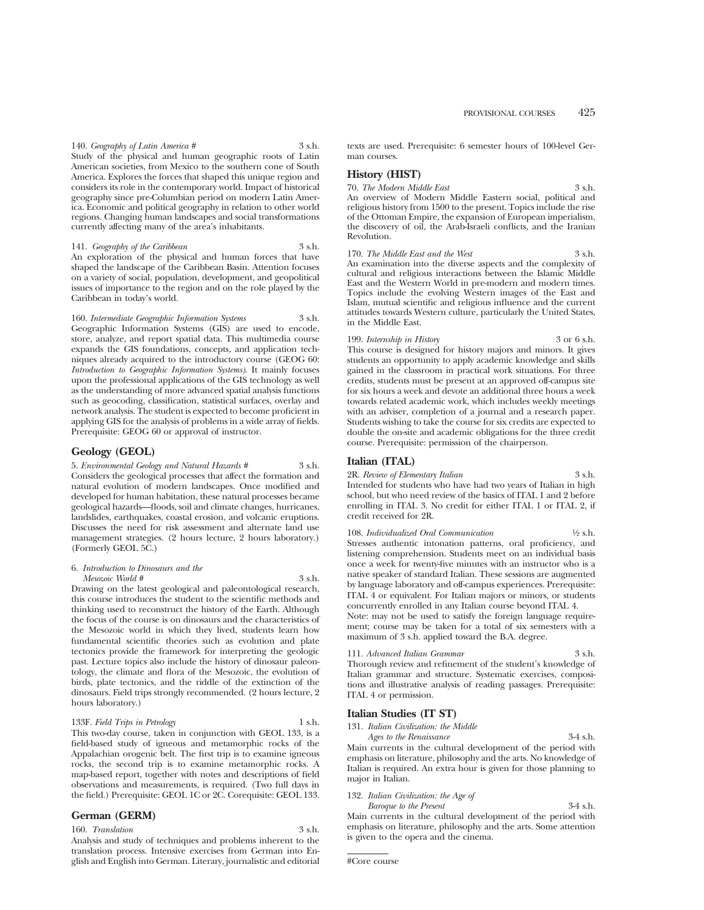140. *Geography of Latin America* # 3 s.h. Study of the physical and human geographic roots of Latin American societies, from Mexico to the southern cone of South America. Explores the forces that shaped this unique region and considers its role in the contemporary world. Impact of historical geography since pre-Columbian period on modern Latin America. Economic and political geography in relation to other world regions. Changing human landscapes and social transformations currently affecting many of the area's inhabitants.

141. *Geography of the Caribbean* 3 s.h. An exploration of the physical and human forces that have shaped the landscape of the Caribbean Basin. Attention focuses on a variety of social, population, development, and geopolitical issues of importance to the region and on the role played by the Caribbean in today's world.

160. *Intermediate Geographic Information Systems* 3 s.h. Geographic Information Systems (GIS) are used to encode, store, analyze, and report spatial data. This multimedia course expands the GIS foundations, concepts, and application techniques already acquired to the introductory course (GEOG 60: *Introduction to Geographic Information Systems)*. It mainly focuses upon the professional applications of the GIS technology as well as the understanding of more advanced spatial analysis functions such as geocoding, classification, statistical surfaces, overlay and network analysis. The student is expected to become proficient in applying GIS for the analysis of problems in a wide array of fields. Prerequisite: GEOG 60 or approval of instructor.

### **Geology (GEOL)**

5. *Environmental Geology and Natural Hazards #* 3 s.h. Considers the geological processes that affect the formation and natural evolution of modern landscapes. Once modified and developed for human habitation, these natural processes became geological hazards—floods, soil and climate changes, hurricanes, landslides, earthquakes, coastal erosion, and volcanic eruptions. Discusses the need for risk assessment and alternate land use management strategies. (2 hours lecture, 2 hours laboratory.) (Formerly GEOL 5C.)

#### 6. *Introduction to Dinosaurs and the Mesozoic World #* 3 s.h.

Drawing on the latest geological and paleontological research, this course introduces the student to the scientific methods and thinking used to reconstruct the history of the Earth. Although the focus of the course is on dinosaurs and the characteristics of the Mesozoic world in which they lived, students learn how fundamental scientific theories such as evolution and plate tectonics provide the framework for interpreting the geologic past. Lecture topics also include the history of dinosaur paleontology, the climate and flora of the Mesozoic, the evolution of birds, plate tectonics, and the riddle of the extinction of the dinosaurs. Field trips strongly recommended. (2 hours lecture, 2 hours laboratory.)

### 133F. *Field Trips in Petrology* 1 s.h.

This two-day course, taken in conjunction with GEOL 133, is a field-based study of igneous and metamorphic rocks of the Appalachian orogenic belt. The first trip is to examine igneous rocks, the second trip is to examine metamorphic rocks. A map-based report, together with notes and descriptions of field observations and measurements, is required. (Two full days in the field.) Prerequisite: GEOL 1C or 2C. Corequisite: GEOL 133.

### **German (GERM)**

160. *Translation* 3 s.h.

Analysis and study of techniques and problems inherent to the translation process. Intensive exercises from German into English and English into German. Literary, journalistic and editorial texts are used. Prerequisite: 6 semester hours of 100-level German courses.

### **History (HIST)**

70. *The Modern Middle East* 3 s.h. An overview of Modern Middle Eastern social, political and religious history from 1500 to the present. Topics include the rise of the Ottoman Empire, the expansion of European imperialism, the discovery of oil, the Arab-Israeli conflicts, and the Iranian Revolution.

170. *The Middle East and the West* 3 s.h. An examination into the diverse aspects and the complexity of cultural and religious interactions between the Islamic Middle East and the Western World in pre-modern and modern times. Topics include the evolving Western images of the East and Islam, mutual scientific and religious influence and the current attitudes towards Western culture, particularly the United States, in the Middle East.

199. *Internship in History* 3 or 6 s.h. This course is designed for history majors and minors. It gives students an opportunity to apply academic knowledge and skills gained in the classroom in practical work situations. For three credits, students must be present at an approved off-campus site for six hours a week and devote an additional three hours a week towards related academic work, which includes weekly meetings with an adviser, completion of a journal and a research paper. Students wishing to take the course for six credits are expected to double the on-site and academic obligations for the three credit course. Prerequisite: permission of the chairperson.

### **Italian (ITAL)**

2R. *Review of Elementary Italian* 3 s.h. Intended for students who have had two years of Italian in high school, but who need review of the basics of ITAL 1 and 2 before enrolling in ITAL 3. No credit for either ITAL 1 or ITAL 2, if credit received for 2R.

108. *Individualized Oral Communication* <sup>1</sup>/<sub>2</sub> s.h. Stresses authentic intonation patterns, oral proficiency, and listening comprehension. Students meet on an individual basis once a week for twenty-five minutes with an instructor who is a native speaker of standard Italian. These sessions are augmented by language laboratory and off-campus experiences. Prerequisite: ITAL 4 or equivalent. For Italian majors or minors, or students concurrently enrolled in any Italian course beyond ITAL 4.

Note: may not be used to satisfy the foreign language requirement; course may be taken for a total of six semesters with a maximum of 3 s.h. applied toward the B.A. degree.

111. *Advanced Italian Grammar* 3 s.h. Thorough review and refinement of the student's knowledge of Italian grammar and structure. Systematic exercises, compositions and illustrative analysis of reading passages. Prerequisite: ITAL 4 or permission.

### **Italian Studies (IT ST)**

131. *Italian Civilization: the Middle Ages to the Renaissance* 3-4 s.h. Main currents in the cultural development of the period with emphasis on literature, philosophy and the arts. No knowledge of Italian is required. An extra hour is given for those planning to major in Italian.

### 132. *Italian Civilization: the Age of*

*Baroque to the Present* 3-4 s.h. Main currents in the cultural development of the period with emphasis on literature, philosophy and the arts. Some attention is given to the opera and the cinema.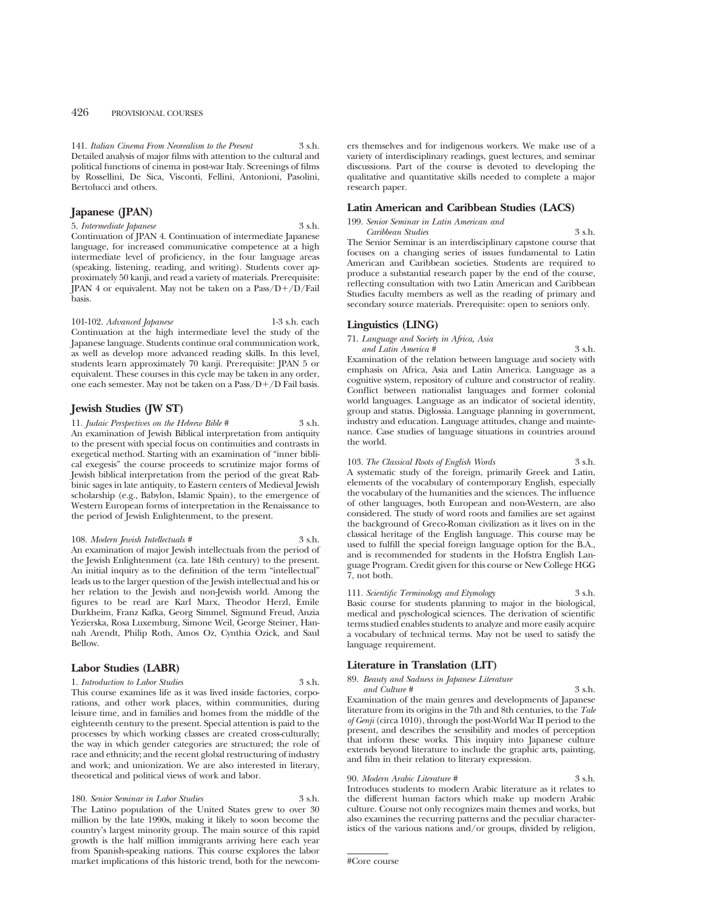141. *Italian Cinema From Neorealism to the Present* 3 s.h. Detailed analysis of major films with attention to the cultural and political functions of cinema in post-war Italy. Screenings of films by Rossellini, De Sica, Visconti, Fellini, Antonioni, Pasolini, Bertolucci and others.

### **Japanese (JPAN)**

5. *Intermediate Japanese* 3 s.h. Continuation of JPAN 4. Continuation of intermediate Japanese language, for increased communicative competence at a high intermediate level of proficiency, in the four language areas (speaking, listening, reading, and writing). Students cover approximately 50 kanji, and read a variety of materials. Prerequisite: JPAN 4 or equivalent. May not be taken on a  $Pass/D+/D/Fall$ basis.

101-102. *Advanced Japanese* 1-3 s.h. each Continuation at the high intermediate level the study of the Japanese language. Students continue oral communication work, as well as develop more advanced reading skills. In this level, students learn approximately 70 kanji. Prerequisite: JPAN 5 or equivalent. These courses in this cycle may be taken in any order, one each semester. May not be taken on a Pass/ $D+/D$  Fail basis.

### **Jewish Studies (JW ST)**

11. *Judaic Perspectives on the Hebrew Bible* # 3 s.h. An examination of Jewish Biblical interpretation from antiquity to the present with special focus on continuities and contrasts in exegetical method. Starting with an examination of "inner biblical exegesis" the course proceeds to scrutinize major forms of Jewish biblical interpretation from the period of the great Rabbinic sages in late antiquity, to Eastern centers of Medieval Jewish scholarship (e.g., Babylon, Islamic Spain), to the emergence of Western European forms of interpretation in the Renaissance to the period of Jewish Enlightenment, to the present.

108. *Modern Jewish Intellectuals #* 3 s.h. An examination of major Jewish intellectuals from the period of the Jewish Enlightenment (ca. late 18th century) to the present. An initial inquiry as to the definition of the term "intellectual" leads us to the larger question of the Jewish intellectual and his or her relation to the Jewish and non-Jewish world. Among the figures to be read are Karl Marx, Theodor Herzl, Emile Durkheim, Franz Kafka, Georg Simmel, Sigmund Freud, Anzia Yezierska, Rosa Luxemburg, Simone Weil, George Steiner, Hannah Arendt, Philip Roth, Amos Oz, Cynthia Ozick, and Saul Bellow.

### **Labor Studies (LABR)**

#### 1. *Introduction to Labor Studies* 3 s.h.

This course examines life as it was lived inside factories, corporations, and other work places, within communities, during leisure time, and in families and homes from the middle of the eighteenth century to the present. Special attention is paid to the processes by which working classes are created cross-culturally; the way in which gender categories are structured; the role of race and ethnicity; and the recent global restructuring of industry and work; and unionization. We are also interested in literary, theoretical and political views of work and labor.

180. *Senior Seminar in Labor Studies* 3 s.h.

The Latino population of the United States grew to over 30 million by the late 1990s, making it likely to soon become the country's largest minority group. The main source of this rapid growth is the half million immigrants arriving here each year from Spanish-speaking nations. This course explores the labor market implications of this historic trend, both for the newcomers themselves and for indigenous workers. We make use of a variety of interdisciplinary readings, guest lectures, and seminar discussions. Part of the course is devoted to developing the qualitative and quantitative skills needed to complete a major research paper.

### **Latin American and Caribbean Studies (LACS)**

199. *Senior Seminar in Latin American and*

*Caribbean Studies* 3 s.h. The Senior Seminar is an interdisciplinary capstone course that focuses on a changing series of issues fundamental to Latin American and Caribbean societies. Students are required to produce a substantial research paper by the end of the course, reflecting consultation with two Latin American and Caribbean Studies faculty members as well as the reading of primary and secondary source materials. Prerequisite: open to seniors only.

### **Linguistics (LING)**

71. *Language and Society in Africa, Asia*

*and Latin America #* 3 s.h. Examination of the relation between language and society with emphasis on Africa, Asia and Latin America. Language as a cognitive system, repository of culture and constructor of reality. Conflict between nationalist languages and former colonial world languages. Language as an indicator of societal identity, group and status. Diglossia. Language planning in government, industry and education. Language attitudes, change and maintenance. Case studies of language situations in countries around the world.

### 103. *The Classical Roots of English Words* 3 s.h.

A systematic study of the foreign, primarily Greek and Latin, elements of the vocabulary of contemporary English, especially the vocabulary of the humanities and the sciences. The influence of other languages, both European and non-Western, are also considered. The study of word roots and families are set against the background of Greco-Roman civilization as it lives on in the classical heritage of the English language. This course may be used to fulfill the special foreign language option for the B.A., and is recommended for students in the Hofstra English Language Program. Credit given for this course or New College HGG 7, not both.

111. *Scientific Terminology and Etymology* 3 s.h. Basic course for students planning to major in the biological, medical and pyschological sciences. The derivation of scientific terms studied enables students to analyze and more easily acquire a vocabulary of technical terms. May not be used to satisfy the language requirement.

### **Literature in Translation (LIT)**

89. *Beauty and Sadness in Japanese Literature and Culture #* 3 s.h.

Examination of the main genres and developments of Japanese literature from its origins in the 7th and 8th centuries, to the *Tale of Genji* (circa 1010), through the post-World War II period to the present, and describes the sensibility and modes of perception that inform these works. This inquiry into Japanese culture extends beyond literature to include the graphic arts, painting, and film in their relation to literary expression.

#### 90. *Modern Arabic Literature #* 3 s.h.

Introduces students to modern Arabic literature as it relates to the different human factors which make up modern Arabic culture. Course not only recognizes main themes and works, but also examines the recurring patterns and the peculiar characteristics of the various nations and/or groups, divided by religion,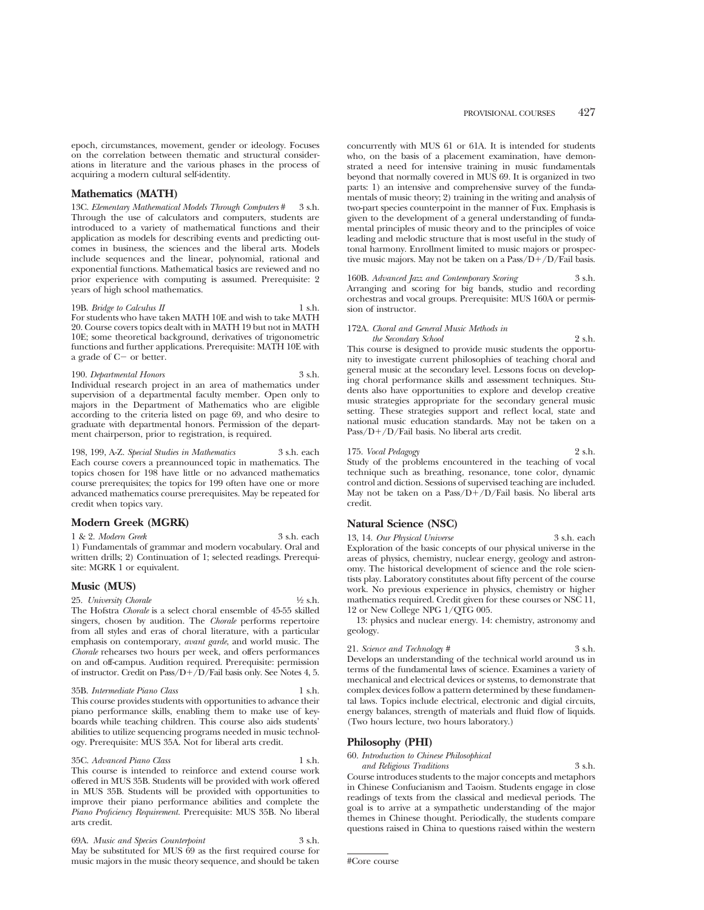epoch, circumstances, movement, gender or ideology. Focuses on the correlation between thematic and structural considerations in literature and the various phases in the process of acquiring a modern cultural self-identity.

### **Mathematics (MATH)**

13C. *Elementary Mathematical Models Through Computers* # 3 s.h. Through the use of calculators and computers, students are introduced to a variety of mathematical functions and their application as models for describing events and predicting outcomes in business, the sciences and the liberal arts. Models include sequences and the linear, polynomial, rational and exponential functions. Mathematical basics are reviewed and no prior experience with computing is assumed. Prerequisite: 2 years of high school mathematics.

19B. *Bridge to Calculus II* 1 s.h. For students who have taken MATH 10E and wish to take MATH 20. Course covers topics dealt with in MATH 19 but not in MATH 10E; some theoretical background, derivatives of trigonometric functions and further applications. Prerequisite: MATH 10E with a grade of  $C-$  or better.

### 190. *Departmental Honors* 3 s.h.

Individual research project in an area of mathematics under supervision of a departmental faculty member. Open only to majors in the Department of Mathematics who are eligible according to the criteria listed on page 69, and who desire to graduate with departmental honors. Permission of the department chairperson, prior to registration, is required.

198, 199, A-Z. *Special Studies in Mathematics* 3 s.h. each Each course covers a preannounced topic in mathematics. The topics chosen for 198 have little or no advanced mathematics course prerequisites; the topics for 199 often have one or more advanced mathematics course prerequisites. May be repeated for credit when topics vary.

### **Modern Greek (MGRK)**

1 & 2. *Modern Greek* 3 s.h. each

1) Fundamentals of grammar and modern vocabulary. Oral and written drills; 2) Continuation of 1; selected readings. Prerequisite: MGRK 1 or equivalent.

### **Music (MUS)**

25. *University Chorale* 1⁄2 s.h. The Hofstra *Chorale* is a select choral ensemble of 45-55 skilled singers, chosen by audition. The *Chorale* performs repertoire from all styles and eras of choral literature, with a particular emphasis on contemporary, *avant garde*, and world music. The *Chorale* rehearses two hours per week, and offers performances on and off-campus. Audition required. Prerequisite: permission

#### 35B. *Intermediate Piano Class* 1 s.h.

This course provides students with opportunities to advance their piano performance skills, enabling them to make use of keyboards while teaching children. This course also aids students' abilities to utilize sequencing programs needed in music technology. Prerequisite: MUS 35A. Not for liberal arts credit.

of instructor. Credit on Pass/D+/D/Fail basis only. See Notes 4, 5.

### 35C. *Advanced Piano Class* 1 s.h.

This course is intended to reinforce and extend course work offered in MUS 35B. Students will be provided with work offered in MUS 35B. Students will be provided with opportunities to improve their piano performance abilities and complete the *Piano Proficiency Requirement.* Prerequisite: MUS 35B. No liberal arts credit.

69A. *Music and Species Counterpoint* 3 s.h. May be substituted for MUS 69 as the first required course for music majors in the music theory sequence, and should be taken concurrently with MUS 61 or 61A. It is intended for students who, on the basis of a placement examination, have demonstrated a need for intensive training in music fundamentals beyond that normally covered in MUS 69. It is organized in two parts: 1) an intensive and comprehensive survey of the fundamentals of music theory; 2) training in the writing and analysis of two-part species counterpoint in the manner of Fux. Emphasis is given to the development of a general understanding of fundamental principles of music theory and to the principles of voice leading and melodic structure that is most useful in the study of tonal harmony. Enrollment limited to music majors or prospective music majors. May not be taken on a  $Pass/D+/D/Fall$  basis.

160B. *Advanced Jazz and Contemporary Scoring* 3 s.h. Arranging and scoring for big bands, studio and recording orchestras and vocal groups. Prerequisite: MUS 160A or permission of instructor.

#### 172A. *Choral and General Music Methods in the Secondary School* 2 s.h.

This course is designed to provide music students the opportunity to investigate current philosophies of teaching choral and general music at the secondary level. Lessons focus on developing choral performance skills and assessment techniques. Students also have opportunities to explore and develop creative music strategies appropriate for the secondary general music setting. These strategies support and reflect local, state and national music education standards. May not be taken on a  $Pass/D+ / D$ /Fail basis. No liberal arts credit.

### 175. *Vocal Pedagogy* 2 s.h.

Study of the problems encountered in the teaching of vocal technique such as breathing, resonance, tone color, dynamic control and diction. Sessions of supervised teaching are included. May not be taken on a Pass/ $D+/D/F$ ail basis. No liberal arts credit.

### **Natural Science (NSC)**

13, 14. *Our Physical Universe* 3 s.h. each Exploration of the basic concepts of our physical universe in the areas of physics, chemistry, nuclear energy, geology and astronomy. The historical development of science and the role scientists play. Laboratory constitutes about fifty percent of the course work. No previous experience in physics, chemistry or higher mathematics required. Credit given for these courses or NSC 11, 12 or New College NPG 1/QTG 005.

13: physics and nuclear energy. 14: chemistry, astronomy and geology.

| 21. Science and Technology #                                  | 3 s.h. |
|---------------------------------------------------------------|--------|
| Develope an understanding of the technical world around us in |        |

Develops an understanding of the technical world around us in terms of the fundamental laws of science. Examines a variety of mechanical and electrical devices or systems, to demonstrate that complex devices follow a pattern determined by these fundamental laws. Topics include electrical, electronic and digial circuits, energy balances, strength of materials and fluid flow of liquids. (Two hours lecture, two hours laboratory.)

### **Philosophy (PHI)**

### 60. *Introduction to Chinese Philosophical*

*and Religious Traditions* 3 s.h. Course introduces students to the major concepts and metaphors in Chinese Confucianism and Taoism. Students engage in close readings of texts from the classical and medieval periods. The goal is to arrive at a sympathetic understanding of the major themes in Chinese thought. Periodically, the students compare questions raised in China to questions raised within the western

<sup>#</sup>Core course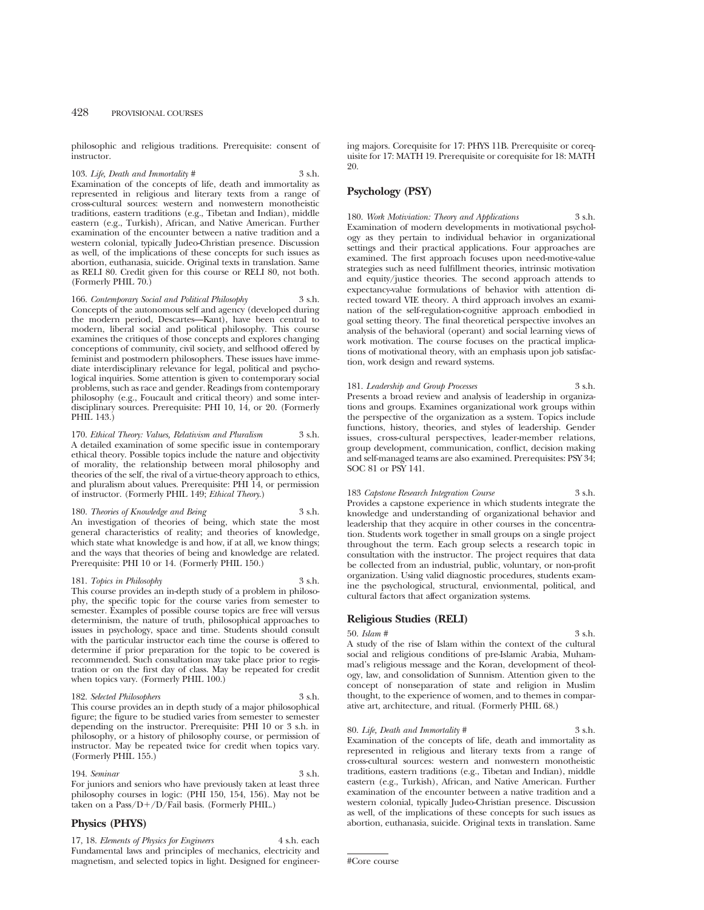philosophic and religious traditions. Prerequisite: consent of instructor.

103. *Life, Death and Immortality* # 3 s.h. Examination of the concepts of life, death and immortality as represented in religious and literary texts from a range of cross-cultural sources: western and nonwestern monotheistic traditions, eastern traditions (e.g., Tibetan and Indian), middle eastern (e.g., Turkish), African, and Native American. Further examination of the encounter between a native tradition and a western colonial, typically Judeo-Christian presence. Discussion as well, of the implications of these concepts for such issues as abortion, euthanasia, suicide. Original texts in translation. Same as RELI 80. Credit given for this course or RELI 80, not both. (Formerly PHIL 70.)

166. *Contemporary Social and Political Philosophy* 3 s.h. Concepts of the autonomous self and agency (developed during the modern period, Descartes—Kant), have been central to modern, liberal social and political philosophy. This course examines the critiques of those concepts and explores changing conceptions of community, civil society, and selfhood offered by feminist and postmodern philosophers. These issues have immediate interdisciplinary relevance for legal, political and psychological inquiries. Some attention is given to contemporary social problems, such as race and gender. Readings from contemporary philosophy (e.g., Foucault and critical theory) and some interdisciplinary sources. Prerequisite: PHI 10, 14, or 20. (Formerly PHIL 143.)

170. *Ethical Theory: Values, Relativism and Pluralism* 3 s.h. A detailed examination of some specific issue in contemporary ethical theory. Possible topics include the nature and objectivity of morality, the relationship between moral philosophy and theories of the self, the rival of a virtue-theory approach to ethics, and pluralism about values. Prerequisite: PHI 14, or permission of instructor. (Formerly PHIL 149; *Ethical Theory*.)

### 180. *Theories of Knowledge and Being* 3 s.h. An investigation of theories of being, which state the most general characteristics of reality; and theories of knowledge, which state what knowledge is and how, if at all, we know things; and the ways that theories of being and knowledge are related.

Prerequisite: PHI 10 or 14. (Formerly PHIL 150.) 181. *Topics in Philosophy* 3 s.h.

This course provides an in-depth study of a problem in philosophy, the specific topic for the course varies from semester to semester. Examples of possible course topics are free will versus determinism, the nature of truth, philosophical approaches to issues in psychology, space and time. Students should consult with the particular instructor each time the course is offered to determine if prior preparation for the topic to be covered is recommended. Such consultation may take place prior to registration or on the first day of class. May be repeated for credit when topics vary. (Formerly PHIL 100.)

### 182. *Selected Philosophers* 3 s.h.

This course provides an in depth study of a major philosophical figure; the figure to be studied varies from semester to semester depending on the instructor. Prerequisite: PHI 10 or 3 s.h. in philosophy, or a history of philosophy course, or permission of instructor. May be repeated twice for credit when topics vary. (Formerly PHIL 155.)

#### 194. *Seminar* 3 s.h.

For juniors and seniors who have previously taken at least three philosophy courses in logic: (PHI 150, 154, 156). May not be taken on a  $Pass/D+/D/Fall$  basis. (Formerly PHIL.)

### **Physics (PHYS)**

17, 18. *Elements of Physics for Engineers* 4 s.h. each Fundamental laws and principles of mechanics, electricity and magnetism, and selected topics in light. Designed for engineering majors. Corequisite for 17: PHYS 11B. Prerequisite or corequisite for 17: MATH 19. Prerequisite or corequisite for 18: MATH 20.

### **Psychology (PSY)**

180. *Work Motiviation: Theory and Applications* 3 s.h. Examination of modern developments in motivational psychology as they pertain to individual behavior in organizational settings and their practical applications. Four approaches are examined. The first approach focuses upon need-motive-value strategies such as need fulfillment theories, intrinsic motivation and equity/justice theories. The second approach attends to expectancy-value formulations of behavior with attention directed toward VIE theory. A third approach involves an examination of the self-regulation-cognitive approach embodied in goal setting theory. The final theoretical perspective involves an analysis of the behavioral (operant) and social learning views of work motivation. The course focuses on the practical implications of motivational theory, with an emphasis upon job satisfaction, work design and reward systems.

### 181. *Leadership and Group Processes* 3 s.h. Presents a broad review and analysis of leadership in organizations and groups. Examines organizational work groups within the perspective of the organization as a system. Topics include functions, history, theories, and styles of leadership. Gender issues, cross-cultural perspectives, leader-member relations, group development, communication, conflict, decision making and self-managed teams are also examined. Prerequisites: PSY 34; SOC 81 or PSY 141.

### 183 *Capstone Research Integration Course* 3 s.h.

Provides a capstone experience in which students integrate the knowledge and understanding of organizational behavior and leadership that they acquire in other courses in the concentration. Students work together in small groups on a single project throughout the term. Each group selects a research topic in consultation with the instructor. The project requires that data be collected from an industrial, public, voluntary, or non-profit organization. Using valid diagnostic procedures, students examine the psychological, structural, envionmental, political, and cultural factors that affect organization systems.

### **Religious Studies (RELI)**

50. *Islam #* 3 s.h.

A study of the rise of Islam within the context of the cultural social and religious conditions of pre-Islamic Arabia, Muhammad's religious message and the Koran, development of theology, law, and consolidation of Sunnism. Attention given to the concept of nonseparation of state and religion in Muslim thought, to the experience of women, and to themes in comparative art, architecture, and ritual. (Formerly PHIL 68.)

80. *Life, Death and Immortality* # 3 s.h. Examination of the concepts of life, death and immortality as represented in religious and literary texts from a range of cross-cultural sources: western and nonwestern monotheistic traditions, eastern traditions (e.g., Tibetan and Indian), middle eastern (e.g., Turkish), African, and Native American. Further examination of the encounter between a native tradition and a western colonial, typically Judeo-Christian presence. Discussion as well, of the implications of these concepts for such issues as abortion, euthanasia, suicide. Original texts in translation. Same

<sup>#</sup>Core course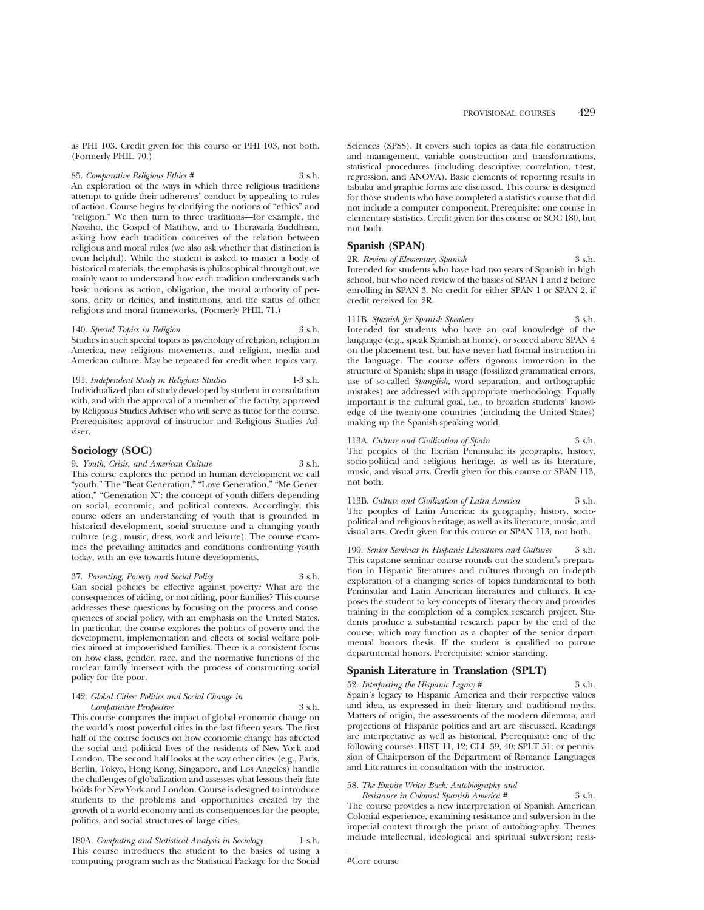as PHI 103. Credit given for this course or PHI 103, not both. (Formerly PHIL 70.)

85. *Comparative Religious Ethics #* 3 s.h.

An exploration of the ways in which three religious traditions attempt to guide their adherents' conduct by appealing to rules of action. Course begins by clarifying the notions of "ethics" and "religion." We then turn to three traditions—for example, the Navaho, the Gospel of Matthew, and to Theravada Buddhism, asking how each tradition conceives of the relation between religious and moral rules (we also ask whether that distinction is even helpful). While the student is asked to master a body of historical materials, the emphasis is philosophical throughout; we mainly want to understand how each tradition understands such basic notions as action, obligation, the moral authority of persons, deity or deities, and institutions, and the status of other religious and moral frameworks. (Formerly PHIL 71.)

140. *Special Topics in Religion* 3 s.h. Studies in such special topics as psychology of religion, religion in America, new religious movements, and religion, media and American culture. May be repeated for credit when topics vary.

191. *Independent Study in Religious Studies* 1-3 s.h. Individualized plan of study developed by student in consultation with, and with the approval of a member of the faculty, approved by Religious Studies Adviser who will serve as tutor for the course. Prerequisites: approval of instructor and Religious Studies Adviser.

# **Sociology (SOC)**

9. *Youth, Crisis, and American Culture* 3 s.h. This course explores the period in human development we call "youth." The "Beat Generation," "Love Generation," "Me Generation," "Generation X": the concept of youth differs depending on social, economic, and political contexts. Accordingly, this course offers an understanding of youth that is grounded in historical development, social structure and a changing youth culture (e.g., music, dress, work and leisure). The course examines the prevailing attitudes and conditions confronting youth today, with an eye towards future developments.

37. *Parenting, Poverty and Social Policy* 3 s.h. Can social policies be effective against poverty? What are the consequences of aiding, or not aiding, poor families? This course addresses these questions by focusing on the process and consequences of social policy, with an emphasis on the United States. In particular, the course explores the politics of poverty and the development, implementation and effects of social welfare policies aimed at impoverished families. There is a consistent focus on how class, gender, race, and the normative functions of the nuclear family intersect with the process of constructing social policy for the poor.

## 142. *Global Cities: Politics and Social Change in Comparative Perspective* 3 s.h.

This course compares the impact of global economic change on the world's most powerful cities in the last fifteen years. The first half of the course focuses on how economic change has affected the social and political lives of the residents of New York and London. The second half looks at the way other cities (e.g., Paris, Berlin, Tokyo, Hong Kong, Singapore, and Los Angeles) handle the challenges of globalization and assesses what lessons their fate holds for New York and London. Course is designed to introduce students to the problems and opportunities created by the growth of a world economy and its consequences for the people, politics, and social structures of large cities.

180A. *Computing and Statistical Analysis in Sociology* 1 s.h. This course introduces the student to the basics of using a computing program such as the Statistical Package for the Social Sciences (SPSS). It covers such topics as data file construction and management, variable construction and transformations, statistical procedures (including descriptive, correlation, t-test, regression, and ANOVA). Basic elements of reporting results in tabular and graphic forms are discussed. This course is designed for those students who have completed a statistics course that did not include a computer component. Prerequisite: one course in elementary statistics. Credit given for this course or SOC 180, but not both.

# **Spanish (SPAN)**

2R. *Review of Elementary Spanish* 3 s.h. Intended for students who have had two years of Spanish in high school, but who need review of the basics of SPAN 1 and 2 before enrolling in SPAN 3. No credit for either SPAN 1 or SPAN 2, if credit received for 2R.

111B. *Spanish for Spanish Speakers* 3 s.h. Intended for students who have an oral knowledge of the language (e.g., speak Spanish at home), or scored above SPAN 4 on the placement test, but have never had formal instruction in the language. The course offers rigorous immersion in the structure of Spanish; slips in usage (fossilized grammatical errors, use of so-called *Spanglish,* word separation, and orthographic mistakes) are addressed with appropriate methodology. Equally important is the cultural goal, i.e., to broaden students' knowledge of the twenty-one countries (including the United States) making up the Spanish-speaking world.

113A. *Culture and Civilization of Spain* 3 s.h. The peoples of the Iberian Peninsula: its geography, history, socio-political and religious heritage, as well as its literature, music, and visual arts. Credit given for this course or SPAN 113, not both.

113B. *Culture and Civilization of Latin America* 3 s.h. The peoples of Latin America: its geography, history, sociopolitical and religious heritage, as well as its literature, music, and visual arts. Credit given for this course or SPAN 113, not both.

190. *Senior Seminar in Hispanic Literatures and Cultures* 3 s.h. This capstone seminar course rounds out the student's preparation in Hispanic literatures and cultures through an in-depth exploration of a changing series of topics fundamental to both Peninsular and Latin American literatures and cultures. It exposes the student to key concepts of literary theory and provides training in the completion of a complex research project. Students produce a substantial research paper by the end of the course, which may function as a chapter of the senior departmental honors thesis. If the student is qualified to pursue departmental honors. Prerequisite: senior standing.

# **Spanish Literature in Translation (SPLT)**

52. *Interpreting the Hispanic Legacy* # 3 s.h. Spain's legacy to Hispanic America and their respective values and idea, as expressed in their literary and traditional myths. Matters of origin, the assessments of the modern dilemma, and projections of Hispanic politics and art are discussed. Readings are interpretative as well as historical. Prerequisite: one of the following courses: HIST 11, 12; CLL 39, 40; SPLT 51; or permission of Chairperson of the Department of Romance Languages and Literatures in consultation with the instructor.

# 58. *The Empire Writes Back: Autobiography and*

*Resistance in Colonial Spanish America #* 3 s.h. The course provides a new interpretation of Spanish American Colonial experience, examining resistance and subversion in the imperial context through the prism of autobiography. Themes include intellectual, ideological and spiritual subversion; resis-

<sup>#</sup>Core course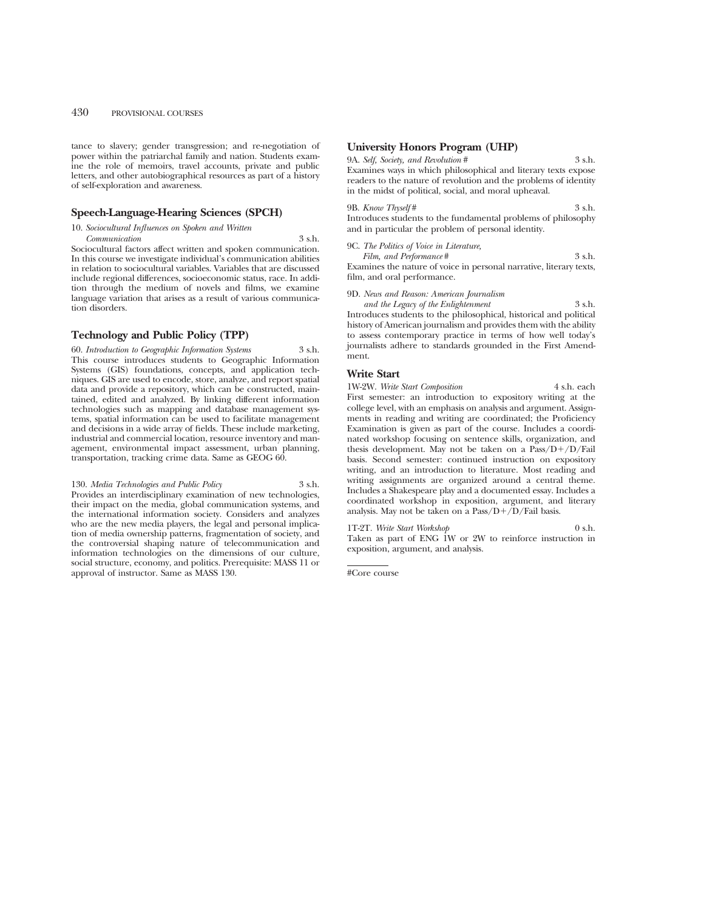tance to slavery; gender transgression; and re-negotiation of power within the patriarchal family and nation. Students examine the role of memoirs, travel accounts, private and public letters, and other autobiographical resources as part of a history of self-exploration and awareness.

# **Speech-Language-Hearing Sciences (SPCH)**

10. *Sociocultural Influences on Spoken and Written*

*Communication* 3 s.h. Sociocultural factors affect written and spoken communication. In this course we investigate individual's communication abilities in relation to sociocultural variables. Variables that are discussed include regional differences, socioeconomic status, race. In addition through the medium of novels and films, we examine language variation that arises as a result of various communication disorders.

# **Technology and Public Policy (TPP)**

60. *Introduction to Geographic Information Systems* 3 s.h. This course introduces students to Geographic Information Systems (GIS) foundations, concepts, and application techniques. GIS are used to encode, store, analyze, and report spatial data and provide a repository, which can be constructed, maintained, edited and analyzed. By linking different information technologies such as mapping and database management systems, spatial information can be used to facilitate management and decisions in a wide array of fields. These include marketing, industrial and commercial location, resource inventory and management, environmental impact assessment, urban planning, transportation, tracking crime data. Same as GEOG 60.

130. *Media Technologies and Public Policy* 3 s.h. Provides an interdisciplinary examination of new technologies, their impact on the media, global communication systems, and the international information society. Considers and analyzes who are the new media players, the legal and personal implication of media ownership patterns, fragmentation of society, and the controversial shaping nature of telecommunication and information technologies on the dimensions of our culture, social structure, economy, and politics. Prerequisite: MASS 11 or approval of instructor. Same as MASS 130.

## **University Honors Program (UHP)**

## 9A. *Self, Society, and Revolution* # 3 s.h.

Examines ways in which philosophical and literary texts expose readers to the nature of revolution and the problems of identity in the midst of political, social, and moral upheaval.

## 9B. *Know Thyself* # 3 s.h. Introduces students to the fundamental problems of philosophy and in particular the problem of personal identity.

## 9C. *The Politics of Voice in Literature,*

*Film, and Performance* # 3 s.h. Examines the nature of voice in personal narrative, literary texts, film, and oral performance.

9D. *News and Reason: American Journalism*

*and the Legacy of the Enlightenment* 3 s.h. Introduces students to the philosophical, historical and political history of American journalism and provides them with the ability to assess contemporary practice in terms of how well today's journalists adhere to standards grounded in the First Amendment.

## **Write Start**

1W-2W. *Write Start Composition* 4 s.h. each First semester: an introduction to expository writing at the college level, with an emphasis on analysis and argument. Assignments in reading and writing are coordinated; the Proficiency Examination is given as part of the course. Includes a coordinated workshop focusing on sentence skills, organization, and thesis development. May not be taken on a  $Pass/D+/D/Fail$ basis. Second semester: continued instruction on expository writing, and an introduction to literature. Most reading and writing assignments are organized around a central theme. Includes a Shakespeare play and a documented essay. Includes a coordinated workshop in exposition, argument, and literary analysis. May not be taken on a  $Pass/D+/D$  Fail basis.

1T-2T. Write Start Workshop 0 s.h. Taken as part of ENG 1W or 2W to reinforce instruction in exposition, argument, and analysis.

#Core course